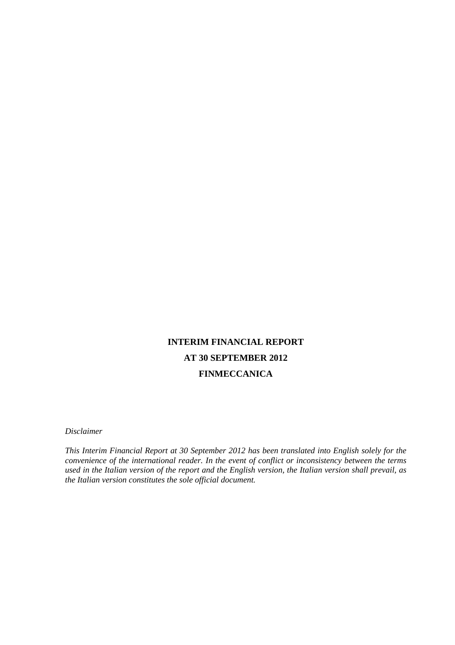# **INTERIM FINANCIAL REPORT AT 30 SEPTEMBER 2012 FINMECCANICA**

*Disclaimer* 

*This Interim Financial Report at 30 September 2012 has been translated into English solely for the convenience of the international reader. In the event of conflict or inconsistency between the terms used in the Italian version of the report and the English version, the Italian version shall prevail, as the Italian version constitutes the sole official document.*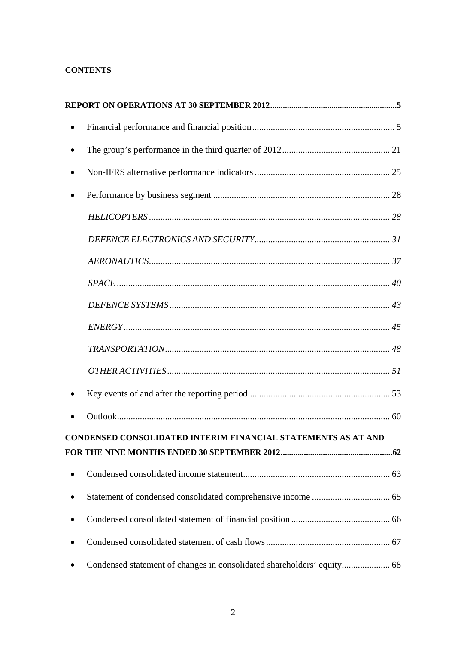## **CONTENTS**

|   | CONDENSED CONSOLIDATED INTERIM FINANCIAL STATEMENTS AS AT AND |  |
|---|---------------------------------------------------------------|--|
|   |                                                               |  |
| ٠ |                                                               |  |
| ٠ |                                                               |  |
|   |                                                               |  |
|   |                                                               |  |
|   |                                                               |  |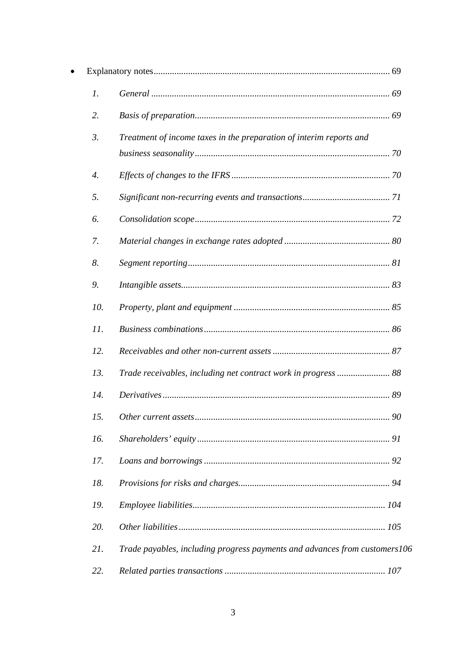| $\mathfrak{1}.$    |                                                                            |
|--------------------|----------------------------------------------------------------------------|
| 2.                 |                                                                            |
| $\mathfrak{Z}$ .   | Treatment of income taxes in the preparation of interim reports and        |
|                    |                                                                            |
| $\boldsymbol{4}$ . |                                                                            |
| 5.                 |                                                                            |
| 6.                 |                                                                            |
| 7.                 |                                                                            |
| 8.                 |                                                                            |
| 9.                 |                                                                            |
| 10.                |                                                                            |
| 11.                |                                                                            |
| 12.                |                                                                            |
| 13.                |                                                                            |
| 14.                |                                                                            |
| 15.                |                                                                            |
| 16.                |                                                                            |
| 17.                |                                                                            |
| 18.                |                                                                            |
| 19.                |                                                                            |
| 20.                |                                                                            |
| 21.                | Trade payables, including progress payments and advances from customers106 |
| 22.                |                                                                            |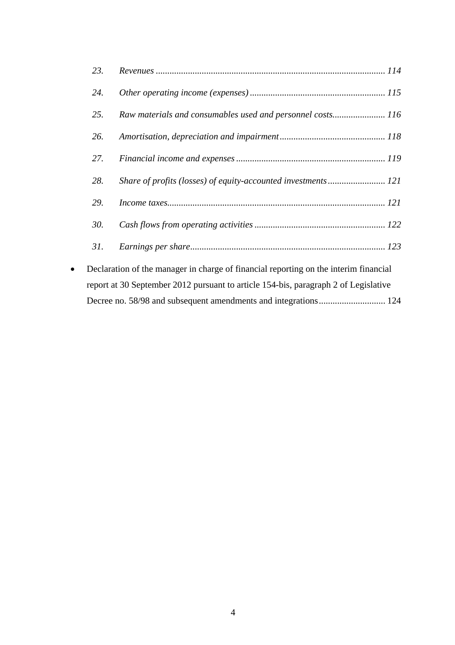|           | 23. |                                                                                      |
|-----------|-----|--------------------------------------------------------------------------------------|
|           | 24. |                                                                                      |
|           | 25. | Raw materials and consumables used and personnel costs 116                           |
|           | 26. |                                                                                      |
|           | 27. |                                                                                      |
|           | 28. | Share of profits (losses) of equity-accounted investments 121                        |
|           | 29. |                                                                                      |
|           | 30. |                                                                                      |
|           | 31. |                                                                                      |
| $\bullet$ |     | Declaration of the manager in charge of financial reporting on the interim financial |
|           |     | report at 30 September 2012 pursuant to article 154-bis, paragraph 2 of Legislative  |
|           |     |                                                                                      |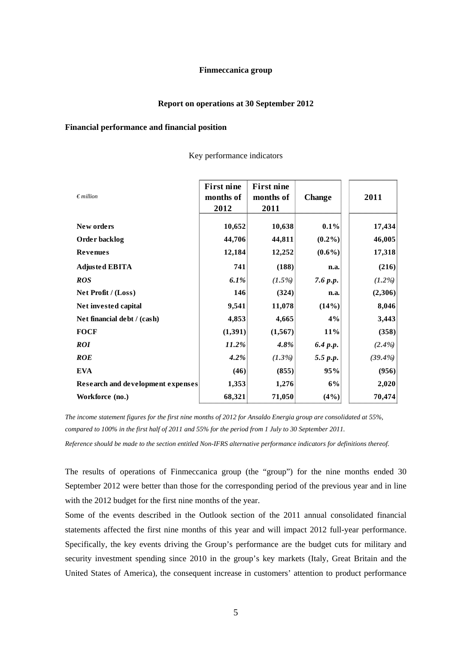## **Finmeccanica group**

### **Report on operations at 30 September 2012**

### **Financial performance and financial position**

| $\n  emillion\n$                  | <b>First nine</b><br>months of<br>2012 | <b>First nine</b><br>months of<br>2011 | <b>Change</b> | 2011      |
|-----------------------------------|----------------------------------------|----------------------------------------|---------------|-----------|
| New orders                        | 10,652                                 | 10,638                                 | 0.1%          | 17,434    |
| Order backlog                     | 44,706                                 | 44,811                                 | $(0.2\%)$     | 46,005    |
| <b>Revenues</b>                   | 12,184                                 | 12,252                                 | $(0.6\%)$     | 17,318    |
| <b>Adjusted EBITA</b>             | 741                                    | (188)                                  | n.a.          | (216)     |
| <b>ROS</b>                        | 6.1%                                   | $(1.5\%)$                              | 7.6 p.p.      | $(1.2\%)$ |
| Net Profit / (Loss)               | 146                                    | (324)                                  | n.a.          | (2,306)   |
| Net invested capital              | 9,541                                  | 11,078                                 | (14%)         | 8,046     |
| Net financial debt / (cash)       | 4,853                                  | 4,665                                  | 4%            | 3,443     |
| <b>FOCF</b>                       | (1, 391)                               | (1, 567)                               | 11%           | (358)     |
| <i>ROI</i>                        | 11.2%                                  | $4.8\%$                                | 6.4 p.p.      | $(2.4\%)$ |
| <b>ROE</b>                        | 4.2%                                   | $(1.3\%)$                              | 5.5 p.p.      | (39.4%    |
| <b>EVA</b>                        | (46)                                   | (855)                                  | 95%           | (956)     |
| Research and development expenses | 1,353                                  | 1,276                                  | 6%            | 2,020     |
| Workforce (no.)                   | 68,321                                 | 71,050                                 | (4%)          | 70,474    |

Key performance indicators

*The income statement figures for the first nine months of 2012 for Ansaldo Energia group are consolidated at 55%, compared to 100% in the first half of 2011 and 55% for the period from 1 July to 30 September 2011.* 

*Reference should be made to the section entitled Non-IFRS alternative performance indicators for definitions thereof.* 

The results of operations of Finmeccanica group (the "group") for the nine months ended 30 September 2012 were better than those for the corresponding period of the previous year and in line with the 2012 budget for the first nine months of the year.

Some of the events described in the Outlook section of the 2011 annual consolidated financial statements affected the first nine months of this year and will impact 2012 full-year performance. Specifically, the key events driving the Group's performance are the budget cuts for military and security investment spending since 2010 in the group's key markets (Italy, Great Britain and the United States of America), the consequent increase in customers' attention to product performance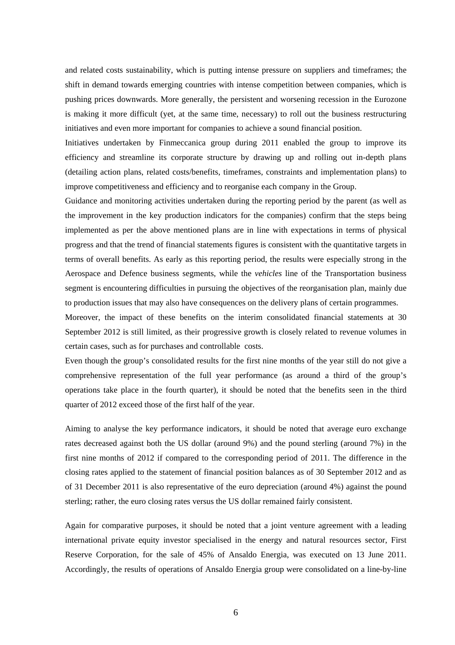and related costs sustainability, which is putting intense pressure on suppliers and timeframes; the shift in demand towards emerging countries with intense competition between companies, which is pushing prices downwards. More generally, the persistent and worsening recession in the Eurozone is making it more difficult (yet, at the same time, necessary) to roll out the business restructuring initiatives and even more important for companies to achieve a sound financial position.

Initiatives undertaken by Finmeccanica group during 2011 enabled the group to improve its efficiency and streamline its corporate structure by drawing up and rolling out in-depth plans (detailing action plans, related costs/benefits, timeframes, constraints and implementation plans) to improve competitiveness and efficiency and to reorganise each company in the Group.

Guidance and monitoring activities undertaken during the reporting period by the parent (as well as the improvement in the key production indicators for the companies) confirm that the steps being implemented as per the above mentioned plans are in line with expectations in terms of physical progress and that the trend of financial statements figures is consistent with the quantitative targets in terms of overall benefits. As early as this reporting period, the results were especially strong in the Aerospace and Defence business segments, while the *vehicles* line of the Transportation business segment is encountering difficulties in pursuing the objectives of the reorganisation plan, mainly due to production issues that may also have consequences on the delivery plans of certain programmes.

Moreover, the impact of these benefits on the interim consolidated financial statements at 30 September 2012 is still limited, as their progressive growth is closely related to revenue volumes in certain cases, such as for purchases and controllable costs.

Even though the group's consolidated results for the first nine months of the year still do not give a comprehensive representation of the full year performance (as around a third of the group's operations take place in the fourth quarter), it should be noted that the benefits seen in the third quarter of 2012 exceed those of the first half of the year.

Aiming to analyse the key performance indicators, it should be noted that average euro exchange rates decreased against both the US dollar (around 9%) and the pound sterling (around 7%) in the first nine months of 2012 if compared to the corresponding period of 2011. The difference in the closing rates applied to the statement of financial position balances as of 30 September 2012 and as of 31 December 2011 is also representative of the euro depreciation (around 4%) against the pound sterling; rather, the euro closing rates versus the US dollar remained fairly consistent.

Again for comparative purposes, it should be noted that a joint venture agreement with a leading international private equity investor specialised in the energy and natural resources sector, First Reserve Corporation, for the sale of 45% of Ansaldo Energia, was executed on 13 June 2011. Accordingly, the results of operations of Ansaldo Energia group were consolidated on a line-by-line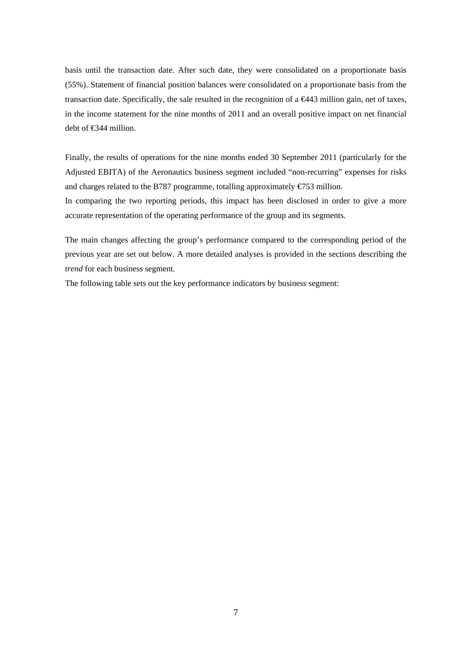basis until the transaction date. After such date, they were consolidated on a proportionate basis (55%). Statement of financial position balances were consolidated on a proportionate basis from the transaction date. Specifically, the sale resulted in the recognition of a  $\infty$ 443 million gain, net of taxes, in the income statement for the nine months of 2011 and an overall positive impact on net financial debt of €344 million.

Finally, the results of operations for the nine months ended 30 September 2011 (particularly for the Adjusted EBITA) of the Aeronautics business segment included "non-recurring" expenses for risks and charges related to the B787 programme, totalling approximately  $\epsilon$ 753 million.

In comparing the two reporting periods, this impact has been disclosed in order to give a more accurate representation of the operating performance of the group and its segments.

The main changes affecting the group's performance compared to the corresponding period of the previous year are set out below. A more detailed analyses is provided in the sections describing the *trend* for each business segment*.*

The following table sets out the key performance indicators by business segment: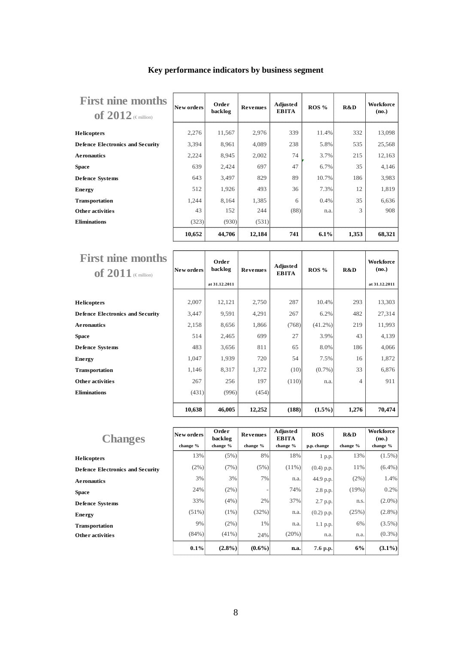| <b>First nine months</b><br>of $2012$ (Emillion) | New orders | Order<br>backlog | <b>Revenues</b> | Adjusted<br><b>EBITA</b> | ROS % | R&D   | Workforce<br>(no.) |
|--------------------------------------------------|------------|------------------|-----------------|--------------------------|-------|-------|--------------------|
| <b>Helicopters</b>                               | 2,276      | 11,567           | 2,976           | 339                      | 11.4% | 332   | 13,098             |
| <b>Defence Electronics and Security</b>          | 3,394      | 8,961            | 4,089           | 238                      | 5.8%  | 535   | 25,568             |
| <b>Aeronautics</b>                               | 2,224      | 8,945            | 2,002           | 74                       | 3.7%  | 215   | 12,163             |
| <b>Space</b>                                     | 639        | 2,424            | 697             | 47                       | 6.7%  | 35    | 4,146              |
| <b>Defence Systems</b>                           | 643        | 3,497            | 829             | 89                       | 10.7% | 186   | 3,983              |
| <b>Energy</b>                                    | 512        | 1,926            | 493             | 36                       | 7.3%  | 12    | 1,819              |
| <b>Transportation</b>                            | 1,244      | 8,164            | 1,385           | 6                        | 0.4%  | 35    | 6,636              |
| Other activities                                 | 43         | 152              | 244             | (88)                     | n.a.  | 3     | 908                |
| <b>Eliminations</b>                              | (323)      | (930)            | (531)           |                          |       |       |                    |
|                                                  | 10,652     | 44,706           | 12,184          | 741                      | 6.1%  | 1,353 | 68,321             |

## **Key performance indicators by business segment**

| <b>First nine months</b><br>of $2011$ (Emillion) | New orders | Order<br>backlog<br>at 31.12.2011 | <b>Revenues</b> | Adjusted<br><b>EBITA</b> | ROS %      | R&D   | <b>Workforce</b><br>(no.)<br>at 31.12.2011 |
|--------------------------------------------------|------------|-----------------------------------|-----------------|--------------------------|------------|-------|--------------------------------------------|
| <b>Helicopters</b>                               | 2,007      | 12,121                            | 2,750           | 287                      | 10.4%      | 293   | 13,303                                     |
| <b>Defence Electronics and Security</b>          | 3,447      | 9,591                             | 4,291           | 267                      | 6.2%       | 482   | 27,314                                     |
| <b>Aeronautics</b>                               | 2,158      | 8,656                             | 1,866           | (768)                    | $(41.2\%)$ | 219   | 11,993                                     |
| <b>Space</b>                                     | 514        | 2,465                             | 699             | 27                       | 3.9%       | 43    | 4,139                                      |
| <b>Defence Systems</b>                           | 483        | 3,656                             | 811             | 65                       | 8.0%       | 186   | 4,066                                      |
| Energy                                           | 1,047      | 1,939                             | 720             | 54                       | 7.5%       | 16    | 1,872                                      |
| <b>Transportation</b>                            | 1,146      | 8,317                             | 1,372           | (10)                     | $(0.7\%)$  | 33    | 6,876                                      |
| Other activities                                 | 267        | 256                               | 197             | (110)                    | n.a.       | 4     | 911                                        |
| <b>Eliminations</b>                              | (431)      | (996)                             | (454)           |                          |            |       |                                            |
|                                                  | 10,638     | 46,005                            | 12,252          | (188)                    | $(1.5\%)$  | 1,276 | 70,474                                     |

| <b>Changes</b>                          | New orders | Order<br>backlog | Revenues  | Adjusted<br><b>EBITA</b> | <b>ROS</b>   | R&D      | Workforce<br>(no.) |
|-----------------------------------------|------------|------------------|-----------|--------------------------|--------------|----------|--------------------|
|                                         | change %   | change %         | change %  | change %                 | p.p. change  | change % | change %           |
| <b>Helicopters</b>                      | 13%        | (5%)             | 8%        | 18%                      | 1 p.p.       | 13%      | $(1.5\%)$          |
| <b>Defence Electronics and Security</b> | (2%)       | (7%)             | (5%)      | $(11\%)$                 | $(0.4)$ p.p. | 11%      | $(6.4\%)$          |
| <b>Aeronautics</b>                      | 3%         | 3%               | 7%        | n.a.                     | 44.9 p.p.    | (2%)     | 1.4%               |
| <b>Space</b>                            | 24%        | (2%)             |           | 74%                      | 2.8 p.p.     | (19%)    | 0.2%               |
| <b>Defence Systems</b>                  | 33%        | $(4\%)$          | 2%        | 37%                      | 2.7 p.p.     | n.s.     | $(2.0\%)$          |
| <b>Energy</b>                           | $(51\%)$   | $(1\%)$          | (32%)     | n.a.                     | $(0.2)$ p.p. | (25%)    | $(2.8\%)$          |
| <b>Transportation</b>                   | 9%         | $(2\%)$          | 1%        | n.a.                     | 1.1 p.p.     | 6%       | $(3.5\%)$          |
| <b>Other activities</b>                 | $(84\%)$   | $(41\%)$         | 24%       | (20%)                    | n.a.         | n.a.     | $(0.3\%)$          |
|                                         | 0.1%       | $(2.8\%)$        | $(0.6\%)$ | n.a.                     | 7.6 p.p.     | 6%       | $(3.1\%)$          |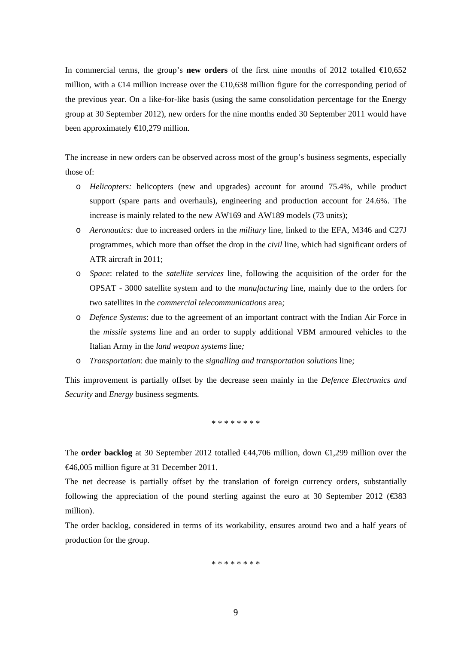In commercial terms, the group's **new orders** of the first nine months of 2012 totalled  $\bigoplus$ 0,652 million, with a  $\in$ 4 million increase over the  $\in$ 0,638 million figure for the corresponding period of the previous year. On a like-for-like basis (using the same consolidation percentage for the Energy group at 30 September 2012), new orders for the nine months ended 30 September 2011 would have been approximately  $\bigoplus$  0,279 million.

The increase in new orders can be observed across most of the group's business segments, especially those of:

- o *Helicopters:* helicopters (new and upgrades) account for around 75.4%, while product support (spare parts and overhauls), engineering and production account for 24.6%. The increase is mainly related to the new AW169 and AW189 models (73 units);
- o *Aeronautics:* due to increased orders in the *military* line, linked to the EFA, M346 and C27J programmes, which more than offset the drop in the *civil* line, which had significant orders of ATR aircraft in 2011;
- o *Space*: related to the *satellite services* line, following the acquisition of the order for the OPSAT - 3000 satellite system and to the *manufacturing* line, mainly due to the orders for two satellites in the *commercial telecommunications* area*;*
- o *Defence Systems*: due to the agreement of an important contract with the Indian Air Force in the *missile systems* line and an order to supply additional VBM armoured vehicles to the Italian Army in the *land weapon systems* line*;*
- o *Transportation*: due mainly to the *signalling and transportation solutions* line*;*

This improvement is partially offset by the decrease seen mainly in the *Defence Electronics and Security* and *Energy* business segments*.* 

.<br>\* \* \* \* \* \* \* \* \* \* \* \*

The **order backlog** at 30 September 2012 totalled €44,706 million, down €1,299 million over the €46,005 million figure at 31 December 2011.

The net decrease is partially offset by the translation of foreign currency orders, substantially following the appreciation of the pound sterling against the euro at 30 September 2012 ( $\epsilon$ 383) million).

The order backlog, considered in terms of its workability, ensures around two and a half years of production for the group.

\* \* \* \* \* \* \* \*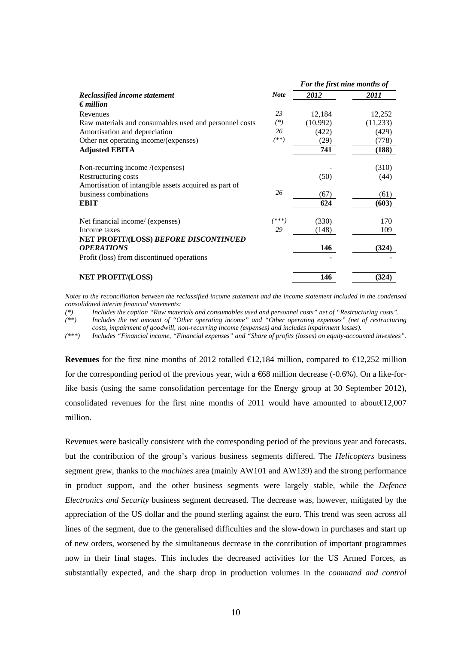|                                                        |             | For the first nine months of |          |
|--------------------------------------------------------|-------------|------------------------------|----------|
| Reclassified income statement                          | <b>Note</b> | 2012                         | 2011     |
| $\epsilon$ <i>million</i>                              |             |                              |          |
| Revenues                                               | 23          | 12,184                       | 12,252   |
| Raw materials and consumables used and personnel costs | $(*)$       | (10,992)                     | (11,233) |
| Amortisation and depreciation                          | 26          | (422)                        | (429)    |
| Other net operating income/(expenses)                  | $^{(**)}$   | (29)                         | (778)    |
| <b>Adjusted EBITA</b>                                  |             | 741                          | (188)    |
| Non-recurring income /(expenses)                       |             |                              | (310)    |
| Restructuring costs                                    |             | (50)                         | (44)     |
| Amortisation of intangible assets acquired as part of  |             |                              |          |
| business combinations                                  | 26          | (67)                         | (61)     |
| <b>EBIT</b>                                            |             | 624                          | (603)    |
| Net financial income/ (expenses)                       | ***         | (330)                        | 170      |
| Income taxes                                           | 29          | (148)                        | 109      |
| NET PROFIT/(LOSS) BEFORE DISCONTINUED                  |             |                              |          |
| <b>OPERATIONS</b>                                      |             | 146                          | (324)    |
| Profit (loss) from discontinued operations             |             |                              |          |
| <b>NET PROFIT/(LOSS)</b>                               |             | 146                          | (324)    |

*Notes to the reconciliation between the reclassified income statement and the income statement included in the condensed consolidated interim financial statements:* 

*(\*) Includes the caption "Raw materials and consumables used and personnel costs" net of "Restructuring costs".* 

*(\*\*) Includes the net amount of "Other operating income" and "Other operating expenses" (net of restructuring costs, impairment of goodwill, non-recurring income (expenses) and includes impairment losses).* 

*(\*\*\*) Includes "Financial income, "Financial expenses" and "Share of profits (losses) on equity-accounted investees".* 

**Revenues** for the first nine months of 2012 totalled  $\bigoplus_{i=1}^{\infty} 2,184$  million, compared to  $\bigoplus_{i=1}^{\infty} 2,252$  million for the corresponding period of the previous year, with a  $668$  million decrease (-0.6%). On a like-forlike basis (using the same consolidation percentage for the Energy group at 30 September 2012), consolidated revenues for the first nine months of 2011 would have amounted to about  $(2,007)$ million.

Revenues were basically consistent with the corresponding period of the previous year and forecasts. but the contribution of the group's various business segments differed. The *Helicopters* business segment grew, thanks to the *machines* area (mainly AW101 and AW139) and the strong performance in product support, and the other business segments were largely stable, while the *Defence Electronics and Security* business segment decreased. The decrease was, however, mitigated by the appreciation of the US dollar and the pound sterling against the euro. This trend was seen across all lines of the segment, due to the generalised difficulties and the slow-down in purchases and start up of new orders, worsened by the simultaneous decrease in the contribution of important programmes now in their final stages. This includes the decreased activities for the US Armed Forces, as substantially expected, and the sharp drop in production volumes in the *command and control*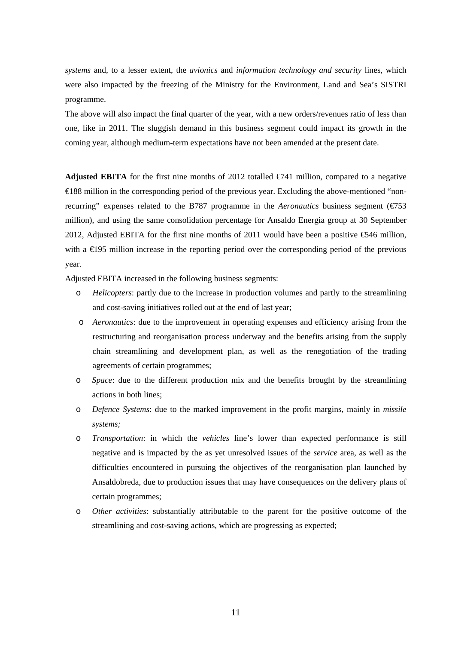*systems* and, to a lesser extent, the *avionics* and *information technology and security* lines, which were also impacted by the freezing of the Ministry for the Environment, Land and Sea's SISTRI programme.

The above will also impact the final quarter of the year, with a new orders/revenues ratio of less than one, like in 2011. The sluggish demand in this business segment could impact its growth in the coming year, although medium-term expectations have not been amended at the present date.

**Adjusted EBITA** for the first nine months of 2012 totalled  $\epsilon$ 741 million, compared to a negative €188 million in the corresponding period of the previous year. Excluding the above-mentioned "nonrecurring" expenses related to the B787 programme in the *Aeronautics* business segment (€753 million), and using the same consolidation percentage for Ansaldo Energia group at 30 September 2012, Adjusted EBITA for the first nine months of 2011 would have been a positive €546 million, with a €195 million increase in the reporting period over the corresponding period of the previous year.

Adjusted EBITA increased in the following business segments:

- o *Helicopters*: partly due to the increase in production volumes and partly to the streamlining and cost-saving initiatives rolled out at the end of last year;
- o *Aeronautics*: due to the improvement in operating expenses and efficiency arising from the restructuring and reorganisation process underway and the benefits arising from the supply chain streamlining and development plan, as well as the renegotiation of the trading agreements of certain programmes;
- o *Space*: due to the different production mix and the benefits brought by the streamlining actions in both lines;
- o *Defence Systems*: due to the marked improvement in the profit margins, mainly in *missile systems;*
- o *Transportation*: in which the *vehicles* line's lower than expected performance is still negative and is impacted by the as yet unresolved issues of the *service* area, as well as the difficulties encountered in pursuing the objectives of the reorganisation plan launched by Ansaldobreda, due to production issues that may have consequences on the delivery plans of certain programmes;
- o *Other activities*: substantially attributable to the parent for the positive outcome of the streamlining and cost-saving actions, which are progressing as expected;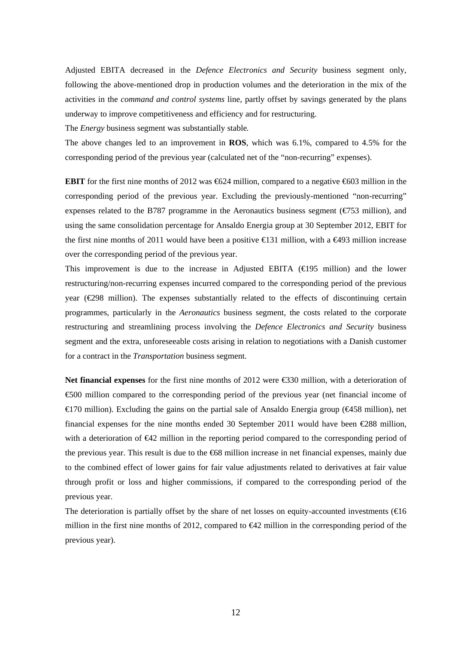Adjusted EBITA decreased in the *Defence Electronics and Security* business segment only, following the above-mentioned drop in production volumes and the deterioration in the mix of the activities in the *command and control systems* line, partly offset by savings generated by the plans underway to improve competitiveness and efficiency and for restructuring.

The *Energy* business segment was substantially stable*.* 

The above changes led to an improvement in **ROS**, which was 6.1%, compared to 4.5% for the corresponding period of the previous year (calculated net of the "non-recurring" expenses).

**EBIT** for the first nine months of 2012 was €624 million, compared to a negative €603 million in the corresponding period of the previous year. Excluding the previously-mentioned "non-recurring" expenses related to the B787 programme in the Aeronautics business segment ( $\epsilon$ 753 million), and using the same consolidation percentage for Ansaldo Energia group at 30 September 2012, EBIT for the first nine months of 2011 would have been a positive  $\epsilon$  31 million, with a  $\epsilon$ 493 million increase over the corresponding period of the previous year.

This improvement is due to the increase in Adjusted EBITA ( $\in$ 195 million) and the lower restructuring/non-recurring expenses incurred compared to the corresponding period of the previous year  $(\text{\textcircled{298}})$  million). The expenses substantially related to the effects of discontinuing certain programmes, particularly in the *Aeronautics* business segment, the costs related to the corporate restructuring and streamlining process involving the *Defence Electronics and Security* business segment and the extra, unforeseeable costs arising in relation to negotiations with a Danish customer for a contract in the *Transportation* business segment.

**Net financial expenses** for the first nine months of 2012 were €330 million, with a deterioration of €500 million compared to the corresponding period of the previous year (net financial income of €170 million). Excluding the gains on the partial sale of Ansaldo Energia group (€458 million), net financial expenses for the nine months ended 30 September 2011 would have been  $\text{\textsterling}88$  million, with a deterioration of €42 million in the reporting period compared to the corresponding period of the previous year. This result is due to the €68 million increase in net financial expenses, mainly due to the combined effect of lower gains for fair value adjustments related to derivatives at fair value through profit or loss and higher commissions, if compared to the corresponding period of the previous year.

The deterioration is partially offset by the share of net losses on equity-accounted investments ( $\in$ 16 million in the first nine months of 2012, compared to €42 million in the corresponding period of the previous year).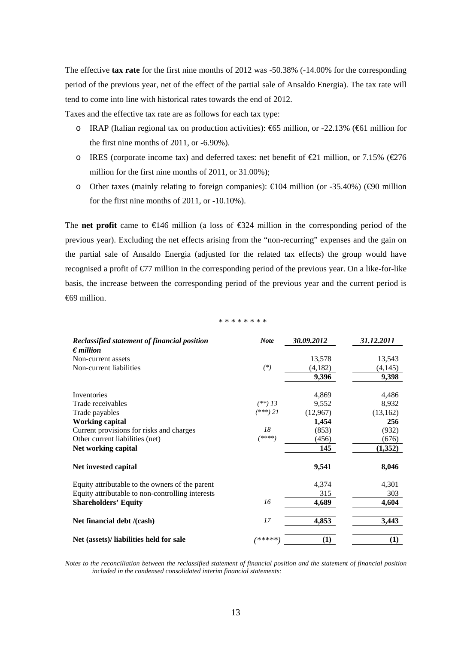The effective **tax rate** for the first nine months of 2012 was -50.38% (-14.00% for the corresponding period of the previous year, net of the effect of the partial sale of Ansaldo Energia). The tax rate will tend to come into line with historical rates towards the end of 2012.

Taxes and the effective tax rate are as follows for each tax type:

- o IRAP (Italian regional tax on production activities):  $665$  million, or -22.13% ( $661$  million for the first nine months of 2011, or -6.90%).
- o IRES (corporate income tax) and deferred taxes: net benefit of  $\text{\textcircled{2}}1$  million, or 7.15% ( $\text{\textcircled{2}}76$ ) million for the first nine months of 2011, or 31.00%);
- o Other taxes (mainly relating to foreign companies):  $\epsilon 0.04$  million (or -35.40%) ( $\epsilon 90$  million for the first nine months of 2011, or -10.10%).

The **net profit** came to  $\infty$  46 million (a loss of  $\infty$ 324 million in the corresponding period of the previous year). Excluding the net effects arising from the "non-recurring" expenses and the gain on the partial sale of Ansaldo Energia (adjusted for the related tax effects) the group would have recognised a profit of  $\epsilon$ 77 million in the corresponding period of the previous year. On a like-for-like basis, the increase between the corresponding period of the previous year and the current period is €69 million.

#### \* \* \* \* \* \* \* \*

| Reclassified statement of financial position     | <b>Note</b> | 30.09.2012 | 31.12.2011 |
|--------------------------------------------------|-------------|------------|------------|
| $\epsilon$ <i>million</i>                        |             |            |            |
| Non-current assets                               |             | 13,578     | 13,543     |
| Non-current liabilities                          | $(*)$       | (4,182)    | (4,145)    |
|                                                  |             | 9,396      | 9,398      |
|                                                  |             |            |            |
| Inventories                                      |             | 4,869      | 4,486      |
| Trade receivables                                | $(**)$ 13   | 9,552      | 8,932      |
| Trade payables                                   | $(***)$ 21  | (12,967)   | (13, 162)  |
| <b>Working capital</b>                           |             | 1,454      | 256        |
| Current provisions for risks and charges         | 18          | (853)      | (932)      |
| Other current liabilities (net)                  | $(****)$    | (456)      | (676)      |
| Net working capital                              |             | 145        | (1,352)    |
| Net invested capital                             |             | 9,541      | 8,046      |
| Equity attributable to the owners of the parent  |             | 4,374      | 4,301      |
| Equity attributable to non-controlling interests |             | 315        | 303        |
| <b>Shareholders' Equity</b>                      | 16          | 4,689      | 4,604      |
| Net financial debt /(cash)                       | 17          | 4,853      | 3,443      |
| Net (assets)/ liabilities held for sale          | *****       | (1)        | (1)        |

*Notes to the reconciliation between the reclassified statement of financial position and the statement of financial position included in the condensed consolidated interim financial statements:*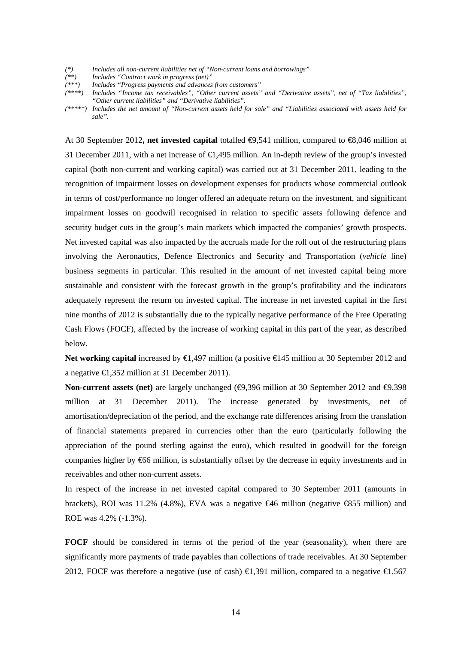- *(\*) Includes all non-current liabilities net of "Non-current loans and borrowings"*
- *(\*\*) Includes "Contract work in progress (net)"*
- *(\*\*\*) Includes "Progress payments and advances from customers"*
- *(\*\*\*\*) Includes "Income tax receivables", "Other current assets" and "Derivative assets", net of "Tax liabilities", "Other current liabilities" and "Derivative liabilities".*
- *(\*\*\*\*\*) Includes the net amount of "Non-current assets held for sale" and "Liabilities associated with assets held for sale".*

At 30 September 2012**, net invested capital** totalled €9,541 million, compared to €8,046 million at 31 December 2011, with a net increase of €1,495 million*.* An in-depth review of the group's invested capital (both non-current and working capital) was carried out at 31 December 2011, leading to the recognition of impairment losses on development expenses for products whose commercial outlook in terms of cost/performance no longer offered an adequate return on the investment, and significant impairment losses on goodwill recognised in relation to specific assets following defence and security budget cuts in the group's main markets which impacted the companies' growth prospects. Net invested capital was also impacted by the accruals made for the roll out of the restructuring plans involving the Aeronautics, Defence Electronics and Security and Transportation (*vehicle* line) business segments in particular. This resulted in the amount of net invested capital being more sustainable and consistent with the forecast growth in the group's profitability and the indicators adequately represent the return on invested capital. The increase in net invested capital in the first nine months of 2012 is substantially due to the typically negative performance of the Free Operating Cash Flows (FOCF), affected by the increase of working capital in this part of the year, as described below.

**Net working capital** increased by **€**1,497 million (a positive **€145** million at 30 September 2012 and a negative €1,352 million at 31 December 2011).

**Non-current assets (net)** are largely unchanged ( $\bigoplus$ , 396 million at 30 September 2012 and  $\bigoplus$ , 398 million at 31 December 2011). The increase generated by investments, net of amortisation/depreciation of the period, and the exchange rate differences arising from the translation of financial statements prepared in currencies other than the euro (particularly following the appreciation of the pound sterling against the euro), which resulted in goodwill for the foreign companies higher by €66 million, is substantially offset by the decrease in equity investments and in receivables and other non-current assets.

In respect of the increase in net invested capital compared to 30 September 2011 (amounts in brackets), ROI was 11.2% (4.8%), EVA was a negative €46 million (negative €855 million) and ROE was 4.2% (-1.3%).

FOCF should be considered in terms of the period of the year (seasonality), when there are significantly more payments of trade payables than collections of trade receivables. At 30 September 2012, FOCF was therefore a negative (use of cash)  $\in$ 1,391 million, compared to a negative  $\in$ 1,567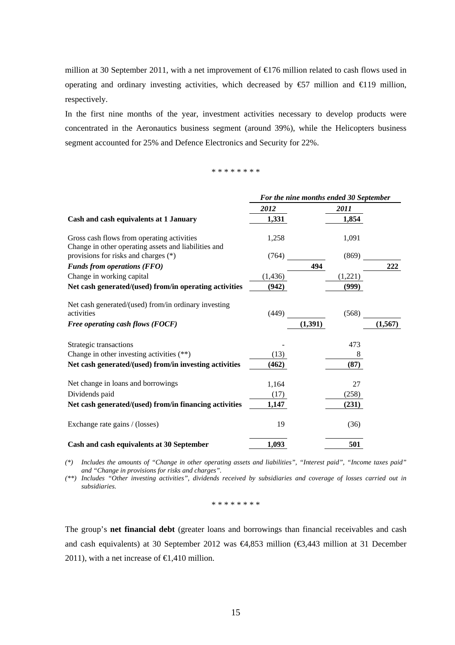million at 30 September 2011, with a net improvement of  $\epsilon$  176 million related to cash flows used in operating and ordinary investing activities, which decreased by  $\epsilon$ 57 million and  $\epsilon$ 19 million, respectively.

In the first nine months of the year, investment activities necessary to develop products were concentrated in the Aeronautics business segment (around 39%), while the Helicopters business segment accounted for 25% and Defence Electronics and Security for 22%.

#### \* \* \* \* \* \* \* \*

|                                                                                                    | For the nine months ended 30 September |         |          |  |
|----------------------------------------------------------------------------------------------------|----------------------------------------|---------|----------|--|
|                                                                                                    | 2012                                   | 2011    |          |  |
| Cash and cash equivalents at 1 January                                                             | 1,331                                  | 1,854   |          |  |
| Gross cash flows from operating activities<br>Change in other operating assets and liabilities and | 1,258                                  | 1,091   |          |  |
| provisions for risks and charges (*)                                                               | (764)                                  | (869)   |          |  |
| <b>Funds from operations (FFO)</b>                                                                 |                                        | 494     | 222      |  |
| Change in working capital                                                                          | (1, 436)                               | (1,221) |          |  |
| Net cash generated/(used) from/in operating activities                                             | (942)                                  | (999)   |          |  |
| Net cash generated/(used) from/in ordinary investing<br>activities                                 | (449)                                  | (568)   |          |  |
| Free operating cash flows (FOCF)                                                                   |                                        | (1,391) | (1, 567) |  |
| Strategic transactions                                                                             |                                        | 473     |          |  |
| Change in other investing activities (**)                                                          | (13)                                   | 8       |          |  |
| Net cash generated/(used) from/in investing activities                                             | (462)                                  | (87)    |          |  |
| Net change in loans and borrowings                                                                 | 1,164                                  | 27      |          |  |
| Dividends paid                                                                                     | (17)                                   | (258)   |          |  |
| Net cash generated/(used) from/in financing activities                                             | 1,147                                  | (231)   |          |  |
| Exchange rate gains / (losses)                                                                     | 19                                     | (36)    |          |  |
| Cash and cash equivalents at 30 September                                                          | 1,093                                  | 501     |          |  |

*(\*) Includes the amounts of "Change in other operating assets and liabilities", "Interest paid", "Income taxes paid" and "Change in provisions for risks and charges".* 

*(\*\*) Includes "Other investing activities", dividends received by subsidiaries and coverage of losses carried out in subsidiaries.* 

\* \* \* \* \* \* \* \*

The group's **net financial debt** (greater loans and borrowings than financial receivables and cash and cash equivalents) at 30 September 2012 was €4,853 million (€3,443 million at 31 December 2011), with a net increase of  $\in$ 1,410 million.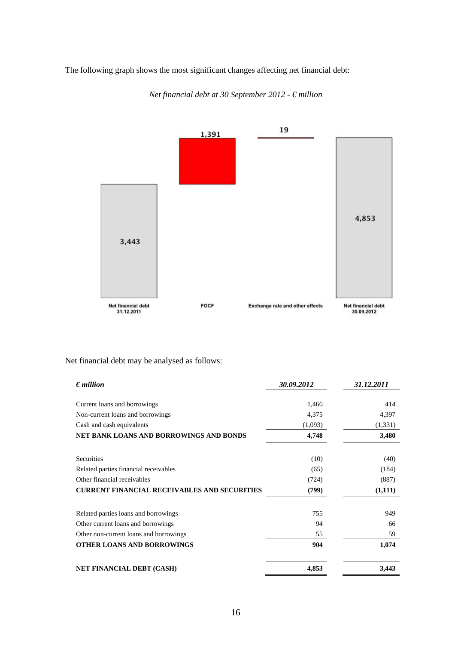The following graph shows the most significant changes affecting net financial debt:



*Net financial debt at 30 September 2012 - € million* 

Net financial debt may be analysed as follows:

| $\epsilon$ <i>million</i>                           | 30.09.2012 | 31.12.2011 |
|-----------------------------------------------------|------------|------------|
| Current loans and borrowings                        | 1,466      | 414        |
|                                                     | 4,375      | 4,397      |
| Non-current loans and borrowings                    |            |            |
| Cash and cash equivalents                           | (1,093)    | (1, 331)   |
| <b>NET BANK LOANS AND BORROWINGS AND BONDS</b>      | 4,748      | 3,480      |
| Securities                                          | (10)       | (40)       |
| Related parties financial receivables               | (65)       | (184)      |
| Other financial receivables                         | (724)      | (887)      |
| <b>CURRENT FINANCIAL RECEIVABLES AND SECURITIES</b> | (799)      | (1,111)    |
| Related parties loans and borrowings                | 755        | 949        |
| Other current loans and borrowings                  | 94         | 66         |
| Other non-current loans and borrowings              | 55         | 59         |
| <b>OTHER LOANS AND BORROWINGS</b>                   | 904        | 1,074      |
| <b>NET FINANCIAL DEBT (CASH)</b>                    | 4,853      | 3,443      |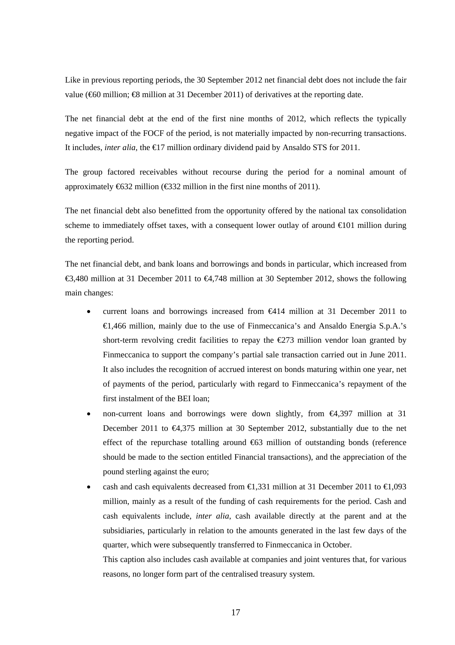Like in previous reporting periods, the 30 September 2012 net financial debt does not include the fair value ( $60$  million;  $68$  million at 31 December 2011) of derivatives at the reporting date.

The net financial debt at the end of the first nine months of 2012, which reflects the typically negative impact of the FOCF of the period, is not materially impacted by non-recurring transactions. It includes, *inter alia*, the €17 million ordinary dividend paid by Ansaldo STS for 2011.

The group factored receivables without recourse during the period for a nominal amount of approximately  $\bigoplus$  32 million ( $\bigoplus$  32 million in the first nine months of 2011).

The net financial debt also benefitted from the opportunity offered by the national tax consolidation scheme to immediately offset taxes, with a consequent lower outlay of around  $\epsilon 0$ 1 million during the reporting period.

The net financial debt, and bank loans and borrowings and bonds in particular, which increased from €3,480 million at 31 December 2011 to  $€4,748$  million at 30 September 2012, shows the following main changes:

- current loans and borrowings increased from €414 million at 31 December 2011 to €1,466 million, mainly due to the use of Finmeccanica's and Ansaldo Energia S.p.A.'s short-term revolving credit facilities to repay the  $\epsilon$ 273 million vendor loan granted by Finmeccanica to support the company's partial sale transaction carried out in June 2011. It also includes the recognition of accrued interest on bonds maturing within one year, net of payments of the period, particularly with regard to Finmeccanica's repayment of the first instalment of the BEI loan;
- non-current loans and borrowings were down slightly, from €4,397 million at 31 December 2011 to €4,375 million at 30 September 2012, substantially due to the net effect of the repurchase totalling around  $\bigoplus$  million of outstanding bonds (reference should be made to the section entitled Financial transactions), and the appreciation of the pound sterling against the euro;
- cash and cash equivalents decreased from  $\bigoplus$ , 331 million at 31 December 2011 to  $\bigoplus$ , 093 million, mainly as a result of the funding of cash requirements for the period. Cash and cash equivalents include, *inter alia*, cash available directly at the parent and at the subsidiaries, particularly in relation to the amounts generated in the last few days of the quarter, which were subsequently transferred to Finmeccanica in October.

This caption also includes cash available at companies and joint ventures that, for various reasons, no longer form part of the centralised treasury system.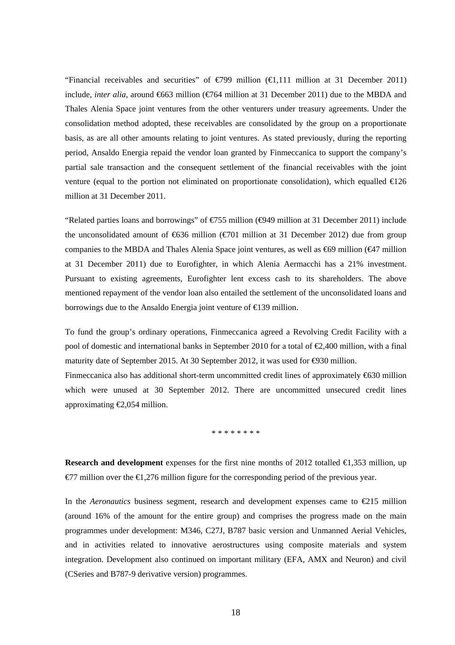"Financial receivables and securities" of  $\in$ 799 million  $(\infty, 111$  million at 31 December 2011) include, *inter alia*, around €663 million (€764 million at 31 December 2011) due to the MBDA and Thales Alenia Space joint ventures from the other venturers under treasury agreements. Under the consolidation method adopted, these receivables are consolidated by the group on a proportionate basis, as are all other amounts relating to joint ventures. As stated previously, during the reporting period, Ansaldo Energia repaid the vendor loan granted by Finmeccanica to support the company's partial sale transaction and the consequent settlement of the financial receivables with the joint venture (equal to the portion not eliminated on proportionate consolidation), which equalled  $\epsilon 26$ million at 31 December 2011.

"Related parties loans and borrowings" of  $\epsilon$ 55 million ( $\epsilon$ 949 million at 31 December 2011) include the unconsolidated amount of  $636$  million ( $6701$  million at 31 December 2012) due from group companies to the MBDA and Thales Alenia Space joint ventures, as well as  $\epsilon$ 69 million ( $\epsilon$ 47 million at 31 December 2011) due to Eurofighter, in which Alenia Aermacchi has a 21% investment. Pursuant to existing agreements, Eurofighter lent excess cash to its shareholders. The above mentioned repayment of the vendor loan also entailed the settlement of the unconsolidated loans and borrowings due to the Ansaldo Energia joint venture of  $\in$  39 million.

To fund the group's ordinary operations, Finmeccanica agreed a Revolving Credit Facility with a pool of domestic and international banks in September 2010 for a total of  $\epsilon$ 2,400 million, with a final maturity date of September 2015. At 30 September 2012, it was used for €930 million. Finmeccanica also has additional short-term uncommitted credit lines of approximately  $630$  million which were unused at 30 September 2012. There are uncommitted unsecured credit lines

\* \* \* \* \* \* \* \*

approximating  $\epsilon$ 2,054 million.

**Research and development** expenses for the first nine months of 2012 totalled **€**1,353 million, up  $\epsilon$ 77 million over the  $\epsilon$ 1,276 million figure for the corresponding period of the previous year.

In the *Aeronautics* business segment, research and development expenses came to €215 million (around 16% of the amount for the entire group) and comprises the progress made on the main programmes under development: M346, C27J, B787 basic version and Unmanned Aerial Vehicles, and in activities related to innovative aerostructures using composite materials and system integration. Development also continued on important military (EFA, AMX and Neuron) and civil (CSeries and B787-9 derivative version) programmes.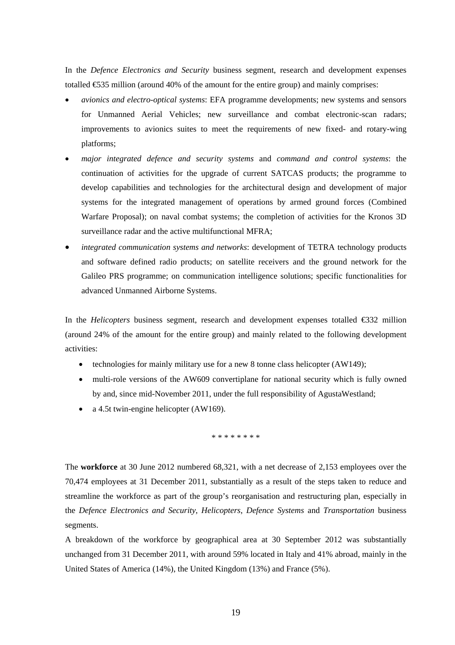In the *Defence Electronics and Security* business segment, research and development expenses totalled  $\text{\textsterling}35$  million (around 40% of the amount for the entire group) and mainly comprises:

- *avionics and electro-optical systems*: EFA programme developments; new systems and sensors for Unmanned Aerial Vehicles; new surveillance and combat electronic-scan radars; improvements to avionics suites to meet the requirements of new fixed- and rotary-wing platforms;
- *major integrated defence and security systems* and *command and control systems*: the continuation of activities for the upgrade of current SATCAS products; the programme to develop capabilities and technologies for the architectural design and development of major systems for the integrated management of operations by armed ground forces (Combined Warfare Proposal); on naval combat systems; the completion of activities for the Kronos 3D surveillance radar and the active multifunctional MFRA;
- *integrated communication systems and networks*: development of TETRA technology products and software defined radio products; on satellite receivers and the ground network for the Galileo PRS programme; on communication intelligence solutions; specific functionalities for advanced Unmanned Airborne Systems.

In the *Helicopters* business segment, research and development expenses totalled €332 million (around 24% of the amount for the entire group) and mainly related to the following development activities:

- technologies for mainly military use for a new 8 tonne class helicopter (AW149);
- multi-role versions of the AW609 convertiplane for national security which is fully owned by and, since mid-November 2011, under the full responsibility of AgustaWestland;
- a 4.5t twin-engine helicopter (AW169).

\* \* \* \* \* \* \* \*

The **workforce** at 30 June 2012 numbered 68,321, with a net decrease of 2,153 employees over the 70,474 employees at 31 December 2011, substantially as a result of the steps taken to reduce and streamline the workforce as part of the group's reorganisation and restructuring plan, especially in the *Defence Electronics and Security*, *Helicopters*, *Defence Systems* and *Transportation* business segments.

A breakdown of the workforce by geographical area at 30 September 2012 was substantially unchanged from 31 December 2011, with around 59% located in Italy and 41% abroad, mainly in the United States of America (14%), the United Kingdom (13%) and France (5%).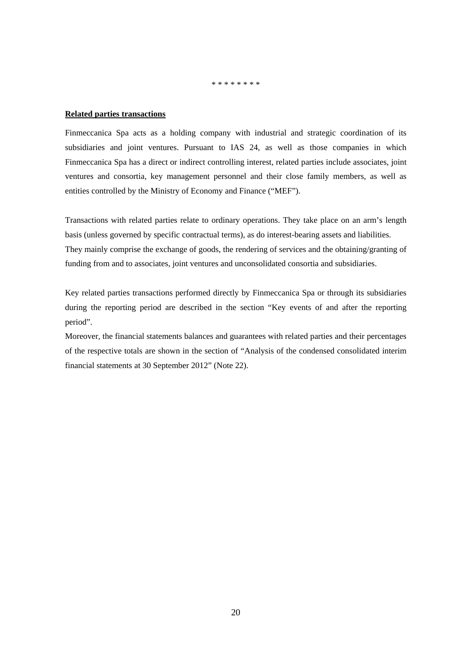\* \* \* \* \* \* \* \*

## **Related parties transactions**

Finmeccanica Spa acts as a holding company with industrial and strategic coordination of its subsidiaries and joint ventures. Pursuant to IAS 24, as well as those companies in which Finmeccanica Spa has a direct or indirect controlling interest, related parties include associates, joint ventures and consortia, key management personnel and their close family members, as well as entities controlled by the Ministry of Economy and Finance ("MEF").

Transactions with related parties relate to ordinary operations. They take place on an arm's length basis (unless governed by specific contractual terms), as do interest-bearing assets and liabilities. They mainly comprise the exchange of goods, the rendering of services and the obtaining/granting of funding from and to associates, joint ventures and unconsolidated consortia and subsidiaries.

Key related parties transactions performed directly by Finmeccanica Spa or through its subsidiaries during the reporting period are described in the section "Key events of and after the reporting period".

Moreover, the financial statements balances and guarantees with related parties and their percentages of the respective totals are shown in the section of "Analysis of the condensed consolidated interim financial statements at 30 September 2012" (Note 22).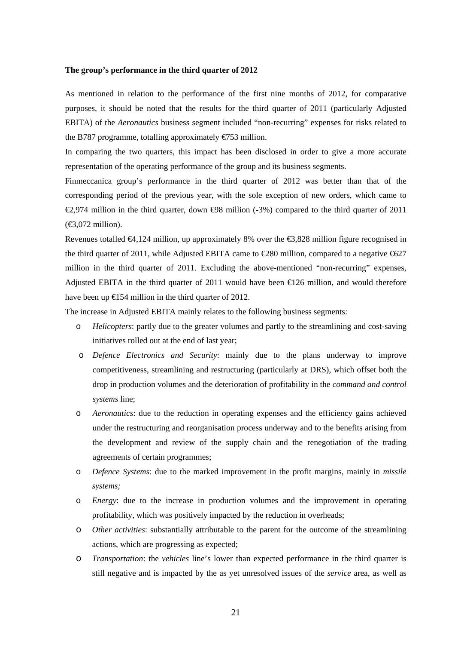### **The group's performance in the third quarter of 2012**

As mentioned in relation to the performance of the first nine months of 2012, for comparative purposes, it should be noted that the results for the third quarter of 2011 (particularly Adjusted EBITA) of the *Aeronautics* business segment included "non-recurring" expenses for risks related to the B787 programme, totalling approximately €753 million.

In comparing the two quarters, this impact has been disclosed in order to give a more accurate representation of the operating performance of the group and its business segments.

Finmeccanica group's performance in the third quarter of 2012 was better than that of the corresponding period of the previous year, with the sole exception of new orders, which came to €2,974 million in the third quarter, down  $\Theta$ 8 million (-3%) compared to the third quarter of 2011  $(\text{\textsterling}3,072 \text{ million}).$ 

Revenues totalled €4,124 million, up approximately 8% over the €3,828 million figure recognised in the third quarter of 2011, while Adjusted EBITA came to  $\epsilon$ 280 million, compared to a negative  $\epsilon$ 627 million in the third quarter of 2011. Excluding the above-mentioned "non-recurring" expenses, Adjusted EBITA in the third quarter of 2011 would have been  $\epsilon$  26 million, and would therefore have been up  $\epsilon$ 154 million in the third quarter of 2012.

The increase in Adjusted EBITA mainly relates to the following business segments:

- o *Helicopters*: partly due to the greater volumes and partly to the streamlining and cost-saving initiatives rolled out at the end of last year;
- o *Defence Electronics and Security*: mainly due to the plans underway to improve competitiveness, streamlining and restructuring (particularly at DRS), which offset both the drop in production volumes and the deterioration of profitability in the *command and control systems* line;
- o *Aeronautics*: due to the reduction in operating expenses and the efficiency gains achieved under the restructuring and reorganisation process underway and to the benefits arising from the development and review of the supply chain and the renegotiation of the trading agreements of certain programmes;
- o *Defence Systems*: due to the marked improvement in the profit margins, mainly in *missile systems;*
- o *Energy*: due to the increase in production volumes and the improvement in operating profitability, which was positively impacted by the reduction in overheads;
- o *Other activities*: substantially attributable to the parent for the outcome of the streamlining actions, which are progressing as expected;
- o *Transportation*: the *vehicles* line's lower than expected performance in the third quarter is still negative and is impacted by the as yet unresolved issues of the *service* area, as well as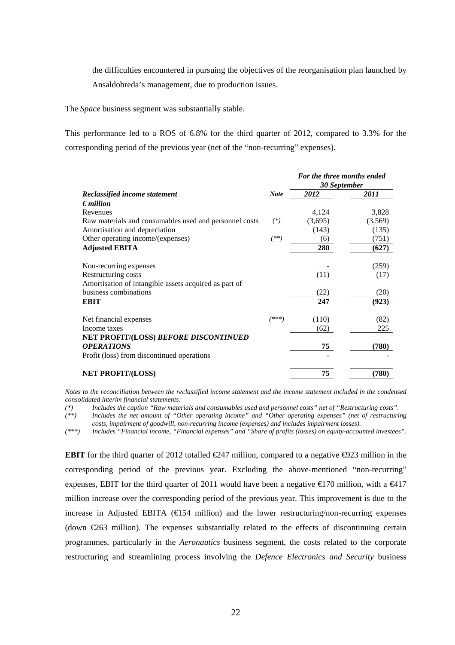the difficulties encountered in pursuing the objectives of the reorganisation plan launched by Ansaldobreda's management, due to production issues.

The *Space* business segment was substantially stable*.*

This performance led to a ROS of 6.8% for the third quarter of 2012, compared to 3.3% for the corresponding period of the previous year (net of the "non-recurring" expenses).

|                                                        |         | For the three months ended<br>30 September |         |  |
|--------------------------------------------------------|---------|--------------------------------------------|---------|--|
| Reclassified income statement                          |         | 2012                                       | 2011    |  |
| $\epsilon$ <i>million</i>                              |         |                                            |         |  |
| Revenues                                               |         | 4,124                                      | 3,828   |  |
| Raw materials and consumables used and personnel costs | $(*)$   | (3,695)                                    | (3,569) |  |
| Amortisation and depreciation                          |         | (143)                                      | (135)   |  |
| Other operating income/(expenses)                      | (**)    | (6)                                        | (751)   |  |
| <b>Adjusted EBITA</b>                                  |         | 280                                        | (627)   |  |
| Non-recurring expenses                                 |         |                                            | (259)   |  |
| Restructuring costs                                    |         | (11)                                       | (17)    |  |
| Amortisation of intangible assets acquired as part of  |         |                                            |         |  |
| business combinations                                  |         | (22)                                       | (20)    |  |
| <b>EBIT</b>                                            |         | 247                                        | (923)   |  |
| Net financial expenses                                 | $(***)$ | (110)                                      | (82)    |  |
| Income taxes                                           |         | (62)                                       | 225     |  |
| NET PROFIT/(LOSS) BEFORE DISCONTINUED                  |         |                                            |         |  |
| <b>OPERATIONS</b>                                      |         | 75                                         | (780)   |  |
| Profit (loss) from discontinued operations             |         |                                            |         |  |
| <b>NET PROFIT/(LOSS)</b>                               |         | 75                                         | (780)   |  |

*Notes to the reconciliation between the reclassified income statement and the income statement included in the condensed consolidated interim financial statements:* 

*(\*) Includes the caption "Raw materials and consumables used and personnel costs" net of "Restructuring costs".* 

Includes the net amount of "Other operating income" and "Other operating expenses" (net of restructuring *costs, impairment of goodwill, non-recurring income (expenses) and includes impairment losses).* 

*(\*\*\*) Includes "Financial income, "Financial expenses" and "Share of profits (losses) on equity-accounted investees".* 

**EBIT** for the third quarter of 2012 totalled  $\epsilon$ 247 million, compared to a negative  $\epsilon$ 923 million in the corresponding period of the previous year. Excluding the above-mentioned "non-recurring" expenses, EBIT for the third quarter of 2011 would have been a negative  $\epsilon$ 170 million, with a  $\epsilon$ 417 million increase over the corresponding period of the previous year. This improvement is due to the increase in Adjusted EBITA ( $\bigoplus$  54 million) and the lower restructuring/non-recurring expenses (down €263 million). The expenses substantially related to the effects of discontinuing certain programmes, particularly in the *Aeronautics* business segment, the costs related to the corporate restructuring and streamlining process involving the *Defence Electronics and Security* business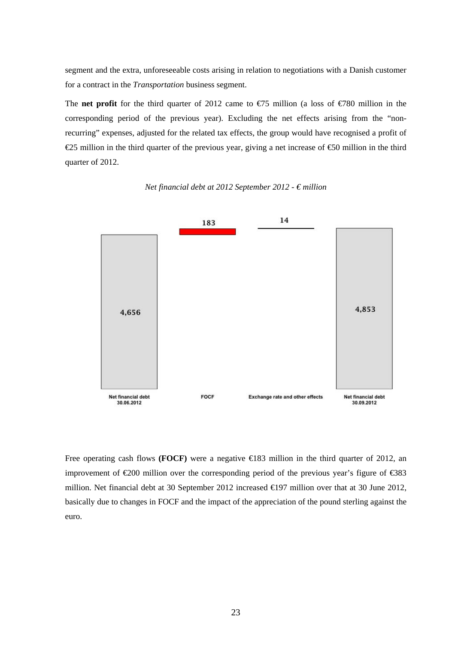segment and the extra, unforeseeable costs arising in relation to negotiations with a Danish customer for a contract in the *Transportation* business segment.

The **net profit** for the third quarter of 2012 came to  $\epsilon$ 75 million (a loss of  $\epsilon$ 780 million in the corresponding period of the previous year). Excluding the net effects arising from the "nonrecurring" expenses, adjusted for the related tax effects, the group would have recognised a profit of €25 million in the third quarter of the previous year, giving a net increase of €50 million in the third quarter of 2012.



*Net financial debt at 2012 September 2012 - € million*

Free operating cash flows **(FOCF)** were a negative €183 million in the third quarter of 2012, an improvement of €200 million over the corresponding period of the previous year's figure of €383 million. Net financial debt at 30 September 2012 increased €197 million over that at 30 June 2012, basically due to changes in FOCF and the impact of the appreciation of the pound sterling against the euro.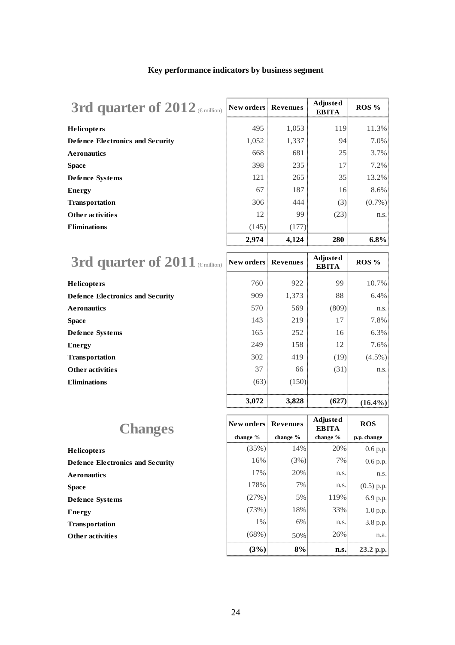## **Key performance indicators by business segment**

3rd quarter of 2012<sup>(€ mil</sup>

| 3rd quarter of $2012$ (Emillion) | New orders | <b>Revenues</b> | Adjusted<br><b>EBITA</b> | ROS %     |
|----------------------------------|------------|-----------------|--------------------------|-----------|
| Helicopters                      | 495        | 1,053           | 119                      | 11.3%     |
| Defence Electronics and Security | 1,052      | 1,337           | 94                       | 7.0%      |
| <b>Aeronautics</b>               | 668        | 681             | 25                       | 3.7%      |
| Space                            | 398        | 235             | 17                       | 7.2%      |
| Defence Systems                  | 121        | 265             | 35                       | 13.2%     |
| <b>Energy</b>                    | 67         | 187             | 16                       | 8.6%      |
| <b>Transportation</b>            | 306        | 444             | (3)                      | $(0.7\%)$ |
| Other activities                 | 12         | 99              | (23)                     | n.s.      |
| <b>Eliminations</b>              | (145)      | (177)           |                          |           |
|                                  | 2,974      | 4,124           | 280                      | $6.8\%$   |
|                                  |            |                 |                          |           |

| 3rd quarter of $2011$ (Emillion) | $\vert$ New orders $\vert$ | <b>Revenues</b> | Adjusted<br><b>EBITA</b> | ROS %      |
|----------------------------------|----------------------------|-----------------|--------------------------|------------|
| <b>Helicopters</b>               | 760                        | 922             | 99                       | $10.7\%$   |
| Defence Electronics and Security | 909                        | 1,373           | 88                       | $6.4\%$    |
| <b>Aeronautics</b>               | 570                        | 569             | (809)                    | n.s.       |
| <b>Space</b>                     | 143                        | 219             | 17                       | $7.8\%$    |
| Defence Systems                  | 165                        | 252             | 16                       | $6.3\%$    |
| <b>Energy</b>                    | 249                        | 158             | 12                       | $7.6\%$    |
| <b>Transportation</b>            | 302                        | 419             | (19)                     | $(4.5\%)$  |
| <b>Other activities</b>          | 37                         | 66              | (31)                     | n.s.       |
| <b>Eliminations</b>              | (63)                       | (150)           |                          |            |
|                                  | 3,072                      | 3,828           | (627)                    | $(16.4\%)$ |

| <b>Changes</b>                   |
|----------------------------------|
| <b>Helicopters</b>               |
| Defence Electronics and Security |
| <b>Aeronautics</b>               |
| <b>Space</b>                     |
| Defence Systems                  |
| <b>Energy</b>                    |
| <b>Transportation</b>            |
| <b>Other activities</b>          |

| <b>Changes</b>                          | New orders | <b>Revenues</b> | Adjusted<br><b>EBITA</b> | <b>ROS</b>               |
|-----------------------------------------|------------|-----------------|--------------------------|--------------------------|
|                                         | change %   | change %        | change %                 | p.p. change              |
| Helicopters                             | (35%)      | 14%             | 20%                      | 0.6 p.p.                 |
| <b>Defence Electronics and Security</b> | 16%        | (3%)            | 7%                       | 0.6 p.p.                 |
| <b>Ae ronautics</b>                     | 17%        | 20%             | n.s.                     | n.s.                     |
| Space                                   | 178%       | 7%              | n.s.                     |                          |
| Defence Systems                         | (27%)      | 5%              | 119%                     | $(0.5)$ p.p.<br>6.9 p.p. |
| Ene rg y                                | (73%)      | 18%             | 33%                      | 1.0 p.p.                 |
| <b>Transportation</b>                   | 1%         | 6%              | n.s.                     | 3.8 p.p.                 |
| Other activities                        | (68%)      | 50%             | 26%                      | n.a.                     |
|                                         | (3%)       | 8%              | n.s.                     | 23.2 p.p.                |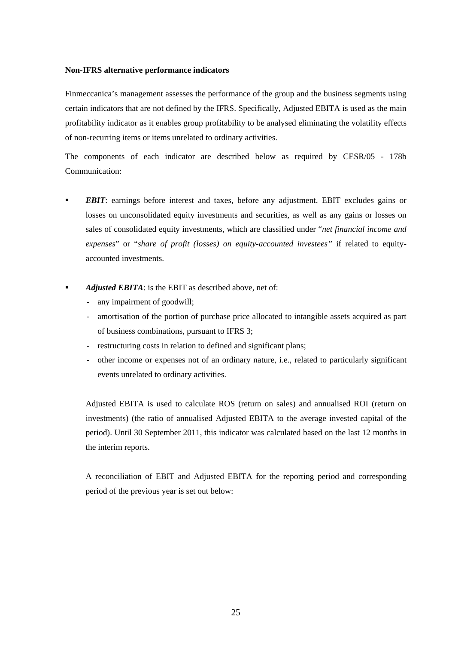## **Non-IFRS alternative performance indicators**

Finmeccanica's management assesses the performance of the group and the business segments using certain indicators that are not defined by the IFRS. Specifically, Adjusted EBITA is used as the main profitability indicator as it enables group profitability to be analysed eliminating the volatility effects of non-recurring items or items unrelated to ordinary activities.

The components of each indicator are described below as required by CESR/05 - 178b Communication:

- *EBIT*: earnings before interest and taxes, before any adjustment. EBIT excludes gains or losses on unconsolidated equity investments and securities, as well as any gains or losses on sales of consolidated equity investments, which are classified under "*net financial income and expenses*" or "*share of profit (losses) on equity-accounted investees"* if related to equityaccounted investments.
- *Adjusted EBITA*: is the EBIT as described above, net of:
	- any impairment of goodwill;
	- amortisation of the portion of purchase price allocated to intangible assets acquired as part of business combinations, pursuant to IFRS 3;
	- restructuring costs in relation to defined and significant plans;
	- other income or expenses not of an ordinary nature, i.e., related to particularly significant events unrelated to ordinary activities.

Adjusted EBITA is used to calculate ROS (return on sales) and annualised ROI (return on investments) (the ratio of annualised Adjusted EBITA to the average invested capital of the period). Until 30 September 2011, this indicator was calculated based on the last 12 months in the interim reports.

A reconciliation of EBIT and Adjusted EBITA for the reporting period and corresponding period of the previous year is set out below: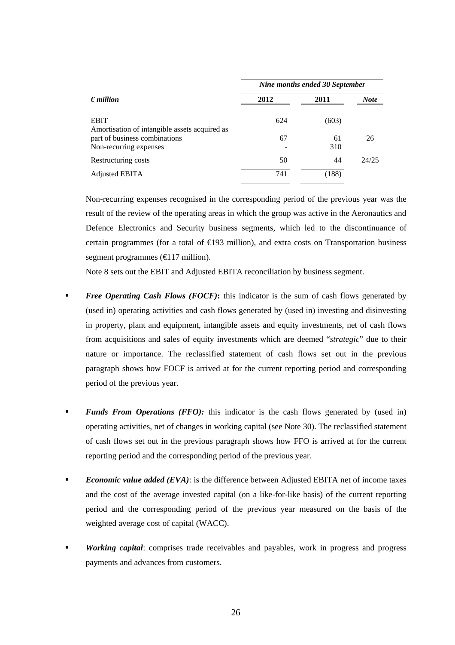|                                                              | Nine months ended 30 September |       |             |  |  |
|--------------------------------------------------------------|--------------------------------|-------|-------------|--|--|
| $\epsilon$ <i>million</i>                                    | 2012                           | 2011  | <b>Note</b> |  |  |
| <b>EBIT</b><br>Amortisation of intangible assets acquired as | 624                            | (603) |             |  |  |
| part of business combinations                                | 67                             | 61    | 26          |  |  |
| Non-recurring expenses                                       |                                | 310   |             |  |  |
| Restructuring costs                                          | 50                             | 44    | 24/25       |  |  |
| Adjusted EBITA                                               | 741                            | (188) |             |  |  |

Non-recurring expenses recognised in the corresponding period of the previous year was the result of the review of the operating areas in which the group was active in the Aeronautics and Defence Electronics and Security business segments, which led to the discontinuance of certain programmes (for a total of  $\bigoplus$ 93 million), and extra costs on Transportation business segment programmes ( $\bigoplus$ 17 million).

Note 8 sets out the EBIT and Adjusted EBITA reconciliation by business segment.

- *Free Operating Cash Flows (FOCF)*: this indicator is the sum of cash flows generated by (used in) operating activities and cash flows generated by (used in) investing and disinvesting in property, plant and equipment, intangible assets and equity investments, net of cash flows from acquisitions and sales of equity investments which are deemed "*strategic*" due to their nature or importance. The reclassified statement of cash flows set out in the previous paragraph shows how FOCF is arrived at for the current reporting period and corresponding period of the previous year.
- *Funds From Operations (FFO)*: this indicator is the cash flows generated by (used in) operating activities, net of changes in working capital (see Note 30). The reclassified statement of cash flows set out in the previous paragraph shows how FFO is arrived at for the current reporting period and the corresponding period of the previous year.
- *Economic value added (EVA)*: is the difference between Adjusted EBITA net of income taxes and the cost of the average invested capital (on a like-for-like basis) of the current reporting period and the corresponding period of the previous year measured on the basis of the weighted average cost of capital (WACC).
- *Working capital*: comprises trade receivables and payables, work in progress and progress payments and advances from customers.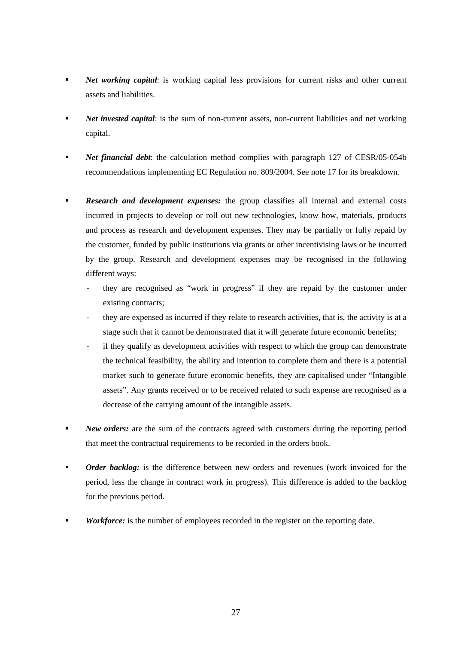- *Net working capital*: is working capital less provisions for current risks and other current assets and liabilities.
- *Net invested capital*: is the sum of non-current assets, non-current liabilities and net working capital.
- *Net financial debt*: the calculation method complies with paragraph 127 of CESR/05-054b recommendations implementing EC Regulation no. 809/2004. See note 17 for its breakdown.
- *Research and development expenses:* the group classifies all internal and external costs incurred in projects to develop or roll out new technologies, know how, materials, products and process as research and development expenses. They may be partially or fully repaid by the customer, funded by public institutions via grants or other incentivising laws or be incurred by the group. Research and development expenses may be recognised in the following different ways:
	- they are recognised as "work in progress" if they are repaid by the customer under existing contracts;
	- they are expensed as incurred if they relate to research activities, that is, the activity is at a stage such that it cannot be demonstrated that it will generate future economic benefits;
	- if they qualify as development activities with respect to which the group can demonstrate the technical feasibility, the ability and intention to complete them and there is a potential market such to generate future economic benefits, they are capitalised under "Intangible assets". Any grants received or to be received related to such expense are recognised as a decrease of the carrying amount of the intangible assets.
- **New orders:** are the sum of the contracts agreed with customers during the reporting period that meet the contractual requirements to be recorded in the orders book.
- *Order backlog:* is the difference between new orders and revenues (work invoiced for the period, less the change in contract work in progress). This difference is added to the backlog for the previous period.
- *Workforce:* is the number of employees recorded in the register on the reporting date.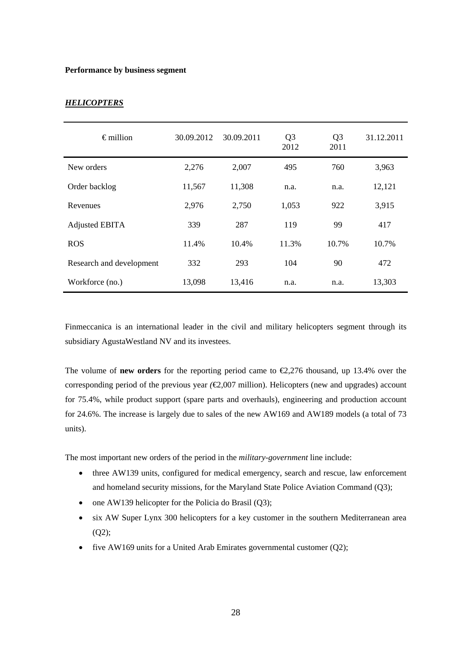## **Performance by business segment**

| $\epsilon$ million       | 30.09.2012 | 30.09.2011 | Q <sub>3</sub><br>2012 | Q <sub>3</sub><br>2011 | 31.12.2011 |
|--------------------------|------------|------------|------------------------|------------------------|------------|
| New orders               | 2,276      | 2,007      | 495                    | 760                    | 3,963      |
| Order backlog            | 11,567     | 11,308     | n.a.                   | n.a.                   | 12,121     |
| Revenues                 | 2,976      | 2,750      | 1,053                  | 922                    | 3,915      |
| Adjusted EBITA           | 339        | 287        | 119                    | 99                     | 417        |
| <b>ROS</b>               | 11.4%      | 10.4%      | 11.3%                  | 10.7%                  | 10.7%      |
| Research and development | 332        | 293        | 104                    | 90                     | 472        |
| Workforce (no.)          | 13,098     | 13,416     | n.a.                   | n.a.                   | 13,303     |

## *HELICOPTERS*

Finmeccanica is an international leader in the civil and military helicopters segment through its subsidiary AgustaWestland NV and its investees.

The volume of **new orders** for the reporting period came to  $\epsilon$ ,276 thousand, up 13.4% over the corresponding period of the previous year *(*€2,007 million). Helicopters (new and upgrades) account for 75.4%, while product support (spare parts and overhauls), engineering and production account for 24.6%. The increase is largely due to sales of the new AW169 and AW189 models (a total of 73 units).

The most important new orders of the period in the *military-government* line include:

- three AW139 units, configured for medical emergency, search and rescue, law enforcement and homeland security missions*,* for the Maryland State Police Aviation Command (Q3);
- $\bullet$  one AW139 helicopter for the Policia do Brasil (Q3);
- six AW Super Lynx 300 helicopters for a key customer in the southern Mediterranean area  $(Q2)$ ;
- five AW169 units for a United Arab Emirates governmental customer (Q2);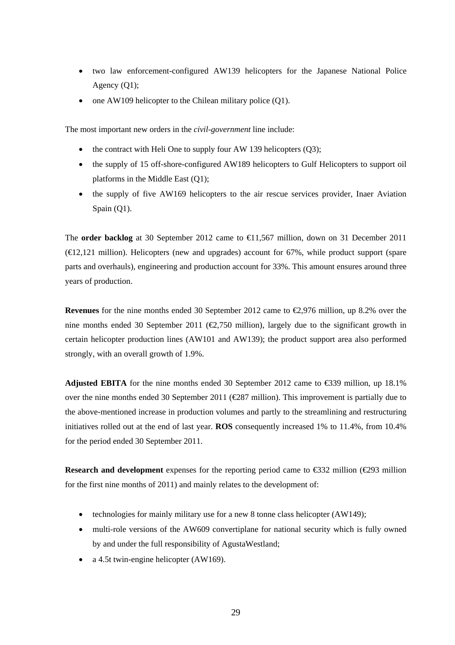- two law enforcement-configured AW139 helicopters for the Japanese National Police Agency (Q1);
- $\bullet$  one AW109 helicopter to the Chilean military police (Q1).

The most important new orders in the *civil-government* line include:

- $\bullet$  the contract with Heli One to supply four AW 139 helicopters (Q3);
- the supply of 15 off-shore-configured AW189 helicopters to Gulf Helicopters to support oil platforms in the Middle East (Q1);
- the supply of five AW169 helicopters to the air rescue services provider, Inaer Aviation Spain (Q1).

The **order backlog** at 30 September 2012 came to €11,567 million, down on 31 December 2011  $(\text{E2,121 million})$ . Helicopters (new and upgrades) account for 67%, while product support (spare parts and overhauls), engineering and production account for 33%. This amount ensures around three years of production.

**Revenues** for the nine months ended 30 September 2012 came to €2,976 million, up 8.2% over the nine months ended 30 September 2011 ( $\epsilon$ 2,750 million), largely due to the significant growth in certain helicopter production lines (AW101 and AW139); the product support area also performed strongly, with an overall growth of 1.9%.

**Adjusted EBITA** for the nine months ended 30 September 2012 came to  $\text{\textless}39$  million, up 18.1% over the nine months ended 30 September 2011 (€287 million). This improvement is partially due to the above-mentioned increase in production volumes and partly to the streamlining and restructuring initiatives rolled out at the end of last year. **ROS** consequently increased 1% to 11.4%, from 10.4% for the period ended 30 September 2011.

**Research and development** expenses for the reporting period came to €332 million (€293 million for the first nine months of 2011) and mainly relates to the development of:

- technologies for mainly military use for a new 8 tonne class helicopter (AW149);
- multi-role versions of the AW609 convertiplane for national security which is fully owned by and under the full responsibility of AgustaWestland;
- a 4.5t twin-engine helicopter (AW169).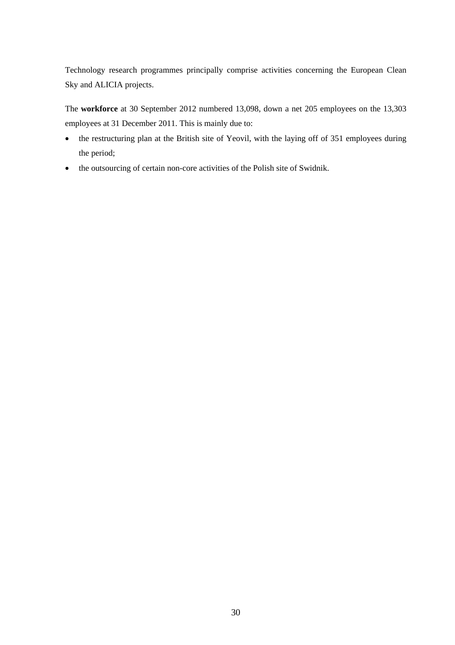Technology research programmes principally comprise activities concerning the European Clean Sky and ALICIA projects.

The **workforce** at 30 September 2012 numbered 13,098, down a net 205 employees on the 13,303 employees at 31 December 2011. This is mainly due to:

- the restructuring plan at the British site of Yeovil, with the laying off of 351 employees during the period;
- the outsourcing of certain non-core activities of the Polish site of Swidnik.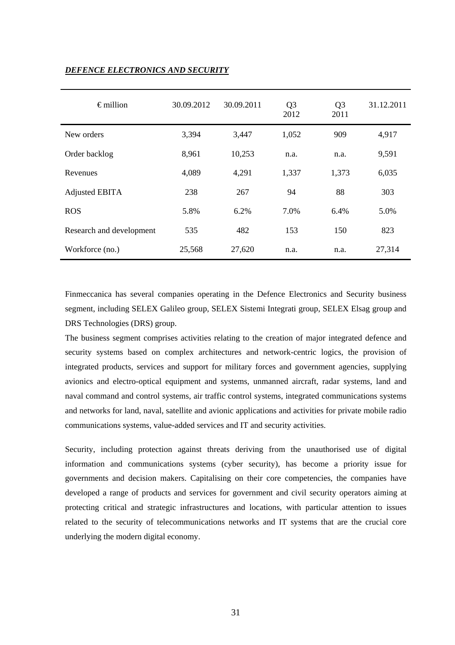| $\epsilon$ million       | 30.09.2012 | 30.09.2011 | Q <sub>3</sub><br>2012 | Q <sub>3</sub><br>2011 | 31.12.2011 |
|--------------------------|------------|------------|------------------------|------------------------|------------|
| New orders               | 3,394      | 3,447      | 1,052                  | 909                    | 4,917      |
| Order backlog            | 8,961      | 10,253     | n.a.                   | n.a.                   | 9,591      |
| Revenues                 | 4,089      | 4,291      | 1,337                  | 1,373                  | 6,035      |
| Adjusted EBITA           | 238        | 267        | 94                     | 88                     | 303        |
| <b>ROS</b>               | 5.8%       | 6.2%       | 7.0%                   | 6.4%                   | 5.0%       |
| Research and development | 535        | 482        | 153                    | 150                    | 823        |
| Workforce (no.)          | 25,568     | 27,620     | n.a.                   | n.a.                   | 27,314     |

## *DEFENCE ELECTRONICS AND SECURITY*

Finmeccanica has several companies operating in the Defence Electronics and Security business segment, including SELEX Galileo group, SELEX Sistemi Integrati group, SELEX Elsag group and DRS Technologies (DRS) group.

The business segment comprises activities relating to the creation of major integrated defence and security systems based on complex architectures and network-centric logics, the provision of integrated products, services and support for military forces and government agencies, supplying avionics and electro-optical equipment and systems, unmanned aircraft, radar systems, land and naval command and control systems, air traffic control systems, integrated communications systems and networks for land, naval, satellite and avionic applications and activities for private mobile radio communications systems, value-added services and IT and security activities.

Security, including protection against threats deriving from the unauthorised use of digital information and communications systems (cyber security), has become a priority issue for governments and decision makers. Capitalising on their core competencies, the companies have developed a range of products and services for government and civil security operators aiming at protecting critical and strategic infrastructures and locations, with particular attention to issues related to the security of telecommunications networks and IT systems that are the crucial core underlying the modern digital economy.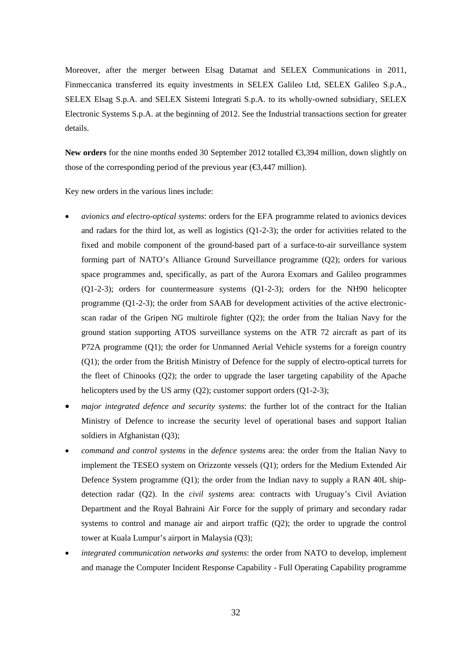Moreover, after the merger between Elsag Datamat and SELEX Communications in 2011, Finmeccanica transferred its equity investments in SELEX Galileo Ltd, SELEX Galileo S.p.A., SELEX Elsag S.p.A. and SELEX Sistemi Integrati S.p.A. to its wholly-owned subsidiary, SELEX Electronic Systems S.p.A. at the beginning of 2012. See the Industrial transactions section for greater details.

New orders for the nine months ended 30 September 2012 totalled <del>€3</del>,394 million, down slightly on those of the corresponding period of the previous year ( $\epsilon$ 3,447 million).

Key new orders in the various lines include:

- *avionics and electro-optical systems*: orders for the EFA programme related to avionics devices and radars for the third lot, as well as logistics (Q1-2-3); the order for activities related to the fixed and mobile component of the ground-based part of a surface-to-air surveillance system forming part of NATO's Alliance Ground Surveillance programme (Q2); orders for various space programmes and, specifically, as part of the Aurora Exomars and Galileo programmes (Q1-2-3); orders for countermeasure systems (Q1-2-3); orders for the NH90 helicopter programme (Q1-2-3); the order from SAAB for development activities of the active electronicscan radar of the Gripen NG multirole fighter (Q2); the order from the Italian Navy for the ground station supporting ATOS surveillance systems on the ATR 72 aircraft as part of its P72A programme (Q1); the order for Unmanned Aerial Vehicle systems for a foreign country (Q1); the order from the British Ministry of Defence for the supply of electro-optical turrets for the fleet of Chinooks (Q2); the order to upgrade the laser targeting capability of the Apache helicopters used by the US army (Q2); customer support orders (Q1-2-3);
- *major integrated defence and security systems*: the further lot of the contract for the Italian Ministry of Defence to increase the security level of operational bases and support Italian soldiers in Afghanistan (Q3);
- *command and control systems* in the *defence systems* area: the order from the Italian Navy to implement the TESEO system on Orizzonte vessels (Q1); orders for the Medium Extended Air Defence System programme  $(Q1)$ ; the order from the Indian navy to supply a RAN 40L shipdetection radar (Q2). In the *civil systems* area: contracts with Uruguay's Civil Aviation Department and the Royal Bahraini Air Force for the supply of primary and secondary radar systems to control and manage air and airport traffic (Q2); the order to upgrade the control tower at Kuala Lumpur's airport in Malaysia (Q3);
- *integrated communication networks and systems*: the order from NATO to develop, implement and manage the Computer Incident Response Capability - Full Operating Capability programme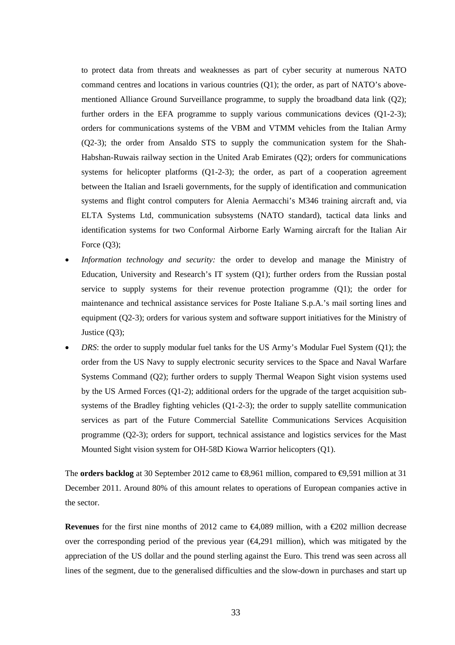to protect data from threats and weaknesses as part of cyber security at numerous NATO command centres and locations in various countries (Q1); the order, as part of NATO's abovementioned Alliance Ground Surveillance programme, to supply the broadband data link (Q2); further orders in the EFA programme to supply various communications devices (Q1-2-3); orders for communications systems of the VBM and VTMM vehicles from the Italian Army (Q2-3); the order from Ansaldo STS to supply the communication system for the Shah-Habshan-Ruwais railway section in the United Arab Emirates (Q2); orders for communications systems for helicopter platforms (Q1-2-3); the order, as part of a cooperation agreement between the Italian and Israeli governments, for the supply of identification and communication systems and flight control computers for Alenia Aermacchi's M346 training aircraft and, via ELTA Systems Ltd, communication subsystems (NATO standard), tactical data links and identification systems for two Conformal Airborne Early Warning aircraft for the Italian Air Force  $(Q3)$ ;

- *Information technology and security:* the order to develop and manage the Ministry of Education, University and Research's IT system (Q1); further orders from the Russian postal service to supply systems for their revenue protection programme (Q1); the order for maintenance and technical assistance services for Poste Italiane S.p.A.'s mail sorting lines and equipment (Q2-3); orders for various system and software support initiatives for the Ministry of Justice (Q3);
- *DRS*: the order to supply modular fuel tanks for the US Army's Modular Fuel System (Q1); the order from the US Navy to supply electronic security services to the Space and Naval Warfare Systems Command (Q2); further orders to supply Thermal Weapon Sight vision systems used by the US Armed Forces (Q1-2); additional orders for the upgrade of the target acquisition subsystems of the Bradley fighting vehicles (Q1-2-3); the order to supply satellite communication services as part of the Future Commercial Satellite Communications Services Acquisition programme (Q2-3); orders for support, technical assistance and logistics services for the Mast Mounted Sight vision system for OH-58D Kiowa Warrior helicopters (Q1).

The **orders backlog** at 30 September 2012 came to **€8**,961 million, compared to **⊕**,591 million at 31 December 2011. Around 80% of this amount relates to operations of European companies active in the sector.

**Revenues** for the first nine months of 2012 came to  $\bigoplus$ 4,089 million, with a  $\bigoplus$ 202 million decrease over the corresponding period of the previous year  $(\epsilon 4.291 \text{ million})$ , which was mitigated by the appreciation of the US dollar and the pound sterling against the Euro. This trend was seen across all lines of the segment, due to the generalised difficulties and the slow-down in purchases and start up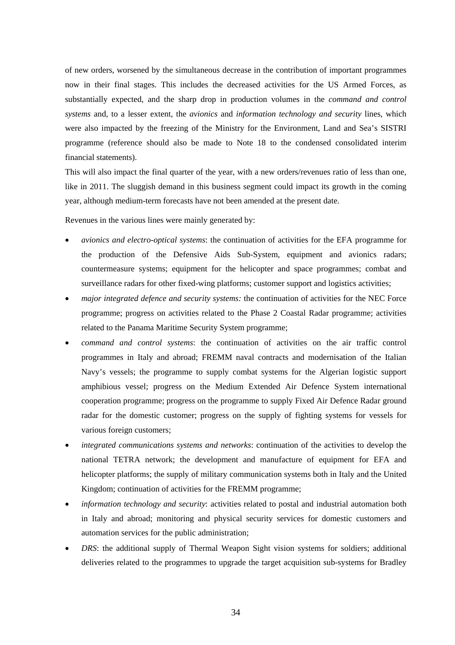of new orders, worsened by the simultaneous decrease in the contribution of important programmes now in their final stages. This includes the decreased activities for the US Armed Forces, as substantially expected, and the sharp drop in production volumes in the *command and control systems* and, to a lesser extent, the *avionics* and *information technology and security* lines, which were also impacted by the freezing of the Ministry for the Environment, Land and Sea's SISTRI programme (reference should also be made to Note 18 to the condensed consolidated interim financial statements).

This will also impact the final quarter of the year, with a new orders/revenues ratio of less than one, like in 2011. The sluggish demand in this business segment could impact its growth in the coming year, although medium-term forecasts have not been amended at the present date.

Revenues in the various lines were mainly generated by:

- *avionics and electro-optical systems*: the continuation of activities for the EFA programme for the production of the Defensive Aids Sub-System, equipment and avionics radars; countermeasure systems; equipment for the helicopter and space programmes; combat and surveillance radars for other fixed-wing platforms; customer support and logistics activities;
- *major integrated defence and security systems:* the continuation of activities for the NEC Force programme; progress on activities related to the Phase 2 Coastal Radar programme; activities related to the Panama Maritime Security System programme;
- *command and control systems*: the continuation of activities on the air traffic control programmes in Italy and abroad; FREMM naval contracts and modernisation of the Italian Navy's vessels; the programme to supply combat systems for the Algerian logistic support amphibious vessel; progress on the Medium Extended Air Defence System international cooperation programme; progress on the programme to supply Fixed Air Defence Radar ground radar for the domestic customer; progress on the supply of fighting systems for vessels for various foreign customers;
- *integrated communications systems and networks*: continuation of the activities to develop the national TETRA network; the development and manufacture of equipment for EFA and helicopter platforms; the supply of military communication systems both in Italy and the United Kingdom; continuation of activities for the FREMM programme;
- *information technology and security*: activities related to postal and industrial automation both in Italy and abroad; monitoring and physical security services for domestic customers and automation services for the public administration;
- *DRS*: the additional supply of Thermal Weapon Sight vision systems for soldiers; additional deliveries related to the programmes to upgrade the target acquisition sub-systems for Bradley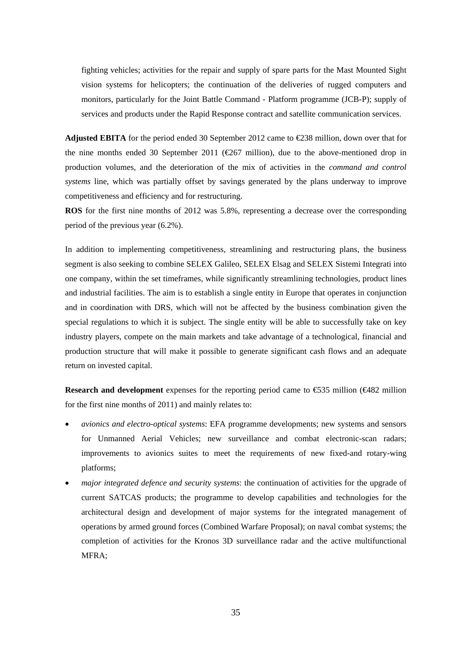fighting vehicles; activities for the repair and supply of spare parts for the Mast Mounted Sight vision systems for helicopters; the continuation of the deliveries of rugged computers and monitors, particularly for the Joint Battle Command - Platform programme (JCB-P); supply of services and products under the Rapid Response contract and satellite communication services.

**Adjusted EBITA** for the period ended 30 September 2012 came to €238 million, down over that for the nine months ended 30 September 2011 ( $\text{\textcircled{e}67}$  million), due to the above-mentioned drop in production volumes, and the deterioration of the mix of activities in the *command and control systems* line, which was partially offset by savings generated by the plans underway to improve competitiveness and efficiency and for restructuring.

**ROS** for the first nine months of 2012 was 5.8%, representing a decrease over the corresponding period of the previous year (6.2%).

In addition to implementing competitiveness, streamlining and restructuring plans, the business segment is also seeking to combine SELEX Galileo, SELEX Elsag and SELEX Sistemi Integrati into one company, within the set timeframes, while significantly streamlining technologies, product lines and industrial facilities. The aim is to establish a single entity in Europe that operates in conjunction and in coordination with DRS, which will not be affected by the business combination given the special regulations to which it is subject. The single entity will be able to successfully take on key industry players, compete on the main markets and take advantage of a technological, financial and production structure that will make it possible to generate significant cash flows and an adequate return on invested capital.

**Research and development** expenses for the reporting period came to €535 million (€482 million for the first nine months of 2011) and mainly relates to:

- *avionics and electro-optical systems*: EFA programme developments; new systems and sensors for Unmanned Aerial Vehicles; new surveillance and combat electronic-scan radars; improvements to avionics suites to meet the requirements of new fixed-and rotary-wing platforms;
- *major integrated defence and security systems*: the continuation of activities for the upgrade of current SATCAS products; the programme to develop capabilities and technologies for the architectural design and development of major systems for the integrated management of operations by armed ground forces (Combined Warfare Proposal); on naval combat systems; the completion of activities for the Kronos 3D surveillance radar and the active multifunctional MFRA;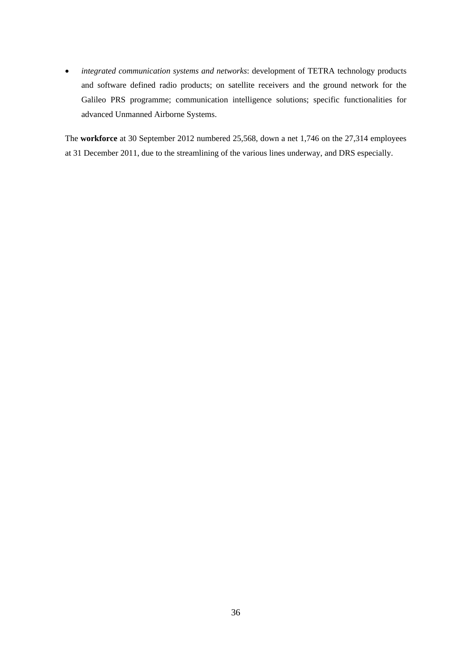*integrated communication systems and networks*: development of TETRA technology products and software defined radio products; on satellite receivers and the ground network for the Galileo PRS programme; communication intelligence solutions; specific functionalities for advanced Unmanned Airborne Systems.

The **workforce** at 30 September 2012 numbered 25,568, down a net 1,746 on the 27,314 employees at 31 December 2011, due to the streamlining of the various lines underway, and DRS especially.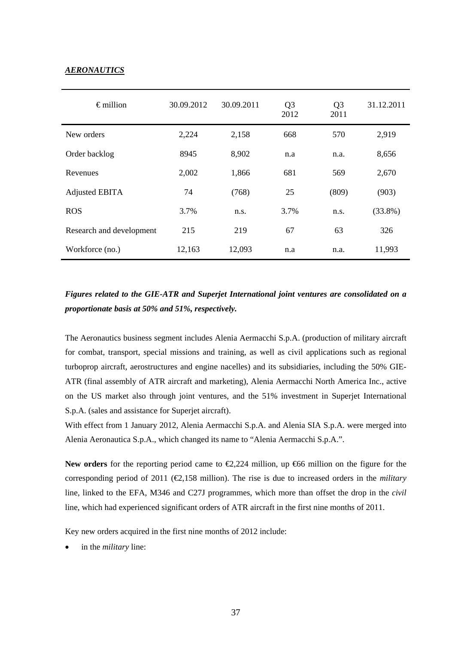### *AERONAUTICS*

| $\epsilon$ million       | 30.09.2012 | 30.09.2011 | Q <sub>3</sub><br>2012 | Q <sub>3</sub><br>2011 | 31.12.2011 |
|--------------------------|------------|------------|------------------------|------------------------|------------|
| New orders               | 2,224      | 2,158      | 668                    | 570                    | 2,919      |
| Order backlog            | 8945       | 8,902      | n.a                    | n.a.                   | 8,656      |
| Revenues                 | 2,002      | 1,866      | 681                    | 569                    | 2,670      |
| <b>Adjusted EBITA</b>    | 74         | (768)      | 25                     | (809)                  | (903)      |
| <b>ROS</b>               | 3.7%       | n.s.       | 3.7%                   | n.s.                   | $(33.8\%)$ |
| Research and development | 215        | 219        | 67                     | 63                     | 326        |
| Workforce (no.)          | 12,163     | 12,093     | n.a                    | n.a.                   | 11,993     |

# *Figures related to the GIE-ATR and Superjet International joint ventures are consolidated on a proportionate basis at 50% and 51%, respectively.*

The Aeronautics business segment includes Alenia Aermacchi S.p.A. (production of military aircraft for combat, transport, special missions and training, as well as civil applications such as regional turboprop aircraft, aerostructures and engine nacelles) and its subsidiaries, including the 50% GIE-ATR (final assembly of ATR aircraft and marketing), Alenia Aermacchi North America Inc., active on the US market also through joint ventures, and the 51% investment in Superjet International S.p.A. (sales and assistance for Superjet aircraft).

With effect from 1 January 2012, Alenia Aermacchi S.p.A. and Alenia SIA S.p.A. were merged into Alenia Aeronautica S.p.A., which changed its name to "Alenia Aermacchi S.p.A.".

**New orders** for the reporting period came to €2,224 million, up €66 million on the figure for the corresponding period of 2011 ( $\bigoplus$ ,158 million). The rise is due to increased orders in the *military* line, linked to the EFA, M346 and C27J programmes, which more than offset the drop in the *civil* line, which had experienced significant orders of ATR aircraft in the first nine months of 2011.

Key new orders acquired in the first nine months of 2012 include:

in the *military* line: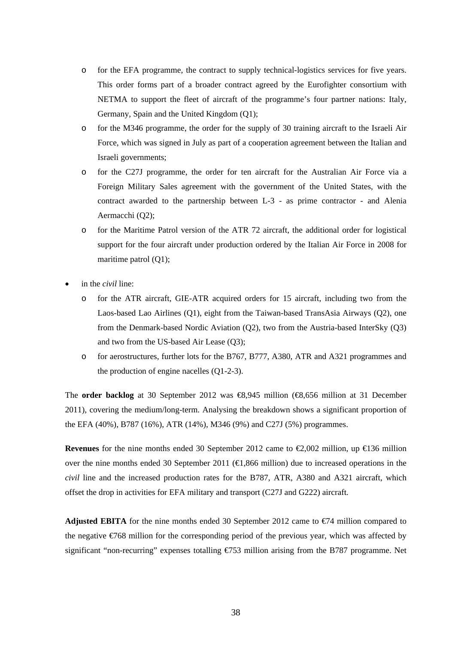- o for the EFA programme, the contract to supply technical-logistics services for five years. This order forms part of a broader contract agreed by the Eurofighter consortium with NETMA to support the fleet of aircraft of the programme's four partner nations: Italy, Germany, Spain and the United Kingdom (O1);
- o for the M346 programme, the order for the supply of 30 training aircraft to the Israeli Air Force, which was signed in July as part of a cooperation agreement between the Italian and Israeli governments;
- o for the C27J programme, the order for ten aircraft for the Australian Air Force via a Foreign Military Sales agreement with the government of the United States, with the contract awarded to the partnership between L-3 - as prime contractor - and Alenia Aermacchi (Q2);
- o for the Maritime Patrol version of the ATR 72 aircraft, the additional order for logistical support for the four aircraft under production ordered by the Italian Air Force in 2008 for maritime patrol (Q1);
- in the *civil* line:
	- o for the ATR aircraft, GIE-ATR acquired orders for 15 aircraft, including two from the Laos-based Lao Airlines (Q1), eight from the Taiwan-based TransAsia Airways (Q2), one from the Denmark-based Nordic Aviation (Q2), two from the Austria-based InterSky (Q3) and two from the US-based Air Lease (Q3);
	- o for aerostructures, further lots for the B767, B777, A380, ATR and A321 programmes and the production of engine nacelles (Q1-2-3).

The **order backlog** at 30 September 2012 was €8,945 million (€8,656 million at 31 December 2011), covering the medium/long-term. Analysing the breakdown shows a significant proportion of the EFA (40%), B787 (16%), ATR (14%), M346 (9%) and C27J (5%) programmes.

**Revenues** for the nine months ended 30 September 2012 came to  $\infty$ ,002 million, up  $\infty$  36 million over the nine months ended 30 September 2011 ( $\bigoplus$ , 866 million) due to increased operations in the *civil* line and the increased production rates for the B787, ATR, A380 and A321 aircraft, which offset the drop in activities for EFA military and transport (C27J and G222) aircraft*.*

**Adjusted EBITA** for the nine months ended 30 September 2012 came to  $\epsilon$ 74 million compared to the negative €768 million for the corresponding period of the previous year, which was affected by significant "non-recurring" expenses totalling €753 million arising from the B787 programme. Net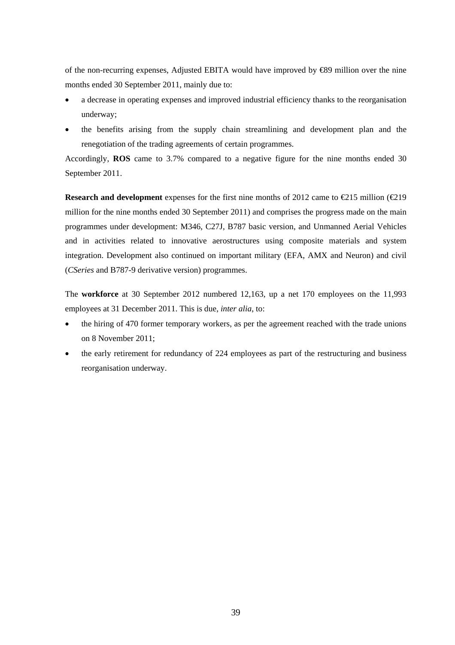of the non-recurring expenses, Adjusted EBITA would have improved by €89 million over the nine months ended 30 September 2011, mainly due to:

- a decrease in operating expenses and improved industrial efficiency thanks to the reorganisation underway;
- the benefits arising from the supply chain streamlining and development plan and the renegotiation of the trading agreements of certain programmes.

Accordingly, **ROS** came to 3.7% compared to a negative figure for the nine months ended 30 September 2011.

**Research and development** expenses for the first nine months of 2012 came to  $\epsilon$ 215 million ( $\epsilon$ 219 million for the nine months ended 30 September 2011) and comprises the progress made on the main programmes under development: M346, C27J, B787 basic version, and Unmanned Aerial Vehicles and in activities related to innovative aerostructures using composite materials and system integration. Development also continued on important military (EFA, AMX and Neuron) and civil (*CSeries* and B787-9 derivative version) programmes.

The **workforce** at 30 September 2012 numbered 12,163, up a net 170 employees on the 11,993 employees at 31 December 2011. This is due, *inter alia*, to:

- the hiring of 470 former temporary workers, as per the agreement reached with the trade unions on 8 November 2011;
- the early retirement for redundancy of 224 employees as part of the restructuring and business reorganisation underway.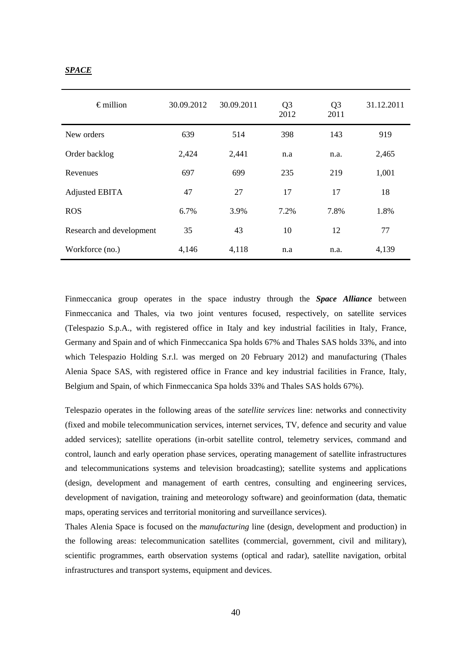## *SPACE*

| $\epsilon$ million       | 30.09.2012 | 30.09.2011 | Q <sub>3</sub><br>2012 | Q <sub>3</sub><br>2011 | 31.12.2011 |
|--------------------------|------------|------------|------------------------|------------------------|------------|
| New orders               | 639        | 514        | 398                    | 143                    | 919        |
| Order backlog            | 2,424      | 2,441      | n.a                    | n.a.                   | 2,465      |
| Revenues                 | 697        | 699        | 235                    | 219                    | 1,001      |
| Adjusted EBITA           | 47         | 27         | 17                     | 17                     | 18         |
| <b>ROS</b>               | 6.7%       | 3.9%       | 7.2%                   | 7.8%                   | 1.8%       |
| Research and development | 35         | 43         | 10                     | 12                     | 77         |
| Workforce (no.)          | 4,146      | 4,118      | n.a                    | n.a.                   | 4,139      |

Finmeccanica group operates in the space industry through the *Space Alliance* between Finmeccanica and Thales, via two joint ventures focused, respectively, on satellite services (Telespazio S.p.A., with registered office in Italy and key industrial facilities in Italy, France, Germany and Spain and of which Finmeccanica Spa holds 67% and Thales SAS holds 33%, and into which Telespazio Holding S.r.l. was merged on 20 February 2012) and manufacturing (Thales Alenia Space SAS, with registered office in France and key industrial facilities in France, Italy, Belgium and Spain, of which Finmeccanica Spa holds 33% and Thales SAS holds 67%).

Telespazio operates in the following areas of the *satellite services* line: networks and connectivity (fixed and mobile telecommunication services, internet services, TV, defence and security and value added services); satellite operations (in-orbit satellite control, telemetry services, command and control, launch and early operation phase services, operating management of satellite infrastructures and telecommunications systems and television broadcasting); satellite systems and applications (design, development and management of earth centres, consulting and engineering services, development of navigation, training and meteorology software) and geoinformation (data, thematic maps, operating services and territorial monitoring and surveillance services).

Thales Alenia Space is focused on the *manufacturing* line (design, development and production) in the following areas: telecommunication satellites (commercial, government, civil and military), scientific programmes, earth observation systems (optical and radar), satellite navigation, orbital infrastructures and transport systems, equipment and devices.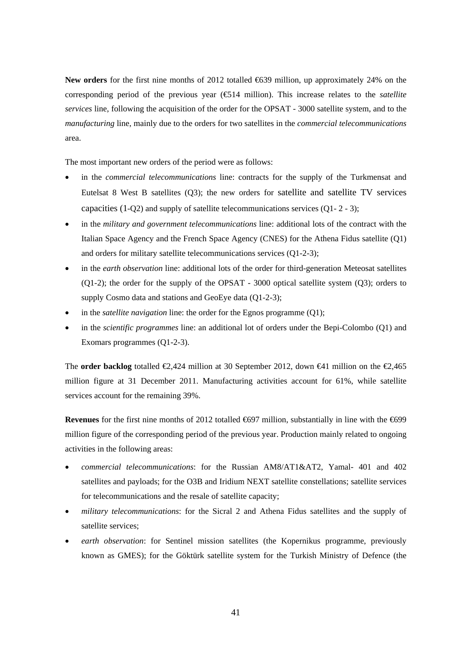**New orders** for the first nine months of 2012 totalled €639 million, up approximately 24% on the corresponding period of the previous year (€514 million). This increase relates to the *satellite services* line, following the acquisition of the order for the OPSAT - 3000 satellite system, and to the *manufacturing* line, mainly due to the orders for two satellites in the *commercial telecommunications*  area.

The most important new orders of the period were as follows:

- in the *commercial telecommunications* line: contracts for the supply of the Turkmensat and Eutelsat 8 West B satellites (Q3); the new orders for satellite and satellite TV services capacities (1-Q2) and supply of satellite telecommunications services (Q1- 2 - 3);
- in the *military and government telecommunications* line: additional lots of the contract with the Italian Space Agency and the French Space Agency (CNES) for the Athena Fidus satellite (Q1) and orders for military satellite telecommunications services (Q1-2-3);
- in the *earth observation* line: additional lots of the order for third-generation Meteosat satellites (Q1-2); the order for the supply of the OPSAT - 3000 optical satellite system (Q3); orders to supply Cosmo data and stations and GeoEye data (Q1-2-3);
- in the *satellite navigation* line: the order for the Egnos programme (Q1);
- in the *scientific programmes* line: an additional lot of orders under the Bepi-Colombo (Q1) and Exomars programmes (Q1-2-3).

The **order backlog** totalled  $\mathcal{Q}_2$ , 424 million at 30 September 2012, down  $\mathcal{Q}_1$  million on the  $\mathcal{Q}_2$ , 465 million figure at 31 December 2011. Manufacturing activities account for 61%, while satellite services account for the remaining 39%.

Revenues for the first nine months of 2012 totalled <del>€6</del>97 million, substantially in line with the €699 million figure of the corresponding period of the previous year. Production mainly related to ongoing activities in the following areas:

- *commercial telecommunications*: for the Russian AM8/AT1&AT2, Yamal- 401 and 402 satellites and payloads; for the O3B and Iridium NEXT satellite constellations; satellite services for telecommunications and the resale of satellite capacity;
- *military telecommunications*: for the Sicral 2 and Athena Fidus satellites and the supply of satellite services;
- *earth observation*: for Sentinel mission satellites (the Kopernikus programme, previously known as GMES); for the Göktürk satellite system for the Turkish Ministry of Defence (the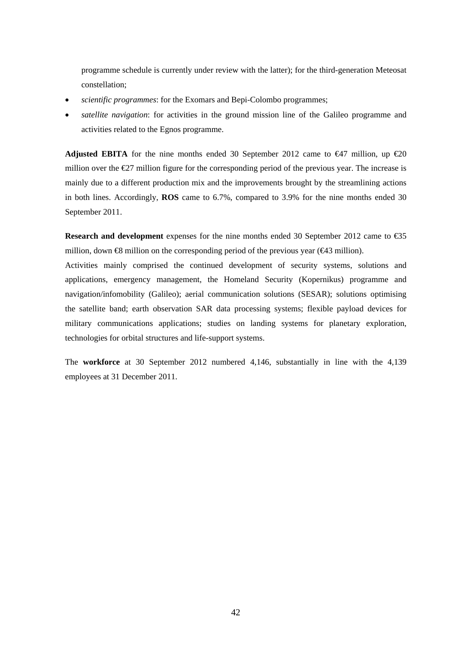programme schedule is currently under review with the latter); for the third-generation Meteosat constellation;

- *scientific programmes*: for the Exomars and Bepi-Colombo programmes;
- *satellite navigation*: for activities in the ground mission line of the Galileo programme and activities related to the Egnos programme.

**Adjusted EBITA** for the nine months ended 30 September 2012 came to  $\epsilon$ 47 million, up  $\epsilon$ 20 million over the  $E$ 7 million figure for the corresponding period of the previous year. The increase is mainly due to a different production mix and the improvements brought by the streamlining actions in both lines. Accordingly, **ROS** came to 6.7%, compared to 3.9% for the nine months ended 30 September 2011.

**Research and development** expenses for the nine months ended 30 September 2012 came to €35 million, down  $\otimes$  million on the corresponding period of the previous year ( $\otimes$ 43 million).

Activities mainly comprised the continued development of security systems, solutions and applications, emergency management, the Homeland Security (Kopernikus) programme and navigation/infomobility (Galileo); aerial communication solutions (SESAR); solutions optimising the satellite band; earth observation SAR data processing systems; flexible payload devices for military communications applications; studies on landing systems for planetary exploration, technologies for orbital structures and life-support systems.

The **workforce** at 30 September 2012 numbered 4,146, substantially in line with the 4,139 employees at 31 December 2011.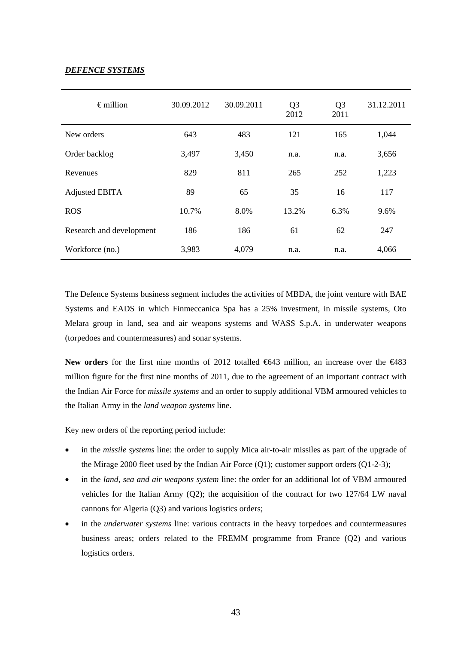## *DEFENCE SYSTEMS*

| $\epsilon$ million       | 30.09.2012<br>30.09.2011 |       | Q <sub>3</sub><br>2012 | Q <sub>3</sub><br>2011 | 31.12.2011 |
|--------------------------|--------------------------|-------|------------------------|------------------------|------------|
| New orders               | 643                      | 483   | 121                    | 165                    | 1,044      |
| Order backlog            | 3,497                    | 3,450 | n.a.                   | n.a.                   | 3,656      |
| Revenues                 | 829                      | 811   | 265                    | 252                    | 1,223      |
| Adjusted EBITA           | 89                       | 65    | 35                     | 16                     | 117        |
| <b>ROS</b>               | 10.7%                    | 8.0%  | 13.2%                  | 6.3%                   | 9.6%       |
| Research and development | 186                      | 186   | 61                     | 62                     | 247        |
| Workforce (no.)          | 3,983                    | 4,079 | n.a.                   | n.a.                   | 4,066      |

The Defence Systems business segment includes the activities of MBDA, the joint venture with BAE Systems and EADS in which Finmeccanica Spa has a 25% investment, in missile systems, Oto Melara group in land, sea and air weapons systems and WASS S.p.A. in underwater weapons (torpedoes and countermeasures) and sonar systems.

New orders for the first nine months of 2012 totalled <del>€6</del>43 million, an increase over the €483 million figure for the first nine months of 2011, due to the agreement of an important contract with the Indian Air Force for *missile systems* and an order to supply additional VBM armoured vehicles to the Italian Army in the *land weapon systems* line.

Key new orders of the reporting period include:

- in the *missile systems* line: the order to supply Mica air-to-air missiles as part of the upgrade of the Mirage 2000 fleet used by the Indian Air Force (Q1); customer support orders (Q1-2-3);
- in the *land, sea and air weapons system* line: the order for an additional lot of VBM armoured vehicles for the Italian Army (Q2); the acquisition of the contract for two 127/64 LW naval cannons for Algeria (Q3) and various logistics orders;
- in the *underwater systems* line: various contracts in the heavy torpedoes and countermeasures business areas; orders related to the FREMM programme from France (Q2) and various logistics orders.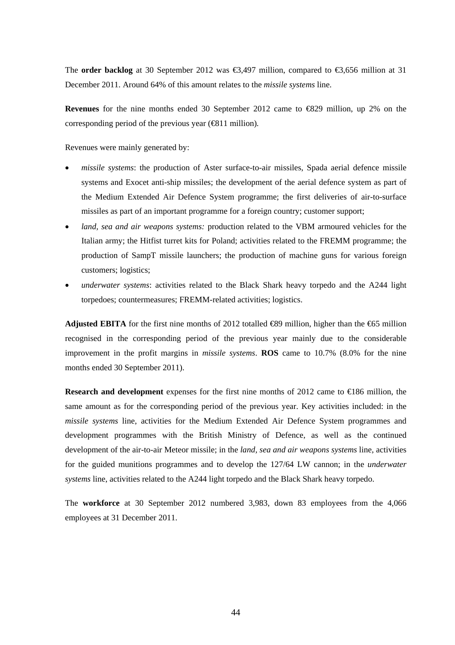The **order backlog** at 30 September 2012 was €3,497 million, compared to €3,656 million at 31 December 2011. Around 64% of this amount relates to the *missile systems* line.

**Revenues** for the nine months ended 30 September 2012 came to €829 million, up 2% on the corresponding period of the previous year ( $\bigoplus$ 11 million).

Revenues were mainly generated by:

- *missile systems*: the production of Aster surface-to-air missiles, Spada aerial defence missile systems and Exocet anti-ship missiles; the development of the aerial defence system as part of the Medium Extended Air Defence System programme; the first deliveries of air-to-surface missiles as part of an important programme for a foreign country; customer support;
- *land, sea and air weapons systems:* production related to the VBM armoured vehicles for the Italian army; the Hitfist turret kits for Poland; activities related to the FREMM programme; the production of SampT missile launchers; the production of machine guns for various foreign customers; logistics;
- *underwater systems*: activities related to the Black Shark heavy torpedo and the A244 light torpedoes; countermeasures; FREMM-related activities; logistics.

**Adjusted EBITA** for the first nine months of 2012 totalled €89 million, higher than the €65 million recognised in the corresponding period of the previous year mainly due to the considerable improvement in the profit margins in *missile systems*. **ROS** came to 10.7% (8.0% for the nine months ended 30 September 2011).

**Research and development** expenses for the first nine months of 2012 came to  $\bigoplus$  86 million, the same amount as for the corresponding period of the previous year. Key activities included: in the *missile systems* line, activities for the Medium Extended Air Defence System programmes and development programmes with the British Ministry of Defence, as well as the continued development of the air-to-air Meteor missile; in the *land, sea and air weapons systems* line, activities for the guided munitions programmes and to develop the 127/64 LW cannon; in the *underwater systems* line, activities related to the A244 light torpedo and the Black Shark heavy torpedo.

The **workforce** at 30 September 2012 numbered 3,983, down 83 employees from the 4,066 employees at 31 December 2011.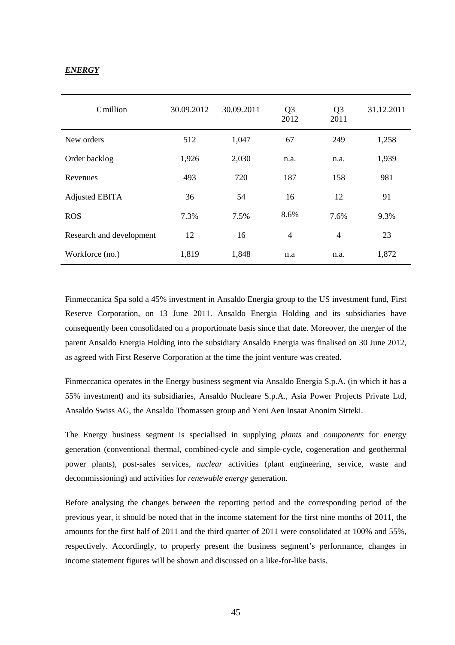## *ENERGY*

| $\epsilon$ million       | 30.09.2012 | 30.09.2011 | Q <sub>3</sub><br>2012 | Q <sub>3</sub><br>2011 | 31.12.2011 |
|--------------------------|------------|------------|------------------------|------------------------|------------|
| New orders               | 512        | 1,047      | 67                     | 249                    | 1,258      |
| Order backlog            | 1,926      | 2,030      | n.a.                   | n.a.                   | 1,939      |
| Revenues                 | 493        | 720        | 187                    | 158                    | 981        |
| <b>Adjusted EBITA</b>    | 36         | 54         | 16                     | 12                     | 91         |
| <b>ROS</b>               | 7.3%       | 7.5%       | 8.6%                   | 7.6%                   | 9.3%       |
| Research and development | 12         | 16         | $\overline{4}$         | $\overline{4}$         | 23         |
| Workforce (no.)          | 1,819      | 1,848      | n.a                    | n.a.                   | 1,872      |

Finmeccanica Spa sold a 45% investment in Ansaldo Energia group to the US investment fund, First Reserve Corporation, on 13 June 2011. Ansaldo Energia Holding and its subsidiaries have consequently been consolidated on a proportionate basis since that date. Moreover, the merger of the parent Ansaldo Energia Holding into the subsidiary Ansaldo Energia was finalised on 30 June 2012, as agreed with First Reserve Corporation at the time the joint venture was created.

Finmeccanica operates in the Energy business segment via Ansaldo Energia S.p.A. (in which it has a 55% investment) and its subsidiaries, Ansaldo Nucleare S.p.A., Asia Power Projects Private Ltd, Ansaldo Swiss AG, the Ansaldo Thomassen group and Yeni Aen Insaat Anonim Sirteki.

The Energy business segment is specialised in supplying *plants* and *components* for energy generation (conventional thermal, combined-cycle and simple-cycle, cogeneration and geothermal power plants), post-sales services, *nuclear* activities (plant engineering, service, waste and decommissioning) and activities for *renewable energy* generation.

Before analysing the changes between the reporting period and the corresponding period of the previous year, it should be noted that in the income statement for the first nine months of 2011, the amounts for the first half of 2011 and the third quarter of 2011 were consolidated at 100% and 55%, respectively. Accordingly, to properly present the business segment's performance, changes in income statement figures will be shown and discussed on a like-for-like basis.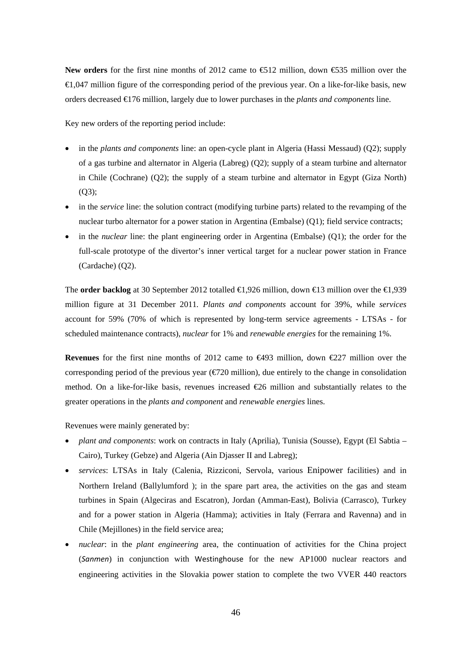New orders for the first nine months of 2012 came to **€12** million, down €535 million over the  $\in$  0.47 million figure of the corresponding period of the previous year. On a like-for-like basis, new orders decreased €176 million, largely due to lower purchases in the *plants and components* line.

Key new orders of the reporting period include:

- in the *plants and components* line: an open-cycle plant in Algeria (Hassi Messaud) (Q2); supply of a gas turbine and alternator in Algeria (Labreg) (Q2); supply of a steam turbine and alternator in Chile (Cochrane) (Q2); the supply of a steam turbine and alternator in Egypt (Giza North) (Q3);
- in the *service* line: the solution contract (modifying turbine parts) related to the revamping of the nuclear turbo alternator for a power station in Argentina (Embalse) (Q1); field service contracts;
- in the *nuclear* line: the plant engineering order in Argentina (Embalse) (Q1); the order for the full-scale prototype of the divertor's inner vertical target for a nuclear power station in France (Cardache) (Q2).

The **order backlog** at 30 September 2012 totalled €1,926 million, down €13 million over the €1,939 million figure at 31 December 2011*. Plants and components* account for 39%, while *services*  account for 59% (70% of which is represented by long-term service agreements - LTSAs - for scheduled maintenance contracts), *nuclear* for 1% and *renewable energies* for the remaining 1%.

**Revenues** for the first nine months of 2012 came to €493 million, down €227 million over the corresponding period of the previous year ( $\epsilon$ 720 million), due entirely to the change in consolidation method. On a like-for-like basis, revenues increased  $\epsilon$  million and substantially relates to the greater operations in the *plants and component* and *renewable energies* lines.

Revenues were mainly generated by:

- *plant and components*: work on contracts in Italy (Aprilia), Tunisia (Sousse), Egypt (El Sabtia Cairo), Turkey (Gebze) and Algeria (Ain Djasser II and Labreg);
- *services*: LTSAs in Italy (Calenia, Rizziconi, Servola, various Enipower facilities) and in Northern Ireland (Ballylumford ); in the spare part area, the activities on the gas and steam turbines in Spain (Algeciras and Escatron), Jordan (Amman-East), Bolivia (Carrasco), Turkey and for a power station in Algeria (Hamma); activities in Italy (Ferrara and Ravenna) and in Chile (Mejillones) in the field service area;
- *nuclear*: in the *plant engineering* area*,* the continuation of activities for the China project (*Sanmen*) in conjunction with Westinghouse for the new AP1000 nuclear reactors and engineering activities in the Slovakia power station to complete the two VVER 440 reactors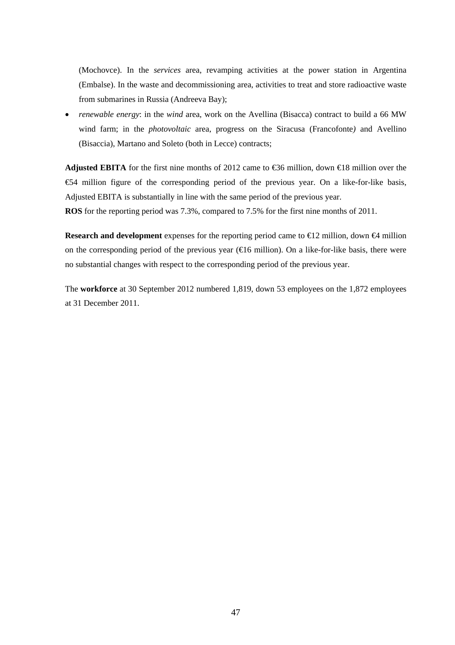(Mochovce). In the *services* area, revamping activities at the power station in Argentina (Embalse). In the waste and decommissioning area, activities to treat and store radioactive waste from submarines in Russia (Andreeva Bay);

 *renewable energy*: in the *wind* area, work on the Avellina (Bisacca) contract to build a 66 MW wind farm; in the *photovoltaic* area, progress on the Siracusa (Francofonte*)* and Avellino (Bisaccia), Martano and Soleto (both in Lecce) contracts;

**Adjusted EBITA** for the first nine months of 2012 came to €36 million, down €18 million over the €54 million figure of the corresponding period of the previous year. On a like-for-like basis, Adjusted EBITA is substantially in line with the same period of the previous year.

**ROS** for the reporting period was 7.3%, compared to 7.5% for the first nine months of 2011.

**Research and development** expenses for the reporting period came to  $\bigoplus 2$  million, down  $\bigoplus$  million on the corresponding period of the previous year  $(\text{\e} 16$  million). On a like-for-like basis, there were no substantial changes with respect to the corresponding period of the previous year.

The **workforce** at 30 September 2012 numbered 1,819, down 53 employees on the 1,872 employees at 31 December 2011.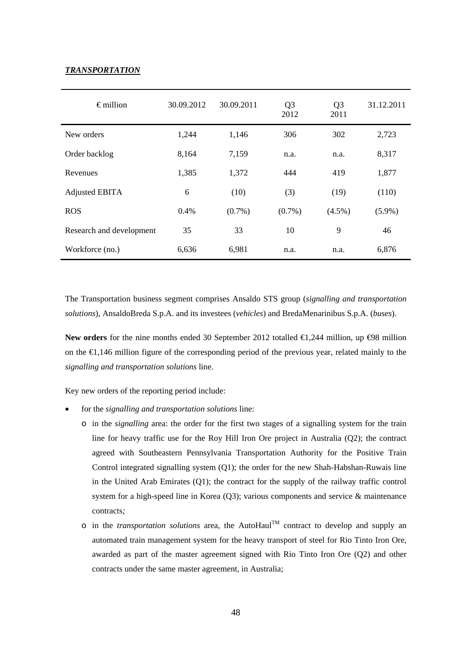## *TRANSPORTATION*

| $\epsilon$ million       | 30.09.2012 | 30.09.2011 | Q <sub>3</sub><br>2012 | Q <sub>3</sub><br>2011 | 31.12.2011 |
|--------------------------|------------|------------|------------------------|------------------------|------------|
| New orders               | 1,244      | 1,146      | 306                    | 302                    | 2,723      |
| Order backlog            | 8,164      | 7,159      | n.a.                   | n.a.                   | 8,317      |
| Revenues                 | 1,385      | 1,372      | 444                    | 419                    | 1,877      |
| <b>Adjusted EBITA</b>    | 6          | (10)       | (3)                    | (19)                   | (110)      |
| <b>ROS</b>               | 0.4%       | $(0.7\%)$  | $(0.7\%)$              | $(4.5\%)$              | $(5.9\%)$  |
| Research and development | 35         | 33         | 10                     | 9                      | 46         |
| Workforce (no.)          | 6,636      | 6,981      | n.a.                   | n.a.                   | 6,876      |

The Transportation business segment comprises Ansaldo STS group (*signalling and transportation solutions*), AnsaldoBreda S.p.A. and its investees (*vehicles*) and BredaMenarinibus S.p.A. (*buses*).

New orders for the nine months ended 30 September 2012 totalled €1,244 million, up  $\Theta$ 8 million on the €1,146 million figure of the corresponding period of the previous year, related mainly to the *signalling and transportation solutions* line.

Key new orders of the reporting period include:

- for the *signalling and transportation solutions* line:
	- o in the *signalling* area: the order for the first two stages of a signalling system for the train line for heavy traffic use for the Roy Hill Iron Ore project in Australia (Q2); the contract agreed with Southeastern Pennsylvania Transportation Authority for the Positive Train Control integrated signalling system (Q1); the order for the new Shah-Habshan-Ruwais line in the United Arab Emirates (Q1); the contract for the supply of the railway traffic control system for a high-speed line in Korea  $(Q3)$ ; various components and service & maintenance contracts*;*
	- o in the *transportation solutions* area, the AutoHaulTM contract to develop and supply an automated train management system for the heavy transport of steel for Rio Tinto Iron Ore, awarded as part of the master agreement signed with Rio Tinto Iron Ore (Q2) and other contracts under the same master agreement, in Australia;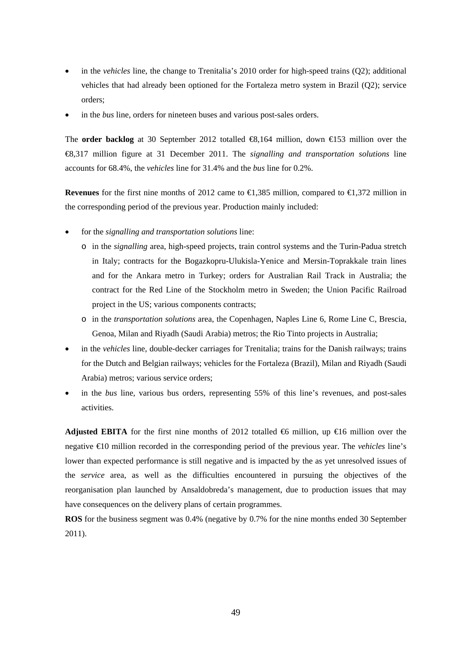- in the *vehicles* line, the change to Trenitalia's 2010 order for high-speed trains (Q2); additional vehicles that had already been optioned for the Fortaleza metro system in Brazil (Q2); service orders;
- in the *bus* line, orders for nineteen buses and various post-sales orders.

The **order backlog** at 30 September 2012 totalled €8,164 million, down €153 million over the €8,317 million figure at 31 December 2011. The *signalling and transportation solutions* line accounts for 68.4%, the *vehicles* line for 31.4% and the *bus* line for 0.2%.

**Revenues** for the first nine months of 2012 came to  $\in$ ,385 million, compared to  $\in$ ,372 million in the corresponding period of the previous year. Production mainly included:

- for the *signalling and transportation solutions* line:
	- o in the *signalling* area, high-speed projects, train control systems and the Turin-Padua stretch in Italy; contracts for the Bogazkopru-Ulukisla-Yenice and Mersin-Toprakkale train lines and for the Ankara metro in Turkey; orders for Australian Rail Track in Australia; the contract for the Red Line of the Stockholm metro in Sweden; the Union Pacific Railroad project in the US; various components contracts;
	- o in the *transportation solutions* area, the Copenhagen, Naples Line 6, Rome Line C, Brescia, Genoa, Milan and Riyadh (Saudi Arabia) metros; the Rio Tinto projects in Australia;
- in the *vehicles* line, double-decker carriages for Trenitalia; trains for the Danish railways; trains for the Dutch and Belgian railways; vehicles for the Fortaleza (Brazil), Milan and Riyadh (Saudi Arabia) metros; various service orders;
- in the *bus* line*,* various bus orders, representing 55% of this line's revenues, and post-sales activities.

**Adjusted EBITA** for the first nine months of 2012 totalled  $\mathfrak{G}$  million, up  $\mathfrak{G}$  million over the negative €10 million recorded in the corresponding period of the previous year. The *vehicles* line's lower than expected performance is still negative and is impacted by the as yet unresolved issues of the *service* area, as well as the difficulties encountered in pursuing the objectives of the reorganisation plan launched by Ansaldobreda's management, due to production issues that may have consequences on the delivery plans of certain programmes.

**ROS** for the business segment was 0.4% (negative by 0.7% for the nine months ended 30 September 2011).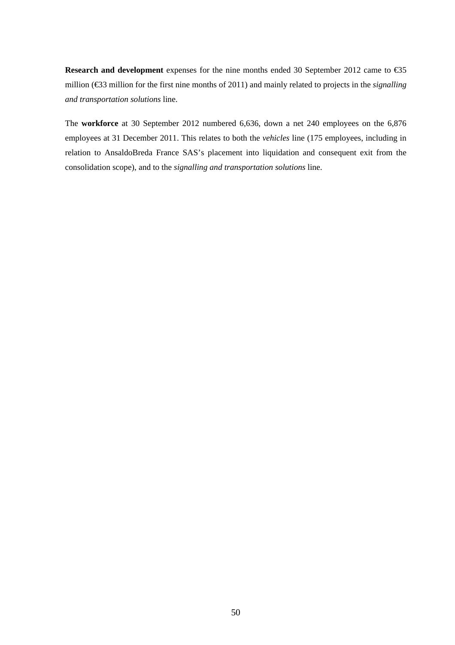**Research and development** expenses for the nine months ended 30 September 2012 came to €35 million (€33 million for the first nine months of 2011) and mainly related to projects in the *signalling and transportation solutions* line.

The **workforce** at 30 September 2012 numbered 6,636, down a net 240 employees on the 6,876 employees at 31 December 2011. This relates to both the *vehicles* line (175 employees, including in relation to AnsaldoBreda France SAS's placement into liquidation and consequent exit from the consolidation scope), and to the *signalling and transportation solutions* line.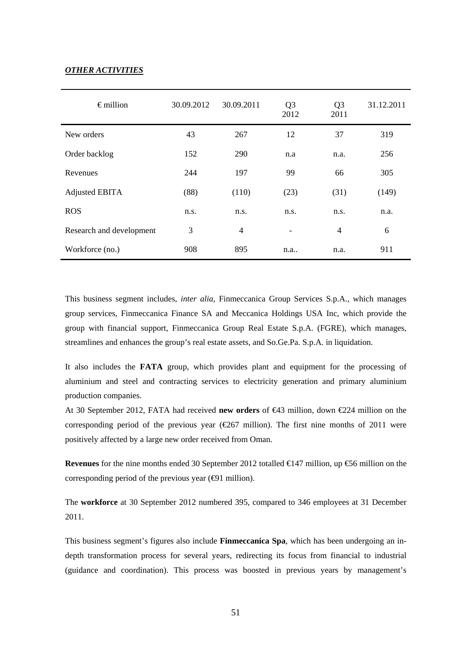## *OTHER ACTIVITIES*

| $\epsilon$ million       | 30.09.2012 | 30.09.2011     | Q <sub>3</sub><br>2012   | Q <sub>3</sub><br>2011 | 31.12.2011 |
|--------------------------|------------|----------------|--------------------------|------------------------|------------|
| New orders               | 43         | 267            | 12                       | 37                     | 319        |
| Order backlog            | 152        | 290            | n.a                      | n.a.                   | 256        |
| Revenues                 | 244        | 197            | 99                       | 66                     | 305        |
| <b>Adjusted EBITA</b>    | (88)       | (110)          | (23)                     | (31)                   | (149)      |
| <b>ROS</b>               | n.s.       | n.s.           | n.s.                     | n.s.                   | n.a.       |
| Research and development | 3          | $\overline{4}$ | $\overline{\phantom{a}}$ | $\overline{4}$         | 6          |
| Workforce (no.)          | 908        | 895            | n.a                      | n.a.                   | 911        |

This business segment includes, *inter alia*, Finmeccanica Group Services S.p.A., which manages group services, Finmeccanica Finance SA and Meccanica Holdings USA Inc, which provide the group with financial support, Finmeccanica Group Real Estate S.p.A. (FGRE), which manages, streamlines and enhances the group's real estate assets, and So.Ge.Pa. S.p.A. in liquidation.

It also includes the **FATA** group, which provides plant and equipment for the processing of aluminium and steel and contracting services to electricity generation and primary aluminium production companies.

At 30 September 2012, FATA had received **new orders** of €43 million, down €224 million on the corresponding period of the previous year ( $\epsilon$ 267 million). The first nine months of 2011 were positively affected by a large new order received from Oman.

**Revenues** for the nine months ended 30 September 2012 totalled €147 million, up €56 million on the corresponding period of the previous year  $(\Theta 1$  million).

The **workforce** at 30 September 2012 numbered 395, compared to 346 employees at 31 December 2011.

This business segment's figures also include **Finmeccanica Spa**, which has been undergoing an indepth transformation process for several years, redirecting its focus from financial to industrial (guidance and coordination). This process was boosted in previous years by management's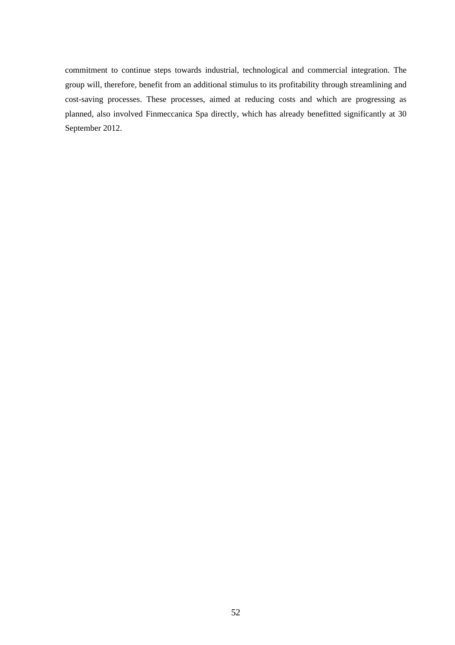commitment to continue steps towards industrial, technological and commercial integration. The group will, therefore, benefit from an additional stimulus to its profitability through streamlining and cost-saving processes. These processes, aimed at reducing costs and which are progressing as planned, also involved Finmeccanica Spa directly, which has already benefitted significantly at 30 September 2012.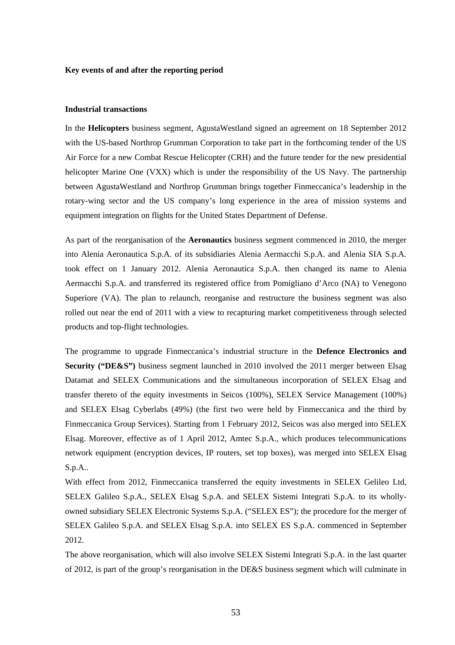### **Key events of and after the reporting period**

### **Industrial transactions**

In the **Helicopters** business segment, AgustaWestland signed an agreement on 18 September 2012 with the US-based Northrop Grumman Corporation to take part in the forthcoming tender of the US Air Force for a new Combat Rescue Helicopter (CRH) and the future tender for the new presidential helicopter Marine One (VXX) which is under the responsibility of the US Navy. The partnership between AgustaWestland and Northrop Grumman brings together Finmeccanica's leadership in the rotary-wing sector and the US company's long experience in the area of mission systems and equipment integration on flights for the United States Department of Defense.

As part of the reorganisation of the **Aeronautics** business segment commenced in 2010, the merger into Alenia Aeronautica S.p.A. of its subsidiaries Alenia Aermacchi S.p.A. and Alenia SIA S.p.A. took effect on 1 January 2012. Alenia Aeronautica S.p.A. then changed its name to Alenia Aermacchi S.p.A. and transferred its registered office from Pomigliano d'Arco (NA) to Venegono Superiore (VA). The plan to relaunch, reorganise and restructure the business segment was also rolled out near the end of 2011 with a view to recapturing market competitiveness through selected products and top-flight technologies.

The programme to upgrade Finmeccanica's industrial structure in the **Defence Electronics and Security ("DE&S")** business segment launched in 2010 involved the 2011 merger between Elsag Datamat and SELEX Communications and the simultaneous incorporation of SELEX Elsag and transfer thereto of the equity investments in Seicos (100%), SELEX Service Management (100%) and SELEX Elsag Cyberlabs (49%) (the first two were held by Finmeccanica and the third by Finmeccanica Group Services). Starting from 1 February 2012, Seicos was also merged into SELEX Elsag. Moreover, effective as of 1 April 2012, Amtec S.p.A., which produces telecommunications network equipment (encryption devices, IP routers, set top boxes), was merged into SELEX Elsag S.p.A..

With effect from 2012, Finmeccanica transferred the equity investments in SELEX Gelileo Ltd, SELEX Galileo S.p.A., SELEX Elsag S.p.A. and SELEX Sistemi Integrati S.p.A. to its whollyowned subsidiary SELEX Electronic Systems S.p.A. ("SELEX ES"); the procedure for the merger of SELEX Galileo S.p.A. and SELEX Elsag S.p.A. into SELEX ES S.p.A. commenced in September 2012.

The above reorganisation, which will also involve SELEX Sistemi Integrati S.p.A. in the last quarter of 2012, is part of the group's reorganisation in the DE&S business segment which will culminate in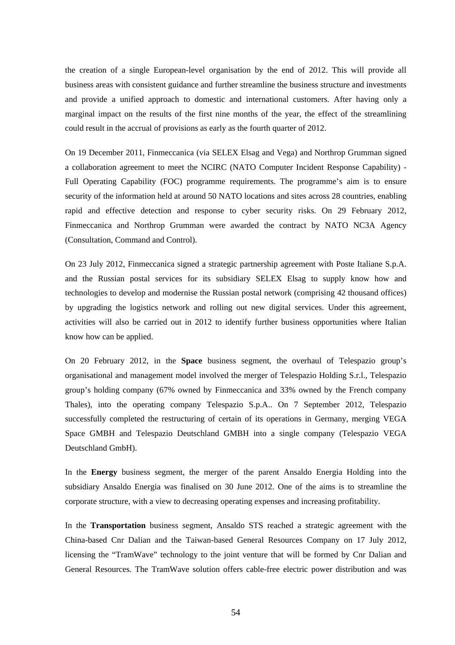the creation of a single European-level organisation by the end of 2012. This will provide all business areas with consistent guidance and further streamline the business structure and investments and provide a unified approach to domestic and international customers. After having only a marginal impact on the results of the first nine months of the year, the effect of the streamlining could result in the accrual of provisions as early as the fourth quarter of 2012.

On 19 December 2011, Finmeccanica (via SELEX Elsag and Vega) and Northrop Grumman signed a collaboration agreement to meet the NCIRC (NATO Computer Incident Response Capability) - Full Operating Capability (FOC) programme requirements. The programme's aim is to ensure security of the information held at around 50 NATO locations and sites across 28 countries, enabling rapid and effective detection and response to cyber security risks. On 29 February 2012, Finmeccanica and Northrop Grumman were awarded the contract by NATO NC3A Agency (Consultation, Command and Control).

On 23 July 2012, Finmeccanica signed a strategic partnership agreement with Poste Italiane S.p.A. and the Russian postal services for its subsidiary SELEX Elsag to supply know how and technologies to develop and modernise the Russian postal network (comprising 42 thousand offices) by upgrading the logistics network and rolling out new digital services. Under this agreement, activities will also be carried out in 2012 to identify further business opportunities where Italian know how can be applied.

On 20 February 2012, in the **Space** business segment, the overhaul of Telespazio group's organisational and management model involved the merger of Telespazio Holding S.r.l., Telespazio group's holding company (67% owned by Finmeccanica and 33% owned by the French company Thales), into the operating company Telespazio S.p.A.. On 7 September 2012, Telespazio successfully completed the restructuring of certain of its operations in Germany, merging VEGA Space GMBH and Telespazio Deutschland GMBH into a single company (Telespazio VEGA Deutschland GmbH).

In the **Energy** business segment, the merger of the parent Ansaldo Energia Holding into the subsidiary Ansaldo Energia was finalised on 30 June 2012. One of the aims is to streamline the corporate structure, with a view to decreasing operating expenses and increasing profitability.

In the **Transportation** business segment, Ansaldo STS reached a strategic agreement with the China-based Cnr Dalian and the Taiwan-based General Resources Company on 17 July 2012, licensing the "TramWave" technology to the joint venture that will be formed by Cnr Dalian and General Resources. The TramWave solution offers cable-free electric power distribution and was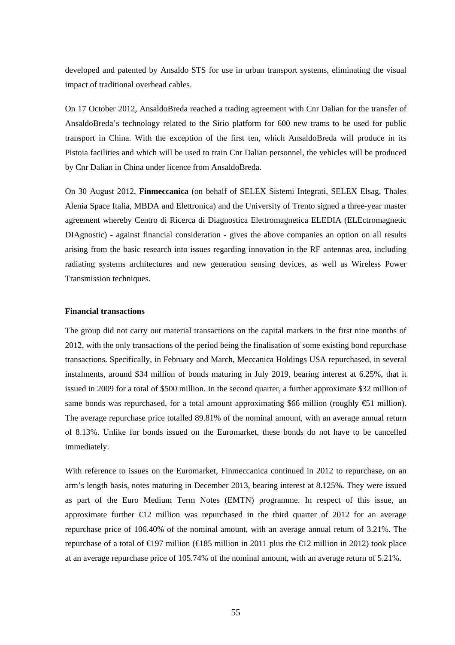developed and patented by Ansaldo STS for use in urban transport systems, eliminating the visual impact of traditional overhead cables.

On 17 October 2012, AnsaldoBreda reached a trading agreement with Cnr Dalian for the transfer of AnsaldoBreda's technology related to the Sirio platform for 600 new trams to be used for public transport in China. With the exception of the first ten, which AnsaldoBreda will produce in its Pistoia facilities and which will be used to train Cnr Dalian personnel, the vehicles will be produced by Cnr Dalian in China under licence from AnsaldoBreda.

On 30 August 2012, **Finmeccanica** (on behalf of SELEX Sistemi Integrati, SELEX Elsag, Thales Alenia Space Italia, MBDA and Elettronica) and the University of Trento signed a three-year master agreement whereby Centro di Ricerca di Diagnostica Elettromagnetica ELEDIA (ELEctromagnetic DIAgnostic) - against financial consideration - gives the above companies an option on all results arising from the basic research into issues regarding innovation in the RF antennas area, including radiating systems architectures and new generation sensing devices, as well as Wireless Power Transmission techniques.

### **Financial transactions**

The group did not carry out material transactions on the capital markets in the first nine months of 2012, with the only transactions of the period being the finalisation of some existing bond repurchase transactions. Specifically, in February and March, Meccanica Holdings USA repurchased, in several instalments, around \$34 million of bonds maturing in July 2019, bearing interest at 6.25%, that it issued in 2009 for a total of \$500 million. In the second quarter, a further approximate \$32 million of same bonds was repurchased, for a total amount approximating \$66 million (roughly €1 million). The average repurchase price totalled 89.81% of the nominal amount, with an average annual return of 8.13%. Unlike for bonds issued on the Euromarket, these bonds do not have to be cancelled immediately.

With reference to issues on the Euromarket, Finmeccanica continued in 2012 to repurchase, on an arm's length basis, notes maturing in December 2013, bearing interest at 8.125%. They were issued as part of the Euro Medium Term Notes (EMTN) programme. In respect of this issue, an approximate further  $\epsilon$ 12 million was repurchased in the third quarter of 2012 for an average repurchase price of 106.40% of the nominal amount, with an average annual return of 3.21%. The repurchase of a total of  $\epsilon$ 197 million ( $\epsilon$ 185 million in 2011 plus the  $\epsilon$ 12 million in 2012) took place at an average repurchase price of 105.74% of the nominal amount, with an average return of 5.21%.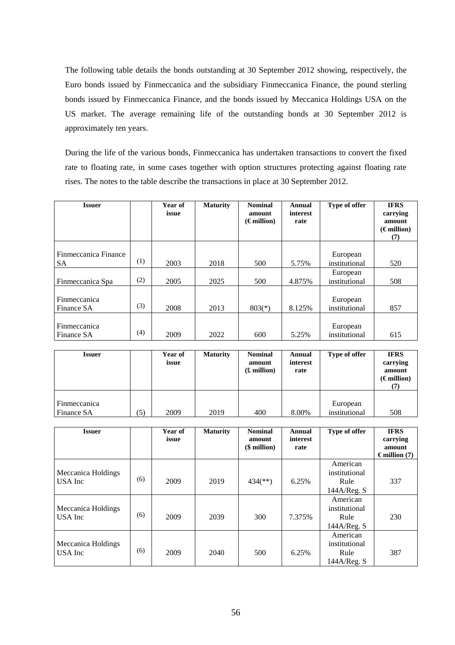The following table details the bonds outstanding at 30 September 2012 showing, respectively, the Euro bonds issued by Finmeccanica and the subsidiary Finmeccanica Finance, the pound sterling bonds issued by Finmeccanica Finance, and the bonds issued by Meccanica Holdings USA on the US market. The average remaining life of the outstanding bonds at 30 September 2012 is approximately ten years.

During the life of the various bonds, Finmeccanica has undertaken transactions to convert the fixed rate to floating rate, in some cases together with option structures protecting against floating rate rises. The notes to the table describe the transactions in place at 30 September 2012.

| <b>Issuer</b>                     |     | Year of<br>issue | <b>Maturity</b> | <b>Nominal</b><br>amount<br>$(\epsilon$ million) | Annual<br>interest<br>rate | Type of offer             | <b>IFRS</b><br>carrying<br>amount<br>$(\epsilon$ million)<br>(7) |
|-----------------------------------|-----|------------------|-----------------|--------------------------------------------------|----------------------------|---------------------------|------------------------------------------------------------------|
| Finmeccanica Finance<br><b>SA</b> | (1) | 2003             | 2018            | 500                                              | 5.75%                      | European<br>institutional | 520                                                              |
| Finmeccanica Spa                  | (2) | 2005             | 2025            | 500                                              | 4.875%                     | European<br>institutional | 508                                                              |
| Finmeccanica<br>Finance SA        | (3) | 2008             | 2013            | $803(*)$                                         | 8.125%                     | European<br>institutional | 857                                                              |
| Finmeccanica<br>Finance SA        | (4) | 2009             | 2022            | 600                                              | 5.25%                      | European<br>institutional | 615                                                              |

| <b>Issuer</b>              |     | Year of<br>issue | <b>Maturity</b> | <b>Nominal</b><br>amount<br>$(E \text{ million})$ | Annual<br>interest<br>rate | Type of offer             | <b>IFRS</b><br>carrying<br>amount<br>$(\epsilon$ million)<br>(7) |
|----------------------------|-----|------------------|-----------------|---------------------------------------------------|----------------------------|---------------------------|------------------------------------------------------------------|
| Finmeccanica<br>Finance SA | (5) | 2009             | 2019            | 400                                               | 8.00%                      | European<br>institutional | 508                                                              |

| <b>Issuer</b>                 |     | Year of<br>issue | <b>Maturity</b> | <b>Nominal</b><br>amount<br>$$$ million) | Annual<br>interest<br>rate | Type of offer                                    | <b>IFRS</b><br>carrying<br>amount<br>$\epsilon$ million (7) |
|-------------------------------|-----|------------------|-----------------|------------------------------------------|----------------------------|--------------------------------------------------|-------------------------------------------------------------|
| Meccanica Holdings<br>USA Inc | (6) | 2009             | 2019            | $434$ <sup>(**)</sup> )                  | 6.25%                      | American<br>institutional<br>Rule<br>144A/Reg. S | 337                                                         |
| Meccanica Holdings<br>USA Inc | (6) | 2009             | 2039            | 300                                      | 7.375%                     | American<br>institutional<br>Rule<br>144A/Reg. S | 230                                                         |
| Meccanica Holdings<br>USA Inc | (6) | 2009             | 2040            | 500                                      | 6.25%                      | American<br>institutional<br>Rule<br>144A/Reg. S | 387                                                         |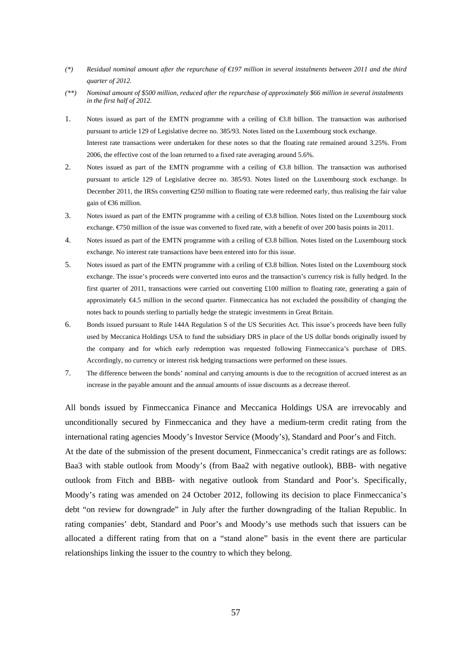- *(\*) Residual nominal amount after the repurchase of €197 million in several instalments between 2011 and the third quarter of 2012.*
- *(\*\*) Nominal amount of \$500 million, reduced after the repurchase of approximately \$66 million in several instalments in the first half of 2012.*
- 1. Notes issued as part of the EMTN programme with a ceiling of €3.8 billion. The transaction was authorised pursuant to article 129 of Legislative decree no. 385/93. Notes listed on the Luxembourg stock exchange. Interest rate transactions were undertaken for these notes so that the floating rate remained around 3.25%. From 2006, the effective cost of the loan returned to a fixed rate averaging around 5.6%.
- 2. Notes issued as part of the EMTN programme with a ceiling of  $\bigoplus$  8.8 billion. The transaction was authorised pursuant to article 129 of Legislative decree no. 385/93. Notes listed on the Luxembourg stock exchange. In December 2011, the IRSs converting  $\epsilon$ 250 million to floating rate were redeemed early, thus realising the fair value gain of €36 million.
- 3. Notes issued as part of the EMTN programme with a ceiling of €3.8 billion. Notes listed on the Luxembourg stock exchange. €750 million of the issue was converted to fixed rate, with a benefit of over 200 basis points in 2011.
- 4. Notes issued as part of the EMTN programme with a ceiling of €3.8 billion. Notes listed on the Luxembourg stock exchange. No interest rate transactions have been entered into for this issue.
- 5. Notes issued as part of the EMTN programme with a ceiling of €3.8 billion. Notes listed on the Luxembourg stock exchange. The issue's proceeds were converted into euros and the transaction's currency risk is fully hedged. In the first quarter of 2011, transactions were carried out converting £100 million to floating rate, generating a gain of approximately €4.5 million in the second quarter. Finmeccanica has not excluded the possibility of changing the notes back to pounds sterling to partially hedge the strategic investments in Great Britain.
- 6. Bonds issued pursuant to Rule 144A Regulation S of the US Securities Act. This issue's proceeds have been fully used by Meccanica Holdings USA to fund the subsidiary DRS in place of the US dollar bonds originally issued by the company and for which early redemption was requested following Finmeccanica's purchase of DRS. Accordingly, no currency or interest risk hedging transactions were performed on these issues.
- 7. The difference between the bonds' nominal and carrying amounts is due to the recognition of accrued interest as an increase in the payable amount and the annual amounts of issue discounts as a decrease thereof.

All bonds issued by Finmeccanica Finance and Meccanica Holdings USA are irrevocably and unconditionally secured by Finmeccanica and they have a medium-term credit rating from the international rating agencies Moody's Investor Service (Moody's), Standard and Poor's and Fitch.

At the date of the submission of the present document, Finmeccanica's credit ratings are as follows: Baa3 with stable outlook from Moody's (from Baa2 with negative outlook), BBB- with negative outlook from Fitch and BBB- with negative outlook from Standard and Poor's. Specifically, Moody's rating was amended on 24 October 2012, following its decision to place Finmeccanica's debt "on review for downgrade" in July after the further downgrading of the Italian Republic. In rating companies' debt, Standard and Poor's and Moody's use methods such that issuers can be allocated a different rating from that on a "stand alone" basis in the event there are particular relationships linking the issuer to the country to which they belong.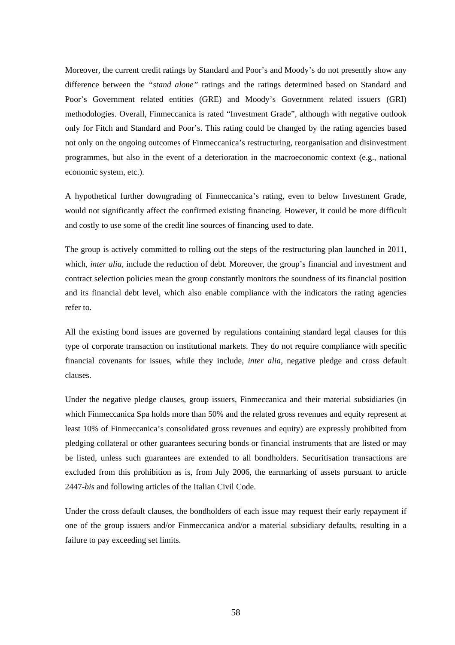Moreover, the current credit ratings by Standard and Poor's and Moody's do not presently show any difference between the *"stand alone"* ratings and the ratings determined based on Standard and Poor's Government related entities (GRE) and Moody's Government related issuers (GRI) methodologies. Overall, Finmeccanica is rated "Investment Grade", although with negative outlook only for Fitch and Standard and Poor's. This rating could be changed by the rating agencies based not only on the ongoing outcomes of Finmeccanica's restructuring, reorganisation and disinvestment programmes, but also in the event of a deterioration in the macroeconomic context (e.g., national economic system, etc.).

A hypothetical further downgrading of Finmeccanica's rating, even to below Investment Grade, would not significantly affect the confirmed existing financing. However, it could be more difficult and costly to use some of the credit line sources of financing used to date.

The group is actively committed to rolling out the steps of the restructuring plan launched in 2011, which, *inter alia*, include the reduction of debt. Moreover, the group's financial and investment and contract selection policies mean the group constantly monitors the soundness of its financial position and its financial debt level, which also enable compliance with the indicators the rating agencies refer to.

All the existing bond issues are governed by regulations containing standard legal clauses for this type of corporate transaction on institutional markets. They do not require compliance with specific financial covenants for issues, while they include, *inter alia*, negative pledge and cross default clauses.

Under the negative pledge clauses, group issuers, Finmeccanica and their material subsidiaries (in which Finmeccanica Spa holds more than 50% and the related gross revenues and equity represent at least 10% of Finmeccanica's consolidated gross revenues and equity) are expressly prohibited from pledging collateral or other guarantees securing bonds or financial instruments that are listed or may be listed, unless such guarantees are extended to all bondholders. Securitisation transactions are excluded from this prohibition as is, from July 2006, the earmarking of assets pursuant to article 2447-*bis* and following articles of the Italian Civil Code.

Under the cross default clauses, the bondholders of each issue may request their early repayment if one of the group issuers and/or Finmeccanica and/or a material subsidiary defaults, resulting in a failure to pay exceeding set limits.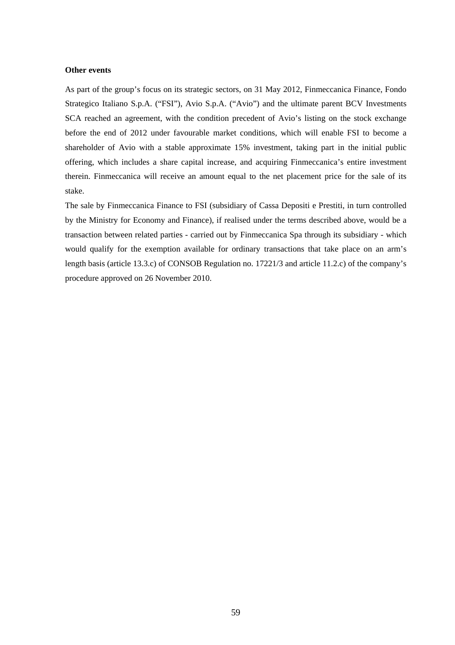### **Other events**

As part of the group's focus on its strategic sectors, on 31 May 2012, Finmeccanica Finance, Fondo Strategico Italiano S.p.A. ("FSI"), Avio S.p.A. ("Avio") and the ultimate parent BCV Investments SCA reached an agreement, with the condition precedent of Avio's listing on the stock exchange before the end of 2012 under favourable market conditions, which will enable FSI to become a shareholder of Avio with a stable approximate 15% investment, taking part in the initial public offering, which includes a share capital increase, and acquiring Finmeccanica's entire investment therein. Finmeccanica will receive an amount equal to the net placement price for the sale of its stake.

The sale by Finmeccanica Finance to FSI (subsidiary of Cassa Depositi e Prestiti, in turn controlled by the Ministry for Economy and Finance), if realised under the terms described above, would be a transaction between related parties - carried out by Finmeccanica Spa through its subsidiary - which would qualify for the exemption available for ordinary transactions that take place on an arm's length basis (article 13.3.c) of CONSOB Regulation no. 17221/3 and article 11.2.c) of the company's procedure approved on 26 November 2010.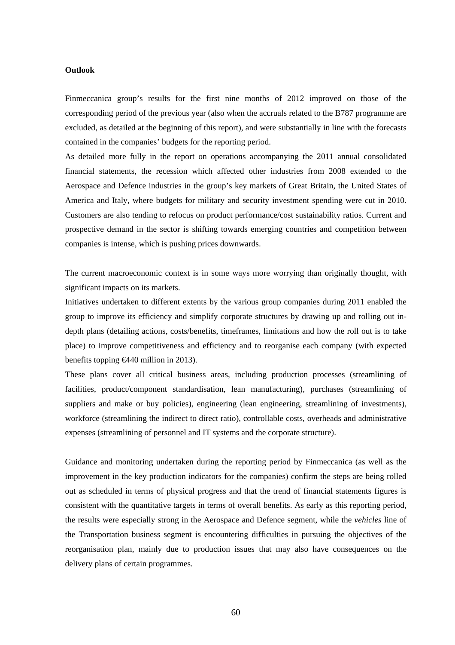### **Outlook**

Finmeccanica group's results for the first nine months of 2012 improved on those of the corresponding period of the previous year (also when the accruals related to the B787 programme are excluded, as detailed at the beginning of this report), and were substantially in line with the forecasts contained in the companies' budgets for the reporting period.

As detailed more fully in the report on operations accompanying the 2011 annual consolidated financial statements, the recession which affected other industries from 2008 extended to the Aerospace and Defence industries in the group's key markets of Great Britain, the United States of America and Italy, where budgets for military and security investment spending were cut in 2010. Customers are also tending to refocus on product performance/cost sustainability ratios. Current and prospective demand in the sector is shifting towards emerging countries and competition between companies is intense, which is pushing prices downwards.

The current macroeconomic context is in some ways more worrying than originally thought, with significant impacts on its markets.

Initiatives undertaken to different extents by the various group companies during 2011 enabled the group to improve its efficiency and simplify corporate structures by drawing up and rolling out indepth plans (detailing actions, costs/benefits, timeframes, limitations and how the roll out is to take place) to improve competitiveness and efficiency and to reorganise each company (with expected benefits topping  $\bigoplus$  440 million in 2013).

These plans cover all critical business areas, including production processes (streamlining of facilities, product/component standardisation, lean manufacturing), purchases (streamlining of suppliers and make or buy policies), engineering (lean engineering, streamlining of investments), workforce (streamlining the indirect to direct ratio), controllable costs, overheads and administrative expenses (streamlining of personnel and IT systems and the corporate structure).

Guidance and monitoring undertaken during the reporting period by Finmeccanica (as well as the improvement in the key production indicators for the companies) confirm the steps are being rolled out as scheduled in terms of physical progress and that the trend of financial statements figures is consistent with the quantitative targets in terms of overall benefits. As early as this reporting period, the results were especially strong in the Aerospace and Defence segment, while the *vehicles* line of the Transportation business segment is encountering difficulties in pursuing the objectives of the reorganisation plan, mainly due to production issues that may also have consequences on the delivery plans of certain programmes.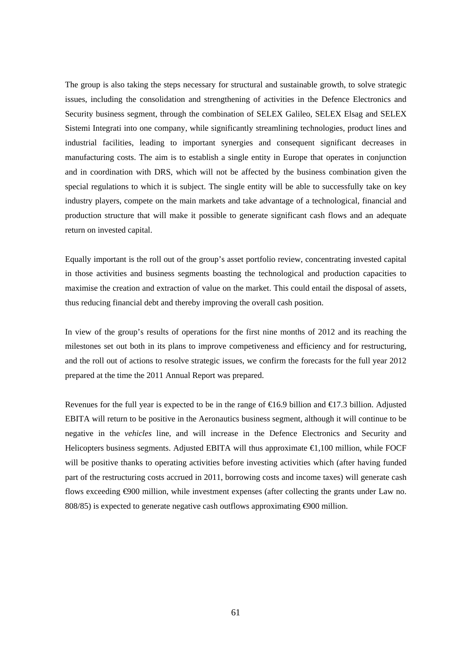The group is also taking the steps necessary for structural and sustainable growth, to solve strategic issues, including the consolidation and strengthening of activities in the Defence Electronics and Security business segment, through the combination of SELEX Galileo, SELEX Elsag and SELEX Sistemi Integrati into one company, while significantly streamlining technologies, product lines and industrial facilities, leading to important synergies and consequent significant decreases in manufacturing costs. The aim is to establish a single entity in Europe that operates in conjunction and in coordination with DRS, which will not be affected by the business combination given the special regulations to which it is subject. The single entity will be able to successfully take on key industry players, compete on the main markets and take advantage of a technological, financial and production structure that will make it possible to generate significant cash flows and an adequate return on invested capital.

Equally important is the roll out of the group's asset portfolio review, concentrating invested capital in those activities and business segments boasting the technological and production capacities to maximise the creation and extraction of value on the market. This could entail the disposal of assets, thus reducing financial debt and thereby improving the overall cash position.

In view of the group's results of operations for the first nine months of 2012 and its reaching the milestones set out both in its plans to improve competiveness and efficiency and for restructuring, and the roll out of actions to resolve strategic issues, we confirm the forecasts for the full year 2012 prepared at the time the 2011 Annual Report was prepared.

Revenues for the full year is expected to be in the range of  $\epsilon$ 6.9 billion and  $\epsilon$ 17.3 billion. Adjusted EBITA will return to be positive in the Aeronautics business segment, although it will continue to be negative in the *vehicles* line, and will increase in the Defence Electronics and Security and Helicopters business segments. Adjusted EBITA will thus approximate €1,100 million, while FOCF will be positive thanks to operating activities before investing activities which (after having funded part of the restructuring costs accrued in 2011, borrowing costs and income taxes) will generate cash flows exceeding  $\Theta$ 00 million, while investment expenses (after collecting the grants under Law no. 808/85) is expected to generate negative cash outflows approximating  $\Theta$ 00 million.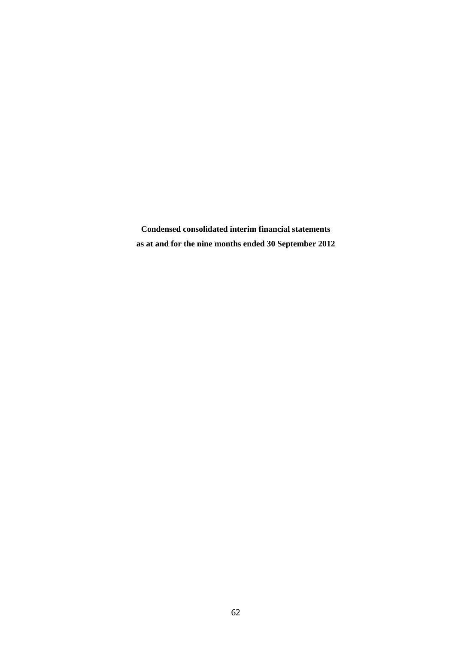**Condensed consolidated interim financial statements as at and for the nine months ended 30 September 2012**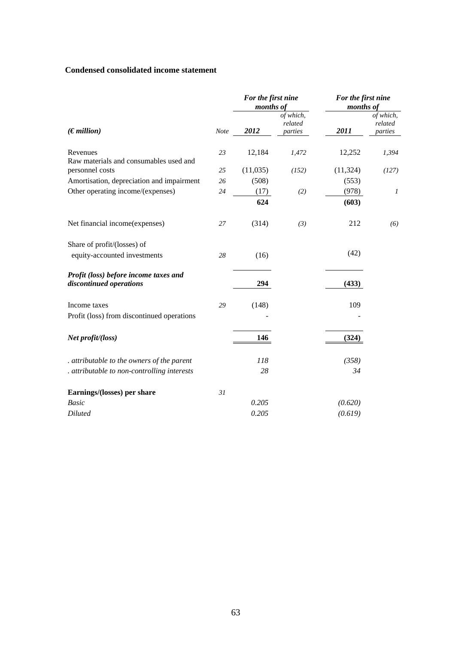## **Condensed consolidated income statement**

|                                                                  |      | For the first nine<br>months of |                                 | For the first nine<br>months of |                                 |
|------------------------------------------------------------------|------|---------------------------------|---------------------------------|---------------------------------|---------------------------------|
| (Emillion)                                                       | Note | 2012                            | of which,<br>related<br>parties | 2011                            | of which,<br>related<br>parties |
| Revenues<br>Raw materials and consumables used and               | 23   | 12,184                          | 1,472                           | 12,252                          | 1,394                           |
| personnel costs                                                  | 25   | (11,035)                        | (152)                           | (11, 324)                       | (127)                           |
| Amortisation, depreciation and impairment                        | 26   | (508)                           |                                 | (553)                           |                                 |
| Other operating income/(expenses)                                | 24   | (17)                            | (2)                             | (978)                           | $\boldsymbol{l}$                |
|                                                                  |      | 624                             |                                 | (603)                           |                                 |
| Net financial income(expenses)                                   | 27   | (314)                           | (3)                             | 212                             | (6)                             |
| Share of profit/(losses) of                                      |      |                                 |                                 |                                 |                                 |
| equity-accounted investments                                     | 28   | (16)                            |                                 | (42)                            |                                 |
| Profit (loss) before income taxes and<br>discontinued operations |      | 294                             |                                 | (433)                           |                                 |
| Income taxes                                                     | 29   | (148)                           |                                 | 109                             |                                 |
| Profit (loss) from discontinued operations                       |      |                                 |                                 |                                 |                                 |
| Net profit/(loss)                                                |      | 146                             |                                 | (324)                           |                                 |
| . attributable to the owners of the parent                       |      | 118                             |                                 | (358)                           |                                 |
| . attributable to non-controlling interests                      |      | 28                              |                                 | 34                              |                                 |
| Earnings/(losses) per share                                      | 31   |                                 |                                 |                                 |                                 |
| <b>Basic</b>                                                     |      | 0.205                           |                                 | (0.620)                         |                                 |
| <b>Diluted</b>                                                   |      | 0.205                           |                                 | (0.619)                         |                                 |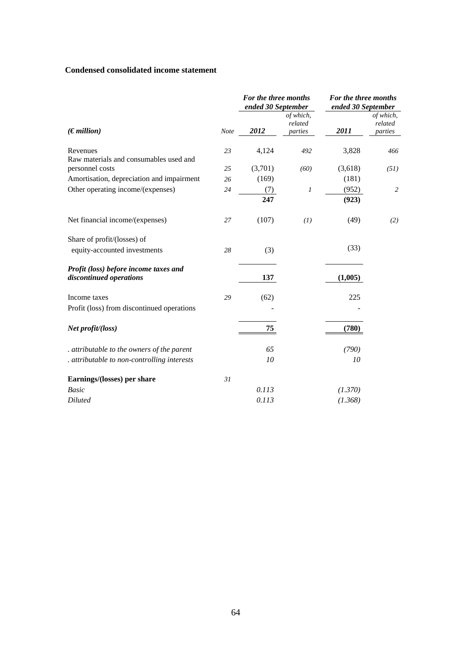## **Condensed consolidated income statement**

|                                                                  |             | For the three months<br>ended 30 September |                                 | For the three months<br>ended 30 September |                                 |  |
|------------------------------------------------------------------|-------------|--------------------------------------------|---------------------------------|--------------------------------------------|---------------------------------|--|
| (Emillion)                                                       | <b>Note</b> | 2012                                       | of which,<br>related<br>parties | 2011                                       | of which,<br>related<br>parties |  |
| Revenues<br>Raw materials and consumables used and               | 23          | 4,124                                      | 492                             | 3,828                                      | 466                             |  |
| personnel costs                                                  | 25          | (3,701)                                    | (60)                            | (3,618)                                    | (51)                            |  |
| Amortisation, depreciation and impairment                        | 26          | (169)                                      |                                 | (181)                                      |                                 |  |
| Other operating income/(expenses)                                | 24          | (7)<br>247                                 | 1                               | (952)<br>(923)                             | 2                               |  |
| Net financial income/(expenses)                                  | 27          | (107)                                      | (1)                             | (49)                                       | (2)                             |  |
| Share of profit/(losses) of                                      |             |                                            |                                 |                                            |                                 |  |
| equity-accounted investments                                     | 28          | (3)                                        |                                 | (33)                                       |                                 |  |
| Profit (loss) before income taxes and<br>discontinued operations |             | 137                                        |                                 | (1,005)                                    |                                 |  |
| Income taxes                                                     | 29          | (62)                                       |                                 | 225                                        |                                 |  |
| Profit (loss) from discontinued operations                       |             |                                            |                                 |                                            |                                 |  |
| Net profit/(loss)                                                |             | 75                                         |                                 | (780)                                      |                                 |  |
| . attributable to the owners of the parent                       |             | 65                                         |                                 | (790)                                      |                                 |  |
| . attributable to non-controlling interests                      |             | 10                                         |                                 | 10                                         |                                 |  |
| Earnings/(losses) per share                                      | 31          |                                            |                                 |                                            |                                 |  |
| <b>Basic</b>                                                     |             | 0.113                                      |                                 | (1.370)                                    |                                 |  |
| <b>Diluted</b>                                                   |             | 0.113                                      |                                 | (1.368)                                    |                                 |  |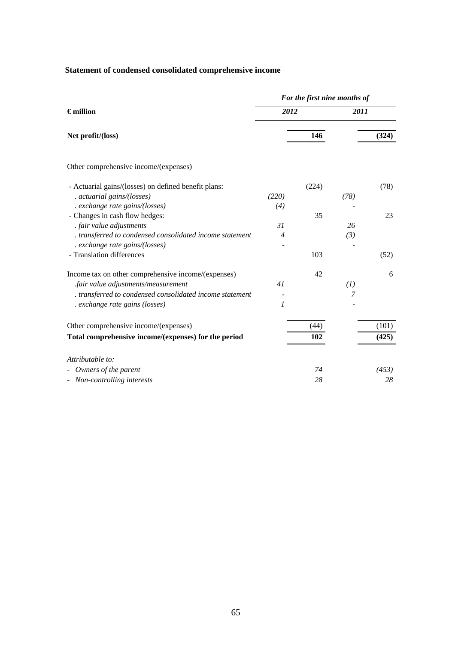## **Statement of condensed consolidated comprehensive income**

|                  |       | 2011 |                              |
|------------------|-------|------|------------------------------|
|                  | 146   |      | (324)                        |
|                  |       |      |                              |
|                  | (224) |      | (78)                         |
| (220)            |       | (78) |                              |
| (4)              |       |      |                              |
|                  | 35    |      | 23                           |
| 31               |       | 26   |                              |
| $\overline{4}$   |       | (3)  |                              |
|                  |       |      |                              |
|                  | 103   |      | (52)                         |
|                  | 42    |      | 6                            |
| 41               |       | (1)  |                              |
|                  |       | 7    |                              |
| $\boldsymbol{l}$ |       |      |                              |
|                  | (44)  |      | (101)                        |
|                  | 102   |      | (425)                        |
|                  |       |      |                              |
|                  | 74    |      | (453)                        |
|                  | 28    |      | 28                           |
|                  |       | 2012 | For the first nine months of |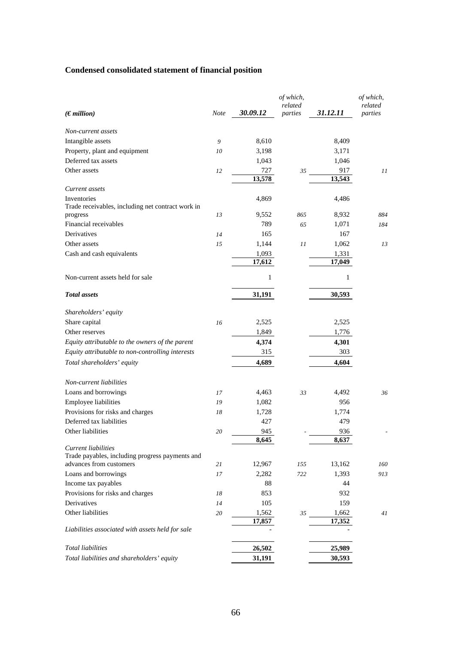# **Condensed consolidated statement of financial position**

| Non-current assets<br>Intangible assets<br>9<br>8,610<br>8,409<br>Property, plant and equipment<br>3,171<br>3,198<br>10<br>Deferred tax assets<br>1,046<br>1,043<br>Other assets<br>727<br>917<br>12<br>35<br>11<br>13,578<br>13,543<br>Current assets<br>Inventories<br>4,869<br>4,486<br>Trade receivables, including net contract work in<br>9,552<br>8,932<br>13<br>865<br>884<br>progress<br>Financial receivables<br>789<br>1,071<br>65<br>184<br>Derivatives<br>165<br>167<br>14<br>1,144<br>1,062<br>Other assets<br>15<br>11<br>13<br>Cash and cash equivalents<br>1,093<br>1,331<br>17,612<br>17,049<br>Non-current assets held for sale<br>$\mathbf{1}$<br>$\mathbf{1}$<br><b>Total</b> assets<br>30,593<br>31,191<br>Shareholders' equity<br>2,525<br>2,525<br>Share capital<br>16<br>1,849<br>1,776<br>Other reserves<br>Equity attributable to the owners of the parent<br>4,374<br>4,301<br>315<br>303<br>Equity attributable to non-controlling interests<br>4,689<br>4,604<br>Total shareholders' equity<br>Non-current liabilities<br>Loans and borrowings<br>4,463<br>4,492<br>33<br>36<br>17<br>Employee liabilities<br>1,082<br>956<br>19<br>Provisions for risks and charges<br>1,728<br>1,774<br>18<br>Deferred tax liabilities<br>427<br>479<br>Other liabilities<br>945<br>936<br>20<br>8,645<br>8,637<br>Current liabilities<br>Trade payables, including progress payments and<br>advances from customers<br>12,967<br>155<br>13,162<br>160<br>21<br>Loans and borrowings<br>2,282<br>1,393<br>17<br>722<br>913<br>88<br>44<br>Income tax payables<br>Provisions for risks and charges<br>853<br>932<br>18<br>Derivatives<br>105<br>159<br>14<br>Other liabilities<br>20<br>1,562<br>1,662<br>35<br>41<br>17,352<br>17,857<br>Liabilities associated with assets held for sale<br><b>Total liabilities</b><br>26,502<br>25,989<br>Total liabilities and shareholders' equity<br>31,191<br>30,593 | $(E$ <i>million</i> ) | <b>Note</b> | 30.09.12 | of which,<br>related<br>parties | 31.12.11 | of which,<br>related<br>parties |
|-----------------------------------------------------------------------------------------------------------------------------------------------------------------------------------------------------------------------------------------------------------------------------------------------------------------------------------------------------------------------------------------------------------------------------------------------------------------------------------------------------------------------------------------------------------------------------------------------------------------------------------------------------------------------------------------------------------------------------------------------------------------------------------------------------------------------------------------------------------------------------------------------------------------------------------------------------------------------------------------------------------------------------------------------------------------------------------------------------------------------------------------------------------------------------------------------------------------------------------------------------------------------------------------------------------------------------------------------------------------------------------------------------------------------------------------------------------------------------------------------------------------------------------------------------------------------------------------------------------------------------------------------------------------------------------------------------------------------------------------------------------------------------------------------------------------------------------------------------------------------------------------------------------------------------|-----------------------|-------------|----------|---------------------------------|----------|---------------------------------|
|                                                                                                                                                                                                                                                                                                                                                                                                                                                                                                                                                                                                                                                                                                                                                                                                                                                                                                                                                                                                                                                                                                                                                                                                                                                                                                                                                                                                                                                                                                                                                                                                                                                                                                                                                                                                                                                                                                                             |                       |             |          |                                 |          |                                 |
|                                                                                                                                                                                                                                                                                                                                                                                                                                                                                                                                                                                                                                                                                                                                                                                                                                                                                                                                                                                                                                                                                                                                                                                                                                                                                                                                                                                                                                                                                                                                                                                                                                                                                                                                                                                                                                                                                                                             |                       |             |          |                                 |          |                                 |
|                                                                                                                                                                                                                                                                                                                                                                                                                                                                                                                                                                                                                                                                                                                                                                                                                                                                                                                                                                                                                                                                                                                                                                                                                                                                                                                                                                                                                                                                                                                                                                                                                                                                                                                                                                                                                                                                                                                             |                       |             |          |                                 |          |                                 |
|                                                                                                                                                                                                                                                                                                                                                                                                                                                                                                                                                                                                                                                                                                                                                                                                                                                                                                                                                                                                                                                                                                                                                                                                                                                                                                                                                                                                                                                                                                                                                                                                                                                                                                                                                                                                                                                                                                                             |                       |             |          |                                 |          |                                 |
|                                                                                                                                                                                                                                                                                                                                                                                                                                                                                                                                                                                                                                                                                                                                                                                                                                                                                                                                                                                                                                                                                                                                                                                                                                                                                                                                                                                                                                                                                                                                                                                                                                                                                                                                                                                                                                                                                                                             |                       |             |          |                                 |          |                                 |
|                                                                                                                                                                                                                                                                                                                                                                                                                                                                                                                                                                                                                                                                                                                                                                                                                                                                                                                                                                                                                                                                                                                                                                                                                                                                                                                                                                                                                                                                                                                                                                                                                                                                                                                                                                                                                                                                                                                             |                       |             |          |                                 |          |                                 |
|                                                                                                                                                                                                                                                                                                                                                                                                                                                                                                                                                                                                                                                                                                                                                                                                                                                                                                                                                                                                                                                                                                                                                                                                                                                                                                                                                                                                                                                                                                                                                                                                                                                                                                                                                                                                                                                                                                                             |                       |             |          |                                 |          |                                 |
|                                                                                                                                                                                                                                                                                                                                                                                                                                                                                                                                                                                                                                                                                                                                                                                                                                                                                                                                                                                                                                                                                                                                                                                                                                                                                                                                                                                                                                                                                                                                                                                                                                                                                                                                                                                                                                                                                                                             |                       |             |          |                                 |          |                                 |
|                                                                                                                                                                                                                                                                                                                                                                                                                                                                                                                                                                                                                                                                                                                                                                                                                                                                                                                                                                                                                                                                                                                                                                                                                                                                                                                                                                                                                                                                                                                                                                                                                                                                                                                                                                                                                                                                                                                             |                       |             |          |                                 |          |                                 |
|                                                                                                                                                                                                                                                                                                                                                                                                                                                                                                                                                                                                                                                                                                                                                                                                                                                                                                                                                                                                                                                                                                                                                                                                                                                                                                                                                                                                                                                                                                                                                                                                                                                                                                                                                                                                                                                                                                                             |                       |             |          |                                 |          |                                 |
|                                                                                                                                                                                                                                                                                                                                                                                                                                                                                                                                                                                                                                                                                                                                                                                                                                                                                                                                                                                                                                                                                                                                                                                                                                                                                                                                                                                                                                                                                                                                                                                                                                                                                                                                                                                                                                                                                                                             |                       |             |          |                                 |          |                                 |
|                                                                                                                                                                                                                                                                                                                                                                                                                                                                                                                                                                                                                                                                                                                                                                                                                                                                                                                                                                                                                                                                                                                                                                                                                                                                                                                                                                                                                                                                                                                                                                                                                                                                                                                                                                                                                                                                                                                             |                       |             |          |                                 |          |                                 |
|                                                                                                                                                                                                                                                                                                                                                                                                                                                                                                                                                                                                                                                                                                                                                                                                                                                                                                                                                                                                                                                                                                                                                                                                                                                                                                                                                                                                                                                                                                                                                                                                                                                                                                                                                                                                                                                                                                                             |                       |             |          |                                 |          |                                 |
|                                                                                                                                                                                                                                                                                                                                                                                                                                                                                                                                                                                                                                                                                                                                                                                                                                                                                                                                                                                                                                                                                                                                                                                                                                                                                                                                                                                                                                                                                                                                                                                                                                                                                                                                                                                                                                                                                                                             |                       |             |          |                                 |          |                                 |
|                                                                                                                                                                                                                                                                                                                                                                                                                                                                                                                                                                                                                                                                                                                                                                                                                                                                                                                                                                                                                                                                                                                                                                                                                                                                                                                                                                                                                                                                                                                                                                                                                                                                                                                                                                                                                                                                                                                             |                       |             |          |                                 |          |                                 |
|                                                                                                                                                                                                                                                                                                                                                                                                                                                                                                                                                                                                                                                                                                                                                                                                                                                                                                                                                                                                                                                                                                                                                                                                                                                                                                                                                                                                                                                                                                                                                                                                                                                                                                                                                                                                                                                                                                                             |                       |             |          |                                 |          |                                 |
|                                                                                                                                                                                                                                                                                                                                                                                                                                                                                                                                                                                                                                                                                                                                                                                                                                                                                                                                                                                                                                                                                                                                                                                                                                                                                                                                                                                                                                                                                                                                                                                                                                                                                                                                                                                                                                                                                                                             |                       |             |          |                                 |          |                                 |
|                                                                                                                                                                                                                                                                                                                                                                                                                                                                                                                                                                                                                                                                                                                                                                                                                                                                                                                                                                                                                                                                                                                                                                                                                                                                                                                                                                                                                                                                                                                                                                                                                                                                                                                                                                                                                                                                                                                             |                       |             |          |                                 |          |                                 |
|                                                                                                                                                                                                                                                                                                                                                                                                                                                                                                                                                                                                                                                                                                                                                                                                                                                                                                                                                                                                                                                                                                                                                                                                                                                                                                                                                                                                                                                                                                                                                                                                                                                                                                                                                                                                                                                                                                                             |                       |             |          |                                 |          |                                 |
|                                                                                                                                                                                                                                                                                                                                                                                                                                                                                                                                                                                                                                                                                                                                                                                                                                                                                                                                                                                                                                                                                                                                                                                                                                                                                                                                                                                                                                                                                                                                                                                                                                                                                                                                                                                                                                                                                                                             |                       |             |          |                                 |          |                                 |
|                                                                                                                                                                                                                                                                                                                                                                                                                                                                                                                                                                                                                                                                                                                                                                                                                                                                                                                                                                                                                                                                                                                                                                                                                                                                                                                                                                                                                                                                                                                                                                                                                                                                                                                                                                                                                                                                                                                             |                       |             |          |                                 |          |                                 |
|                                                                                                                                                                                                                                                                                                                                                                                                                                                                                                                                                                                                                                                                                                                                                                                                                                                                                                                                                                                                                                                                                                                                                                                                                                                                                                                                                                                                                                                                                                                                                                                                                                                                                                                                                                                                                                                                                                                             |                       |             |          |                                 |          |                                 |
|                                                                                                                                                                                                                                                                                                                                                                                                                                                                                                                                                                                                                                                                                                                                                                                                                                                                                                                                                                                                                                                                                                                                                                                                                                                                                                                                                                                                                                                                                                                                                                                                                                                                                                                                                                                                                                                                                                                             |                       |             |          |                                 |          |                                 |
|                                                                                                                                                                                                                                                                                                                                                                                                                                                                                                                                                                                                                                                                                                                                                                                                                                                                                                                                                                                                                                                                                                                                                                                                                                                                                                                                                                                                                                                                                                                                                                                                                                                                                                                                                                                                                                                                                                                             |                       |             |          |                                 |          |                                 |
|                                                                                                                                                                                                                                                                                                                                                                                                                                                                                                                                                                                                                                                                                                                                                                                                                                                                                                                                                                                                                                                                                                                                                                                                                                                                                                                                                                                                                                                                                                                                                                                                                                                                                                                                                                                                                                                                                                                             |                       |             |          |                                 |          |                                 |
|                                                                                                                                                                                                                                                                                                                                                                                                                                                                                                                                                                                                                                                                                                                                                                                                                                                                                                                                                                                                                                                                                                                                                                                                                                                                                                                                                                                                                                                                                                                                                                                                                                                                                                                                                                                                                                                                                                                             |                       |             |          |                                 |          |                                 |
|                                                                                                                                                                                                                                                                                                                                                                                                                                                                                                                                                                                                                                                                                                                                                                                                                                                                                                                                                                                                                                                                                                                                                                                                                                                                                                                                                                                                                                                                                                                                                                                                                                                                                                                                                                                                                                                                                                                             |                       |             |          |                                 |          |                                 |
|                                                                                                                                                                                                                                                                                                                                                                                                                                                                                                                                                                                                                                                                                                                                                                                                                                                                                                                                                                                                                                                                                                                                                                                                                                                                                                                                                                                                                                                                                                                                                                                                                                                                                                                                                                                                                                                                                                                             |                       |             |          |                                 |          |                                 |
|                                                                                                                                                                                                                                                                                                                                                                                                                                                                                                                                                                                                                                                                                                                                                                                                                                                                                                                                                                                                                                                                                                                                                                                                                                                                                                                                                                                                                                                                                                                                                                                                                                                                                                                                                                                                                                                                                                                             |                       |             |          |                                 |          |                                 |
|                                                                                                                                                                                                                                                                                                                                                                                                                                                                                                                                                                                                                                                                                                                                                                                                                                                                                                                                                                                                                                                                                                                                                                                                                                                                                                                                                                                                                                                                                                                                                                                                                                                                                                                                                                                                                                                                                                                             |                       |             |          |                                 |          |                                 |
|                                                                                                                                                                                                                                                                                                                                                                                                                                                                                                                                                                                                                                                                                                                                                                                                                                                                                                                                                                                                                                                                                                                                                                                                                                                                                                                                                                                                                                                                                                                                                                                                                                                                                                                                                                                                                                                                                                                             |                       |             |          |                                 |          |                                 |
|                                                                                                                                                                                                                                                                                                                                                                                                                                                                                                                                                                                                                                                                                                                                                                                                                                                                                                                                                                                                                                                                                                                                                                                                                                                                                                                                                                                                                                                                                                                                                                                                                                                                                                                                                                                                                                                                                                                             |                       |             |          |                                 |          |                                 |
|                                                                                                                                                                                                                                                                                                                                                                                                                                                                                                                                                                                                                                                                                                                                                                                                                                                                                                                                                                                                                                                                                                                                                                                                                                                                                                                                                                                                                                                                                                                                                                                                                                                                                                                                                                                                                                                                                                                             |                       |             |          |                                 |          |                                 |
|                                                                                                                                                                                                                                                                                                                                                                                                                                                                                                                                                                                                                                                                                                                                                                                                                                                                                                                                                                                                                                                                                                                                                                                                                                                                                                                                                                                                                                                                                                                                                                                                                                                                                                                                                                                                                                                                                                                             |                       |             |          |                                 |          |                                 |
|                                                                                                                                                                                                                                                                                                                                                                                                                                                                                                                                                                                                                                                                                                                                                                                                                                                                                                                                                                                                                                                                                                                                                                                                                                                                                                                                                                                                                                                                                                                                                                                                                                                                                                                                                                                                                                                                                                                             |                       |             |          |                                 |          |                                 |
|                                                                                                                                                                                                                                                                                                                                                                                                                                                                                                                                                                                                                                                                                                                                                                                                                                                                                                                                                                                                                                                                                                                                                                                                                                                                                                                                                                                                                                                                                                                                                                                                                                                                                                                                                                                                                                                                                                                             |                       |             |          |                                 |          |                                 |
|                                                                                                                                                                                                                                                                                                                                                                                                                                                                                                                                                                                                                                                                                                                                                                                                                                                                                                                                                                                                                                                                                                                                                                                                                                                                                                                                                                                                                                                                                                                                                                                                                                                                                                                                                                                                                                                                                                                             |                       |             |          |                                 |          |                                 |
|                                                                                                                                                                                                                                                                                                                                                                                                                                                                                                                                                                                                                                                                                                                                                                                                                                                                                                                                                                                                                                                                                                                                                                                                                                                                                                                                                                                                                                                                                                                                                                                                                                                                                                                                                                                                                                                                                                                             |                       |             |          |                                 |          |                                 |
|                                                                                                                                                                                                                                                                                                                                                                                                                                                                                                                                                                                                                                                                                                                                                                                                                                                                                                                                                                                                                                                                                                                                                                                                                                                                                                                                                                                                                                                                                                                                                                                                                                                                                                                                                                                                                                                                                                                             |                       |             |          |                                 |          |                                 |
|                                                                                                                                                                                                                                                                                                                                                                                                                                                                                                                                                                                                                                                                                                                                                                                                                                                                                                                                                                                                                                                                                                                                                                                                                                                                                                                                                                                                                                                                                                                                                                                                                                                                                                                                                                                                                                                                                                                             |                       |             |          |                                 |          |                                 |
|                                                                                                                                                                                                                                                                                                                                                                                                                                                                                                                                                                                                                                                                                                                                                                                                                                                                                                                                                                                                                                                                                                                                                                                                                                                                                                                                                                                                                                                                                                                                                                                                                                                                                                                                                                                                                                                                                                                             |                       |             |          |                                 |          |                                 |
|                                                                                                                                                                                                                                                                                                                                                                                                                                                                                                                                                                                                                                                                                                                                                                                                                                                                                                                                                                                                                                                                                                                                                                                                                                                                                                                                                                                                                                                                                                                                                                                                                                                                                                                                                                                                                                                                                                                             |                       |             |          |                                 |          |                                 |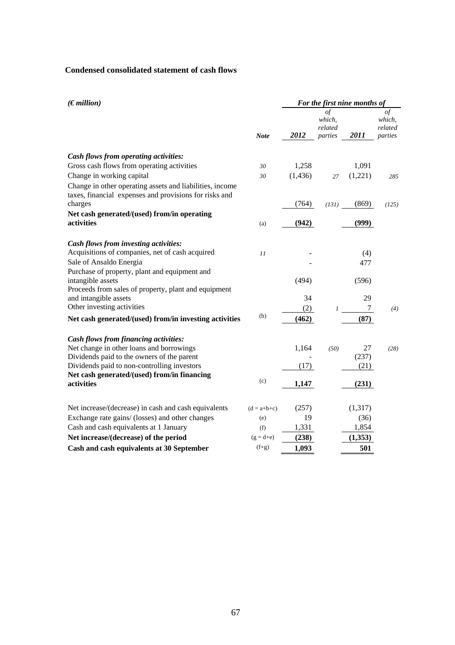## **Condensed consolidated statement of cash flows**

| (Emillion)                                                                                                         |               | For the first nine months of |                                    |         |                                    |  |  |
|--------------------------------------------------------------------------------------------------------------------|---------------|------------------------------|------------------------------------|---------|------------------------------------|--|--|
|                                                                                                                    | <b>Note</b>   | 2012                         | οf<br>which,<br>related<br>parties | 2011    | οf<br>which,<br>related<br>parties |  |  |
| Cash flows from operating activities:                                                                              |               |                              |                                    |         |                                    |  |  |
| Gross cash flows from operating activities                                                                         | 30            | 1,258                        |                                    | 1,091   |                                    |  |  |
| Change in working capital                                                                                          | 30            | (1, 436)                     | 27                                 | (1,221) | 285                                |  |  |
| Change in other operating assets and liabilities, income<br>taxes, financial expenses and provisions for risks and |               |                              |                                    |         |                                    |  |  |
| charges                                                                                                            |               | (764)                        | (131)                              | (869)   | (125)                              |  |  |
| Net cash generated/(used) from/in operating<br>activities                                                          | (a)           | (942)                        |                                    | (999)   |                                    |  |  |
|                                                                                                                    |               |                              |                                    |         |                                    |  |  |
| Cash flows from investing activities:                                                                              |               |                              |                                    |         |                                    |  |  |
| Acquisitions of companies, net of cash acquired                                                                    | 11            |                              |                                    | (4)     |                                    |  |  |
| Sale of Ansaldo Energia                                                                                            |               |                              |                                    | 477     |                                    |  |  |
| Purchase of property, plant and equipment and<br>intangible assets                                                 |               | (494)                        |                                    | (596)   |                                    |  |  |
| Proceeds from sales of property, plant and equipment                                                               |               |                              |                                    |         |                                    |  |  |
| and intangible assets                                                                                              |               | 34                           |                                    | 29      |                                    |  |  |
| Other investing activities                                                                                         |               | (2)                          | 1                                  | 7       | (4)                                |  |  |
| Net cash generated/(used) from/in investing activities                                                             | (b)           | (462)                        |                                    | (87)    |                                    |  |  |
| Cash flows from financing activities:                                                                              |               |                              |                                    |         |                                    |  |  |
| Net change in other loans and borrowings                                                                           |               | 1,164                        | (50)                               | 27      | (28)                               |  |  |
| Dividends paid to the owners of the parent                                                                         |               |                              |                                    | (237)   |                                    |  |  |
| Dividends paid to non-controlling investors                                                                        |               | (17)                         |                                    | (21)    |                                    |  |  |
| Net cash generated/(used) from/in financing<br>activities                                                          | (c)           | 1,147                        |                                    | (231)   |                                    |  |  |
|                                                                                                                    |               |                              |                                    |         |                                    |  |  |
| Net increase/(decrease) in cash and cash equivalents                                                               | $(d = a+b+c)$ | (257)                        |                                    | (1,317) |                                    |  |  |
| Exchange rate gains/ (losses) and other changes                                                                    | (e)           | 19                           |                                    | (36)    |                                    |  |  |
| Cash and cash equivalents at 1 January                                                                             | (f)           | 1,331                        |                                    | 1,854   |                                    |  |  |
| Net increase/(decrease) of the period                                                                              | $(g=d+e)$     | (238)                        |                                    | (1,353) |                                    |  |  |
| Cash and cash equivalents at 30 September                                                                          | $(f+g)$       | 1,093                        |                                    | 501     |                                    |  |  |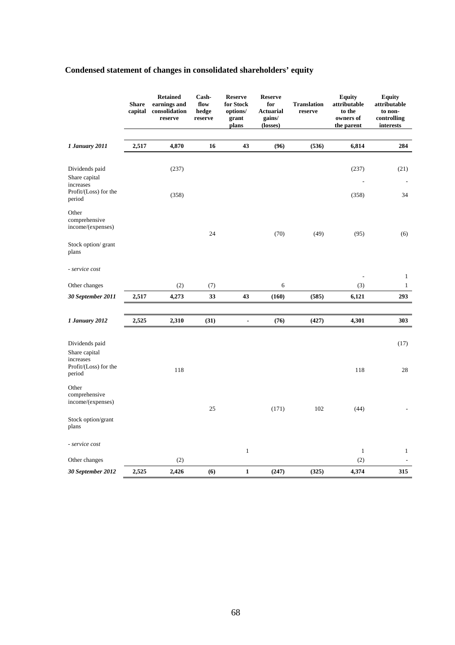|                                                                                 | <b>Share</b><br>capital | <b>Retained</b><br>earnings and<br>consolidation<br>reserve | Cash-<br>flow<br>hedge<br>reserve | <b>Reserve</b><br>for Stock<br>options/<br>grant<br>plans | <b>Reserve</b><br>for<br><b>Actuarial</b><br>gains/<br>(losses) | <b>Translation</b><br>reserve | <b>Equity</b><br>attributable<br>to the<br>owners of<br>the parent | <b>Equity</b><br>attributable<br>to non-<br>controlling<br>interests |
|---------------------------------------------------------------------------------|-------------------------|-------------------------------------------------------------|-----------------------------------|-----------------------------------------------------------|-----------------------------------------------------------------|-------------------------------|--------------------------------------------------------------------|----------------------------------------------------------------------|
| 1 January 2011                                                                  | 2,517                   | 4,870                                                       | 16                                | 43                                                        | (96)                                                            | (536)                         | 6,814                                                              | 284                                                                  |
| Dividends paid<br>Share capital<br>increases<br>Profit/(Loss) for the<br>period |                         | (237)<br>(358)                                              |                                   |                                                           |                                                                 |                               | (237)<br>(358)                                                     | (21)<br>34                                                           |
| Other<br>comprehensive<br>income/(expenses)                                     |                         |                                                             | 24                                |                                                           | (70)                                                            | (49)                          | (95)                                                               | (6)                                                                  |
| Stock option/ grant<br>plans                                                    |                         |                                                             |                                   |                                                           |                                                                 |                               |                                                                    |                                                                      |
| - service cost                                                                  |                         |                                                             |                                   |                                                           |                                                                 |                               |                                                                    | $\mathbf{1}$                                                         |
| Other changes                                                                   |                         | (2)                                                         | (7)                               |                                                           | 6                                                               |                               | (3)                                                                | $\mathbf{1}$                                                         |
| 30 September 2011                                                               | 2,517                   | 4,273                                                       | 33                                | 43                                                        | (160)                                                           | (585)                         | 6,121                                                              | 293                                                                  |
|                                                                                 |                         |                                                             |                                   |                                                           |                                                                 |                               |                                                                    |                                                                      |
| 1 January 2012                                                                  | 2,525                   | 2,310                                                       | (31)                              | $\qquad \qquad \blacksquare$                              | (76)                                                            | (427)                         | 4,301                                                              | 303                                                                  |
| Dividends paid<br>Share capital<br>increases<br>Profit/(Loss) for the<br>period |                         | 118                                                         |                                   |                                                           |                                                                 |                               | 118                                                                | (17)<br>28                                                           |
| Other<br>comprehensive<br>income/(expenses)                                     |                         |                                                             | 25                                |                                                           | (171)                                                           | 102                           | (44)                                                               |                                                                      |
| Stock option/grant<br>plans                                                     |                         |                                                             |                                   |                                                           |                                                                 |                               |                                                                    |                                                                      |
| - service cost                                                                  |                         |                                                             |                                   | $\mathbf{1}$                                              |                                                                 |                               | $\mathbf{1}$                                                       | $\mathbf{1}$                                                         |
| Other changes                                                                   |                         | (2)                                                         |                                   |                                                           |                                                                 |                               | (2)                                                                |                                                                      |
| 30 September 2012                                                               | 2,525                   | 2,426                                                       | (6)                               | $\mathbf{1}$                                              | (247)                                                           | (325)                         | 4,374                                                              | 315                                                                  |

# **Condensed statement of changes in consolidated shareholders' equity**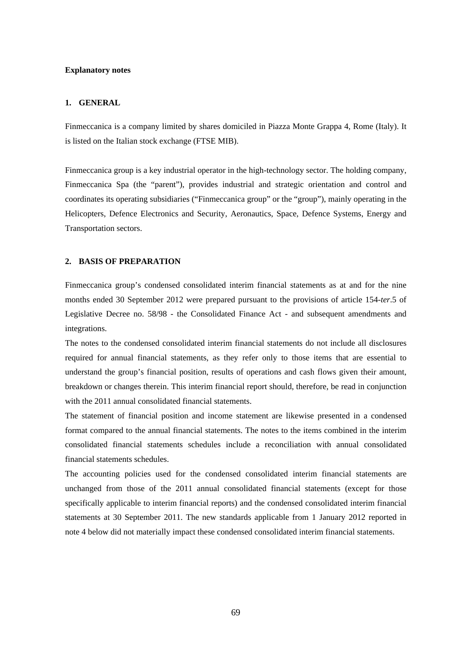### **Explanatory notes**

### **1. GENERAL**

Finmeccanica is a company limited by shares domiciled in Piazza Monte Grappa 4, Rome (Italy). It is listed on the Italian stock exchange (FTSE MIB).

Finmeccanica group is a key industrial operator in the high-technology sector. The holding company, Finmeccanica Spa (the "parent"), provides industrial and strategic orientation and control and coordinates its operating subsidiaries ("Finmeccanica group" or the "group"), mainly operating in the Helicopters, Defence Electronics and Security, Aeronautics, Space, Defence Systems, Energy and Transportation sectors.

## **2. BASIS OF PREPARATION**

Finmeccanica group's condensed consolidated interim financial statements as at and for the nine months ended 30 September 2012 were prepared pursuant to the provisions of article 154-*ter*.5 of Legislative Decree no. 58/98 - the Consolidated Finance Act - and subsequent amendments and integrations.

The notes to the condensed consolidated interim financial statements do not include all disclosures required for annual financial statements, as they refer only to those items that are essential to understand the group's financial position, results of operations and cash flows given their amount, breakdown or changes therein. This interim financial report should, therefore, be read in conjunction with the 2011 annual consolidated financial statements.

The statement of financial position and income statement are likewise presented in a condensed format compared to the annual financial statements. The notes to the items combined in the interim consolidated financial statements schedules include a reconciliation with annual consolidated financial statements schedules.

The accounting policies used for the condensed consolidated interim financial statements are unchanged from those of the 2011 annual consolidated financial statements (except for those specifically applicable to interim financial reports) and the condensed consolidated interim financial statements at 30 September 2011. The new standards applicable from 1 January 2012 reported in note 4 below did not materially impact these condensed consolidated interim financial statements.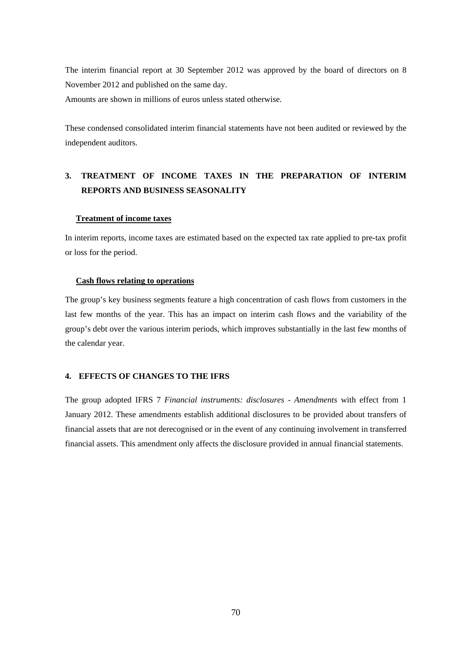The interim financial report at 30 September 2012 was approved by the board of directors on 8 November 2012 and published on the same day.

Amounts are shown in millions of euros unless stated otherwise.

These condensed consolidated interim financial statements have not been audited or reviewed by the independent auditors.

# **3. TREATMENT OF INCOME TAXES IN THE PREPARATION OF INTERIM REPORTS AND BUSINESS SEASONALITY**

### **Treatment of income taxes**

In interim reports, income taxes are estimated based on the expected tax rate applied to pre-tax profit or loss for the period.

## **Cash flows relating to operations**

The group's key business segments feature a high concentration of cash flows from customers in the last few months of the year. This has an impact on interim cash flows and the variability of the group's debt over the various interim periods, which improves substantially in the last few months of the calendar year.

## **4. EFFECTS OF CHANGES TO THE IFRS**

The group adopted IFRS 7 *Financial instruments: disclosures - Amendments* with effect from 1 January 2012. These amendments establish additional disclosures to be provided about transfers of financial assets that are not derecognised or in the event of any continuing involvement in transferred financial assets. This amendment only affects the disclosure provided in annual financial statements.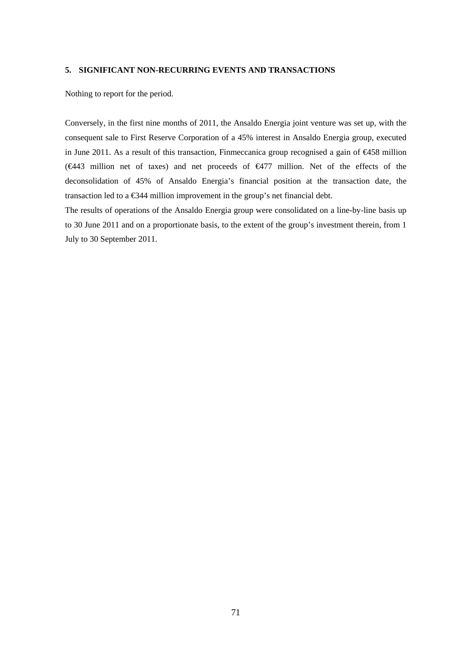### **5. SIGNIFICANT NON-RECURRING EVENTS AND TRANSACTIONS**

Nothing to report for the period.

Conversely, in the first nine months of 2011, the Ansaldo Energia joint venture was set up, with the consequent sale to First Reserve Corporation of a 45% interest in Ansaldo Energia group, executed in June 2011. As a result of this transaction, Finmeccanica group recognised a gain of €458 million (€443 million net of taxes) and net proceeds of €477 million. Net of the effects of the deconsolidation of 45% of Ansaldo Energia's financial position at the transaction date, the transaction led to a €344 million improvement in the group's net financial debt.

The results of operations of the Ansaldo Energia group were consolidated on a line-by-line basis up to 30 June 2011 and on a proportionate basis, to the extent of the group's investment therein, from 1 July to 30 September 2011.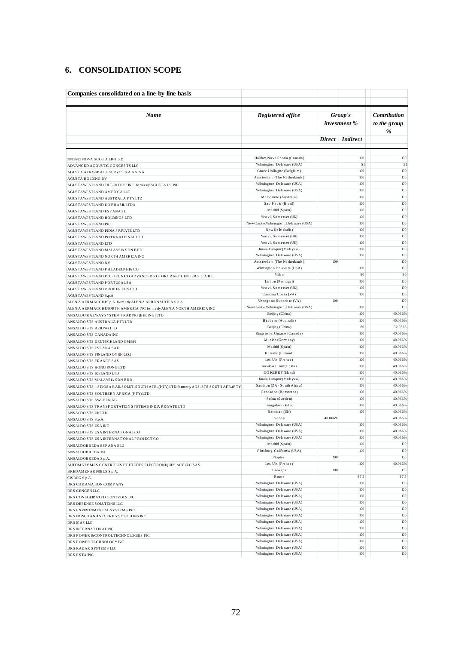## **6. CONSOLIDATION SCOPE**

| Companies consolidated on a line-by-line basis                                                |                                                             |                         |                 |                                          |
|-----------------------------------------------------------------------------------------------|-------------------------------------------------------------|-------------------------|-----------------|------------------------------------------|
| Name                                                                                          | Registered office                                           | Group's<br>investment % |                 | <b>Contribution</b><br>to the group<br>% |
|                                                                                               |                                                             |                         | Direct Indirect |                                          |
|                                                                                               |                                                             |                         |                 |                                          |
| 3083683 NOVA SCOTIA LIMITED<br>ADVANCED ACOUSTIC CONCEPTS LLC                                 | Halifax, Nova Scotia (Canada)<br>Wilmington, Delaware (USA) |                         | 100<br>51       | 100<br>51                                |
| AGUSTA AEROSPACE SERVICES A.A.S. SA                                                           | Grace Hollogne (Belgiium)                                   |                         | 100             | 100                                      |
| <b>AGUSTA HOLDING BV</b>                                                                      | Amsterdam (The Netherlands)                                 |                         | 100             | 100                                      |
| AGUSTAWESTLAND TILT-ROTOR INC. formerly AGUSTA US INC                                         | Wilmington, Delaware (USA)                                  |                         | 100             | 100                                      |
| AGUSTAWESTLAND AMERICA LLC                                                                    | Wilmington, Delaware (USA)                                  |                         | 100             | 100                                      |
| AGUSTAWESTLAND AUSTRALIA P TY LTD                                                             | Melbourne (Australia)                                       |                         | 100             | 100                                      |
| AGUSTAWESTLAND DO BRASILLTDA                                                                  | Sao Paulo (Brazil)<br>Madrid (Spain)                        |                         | 100<br>100      | 100<br>100                               |
| AGUSTAWESTLAND ESP ANA SL                                                                     | Yeo vil, Somers et (UK)                                     |                         | 100             | 100                                      |
| AGUSTAWESTLAND HOLDINGS LTD<br>AGUSTAWESTLAND INC                                             | New Castle, Wilmington, Delaware (USA)                      |                         | 100             | 100                                      |
| AGUSTAWESTLAND INDIA PRIVATE LTD                                                              | New Delhi (India)                                           |                         | 100             | 100                                      |
| AGUSTAWESTLAND INTERNATIONAL LTD                                                              | Yeo vil, Somers et (UK)                                     |                         | 100             | 100                                      |
| AGUSTAWESTLAND LTD                                                                            | Yeo vil, Somers et (UK)                                     |                         | 100             | 100                                      |
| AGUSTAWESTLAND MALAYSIA SDN BHD                                                               | Kuala Lumpur (Malaysia)                                     |                         | 100             | 100                                      |
| AGUSTAWESTLAND NORTH AMERICA INC                                                              | Wilmington, Delaware (USA)                                  |                         | 100             | 100                                      |
| AGUSTAWESTLAND NV                                                                             | Amsterdam (The Netherlands)<br>Wilmington Delaware (USA)    | 100                     | 100             | 100<br>100                               |
| AGUSTAWESTLAND PHILADELPHIA CO                                                                | Milan                                                       |                         | 80              | 80                                       |
| AGUSTAWESTLAND POLITECNICO ADVANCED ROTORCRAFT CENTER S.C.A R.L.<br>AGUSTAWESTLAND PORTUGALSA | Lisbon (Portugal)                                           |                         | 100             | 100                                      |
| AGUSTAWESTLAND PROPERTIES LTD                                                                 | Yeo vil. Somers et (UK)                                     |                         | 100             | 100                                      |
| AGUSTAWESTLAND S.p.A.                                                                         | Cascina Costa (VA)                                          |                         | 100             | 100                                      |
| ALENIA AERMACCHIS.p.A. formerly ALENIA AERONAUTICA S.p.A.                                     | Venegono Superiore (VA)                                     | 100                     |                 | 100                                      |
| ALENIA AERMACCHINORTH AMERICA INC formerly ALENIA NORTH AMERICA INC                           | New Castle, Wilmington, Delaware (USA)                      |                         | 100             | 100                                      |
| ANSALDO RAILWAY SYSTEM TRADING (BEIING) LTD                                                   | Beijing (China)                                             |                         | 100             | 40.066%                                  |
| ANSALDO STS AUSTRALIA P TY LTD                                                                | Birs bane (Australia)                                       |                         | 100             | 40.066%                                  |
| ANSALDO STS BEIJNG LTD                                                                        | Beijing (China)                                             |                         | 80<br>100       | 32.0528                                  |
| ANSALDO STS CANADA INC.                                                                       | Kings to ne, Ontario (Canada)<br>Munich (Germany)           |                         | 100             | 40.066%<br>40.066%                       |
| ANSALDO STS DEUTSCHLAND GMBH<br>ANSALDO STS ESP ANA SAU                                       | Madrid (Spain)                                              |                         | 100             | 40.066%                                  |
| ANSALDO STS FINLAND OY (IN LIQ.)                                                              | Helsinki (Finland)                                          |                         | 100             | 40.066%                                  |
| ANSALDO STS FRANCE SAS                                                                        | Les Ulis (France)                                           |                         | 100             | 40.066%                                  |
| ANSALDO STS HONG KONG LTD                                                                     | Ko wlo on Bay (China)                                       |                         | 100             | 40.066%                                  |
| ANSALDO STS IRELAND LTD                                                                       | CO KERRY (Irland)                                           |                         | 100             | 40.066%                                  |
| ANSALDO STS MALAYSIA SDN BHD                                                                  | Kuala Lumpur (Malaysia)                                     |                         | 100             | 40.066%                                  |
| ANS ALDO STS - SINOSA RAIL SOLUT. SOUTH AFR. (PTY) LTD formerly ANS. STS SOUTH AFR. (PTY      | Sandton (ZA - South Africa)<br>Gaborone (Bots wana)         |                         | 100             | 40.066%                                  |
| ANSALDO STS SOUTHERN AFRICA (PTY) LTD                                                         | Solna (Sweden)                                              |                         | 100<br>100      | 40.066%<br>40.066%                       |
| ANSALDO STS SWEDEN AB<br>ANSALDO STS TRANSPORTATION SYSTEMS INDIA PRIVATE LTD                 | Bangalore (India)                                           |                         | 100             | 40.066%                                  |
| ANSALDO STS UKLTD                                                                             | Barbican (UK)                                               |                         | 100             | 40.066%                                  |
| ANSALDO STS S.p.A.                                                                            | Geno a                                                      | 40.066%                 |                 | 40.066%                                  |
| ANSALDO STS USA INC                                                                           | Wilmington, Delaware (USA)                                  |                         | 100             | 40.066%                                  |
| ANSALDO STS USA INTERNATIONAL CO                                                              | Wilmington, Delaware (USA)                                  |                         | юо              | 40.066%                                  |
| ANSALDO STS USA INTERNATIONAL PROJECT CO                                                      | Wilmington, Delaware (USA)                                  |                         | 100             | 40.066%                                  |
| ANSALDOBREDA ESPANA SLU                                                                       | Madrid (Spain)                                              |                         | 100             | 100                                      |
| ANS ALDOBREDA INC                                                                             | Pitts burg, California (USA)<br><b>Naples</b>               | 100                     | $100\,$         | $100$<br>100                             |
| ANSALDOBREDA S.p.A.<br>AUTOMATISMES CONTROLES ET ETUDES ELECTRONIQUES ACELEC SAS              | Les Ulis (France)                                           |                         | 100             | 40.066%                                  |
| BREDAMENARINIBUS S.p.A.                                                                       | Bologna                                                     | 100                     |                 | 100                                      |
| CISDEG S.p.A.                                                                                 | Rome                                                        |                         | 87.5            | 87.5                                     |
| DRS C3 & AVIATION COMP ANY                                                                    | Wilmington, Delaware (USA)                                  |                         | $100\,$         | $100$                                    |
| DRS CENGEN LLC                                                                                | Wilmington, Delaware (USA)                                  |                         | 100             | 100                                      |
| DRS CONSOLIDATED CONTROLS INC                                                                 | Wilmington, Delaware (USA)                                  |                         | 100             | 100                                      |
| DRS DEFENSE SOLUTIONS LLC                                                                     | Wilmington, Delaware (USA)                                  |                         | 100             | 100                                      |
| DRS ENVIRONMENTAL SYSTEMS INC                                                                 | Wilmington, Delaware (USA)<br>Wilmington, Delaware (USA)    |                         | 100<br>100      | 100<br>100                               |
| DRS HOMELAND SECURITY SOLUTIONS INC<br>DRS ICAS LLC                                           | Wilmington, Delaware (USA)                                  |                         | 100             | 100                                      |
| DRS INTERNATIONALINC                                                                          | Wilmington, Delaware (USA)                                  |                         | 100             | 100                                      |
| DRS POWER & CONTROL TECHNOLOGIES INC                                                          | Wilmington, Delaware (USA)                                  |                         | 100             | 100                                      |
| DRS POWER TECHNOLOGY INC                                                                      | Wilmington, Delaware (USA)                                  |                         | 100             | 100                                      |
| DRS RADAR SYSTEMS LLC                                                                         | Wilmington, Delaware (USA)                                  |                         | 100             | 100                                      |
| DRS RSTA INC                                                                                  | Wilmington, Delaware (USA)                                  |                         | 100             | 100                                      |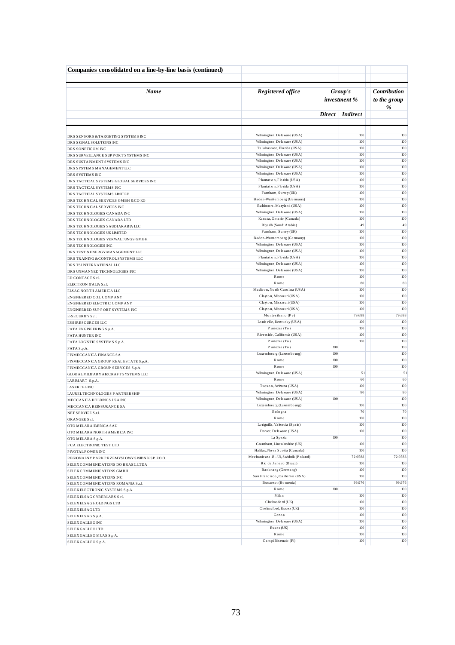| Companies consolidated on a line-by-line basis (continued)      |                                                     |                |                         |                                          |
|-----------------------------------------------------------------|-----------------------------------------------------|----------------|-------------------------|------------------------------------------|
| Name                                                            | Registered office                                   |                | Group's<br>investment % | <b>Contribution</b><br>to the group<br>% |
|                                                                 |                                                     | $Direct \vert$ | <i>Indirect</i>         |                                          |
|                                                                 | Wilmington, Delaware (USA)                          |                | 100                     | 100                                      |
| DRS SENSORS & TARGETING SYSTEMS INC<br>DRS SIGNAL SOLUTIONS INC | Wilmington, Delaware (USA)                          |                | 100                     | 100                                      |
| DRS SONETICOM INC                                               | Tallahassee, Florida (USA)                          |                | 100                     | 100                                      |
| DRS SURVEILLANCE SUPPORT SYSTEMS INC                            | Wilmington, Delaware (USA)                          |                | 100                     | 100                                      |
| DRS SUSTAINMENT SYSTEMS INC                                     | Wilmington, Delaware (USA)                          |                | 100                     | 100                                      |
| DRS SYSTEMS MANAGEMENT LLC                                      | Wilmington, Delaware (USA)                          |                | 100                     | 100                                      |
| DRS SYSTEMS INC                                                 | Wilmington, Delaware (USA)                          |                | 100                     | 100                                      |
| DRS TACTICAL SYSTEMS GLOBAL SERVICES INC                        | Plantation, Florida (USA)                           |                | 100                     | 100                                      |
| DRS TACTICALSYSTEMS INC                                         | Plantation, Florida (USA)                           |                | 100                     | 100                                      |
| DRS TACTICAL SYSTEMS LIMITED                                    | Farnham, Surrey (UK)<br>Baden-Wurttemberg (Germany) |                | 100<br>100              | 100<br>100                               |
| DRS TECHNICAL SERVICES GMBH & COKG                              | Baltimora, Maryland (USA)                           |                | 100                     | 100                                      |
| DRS TECHNICAL SERVICES INC<br>DRS TECHNOLOGIES CANADA INC       | Wilmington, Delaware (USA)                          |                | 100                     | 100                                      |
| DRS TECHNOLOGIES CANADA LTD                                     | Kanata, Ontario (Canada)                            |                | 100                     | 100                                      |
| DRS TECHNOLOGIES SAUDIARABIA LLC                                | Riyadh (Saudi Arabia)                               |                | 49                      | 49                                       |
| DRS TECHNOLOGIES UK LIMITED                                     | Farnham, Surrey (UK)                                |                | 100                     | 100                                      |
| DRS TECHNOLOGIES VERWALTUNGS GMBH                               | Baden-Wurttemberg (Germany)                         |                | 100                     | 100                                      |
| DRS TECHNOLOGIES INC                                            | Wilmington, Delaware (USA)                          |                | 100                     | 100                                      |
| DRS TEST & ENERGY MANAGEMENT LLC                                | Wilmington, Delaware (USA)                          |                | 100                     | 100                                      |
| DRS TRAINING & CONTROLS YSTEMS LLC                              | Plantation, Florida (USA)                           |                | 100                     | 100                                      |
| DRS TSINTERNATIONALLLC                                          | Wilmington, Delaware (USA)                          |                | 100                     | 100                                      |
| DRS UNMANNED TECHNOLOGIES INC                                   | Wilmington, Delaware (USA)                          |                | 100                     | 100                                      |
| ED CONTACT S.r.l.                                               | Rome                                                |                | 100                     | 100                                      |
| ELECTRON ITALIA S.r.l.                                          | Rome                                                |                | 80                      | 80                                       |
| ELSAG NORTH AMERICA LLC                                         | Madison, North Carolina (USA)                       |                | 100                     | 100                                      |
| ENGINEERED COILCOMPANY                                          | Clayton, Missouri (USA)                             |                | 100                     | 100                                      |
| ENGINEERED ELECTRIC COMPANY                                     | Clayton, Missouri (USA)                             |                | 100                     | 100                                      |
| ENGINEERED SUPPORT SYSTEMS INC                                  | Clayton, Missouri (USA)<br>Montes ilvano (Pe)       |                | 100<br>79.688           | 100<br>79.688                            |
| E-SECURITY S.r.l.                                               | Louis ville, Kentucky (USA)                         |                | 100                     | $100$                                    |
| <b>ESSIRESOURCES LLC</b>                                        | Pianezza (To)                                       |                | 100                     | 100                                      |
| FATA ENGINEERING S.p.A.<br><b>FATA HUNTER INC</b>               | Riverside, California (USA)                         |                | 100                     | 100                                      |
| FATA LOGISTIC SYSTEMS S.p.A.                                    | Pianezza (To)                                       |                | 100                     | 100                                      |
| FATAS.p.A.                                                      | Pianezza (To)                                       | 100            |                         | 100                                      |
| FINMECCANICA FINANCE SA                                         | Luxe mbo urg (Luxe mbo urg)                         | 100            |                         | 100                                      |
| FINMECCANICA GROUP REALESTATE S.p.A.                            | Rome                                                | 100            |                         | 100                                      |
| FINMECCANICA GROUP SERVICES S.p.A.                              | Rome                                                | 100            |                         | 100                                      |
| GLOBAL MILITARY AIRCRAFT SYSTEMS LLC                            | Wilmington, Delaware (USA)                          |                | 51                      | 51                                       |
| LARMART S.p.A.                                                  | Rome                                                |                | 60                      | 60                                       |
| <b>LASERTEL INC</b>                                             | Tucson, Arizona (USA)                               |                | 100                     | $100$                                    |
| LAUREL TECHNOLOGIES PARTNERSHIP                                 | Wilmington, Delaware (USA)                          |                | 80                      | 80                                       |
| MECCANICA HOLDINGS USA INC                                      | Wilmington, Delaware (USA)                          | 100            |                         | 100                                      |
| MECCANICA REINSURANCE SA                                        | Luxe mbo urg (Luxe mbo urg)                         |                | 100                     | 100                                      |
| NET SERVICE S.r.l.                                              | Bologna                                             |                | 70                      | 70                                       |
| ORANGEE S.r.l.                                                  | Rome<br>Lo riguilla, Valencia (Spain)               |                | 100<br>100              | 100<br>100                               |
| OTO MELARA IBERICA SAU                                          | Do ver, Delaware (USA)                              |                | 100                     | 100                                      |
| OTO MELARA NORTH AMERICA INC                                    | La Spezia                                           | 100            |                         | 100                                      |
| OTO MELARA S.p.A.<br>P CA ELECTRONIC TEST LTD                   | Grantham, Lincolnshire (UK)                         |                | 100                     | 100                                      |
| P IVOTAL P OWER INC                                             | Halifax, Nova Scotia (Canada)                       |                | 100                     | $100\,$                                  |
| REGIONALNYPARKPRZEMYSLOWYSWIDNIKSP.ZO.O.                        | Mechaniczna 13 - Ul, Swidnik (Poland)               |                | 72.0588                 | 72.0588                                  |
| SELEXCOMMUNICATIONS DO BRASILLTDA                               | Rio de Janeiro (Brazil)                             |                | 100                     | 100                                      |
| SELEXCOMMUNICATIONS GMBH                                        | Backnang (Germany)                                  |                | 100                     | 100                                      |
| SELEXCOMMUNICATIONS INC                                         | San Francisco, California (USA)                     |                | 100                     | 100                                      |
| SELEXCOMMUNICATIONS ROMANIA S.r.l.                              | Bucarest (Romenia)                                  |                | 99.976                  | 99.976                                   |
| SELEXELECTRONIC SYSTEMS S.p.A.                                  | Rome                                                | 100            |                         | 100                                      |
| SELEXELSAG CYBERLABS S.r.l.                                     | Milan                                               |                | 100                     | 100                                      |
| SELEXELSAG HOLDINGS LTD                                         | Chelms ford (UK)                                    |                | 100                     | 100                                      |
| ${\tt SELEXELSAG}$ ${\tt LTD}$                                  | Chelms ford, Essex (UK)                             |                | 100                     | 100                                      |
| SELEXELSAG S.p.A.                                               | Geno a                                              |                | 100                     | 100                                      |
| SELEX GALLEO INC                                                | Wilmington, Delaware (USA)                          |                | 100                     | $100\,$                                  |
| SELEX GALLEO LTD                                                | $Es$ s e x $(UK)$                                   |                | 100                     | 100                                      |
| SELEX GALLEO MUAS S.p.A.                                        | Rome                                                |                | 100                     | 100                                      |
| SELEX GALLEO S.p.A.                                             | CampiBisenzio (Fi)                                  |                | 100                     | 100                                      |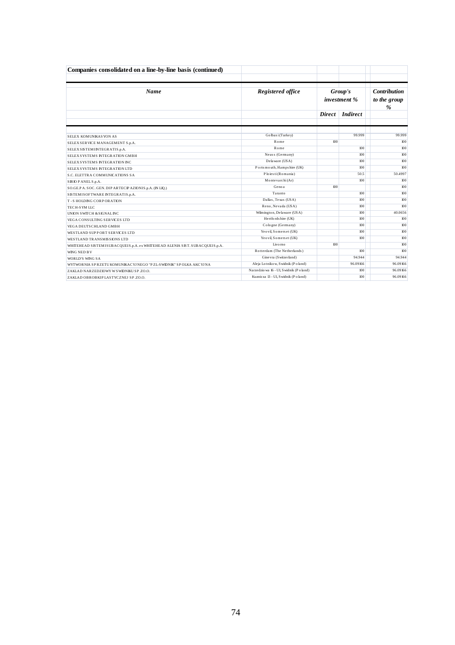| Companies consolidated on a line-by-line basis (continued)                |                                        |               |                         |                                     |  |
|---------------------------------------------------------------------------|----------------------------------------|---------------|-------------------------|-------------------------------------|--|
| <b>Name</b>                                                               | Registered office                      |               | Group's<br>investment % | <b>Contribution</b><br>to the group |  |
|                                                                           |                                        | <b>Direct</b> | <i>Indirect</i>         | %                                   |  |
| <b>SELEX KOMUNIKASYON AS</b>                                              | Golbasi (Turkey)                       |               | 99.999                  | 99.999                              |  |
| SELEX SERVICE MANAGEMENT S.p.A.                                           | Rome                                   | 100           |                         | 100                                 |  |
| SELEX SISTEMINTEGRATIS.p.A.                                               | Rome                                   |               | 100                     | 100                                 |  |
| SELEX SYSTEMS INTEGRATION GMBH                                            | Neuss (Germany)                        |               | 100                     | 100                                 |  |
| SELEX SYSTEMS INTEGRATION INC                                             | Delaware (USA)                         |               | 100                     | 100                                 |  |
| SELEX SYSTEMS INTEGRATION LTD                                             | Ports mouth, Hampshire (UK)            |               | 100                     | 100                                 |  |
| <b>S.C. ELETTRA COMMUNICATIONS SA</b>                                     | Ploiesti (Romania)                     |               | 50.5                    | 50.4997                             |  |
| SIRIO PANELS.p.A.                                                         | Montevarchi (Ar)                       |               | 100                     | 100                                 |  |
| SO.GE.P A. SOC. GEN. DIP ARTECIP AZIONIS.p.A. (IN LIQ.)                   | Genoa                                  | 100           |                         | 100                                 |  |
| SISTEMISOFTWARE INTEGRATIS.p.A.                                           | Taranto                                |               | 100                     | 100                                 |  |
| <b>T-SHOLDING CORPORATION</b>                                             | Dallas, Texas (USA)                    |               | 100                     | 100                                 |  |
| TECH-SYM LLC                                                              | Reno, Nevada (USA)                     |               | 100                     | 100                                 |  |
| UNION SWITCH & SIGNAL INC                                                 | Wilmington, Delaware (USA)             |               | 100                     | 40.0656                             |  |
| VEGA CONSULTING SERVICES LTD                                              | Hertfords hire (UK)                    |               | 100                     | 100                                 |  |
| VEGA DEUTS CHLAND GMBH                                                    | Cologne (Germany)                      |               | 100                     | 100                                 |  |
| WESTLAND SUPPORT SERVICES LTD                                             | Yeo vil, Somers et (UK)                |               | 100                     | 100                                 |  |
| WESTLAND TRANSMISSIONS LTD                                                | Yeo vil. Somers et (UK)                |               | 100                     | 100                                 |  |
| WHITEHEAD SISTEMISUBACQUEIS.p.A.ex WHITEHEAD ALENIA SIST. SUBACQUEIS.p.A. | Livo rno                               | 100           |                         | 100                                 |  |
| WING NED BV                                                               | Rotterdam (The Netherlands)            |               | 100                     | 100                                 |  |
| <b>WORLD'S WING SA</b>                                                    | Gine vra (S witzerland)                |               | 94.944                  | 94.944                              |  |
| WYTWORNIA SP RZETU KOMUNIKACYJ NEGO "P ZL-SWIDNIK" SP OLKA AKCYJ NA       | Aleja Lotnikow, Swidnik (Poland)       |               | 96.09166                | 96.09166                            |  |
| ZAKLAD NARZEDZIOWY W SWIDNIKU SP.ZO.O.                                    | Narzedzio wa 16 - Ul, Swidnik (Poland) |               | 100                     | 96.09166                            |  |
| ZAKLAD OBROBKIP LASTYCZNEJ SP ZO.O.                                       | Kuznicza 13 - Ul, Swidnik (Poland)     |               | 100                     | 96.09166                            |  |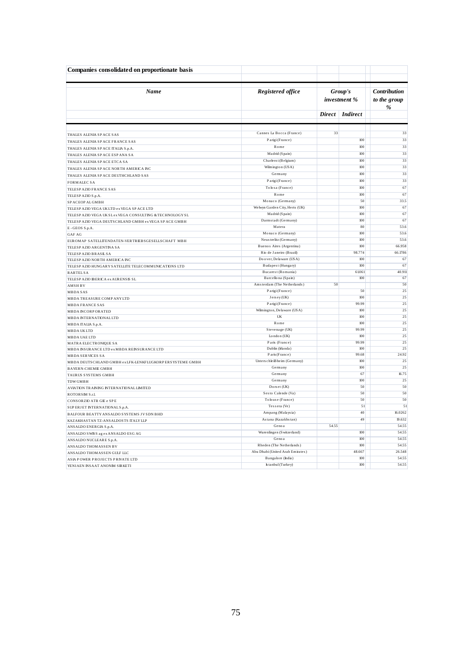| Companies consolidated on proportionate basis              |                                    |               |                         |                                          |
|------------------------------------------------------------|------------------------------------|---------------|-------------------------|------------------------------------------|
| Name                                                       | Registered office                  |               | Group's<br>investment % | <b>Contribution</b><br>to the group<br>% |
|                                                            |                                    | <b>Direct</b> | <b>Indirect</b>         |                                          |
|                                                            |                                    |               |                         |                                          |
| THALES ALENIA SP ACE SAS                                   | Cannes La Bocca (France)           | 33            |                         | 33                                       |
| THALES ALENIA SPACE FRANCE SAS                             | Parigi (France)                    |               | 100                     | 33                                       |
| THALES ALENIA SPACE ITALIA S.p.A.                          | Rome                               |               | 100                     | 33                                       |
| THALES ALENIA SP ACE ESP ANA SA                            | Madrid (Spain)                     |               | 100                     | 33                                       |
| THALES ALENIA SPACE ETCA SA                                | Charleroi (Belgium)                |               | 100                     | 33                                       |
| THALES ALENIA SPACE NORTH AMERICA INC                      | Wilmington (USA)                   |               | 100                     | 33                                       |
| THALES ALENIA SP ACE DEUTHCHLAND SAS                       | Germany                            |               | 100                     | 33                                       |
| <b>FORMALEC SA</b>                                         | Parigi (France)                    |               | 100                     | 33                                       |
| TELESPAZIO FRANCE SAS                                      | To losa (France)                   |               | 100                     | 67                                       |
| TELESPAZIO S.p.A.                                          | Rome                               |               | 100                     | 67                                       |
| SPACEOPALGMBH                                              | Monaco (Germany)                   |               | 50                      | 33.5                                     |
| TELESP AZIO VEGA UKLTD ex VEGA SP ACE LTD                  | Welwyn Garden City, Herts (UK)     |               | 100                     | 67                                       |
| TELESPAZIO VEGA UKSLex VEGA CONSULTING & TECHNOLOGY SL     | Madrid (Spain)                     |               | 100                     | 67                                       |
| TELESP AZIO VEGA DEUTSCHLAND GMBH ex VEGA SP ACE GMBH      | Darmstadt (Germany)                |               | 100                     | 67                                       |
| E-GEOS S.p.A.                                              | Matera                             |               | 80                      | 53.6                                     |
| <b>GAF AG</b>                                              | Monaco (Germany)                   |               | 100                     | 53.6                                     |
| EUROMAP SATELLITENDATEN-VERTRIEBSGESELLSCHAFT MBH          | Neus trelitz (Germany)             |               | 100                     | 53.6                                     |
| TELESPAZIO ARGENTINA SA                                    | Buenos Aires (Argentina)           |               | 100                     | 66.958                                   |
| TELESPAZIO BRASILSA                                        | Rio de Janeiro (Brazil)            |               | 98.774                  | 66.1786                                  |
| TELESPAZIO NORTH AMERICA INC                               | Doover, Delaware (USA)             |               | 100                     | 67                                       |
| TELESP AZIO HUNGARY SATELLITE TELECOMMUNICATIONS LTD       | Budapest (Hungary)                 |               | 100                     | 67                                       |
| <b>RARTELSA</b>                                            | Bucarest (Romania)                 |               | 61.061                  | 40.911                                   |
| TELESPAZIO IBERICA ex AURENSIS SL                          | Barcellona (Spain)                 |               | 100                     | 67                                       |
| <b>AMSHBV</b>                                              | Amsterdam (The Netherlands)        | 50            |                         | 50                                       |
| <b>MBDASAS</b>                                             | Parigi (France)                    |               | 50                      | 25                                       |
| MBDA TREASURE COMP ANY LTD                                 | Jersey (UK)                        |               | 100                     | 25                                       |
| <b>MBDA FRANCE SAS</b>                                     | Parigi (France)                    |               | 99.99                   | 25                                       |
| <b>MBDA INCORPORATED</b>                                   | Wilmington, Delaware (USA)         |               | 100                     | 25                                       |
| <b>MBDA INTERNATIONAL LTD</b>                              | UK                                 |               | 100                     | 25                                       |
| MBDA ITALIA S.p.A.                                         | Rome                               |               | 100                     | 25                                       |
| <b>MBDAUKLTD</b>                                           | Stevenage (UK)                     |               | 99.99                   | 25                                       |
| <b>MBDA UAE LTD</b>                                        | London (UK)                        |               | 100                     | 25                                       |
| MATRA ELECTRONIQUE SA                                      | Paris (France)                     |               | 99.99                   | 25                                       |
| MBDA INSURANCE LTD ex MBDA REINSURANCE LTD                 | Dublin (Irlanda)<br>Paris (France) |               | 100<br>99.68            | 25<br>24.92                              |
| <b>MBDA SERVICES SA</b>                                    | Unters chleiBheim (Germany)        |               | 100                     | 25                                       |
| MBDA DEUTS CHLAND GMBH ex LFK-LENKFLUGKORP ERS YSTEME GMBH | Germany                            |               | 100                     | 25                                       |
| <b>BAYERN-CHEMIE GMBH</b>                                  | Germany                            |               | 67                      | 16.75                                    |
| TAURUS SYSTEMS GMBH                                        | Germany                            |               | 100                     | 25                                       |
| <b>TDWGMBH</b>                                             | Dorset (UK)                        |               | 50                      | 50                                       |
| AVIATION TRAINING INTERNATIONAL LIMITED                    | Sesto Calende (Va)                 |               | 50                      | 50                                       |
| ROTORSM S.r.l.                                             | To louse (France)                  |               | 50                      | 50                                       |
| CONSORZIO ATR GIE e SPE                                    | Tessera (Ve)                       |               | 51                      |                                          |
| SUP ERJET INTERNATIONAL S.p.A.                             | Ampang (Malaysia)                  |               | 40                      | 16.0262                                  |
| BALFOUR BEATTY ANSALDO SYSTEMS JV SDN BHD                  | Astana (Kazakhstan)                |               | 49                      | 19.632                                   |
| KAZAKHASTAN TZ-ANS ALDOSTS ITALY LLP                       | Genoa                              | 54.55         |                         | 54.55                                    |
| ANS ALDO ENERGIA S.p.A.                                    | Wurenlingen (S witzerland)         |               | 100                     | 54.55                                    |
| ANSALDO SWISS ag ex ANSALDO ESG AG                         | Genoa                              |               | 100                     | 54.55                                    |
| ANSALDO NUCLEARE S.p.A.                                    | Rheden (The Netherlands)           |               | 100                     | 54.55                                    |
| ANSALDO THOMASSEN BV                                       | Abu Dhabi (United Arab Emirates)   |               | 48.667                  | 26.548                                   |
| ANSALDO THOMASSEN GULF LLC                                 | Bangalore (India)                  |               | 100                     | 54.55                                    |
| ASIA POWER PROJECTS PRIVATE LTD                            | Is tanbul (Turkey)                 |               | $100\,$                 | 54.55                                    |
| YENIAEN INSAAT ANONIM SIRKETI                              |                                    |               |                         |                                          |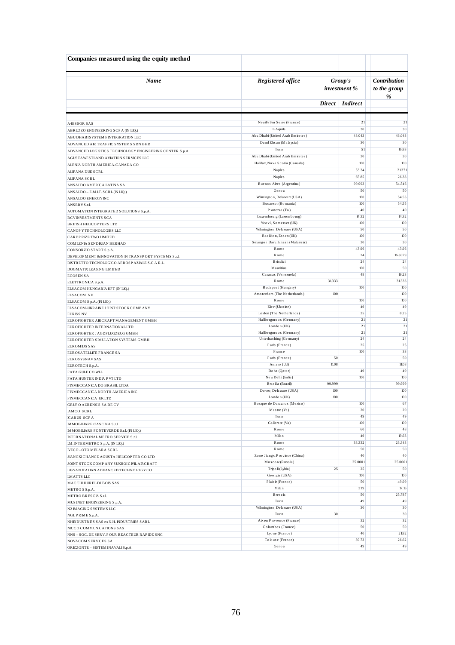| Companies measured using the equity method                                        |                                                       |            |                         |                                   |  |
|-----------------------------------------------------------------------------------|-------------------------------------------------------|------------|-------------------------|-----------------------------------|--|
| Name                                                                              | Registered office                                     |            | Group's<br>investment % | Contribution<br>to the group<br>% |  |
|                                                                                   |                                                       |            | Direct   Indirect       |                                   |  |
|                                                                                   |                                                       |            |                         |                                   |  |
| <b>A4ESSOR SAS</b>                                                                | Neuilly Sur Seine (France)                            |            | 21                      | 21                                |  |
| ABRUZZO ENGINEERING SCP A (IN LIQ.)                                               | L'Aquila                                              |            | 30                      | 30                                |  |
| ABUDHABISYSTEMS INTEGRATION LLC                                                   | Abu Dhabi (United Arab Emirates)                      |            | 43.043                  | 43.043                            |  |
| ADVANCED AIR TRAFFIC SYSTEMS SDN BHD                                              | Darul Ehs an (Malaysia)                               |            | 30                      | 30                                |  |
| ADVANCED LOGISTICS TECHNOLOGY ENGINEERING CENTER S.p.A.                           | Turin<br>Abu Dhabi (United Arab Emirates)             |            | 51<br>30                | 16.83<br>30                       |  |
| AGUSTAWESTLAND AVIATION SERVICES LLC                                              | Halifax, Nova Scotia (Canada)                         |            | 100                     | 100                               |  |
| ALENIA NORTH AMERICA-CANADA CO                                                    | <b>Naples</b>                                         |            | 53.34                   | 21371                             |  |
| ALIFANA DUE SCRL<br>ALIFANA SCRL                                                  | <b>Naples</b>                                         |            | 65.85                   | 26.38                             |  |
| ANSALDO AMERICA LATINA SA                                                         | Buenos Aires (Argentina)                              |            | 99.993                  | 54.546                            |  |
| ANSALDO - E.M.IT. SCRL (IN LIQ.)                                                  | Geno a                                                |            | 50                      | 50                                |  |
| ANSALDO ENERGY INC                                                                | Wilmington, Delaware (USA)                            |            | 100                     | 54.55                             |  |
| ANSERVS.r.l.                                                                      | Bucarest (Romania)                                    |            | 100                     | 54.55                             |  |
| AUTOMATION INTEGRATED SOLUTIONS S.p.A.                                            | Pianezza (To)                                         |            | 40                      | 40                                |  |
| <b>BCVINVESTMENTS SCA</b>                                                         | Luxe mbo urg (Luxe mbo urg)                           |            | 14.32                   | 14.32                             |  |
| <b>BRITISH HELICOPTERS LTD</b>                                                    | Yeo vil, Somers et (UK)<br>Wilmington, Delaware (USA) |            | 100                     | 100                               |  |
| CANOP Y TECHNOLOGIES LLC                                                          | Basildon, Essex (UK)                                  |            | 50<br>100               | 50<br>$100$                       |  |
| CARDP RIZE TWO LIMITED<br>COMLENIA SENDIRIAN BERHAD                               | Selangor Darul Ehs an (Malaysia)                      |            | 30                      | 30                                |  |
| CONSORZIO START S.p.A.                                                            | Rome                                                  |            | 43.96                   | 43.96                             |  |
| DEVELOP MENT & INNOVATION IN TRANSP ORT SYSTEMS S.r.l.                            | Rome                                                  |            | 24                      | 16.8079                           |  |
| DISTRETTO TECNOLOGICO AEROSPAZIALE S.C.A R.L.                                     | Brindis i                                             |            | 24                      | 24                                |  |
| DOGMATIX LEASING LIMITED                                                          | Mauritius                                             |            | 100                     | 50                                |  |
| <b>ECOSENSA</b>                                                                   | Caracas (Venezuela)                                   |            | 48                      | 19.23                             |  |
| ELETTRONICA S.p.A.                                                                | Rome<br>Budapest (Hungary)                            | 31333      | 100                     | 31333<br>100                      |  |
| ELSACOM HUNGARIA KFT (IN LIQ.)<br><b>ELSACOM NV</b>                               | Amsterdam (The Netherlands)                           | 100        |                         | 100                               |  |
| ELSACOM S.p.A. (IN LIQ.)                                                          | Rome                                                  |            | 100                     | 100                               |  |
| ELSACOM-UKRAINE JOINT STOCKCOMPANY                                                | Kie v (Ukraine)                                       |            | 49                      | 49                                |  |
| <b>EURISS NV</b>                                                                  | Leiden (The Netherlands)                              |            | 25                      | 8.25                              |  |
| EUROFIGHTER AIRCRAFT MANAGEMENT GMBH                                              | Hallbergmoos (Germany)                                |            | 21                      | $\overline{21}$                   |  |
| EUROFIGHTER INTERNATIONALLTD                                                      | London (UK)                                           |            | 21                      | 21                                |  |
| EUROFIGHTER JAGDFLUGZEUG GMBH                                                     | Hallbergmoos (Germany)<br>Unterhaching (Germany)      |            | 21<br>24                | 21<br>24                          |  |
| EUROFIGHTER SIMULATION SYSTEMS GMBH                                               | Paris (France)                                        |            | 25                      | 25                                |  |
| <b>EUROMIDS SAS</b><br>EUROS ATELLITE FRANCE SA                                   | France                                                |            | 100                     | 33                                |  |
| <b>EUROSYSNAVSAS</b>                                                              | Paris (France)                                        | 50         |                         | 50                                |  |
| EUROTECH S.p.A.                                                                   | Amaro (Ud)                                            | 11.08      |                         | 11.08                             |  |
| FATA GULF CO WLL                                                                  | Doha (Qatar)                                          |            | 49                      | 49                                |  |
| FATA HUNTER INDIA P VT LTD                                                        | New Dehli (India)                                     |            | 100                     | 100                               |  |
| FINMECCANICA DO BRASILLTDA                                                        | Brasilia (Brazil)<br>Do ver, Delaware (USA)           | 99.999     |                         | 99.999                            |  |
| FINMECCANICA NORTH AMERICA INC                                                    | London (UK)                                           | 100<br>100 |                         | 100<br>100                        |  |
| FINMECCANICA UKLTD<br><b>GRUP O AURENSIS SADE CV</b>                              | Bosque de Duraznos (Mexico)                           |            | 100                     | 67                                |  |
| <b>IAMCO SCRL</b>                                                                 | Mestre (Ve)                                           |            | 20                      | 20                                |  |
| <b>ICARUS SCPA</b>                                                                | Turin                                                 |            | 49                      | 49                                |  |
| <b>IMMOBILIARE CASCINA S.r.l.</b>                                                 | Gallarate (Va)                                        |            | 100                     | 100                               |  |
| <b>IMMOBILIARE FONTEVERDE S.r.l. (IN LIQ.)</b>                                    | Rome                                                  |            | 60                      | 48                                |  |
| <b>INTERNATIONAL METRO SERVICE S.r.l.</b>                                         | Milan                                                 |            | 49                      | 19.63                             |  |
| IM. INTERMETRO S.p.A. (IN LIQ.)                                                   | Rome                                                  |            | 33.332                  | 23.343                            |  |
| IVECO - OTO MELARA SCRL                                                           | Rome<br>Zone Jiangxi Province (China)                 |            | 50<br>40                | 50<br>40                          |  |
| JIANGXICHANGE AGUSTA HELICOPTER CO LTD                                            | Moscow(Russia)                                        |            | 25.0001                 | 25.0001                           |  |
| JOINT STOCK COMP ANY SUKHOICIVL AIRCRAFT<br>LIBYAN ITALIAN ADVANCED TECHNOLOGY CO | Tripo li (Lybia)                                      | 25         | 25                      | 50                                |  |
| <b>LMATTS LLC</b>                                                                 | Georgia (USA)                                         |            | 100                     | 100                               |  |
| MACCHIHURELDUBOIS SAS                                                             | Plais ir (France)                                     |            | 50                      | 49.99                             |  |
| METRO 5 S.p.A.                                                                    | Milan                                                 |            | 319                     | 17.16                             |  |
| METRO BRESCIA S.r.l.                                                              | Brescia                                               |            | 50                      | 25.787                            |  |
| MUSINET ENGINEERING S.p.A.                                                        | Turin                                                 |            | 49                      | 49                                |  |
| N2 IMAGING SYSTEMS LLC                                                            | Wilmington, Delaware (USA)                            |            | 30                      | 30                                |  |
| NGLPRIME S.p.A.                                                                   | Turin                                                 | 30         |                         | 30                                |  |
| NHINDUSTRIES SAS ex N.H. INDUSTRIES SARL                                          | Aixen Provence (France)<br>Colombes (France)          |            | 32<br>50                | 32<br>50                          |  |
| NICCO COMMUNICATIONS SAS<br>NNS - SOC. DE SERV. POUR REACTEUR RAPIDE SNC          | Lyone (France)                                        |            | 40                      | 21.82                             |  |
| NOVACOM SERVICES SA                                                               | To louse (France)                                     |            | 39.73                   | 26.62                             |  |
| ORIZZONTE - SISTEMINAVALIS.p.A.                                                   | Geno a                                                |            | 49                      | 49                                |  |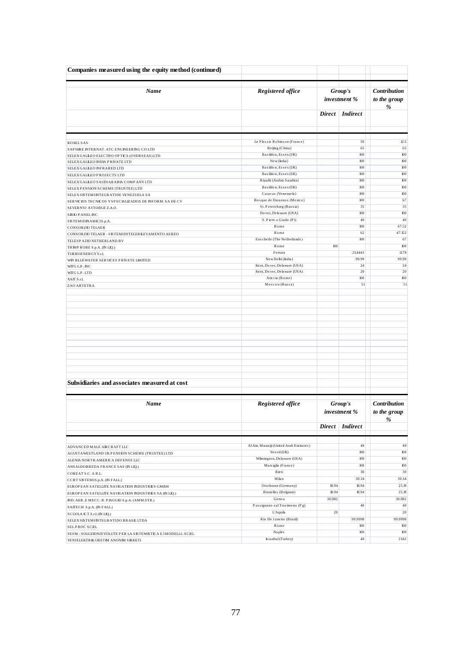| Companies measured using the equity method (continued)                        |                                                 |        |                         |                                   |
|-------------------------------------------------------------------------------|-------------------------------------------------|--------|-------------------------|-----------------------------------|
| Name                                                                          | Registered office                               |        | Group's<br>investment % | Contribution<br>to the group<br>% |
|                                                                               |                                                 |        | Direct   Indirect       |                                   |
|                                                                               |                                                 |        |                         |                                   |
| <b>ROXELSAS</b>                                                               | Le Plessis Robinson (France)<br>Beijing (China) |        | 50<br>65                | 12.5<br>65                        |
| SAPHIRE INTERNAT, ATC ENGINEERING COLTD                                       | Basildon, Essex (UK)                            |        | 100                     | 100                               |
| SELEX GALLEO ELECTRO OP TICS (OVERSEAS) LTD<br>SELEX GALLEO INDIA PRIVATE LTD | New (India)                                     |        | 100                     | 100                               |
| SELEX GALLEO INFRARED LTD                                                     | Basildon, Essex (UK)                            |        | 100                     | $100$                             |
| SELEX GALLEO PROJECTS LTD                                                     | Basildon, Essex (UK)                            |        | 100                     | 100                               |
| SELEX GALLEO SAUDIARABIA COMPANY LTD                                          | Riyadh (Arabia Saudita)                         |        | 100                     | 100                               |
| SELEXPENSION SCHEME (TRUSTEE) LTD                                             | Basildon, Essex (UK)                            |        | 100                     | 100                               |
| SELEX SISTEMINTEGRATIDE VENEZUELA SA                                          | Caracas (Venezuela)                             |        | 100                     | 100                               |
| SERVICIOS TECNICOS Y SPECIALIZADOS DE INFORM. SA DE CV                        | Bosque de Duraznos (Mexico)                     |        | 100                     | 67                                |
| SEVERNYJ AVTOBUZ Z.A.O.                                                       | St. Peters burg (Rus sia)                       |        | 35                      | 35                                |
| <b>SRIOPANELINC</b>                                                           | Do ver, Delaware (USA)                          |        | 100                     | 100                               |
| SISTEMIDINAMICIS.p.A.                                                         | S. Piero a Grado (Pi)                           |        | 40                      | 40                                |
| <b>CONSORZIO TELAER</b>                                                       | Rome<br>Rome                                    |        | 100<br>62               | 67.52<br>47.152                   |
| CONSORZIO TELAER - SISTEMIDITELER LEVAMENTO AEREO                             | Enschede (The Netherlands)                      |        | 100                     | 67                                |
| TELESP AZIO NETHER LAND BV<br>TRIMPROBE S.p.A. (IN LIQ.)                      | Rome                                            | 100    |                         | 100                               |
| TURBOENERGYS.r.L                                                              | Ferrara                                         |        | 21,4443                 | 11.79                             |
| WIN BLUEWATER SERVICES PRIVATE LIMITED                                        | New Delhi (India)                               |        | 99.99                   | 99.99                             |
| WITG L.P. INC                                                                 | Kent, Dover, Delaware (USA)                     |        | 24                      | 24                                |
| WITG LP.LTD                                                                   | Kent, Dover, Delaware (USA)                     |        | 20                      | 20                                |
| XAIT S.r.l.                                                                   | Ariccia (Rome)                                  |        | 100                     | 100                               |
| ZAO ARTETRA                                                                   | Moscow(Russa)                                   |        | 51                      | 51                                |
|                                                                               |                                                 |        |                         |                                   |
| Subsidiaries and associates measured at cost<br>Name                          | Registered office                               |        | Group's                 | <b>Contribution</b>               |
|                                                                               |                                                 |        | investment %            | to the group<br>$\%$              |
|                                                                               |                                                 |        | Direct   Indirect       |                                   |
|                                                                               |                                                 |        |                         |                                   |
| ADVANCED MALE AIRCRAFT LLC                                                    | Al Ain, Muwaiji (United Arab Emirates)          |        | 49                      | 49                                |
| AGUSTAWESTLAND UKP ENSION SCHEME (TRUSTEE) LTD                                | Yeo vil (UK)                                    |        | 100                     | 100                               |
| ALENIA NORTH AMERICA DEFENSE LLC                                              | Wilmington, Delaware (USA)                      |        | 100                     | 100                               |
| ANSALDOBREDA FRANCE SAS (IN LIQ.)                                             | Mars iglia (France)<br>Rieti                    |        | 100<br>30               | 100<br>30                         |
| COREAT S.C. A R.L.                                                            | Milan                                           |        | 30.34                   | 30.34                             |
| CCRT SISTEMIS.p.A. (IN FALL.)                                                 | Ottobrunn (Germany)                             | 18.94  | 18.94                   | 25.19                             |
| EUROP EAN SATELLITE NAVIGATION INDUSTRIES GMBH                                | Bruxelles (Belgium)                             | 18.94  | 18.94                   | 25.19                             |
| EUROPEAN SATELLITE NAVIGATION INDUSTRIES SA (IN LIQ.)                         | Geno a                                          | 30.982 |                         | 30.982                            |
| ND. AER. E MECC. R. PIAGGIO S.p.A. (AMM.STR.)                                 | Passignano sul Trasimeno (Pg)                   |        | 40                      | 40                                |
| SAITECH S.p.A. (IN FALL.)                                                     | <b>L'Aquila</b>                                 | 20     |                         | $20\,$                            |
| SCUOLA ICT S.r.l. (IN LIQ.)<br>SELEXSISTEMINTEGRATIDO BRASIL LTDA             | Rio De Janeiro (Brazil)                         |        | 99.9998                 | 99.9998                           |
| <b>SELPROC SCRL</b>                                                           | Rome                                            |        | 100                     | 100                               |
| SESM - SOLUZIONI EVOLUTE PER LA SISTEMISTICA E IMODELLI - SCRL                | <b>Naples</b>                                   |        | 100                     | 100                               |
| YENIELEKTRIK URETIM ANONIM SIRKETI                                            | Is tanbul (Turkey)                              |        | 40                      | 2182                              |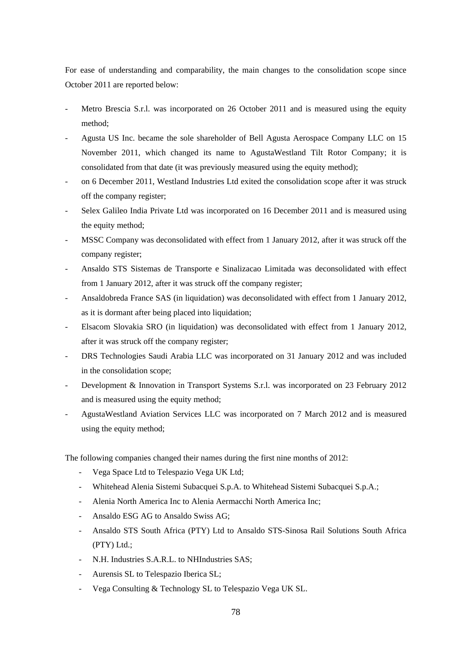For ease of understanding and comparability, the main changes to the consolidation scope since October 2011 are reported below:

- Metro Brescia S.r.l. was incorporated on 26 October 2011 and is measured using the equity method;
- Agusta US Inc. became the sole shareholder of Bell Agusta Aerospace Company LLC on 15 November 2011, which changed its name to AgustaWestland Tilt Rotor Company; it is consolidated from that date (it was previously measured using the equity method);
- on 6 December 2011, Westland Industries Ltd exited the consolidation scope after it was struck off the company register;
- Selex Galileo India Private Ltd was incorporated on 16 December 2011 and is measured using the equity method;
- MSSC Company was deconsolidated with effect from 1 January 2012, after it was struck off the company register;
- Ansaldo STS Sistemas de Transporte e Sinalizacao Limitada was deconsolidated with effect from 1 January 2012, after it was struck off the company register;
- Ansaldobreda France SAS (in liquidation) was deconsolidated with effect from 1 January 2012, as it is dormant after being placed into liquidation;
- Elsacom Slovakia SRO (in liquidation) was deconsolidated with effect from 1 January 2012, after it was struck off the company register;
- DRS Technologies Saudi Arabia LLC was incorporated on 31 January 2012 and was included in the consolidation scope;
- Development & Innovation in Transport Systems S.r.l. was incorporated on 23 February 2012 and is measured using the equity method;
- AgustaWestland Aviation Services LLC was incorporated on 7 March 2012 and is measured using the equity method;

The following companies changed their names during the first nine months of 2012:

- Vega Space Ltd to Telespazio Vega UK Ltd;
- Whitehead Alenia Sistemi Subacquei S.p.A. to Whitehead Sistemi Subacquei S.p.A.;
- Alenia North America Inc to Alenia Aermacchi North America Inc;
- Ansaldo ESG AG to Ansaldo Swiss AG;
- Ansaldo STS South Africa (PTY) Ltd to Ansaldo STS-Sinosa Rail Solutions South Africa (PTY) Ltd.;
- N.H. Industries S.A.R.L. to NHIndustries SAS;
- Aurensis SL to Telespazio Iberica SL;
- Vega Consulting & Technology SL to Telespazio Vega UK SL.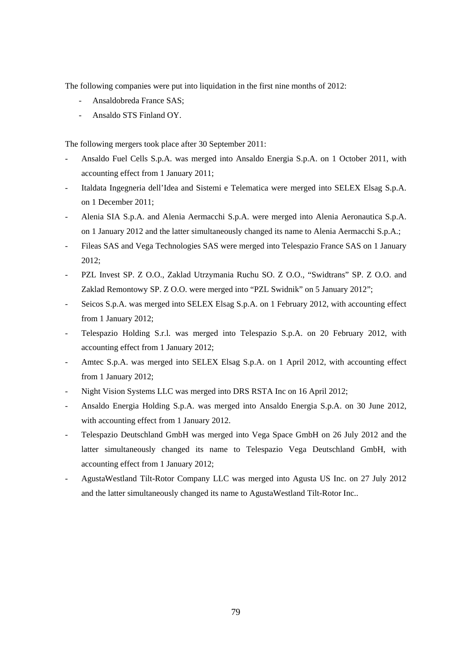The following companies were put into liquidation in the first nine months of 2012:

- Ansaldobreda France SAS;
- Ansaldo STS Finland OY.

The following mergers took place after 30 September 2011:

- Ansaldo Fuel Cells S.p.A. was merged into Ansaldo Energia S.p.A. on 1 October 2011, with accounting effect from 1 January 2011;
- Italdata Ingegneria dell'Idea and Sistemi e Telematica were merged into SELEX Elsag S.p.A. on 1 December 2011;
- Alenia SIA S.p.A. and Alenia Aermacchi S.p.A. were merged into Alenia Aeronautica S.p.A. on 1 January 2012 and the latter simultaneously changed its name to Alenia Aermacchi S.p.A.;
- Fileas SAS and Vega Technologies SAS were merged into Telespazio France SAS on 1 January 2012;
- PZL Invest SP. Z O.O., Zaklad Utrzymania Ruchu SO. Z O.O., "Swidtrans" SP. Z O.O. and Zaklad Remontowy SP. Z O.O. were merged into "PZL Swidnik" on 5 January 2012";
- Seicos S.p.A. was merged into SELEX Elsag S.p.A. on 1 February 2012, with accounting effect from 1 January 2012;
- Telespazio Holding S.r.l. was merged into Telespazio S.p.A. on 20 February 2012, with accounting effect from 1 January 2012;
- Amtec S.p.A. was merged into SELEX Elsag S.p.A. on 1 April 2012, with accounting effect from 1 January 2012;
- Night Vision Systems LLC was merged into DRS RSTA Inc on 16 April 2012;
- Ansaldo Energia Holding S.p.A. was merged into Ansaldo Energia S.p.A. on 30 June 2012, with accounting effect from 1 January 2012.
- Telespazio Deutschland GmbH was merged into Vega Space GmbH on 26 July 2012 and the latter simultaneously changed its name to Telespazio Vega Deutschland GmbH, with accounting effect from 1 January 2012;
- AgustaWestland Tilt-Rotor Company LLC was merged into Agusta US Inc. on 27 July 2012 and the latter simultaneously changed its name to AgustaWestland Tilt-Rotor Inc..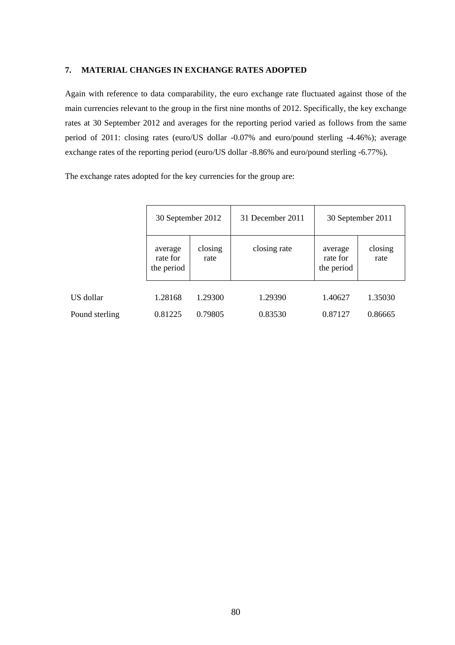## **7. MATERIAL CHANGES IN EXCHANGE RATES ADOPTED**

Again with reference to data comparability, the euro exchange rate fluctuated against those of the main currencies relevant to the group in the first nine months of 2012. Specifically, the key exchange rates at 30 September 2012 and averages for the reporting period varied as follows from the same period of 2011: closing rates (euro/US dollar -0.07% and euro/pound sterling -4.46%); average exchange rates of the reporting period (euro/US dollar -8.86% and euro/pound sterling -6.77%).

The exchange rates adopted for the key currencies for the group are:

|                | 30 September 2012                 |                 | 31 December 2011 | 30 September 2011                 |                 |  |
|----------------|-----------------------------------|-----------------|------------------|-----------------------------------|-----------------|--|
|                | average<br>rate for<br>the period | closing<br>rate | closing rate     | average<br>rate for<br>the period | closing<br>rate |  |
| US dollar      | 1.28168                           | 1.29300         | 1.29390          | 1.40627                           | 1.35030         |  |
| Pound sterling | 0.81225                           | 0.79805         | 0.83530          | 0.87127                           | 0.86665         |  |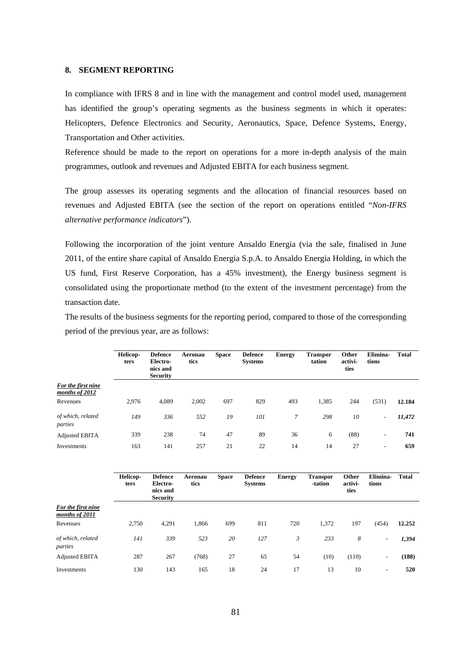#### **8. SEGMENT REPORTING**

In compliance with IFRS 8 and in line with the management and control model used, management has identified the group's operating segments as the business segments in which it operates: Helicopters, Defence Electronics and Security, Aeronautics, Space, Defence Systems, Energy, Transportation and Other activities.

Reference should be made to the report on operations for a more in-depth analysis of the main programmes, outlook and revenues and Adjusted EBITA for each business segment.

The group assesses its operating segments and the allocation of financial resources based on revenues and Adjusted EBITA (see the section of the report on operations entitled "*Non-IFRS alternative performance indicators*").

Following the incorporation of the joint venture Ansaldo Energia (via the sale, finalised in June 2011, of the entire share capital of Ansaldo Energia S.p.A. to Ansaldo Energia Holding, in which the US fund, First Reserve Corporation, has a 45% investment), the Energy business segment is consolidated using the proportionate method (to the extent of the investment percentage) from the transaction date.

The results of the business segments for the reporting period, compared to those of the corresponding period of the previous year, are as follows:

|                                      | <b>Helicop-</b><br>ters | <b>Defence</b><br>Electro-<br>nics and<br><b>Security</b> | Aeronau<br>tics | <b>Space</b> | <b>Defence</b><br><b>Systems</b> | <b>Energy</b> | <b>Transpor</b><br>tation | Other<br>activi-<br>ties | Elimina-<br>tions        | <b>Total</b> |
|--------------------------------------|-------------------------|-----------------------------------------------------------|-----------------|--------------|----------------------------------|---------------|---------------------------|--------------------------|--------------------------|--------------|
| For the first nine<br>months of 2012 |                         |                                                           |                 |              |                                  |               |                           |                          |                          |              |
| Revenues                             | 2.976                   | 4.089                                                     | 2,002           | 697          | 829                              | 493           | 1,385                     | 244                      | (531)                    | 12.184       |
| of which, related<br>parties         | 149                     | 336                                                       | 552             | 19           | 101                              | 7             | 298                       | 10                       | $\overline{\phantom{a}}$ | 11,472       |
| <b>Adjusted EBITA</b>                | 339                     | 238                                                       | 74              | 47           | 89                               | 36            | 6                         | (88)                     | ۰.                       | 741          |
| Investments                          | 163                     | 141                                                       | 257             | 21           | 22                               | 14            | 14                        | 27                       | $\overline{\phantom{a}}$ | 659          |
|                                      |                         |                                                           |                 |              |                                  |               |                           |                          |                          |              |

|                                      | <b>Helicop-</b><br>ters | <b>Defence</b><br>Electro-<br>nics and<br><b>Security</b> | Aeronau<br>tics | <b>Space</b> | <b>Defence</b><br><b>Systems</b> | <b>Energy</b> | <b>Transpor</b><br>-tation | Other<br>activi-<br>ties | Elimina-<br>tions | <b>Total</b> |
|--------------------------------------|-------------------------|-----------------------------------------------------------|-----------------|--------------|----------------------------------|---------------|----------------------------|--------------------------|-------------------|--------------|
| For the first nine<br>months of 2011 |                         |                                                           |                 |              |                                  |               |                            |                          |                   |              |
| Revenues                             | 2,750                   | 4,291                                                     | 1,866           | 699          | 811                              | 720           | 1,372                      | 197                      | (454)             | 12.252       |
| of which, related<br>parties         | 141                     | 339                                                       | 523             | 20           | 127                              | 3             | 233                        | 8                        | $\sim$            | 1,394        |
| <b>Adjusted EBITA</b>                | 287                     | 267                                                       | (768)           | 27           | 65                               | 54            | (10)                       | (110)                    | ۰.                | (188)        |
| Investments                          | 130                     | 143                                                       | 165             | 18           | 24                               | 17            | 13                         | 10                       | ۰                 | 520          |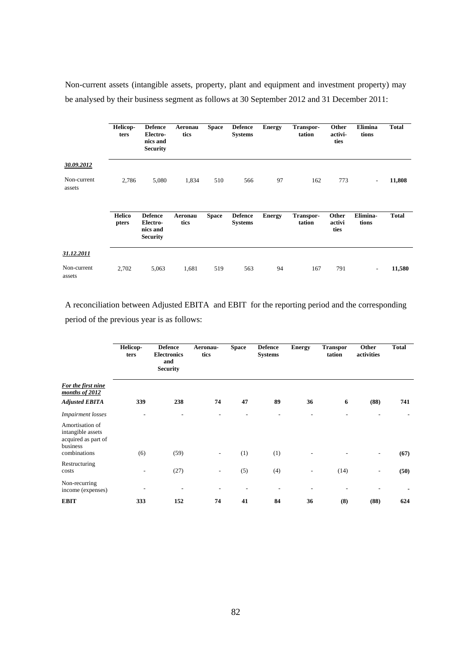Non-current assets (intangible assets, property, plant and equipment and investment property) may be analysed by their business segment as follows at 30 September 2012 and 31 December 2011:

|                       | Helicop-<br>ters       | <b>Defence</b><br>Electro-<br>nics and<br><b>Security</b> | Aeronau<br>tics | <b>Space</b> | <b>Defence</b><br><b>Systems</b> | <b>Energy</b> | Transpor-<br>tation        | Other<br>activi-<br>ties | Elimina<br>tions         | <b>Total</b> |
|-----------------------|------------------------|-----------------------------------------------------------|-----------------|--------------|----------------------------------|---------------|----------------------------|--------------------------|--------------------------|--------------|
| 30.09.2012            |                        |                                                           |                 |              |                                  |               |                            |                          |                          |              |
| Non-current<br>assets | 2,786                  | 5,080                                                     | 1,834           | 510          | 566                              | 97            | 162                        | 773                      | $\overline{\phantom{a}}$ | 11,808       |
|                       | <b>Helico</b><br>pters | <b>Defence</b><br>Electro-<br>nics and<br><b>Security</b> | Aeronau<br>tics | <b>Space</b> | <b>Defence</b><br><b>Systems</b> | <b>Energy</b> | <b>Transpor-</b><br>tation | Other<br>activi<br>ties  | Elimina-<br>tions        | <b>Total</b> |
| 31.12.2011            |                        |                                                           |                 |              |                                  |               |                            |                          |                          |              |
| Non-current<br>assets | 2,702                  | 5,063                                                     | 1,681           | 519          | 563                              | 94            | 167                        | 791                      | $\overline{a}$           | 11,580       |

A reconciliation between Adjusted EBITA and EBIT for the reporting period and the corresponding period of the previous year is as follows:

|                                                                                         | Helicop-<br>ters         | <b>Defence</b><br><b>Electronics</b><br>and<br><b>Security</b> | Aeronau-<br>tics         | <b>Space</b> | <b>Defence</b><br><b>Systems</b> | <b>Energy</b> | <b>Transpor</b><br>tation | Other<br>activities | <b>Total</b> |
|-----------------------------------------------------------------------------------------|--------------------------|----------------------------------------------------------------|--------------------------|--------------|----------------------------------|---------------|---------------------------|---------------------|--------------|
| For the first nine<br>months of 2012<br><b>Adjusted EBITA</b>                           | 339                      | 238                                                            | 74                       | 47           | 89                               | 36            | 6                         | (88)                | 741          |
| <b>Impairment</b> losses                                                                | $\overline{\phantom{a}}$ |                                                                |                          |              | ٠                                |               |                           |                     |              |
| Amortisation of<br>intangible assets<br>acquired as part of<br>business<br>combinations | (6)                      | (59)                                                           | -                        | (1)          | (1)                              |               |                           | $\qquad \qquad$     | (67)         |
| Restructuring                                                                           |                          |                                                                |                          |              |                                  |               |                           |                     |              |
| costs                                                                                   |                          | (27)                                                           | $\overline{\phantom{a}}$ | (5)          | (4)                              |               | (14)                      | $\qquad \qquad$     | (50)         |
| Non-recurring<br>income (expenses)                                                      |                          |                                                                |                          |              |                                  |               |                           |                     |              |
| <b>EBIT</b>                                                                             | 333                      | 152                                                            | 74                       | 41           | 84                               | 36            | (8)                       | (88)                | 624          |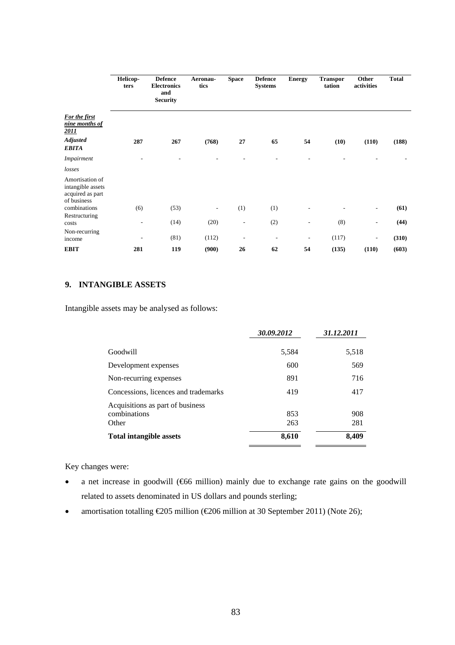|                                                                         | Helicop-<br>ters         | <b>Defence</b><br><b>Electronics</b><br>and<br><b>Security</b> | Aeronau-<br>tics | <b>Space</b>             | <b>Defence</b><br><b>Systems</b> | <b>Energy</b>            | <b>Transpor</b><br>tation | Other<br>activities      | <b>Total</b> |
|-------------------------------------------------------------------------|--------------------------|----------------------------------------------------------------|------------------|--------------------------|----------------------------------|--------------------------|---------------------------|--------------------------|--------------|
| For the first<br>nine months of<br>2011                                 |                          |                                                                |                  |                          |                                  |                          |                           |                          |              |
| <b>Adjusted</b><br><b>EBITA</b>                                         | 287                      | 267                                                            | (768)            | 27                       | 65                               | 54                       | (10)                      | (110)                    | (188)        |
| <i>Impairment</i>                                                       |                          |                                                                |                  |                          |                                  |                          |                           |                          |              |
| losses                                                                  |                          |                                                                |                  |                          |                                  |                          |                           |                          |              |
| Amortisation of<br>intangible assets<br>acquired as part<br>of business |                          |                                                                |                  |                          |                                  |                          |                           |                          |              |
| combinations                                                            | (6)                      | (53)                                                           | ۰                | (1)                      | (1)                              |                          |                           | $\overline{\phantom{a}}$ | (61)         |
| Restructuring<br>costs                                                  | $\overline{\phantom{a}}$ | (14)                                                           | (20)             | $\overline{\phantom{a}}$ | (2)                              | $\overline{\phantom{a}}$ | (8)                       | $\overline{\phantom{a}}$ | (44)         |
| Non-recurring<br>income                                                 | ٠                        | (81)                                                           | (112)            | $\overline{a}$           | $\overline{\phantom{a}}$         | $\overline{\phantom{a}}$ | (117)                     | $\overline{\phantom{a}}$ | (310)        |
| <b>EBIT</b>                                                             | 281                      | 119                                                            | (900)            | 26                       | 62                               | 54                       | (135)                     | (110)                    | (603)        |

# **9. INTANGIBLE ASSETS**

Intangible assets may be analysed as follows:

|                                                           | 30.09.2012 | 31.12.2011 |
|-----------------------------------------------------------|------------|------------|
| Goodwill                                                  | 5,584      | 5,518      |
| Development expenses                                      | 600        | 569        |
| Non-recurring expenses                                    | 891        | 716        |
| Concessions, licences and trademarks                      | 419        | 417        |
| Acquisitions as part of business<br>combinations<br>Other | 853<br>263 | 908<br>281 |
| <b>Total intangible assets</b>                            | 8,610      | 8,409      |

Key changes were:

- a net increase in goodwill (€66 million) mainly due to exchange rate gains on the goodwill related to assets denominated in US dollars and pounds sterling;
- amortisation totalling  $\text{\textsterling}205$  million ( $\text{\textsterling}206$  million at 30 September 2011) (Note 26);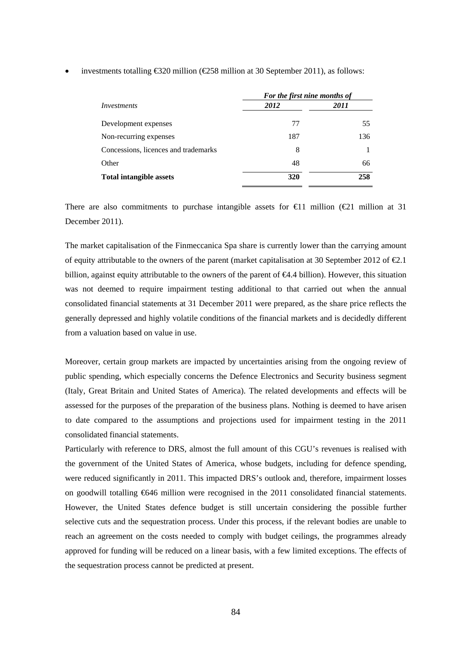|                                      | For the first nine months of |      |  |  |
|--------------------------------------|------------------------------|------|--|--|
| Investments                          | 2012                         | 2011 |  |  |
| Development expenses                 | 77                           | 55   |  |  |
| Non-recurring expenses               | 187                          | 136  |  |  |
| Concessions, licences and trademarks | 8                            |      |  |  |
| Other                                | 48                           | 66   |  |  |
| <b>Total intangible assets</b>       | 320                          | 258  |  |  |

#### investments totalling €320 million (€258 million at 30 September 2011), as follows:

There are also commitments to purchase intangible assets for  $\bigoplus$  1 million ( $\bigoplus$  1 million at 31 December 2011).

The market capitalisation of the Finmeccanica Spa share is currently lower than the carrying amount of equity attributable to the owners of the parent (market capitalisation at 30 September 2012 of  $\epsilon 2.1$ ) billion, against equity attributable to the owners of the parent of  $\epsilon 4.4$  billion). However, this situation was not deemed to require impairment testing additional to that carried out when the annual consolidated financial statements at 31 December 2011 were prepared, as the share price reflects the generally depressed and highly volatile conditions of the financial markets and is decidedly different from a valuation based on value in use.

Moreover, certain group markets are impacted by uncertainties arising from the ongoing review of public spending, which especially concerns the Defence Electronics and Security business segment (Italy, Great Britain and United States of America). The related developments and effects will be assessed for the purposes of the preparation of the business plans. Nothing is deemed to have arisen to date compared to the assumptions and projections used for impairment testing in the 2011 consolidated financial statements.

Particularly with reference to DRS, almost the full amount of this CGU's revenues is realised with the government of the United States of America, whose budgets, including for defence spending, were reduced significantly in 2011. This impacted DRS's outlook and, therefore, impairment losses on goodwill totalling €646 million were recognised in the 2011 consolidated financial statements. However, the United States defence budget is still uncertain considering the possible further selective cuts and the sequestration process. Under this process, if the relevant bodies are unable to reach an agreement on the costs needed to comply with budget ceilings, the programmes already approved for funding will be reduced on a linear basis, with a few limited exceptions. The effects of the sequestration process cannot be predicted at present.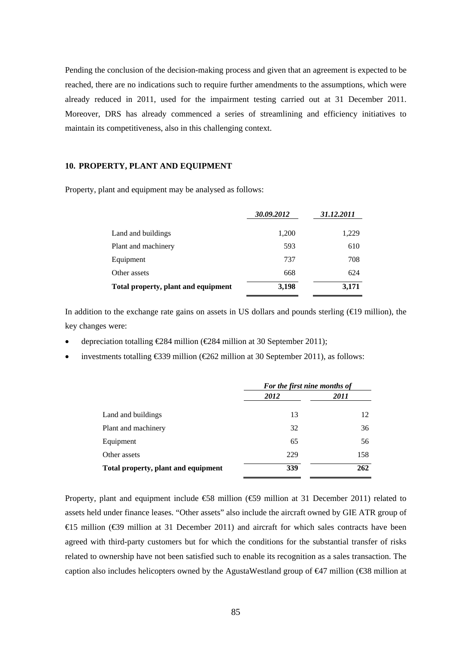Pending the conclusion of the decision-making process and given that an agreement is expected to be reached, there are no indications such to require further amendments to the assumptions, which were already reduced in 2011, used for the impairment testing carried out at 31 December 2011. Moreover, DRS has already commenced a series of streamlining and efficiency initiatives to maintain its competitiveness, also in this challenging context.

## **10. PROPERTY, PLANT AND EQUIPMENT**

Property, plant and equipment may be analysed as follows:

|                                     | 30.09.2012 | 31.12.2011 |
|-------------------------------------|------------|------------|
| Land and buildings                  | 1,200      | 1,229      |
| Plant and machinery                 | 593        | 610        |
| Equipment                           | 737        | 708        |
| Other assets                        | 668        | 624        |
| Total property, plant and equipment | 3,198      | 3,171      |

In addition to the exchange rate gains on assets in US dollars and pounds sterling ( $\bigoplus$ 9 million), the key changes were:

- depreciation totalling  $\in \mathbb{Z}84$  million ( $\in \mathbb{Z}84$  million at 30 September 2011);
- investments totalling €339 million (€262 million at 30 September 2011), as follows:

|                                     | For the first nine months of |      |  |
|-------------------------------------|------------------------------|------|--|
|                                     | 2012                         | 2011 |  |
| Land and buildings                  | 13                           | 12   |  |
| Plant and machinery                 | 32                           | 36   |  |
| Equipment                           | 65                           | 56   |  |
| Other assets                        | 229                          | 158  |  |
| Total property, plant and equipment | 339                          | 262  |  |

Property, plant and equipment include €58 million (€59 million at 31 December 2011) related to assets held under finance leases. "Other assets" also include the aircraft owned by GIE ATR group of €15 million (€39 million at 31 December 2011) and aircraft for which sales contracts have been agreed with third-party customers but for which the conditions for the substantial transfer of risks related to ownership have not been satisfied such to enable its recognition as a sales transaction. The caption also includes helicopters owned by the AgustaWestland group of  $\bigoplus$ 7 million ( $\bigoplus$ 8 million at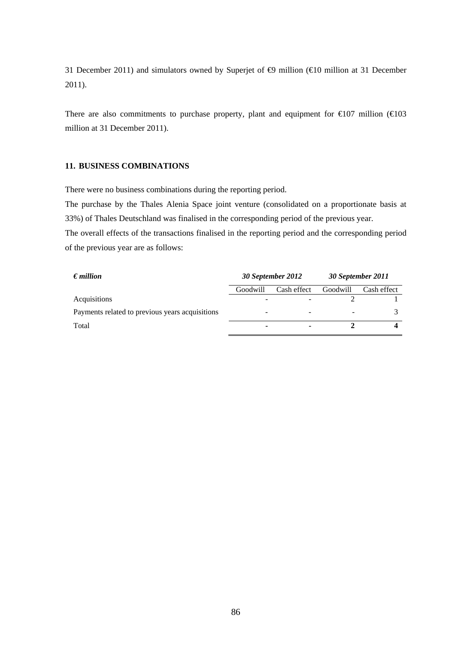31 December 2011) and simulators owned by Superjet of  $\oplus$  million ( $\oplus$ 0 million at 31 December 2011).

There are also commitments to purchase property, plant and equipment for  $\epsilon 0$  million ( $\epsilon 0$ 3 million at 31 December 2011).

## **11. BUSINESS COMBINATIONS**

There were no business combinations during the reporting period.

The purchase by the Thales Alenia Space joint venture (consolidated on a proportionate basis at 33%) of Thales Deutschland was finalised in the corresponding period of the previous year.

The overall effects of the transactions finalised in the reporting period and the corresponding period of the previous year are as follows:

| $\epsilon$ <i>million</i>                       | 30 September 2012 |             | 30 September 2011 |             |
|-------------------------------------------------|-------------------|-------------|-------------------|-------------|
|                                                 | Goodwill          | Cash effect | Goodwill          | Cash effect |
| Acquisitions                                    |                   |             |                   |             |
| Payments related to previous years acquisitions |                   |             |                   |             |
| Total                                           | -                 |             |                   |             |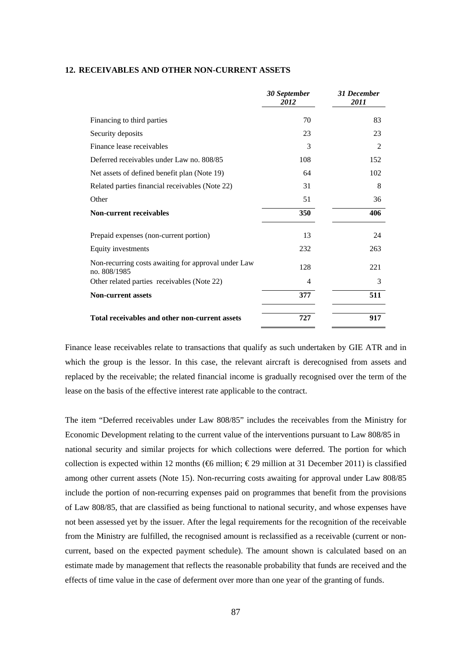#### **12. RECEIVABLES AND OTHER NON-CURRENT ASSETS**

|                                                                     | 30 September<br>2012 | <b>31 December</b><br>2011 |
|---------------------------------------------------------------------|----------------------|----------------------------|
| Financing to third parties                                          | 70                   | 83                         |
| Security deposits                                                   | 23                   | 23                         |
| Finance lease receivables                                           | 3                    | $\overline{2}$             |
| Deferred receivables under Law no. 808/85                           | 108                  | 152                        |
| Net assets of defined benefit plan (Note 19)                        | 64                   | 102                        |
| Related parties financial receivables (Note 22)                     | 31                   | 8                          |
| Other                                                               | 51                   | 36                         |
| <b>Non-current receivables</b>                                      | 350                  | 406                        |
| Prepaid expenses (non-current portion)                              | 13                   | 24                         |
| Equity investments                                                  | 232                  | 263                        |
| Non-recurring costs awaiting for approval under Law<br>no. 808/1985 | 128                  | 221                        |
| Other related parties receivables (Note 22)                         | 4                    | 3                          |
| <b>Non-current assets</b>                                           | 377                  | 511                        |
| Total receivables and other non-current assets                      | 727                  | 917                        |

Finance lease receivables relate to transactions that qualify as such undertaken by GIE ATR and in which the group is the lessor. In this case, the relevant aircraft is derecognised from assets and replaced by the receivable; the related financial income is gradually recognised over the term of the lease on the basis of the effective interest rate applicable to the contract.

The item "Deferred receivables under Law 808/85" includes the receivables from the Ministry for Economic Development relating to the current value of the interventions pursuant to Law 808/85 in national security and similar projects for which collections were deferred. The portion for which collection is expected within 12 months ( $\bigoplus$  million;  $\bigoplus$  29 million at 31 December 2011) is classified among other current assets (Note 15). Non-recurring costs awaiting for approval under Law 808/85 include the portion of non-recurring expenses paid on programmes that benefit from the provisions of Law 808/85, that are classified as being functional to national security, and whose expenses have not been assessed yet by the issuer. After the legal requirements for the recognition of the receivable from the Ministry are fulfilled, the recognised amount is reclassified as a receivable (current or noncurrent, based on the expected payment schedule). The amount shown is calculated based on an estimate made by management that reflects the reasonable probability that funds are received and the effects of time value in the case of deferment over more than one year of the granting of funds.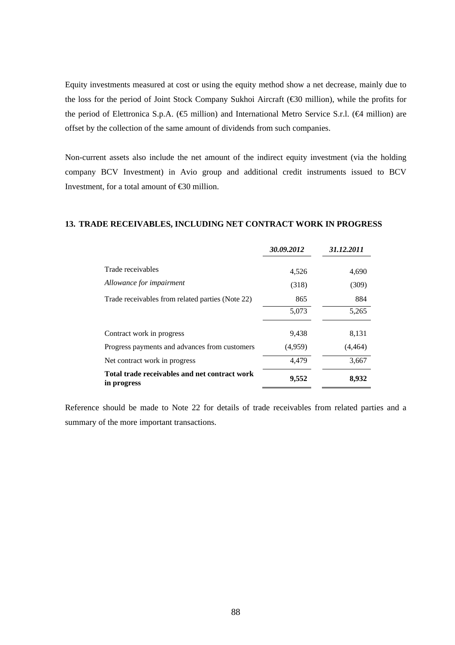Equity investments measured at cost or using the equity method show a net decrease, mainly due to the loss for the period of Joint Stock Company Sukhoi Aircraft (€30 million), while the profits for the period of Elettronica S.p.A. ( $\bigoplus$  million) and International Metro Service S.r.l. ( $\bigoplus$  million) are offset by the collection of the same amount of dividends from such companies.

Non-current assets also include the net amount of the indirect equity investment (via the holding company BCV Investment) in Avio group and additional credit instruments issued to BCV Investment, for a total amount of €30 million.

## **13. TRADE RECEIVABLES, INCLUDING NET CONTRACT WORK IN PROGRESS**

|                                                              | 30.09.2012 | 31.12.2011 |
|--------------------------------------------------------------|------------|------------|
| Trade receivables                                            | 4,526      | 4,690      |
| Allowance for impairment                                     | (318)      | (309)      |
| Trade receivables from related parties (Note 22)             | 865        | 884        |
|                                                              | 5,073      | 5,265      |
| Contract work in progress                                    | 9,438      | 8,131      |
| Progress payments and advances from customers                | (4,959)    | (4, 464)   |
| Net contract work in progress                                | 4,479      | 3,667      |
| Total trade receivables and net contract work<br>in progress | 9,552      | 8,932      |

Reference should be made to Note 22 for details of trade receivables from related parties and a summary of the more important transactions.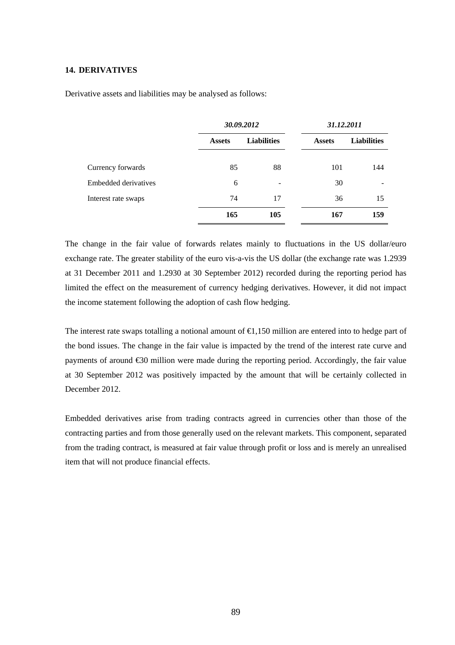#### **14. DERIVATIVES**

Derivative assets and liabilities may be analysed as follows:

|                      | 30.09.2012    |                                     | 31.12.2011 |                    |
|----------------------|---------------|-------------------------------------|------------|--------------------|
|                      | <b>Assets</b> | <b>Liabilities</b><br><b>Assets</b> |            | <b>Liabilities</b> |
| Currency forwards    | 85            | 88                                  | 101        | 144                |
| Embedded derivatives | 6             |                                     | 30         |                    |
| Interest rate swaps  | 74            | 17                                  | 36         | 15                 |
|                      | 165           | 105                                 | 167        | 159                |

The change in the fair value of forwards relates mainly to fluctuations in the US dollar/euro exchange rate. The greater stability of the euro vis-a-vis the US dollar (the exchange rate was 1.2939 at 31 December 2011 and 1.2930 at 30 September 2012) recorded during the reporting period has limited the effect on the measurement of currency hedging derivatives. However, it did not impact the income statement following the adoption of cash flow hedging.

The interest rate swaps totalling a notional amount of €1,150 million are entered into to hedge part of the bond issues. The change in the fair value is impacted by the trend of the interest rate curve and payments of around €30 million were made during the reporting period. Accordingly, the fair value at 30 September 2012 was positively impacted by the amount that will be certainly collected in December 2012.

Embedded derivatives arise from trading contracts agreed in currencies other than those of the contracting parties and from those generally used on the relevant markets. This component, separated from the trading contract, is measured at fair value through profit or loss and is merely an unrealised item that will not produce financial effects.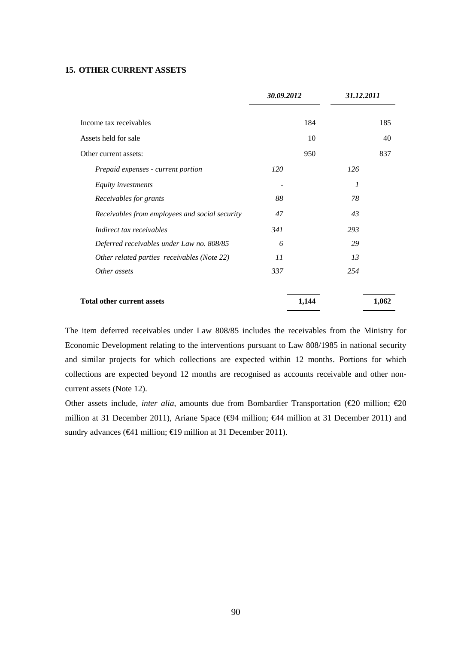## **15. OTHER CURRENT ASSETS**

|                                                | 30.09.2012 |       | 31.12.2011 |       |
|------------------------------------------------|------------|-------|------------|-------|
| Income tax receivables                         |            | 184   |            | 185   |
| Assets held for sale                           |            | 10    |            | 40    |
| Other current assets:                          |            | 950   |            | 837   |
| Prepaid expenses - current portion             | <i>120</i> |       | 126        |       |
| Equity investments                             |            |       | 1          |       |
| Receivables for grants                         | 88         |       | 78         |       |
| Receivables from employees and social security | 47         |       | 43         |       |
| Indirect tax receivables                       | 341        |       | 293        |       |
| Deferred receivables under Law no. 808/85      | 6          |       | 29         |       |
| Other related parties receivables (Note 22)    | 11         |       | 13         |       |
| Other assets                                   | 337        |       | 254        |       |
| <b>Total other current assets</b>              |            | 1,144 |            | 1,062 |

The item deferred receivables under Law 808/85 includes the receivables from the Ministry for Economic Development relating to the interventions pursuant to Law 808/1985 in national security and similar projects for which collections are expected within 12 months. Portions for which collections are expected beyond 12 months are recognised as accounts receivable and other noncurrent assets (Note 12).

Other assets include, *inter alia*, amounts due from Bombardier Transportation (€20 million; €20 million at 31 December 2011), Ariane Space ( $big$ 44 million; €44 million at 31 December 2011) and sundry advances (€41 million; €19 million at 31 December 2011).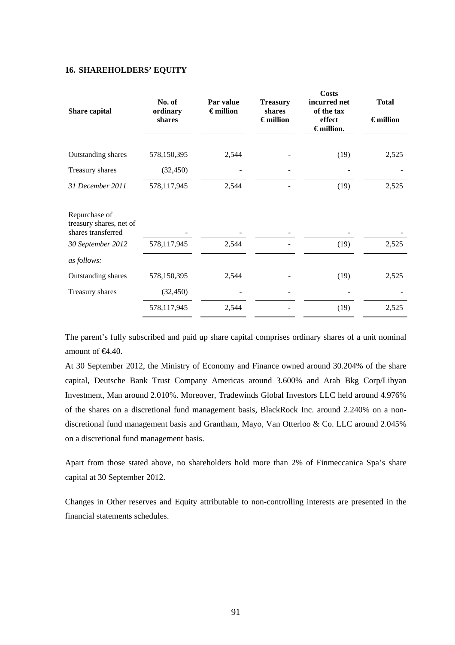#### **16. SHAREHOLDERS' EQUITY**

| Share capital                                                  | No. of<br>ordinary<br>shares | Par value<br>$\epsilon$ million | <b>Treasury</b><br>shares<br>$\epsilon$ million | <b>Costs</b><br>incurred net<br>of the tax<br>effect<br>$\epsilon$ million. | <b>Total</b><br>$\epsilon$ million |
|----------------------------------------------------------------|------------------------------|---------------------------------|-------------------------------------------------|-----------------------------------------------------------------------------|------------------------------------|
| Outstanding shares                                             | 578,150,395                  | 2,544                           |                                                 | (19)                                                                        | 2,525                              |
| Treasury shares                                                | (32, 450)                    |                                 |                                                 |                                                                             |                                    |
| 31 December 2011                                               | 578,117,945                  | 2,544                           |                                                 | (19)                                                                        | 2,525                              |
| Repurchase of<br>treasury shares, net of<br>shares transferred |                              |                                 |                                                 |                                                                             |                                    |
| 30 September 2012                                              | 578,117,945                  | 2,544                           |                                                 | (19)                                                                        | 2,525                              |
| as follows:                                                    |                              |                                 |                                                 |                                                                             |                                    |
| Outstanding shares                                             | 578,150,395                  | 2,544                           |                                                 | (19)                                                                        | 2,525                              |
| Treasury shares                                                | (32, 450)                    |                                 |                                                 |                                                                             |                                    |
|                                                                | 578,117,945                  | 2,544                           |                                                 | (19)                                                                        | 2,525                              |

The parent's fully subscribed and paid up share capital comprises ordinary shares of a unit nominal amount of €4.40.

At 30 September 2012, the Ministry of Economy and Finance owned around 30.204% of the share capital, Deutsche Bank Trust Company Americas around 3.600% and Arab Bkg Corp/Libyan Investment, Man around 2.010%. Moreover, Tradewinds Global Investors LLC held around 4.976% of the shares on a discretional fund management basis, BlackRock Inc. around 2.240% on a nondiscretional fund management basis and Grantham, Mayo, Van Otterloo & Co. LLC around 2.045% on a discretional fund management basis.

Apart from those stated above, no shareholders hold more than 2% of Finmeccanica Spa's share capital at 30 September 2012.

Changes in Other reserves and Equity attributable to non-controlling interests are presented in the financial statements schedules.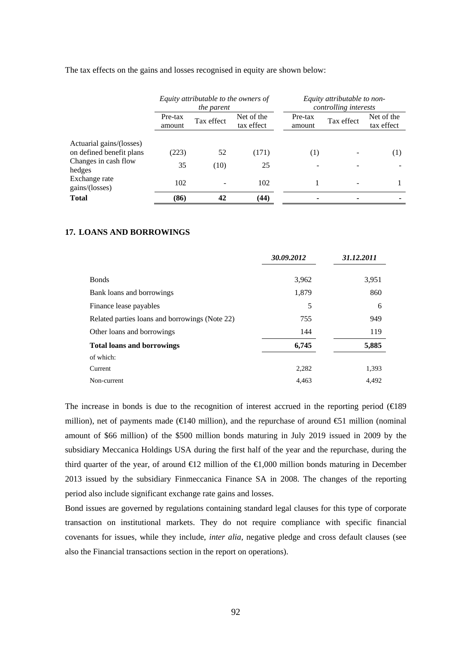The tax effects on the gains and losses recognised in equity are shown below:

|                                                      | Equity attributable to the owners of<br>the parent |            |                          |                   | Equity attributable to non-<br>controlling interests |                          |
|------------------------------------------------------|----------------------------------------------------|------------|--------------------------|-------------------|------------------------------------------------------|--------------------------|
|                                                      | Pre-tax<br>amount                                  | Tax effect | Net of the<br>tax effect | Pre-tax<br>amount | Tax effect                                           | Net of the<br>tax effect |
| Actuarial gains/(losses)<br>on defined benefit plans | (223)                                              | 52         | (171)                    | (1)               |                                                      | (1)                      |
| Changes in cash flow<br>hedges                       | 35                                                 | (10)       | 25                       |                   |                                                      |                          |
| Exchange rate<br>gains/(losses)                      | 102                                                |            | 102                      |                   |                                                      |                          |
| <b>Total</b>                                         | (86)                                               | 42         | (44)                     |                   |                                                      |                          |

## **17. LOANS AND BORROWINGS**

|                                                | 30.09.2012 | 31.12.2011 |
|------------------------------------------------|------------|------------|
| <b>Bonds</b>                                   | 3,962      | 3,951      |
| Bank loans and borrowings                      | 1,879      | 860        |
| Finance lease payables                         | 5          | 6          |
| Related parties loans and borrowings (Note 22) | 755        | 949        |
| Other loans and borrowings                     | 144        | 119        |
| <b>Total loans and borrowings</b>              | 6,745      | 5,885      |
| of which:                                      |            |            |
| Current                                        | 2,282      | 1,393      |
| Non-current                                    | 4.463      | 4,492      |

The increase in bonds is due to the recognition of interest accrued in the reporting period  $(\text{E}89)$ million), net of payments made ( $\in$ 140 million), and the repurchase of around  $\in$ 1 million (nominal amount of \$66 million) of the \$500 million bonds maturing in July 2019 issued in 2009 by the subsidiary Meccanica Holdings USA during the first half of the year and the repurchase, during the third quarter of the year, of around  $\epsilon 12$  million of the  $\epsilon 1,000$  million bonds maturing in December 2013 issued by the subsidiary Finmeccanica Finance SA in 2008. The changes of the reporting period also include significant exchange rate gains and losses.

Bond issues are governed by regulations containing standard legal clauses for this type of corporate transaction on institutional markets. They do not require compliance with specific financial covenants for issues, while they include, *inter alia*, negative pledge and cross default clauses (see also the Financial transactions section in the report on operations).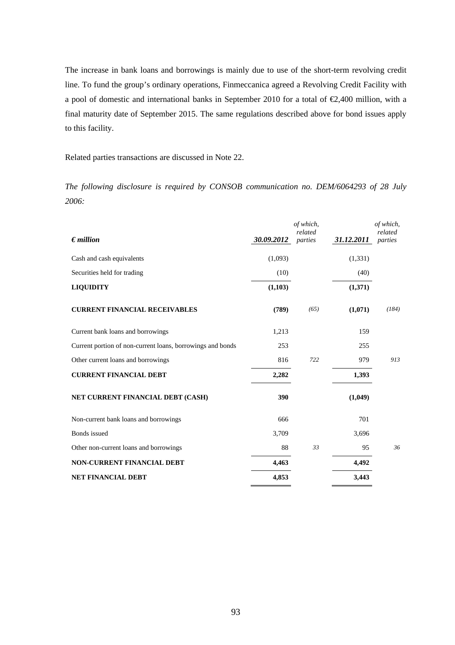The increase in bank loans and borrowings is mainly due to use of the short-term revolving credit line. To fund the group's ordinary operations, Finmeccanica agreed a Revolving Credit Facility with a pool of domestic and international banks in September 2010 for a total of €2,400 million, with a final maturity date of September 2015. The same regulations described above for bond issues apply to this facility.

Related parties transactions are discussed in Note 22.

*The following disclosure is required by CONSOB communication no. DEM/6064293 of 28 July 2006:* 

|                                                            |            | of which,<br>related |            | of which,<br>related |
|------------------------------------------------------------|------------|----------------------|------------|----------------------|
| $\epsilon$ <i>million</i>                                  | 30.09.2012 | parties              | 31.12.2011 | parties              |
| Cash and cash equivalents                                  | (1,093)    |                      | (1, 331)   |                      |
| Securities held for trading                                | (10)       |                      | (40)       |                      |
| <b>LIQUIDITY</b>                                           | (1,103)    |                      | (1,371)    |                      |
| <b>CURRENT FINANCIAL RECEIVABLES</b>                       | (789)      | (65)                 | (1,071)    | (184)                |
| Current bank loans and borrowings                          | 1,213      |                      | 159        |                      |
| Current portion of non-current loans, borrowings and bonds | 253        |                      | 255        |                      |
| Other current loans and borrowings                         | 816        | 722                  | 979        | 913                  |
| <b>CURRENT FINANCIAL DEBT</b>                              | 2,282      |                      | 1,393      |                      |
| NET CURRENT FINANCIAL DEBT (CASH)                          | 390        |                      | (1,049)    |                      |
| Non-current bank loans and borrowings                      | 666        |                      | 701        |                      |
| Bonds issued                                               | 3,709      |                      | 3,696      |                      |
| Other non-current loans and borrowings                     | 88         | 33                   | 95         | 36                   |
| <b>NON-CURRENT FINANCIAL DEBT</b>                          | 4,463      |                      | 4,492      |                      |
| <b>NET FINANCIAL DEBT</b>                                  | 4,853      |                      | 3,443      |                      |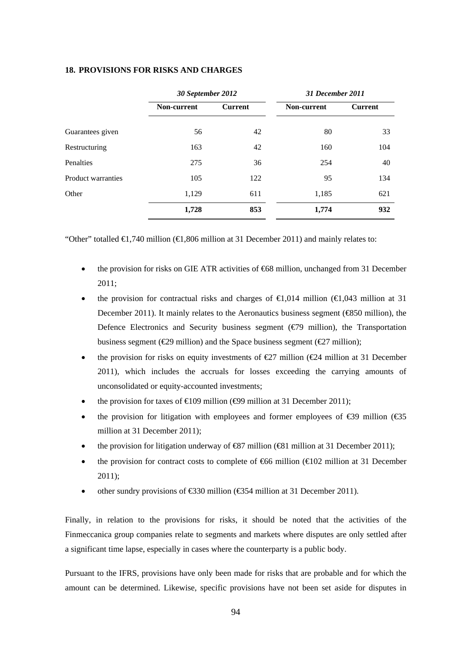## **18. PROVISIONS FOR RISKS AND CHARGES**

|                    | 30 September 2012 |                | 31 December 2011 |                |  |  |
|--------------------|-------------------|----------------|------------------|----------------|--|--|
|                    | Non-current       | <b>Current</b> | Non-current      | <b>Current</b> |  |  |
| Guarantees given   | 56                | 42             | 80               | 33             |  |  |
| Restructuring      | 163               | 42             | 160              | 104            |  |  |
| <b>Penalties</b>   | 275               | 36             | 254              | 40             |  |  |
| Product warranties | 105               | 122            | 95               | 134            |  |  |
| Other              | 1,129             | 611            | 1,185            | 621            |  |  |
|                    | 1,728             | 853            | 1,774            | 932            |  |  |

"Other" totalled  $\in$  740 million ( $\in$  806 million at 31 December 2011) and mainly relates to:

- the provision for risks on GIE ATR activities of  $668$  million, unchanged from 31 December 2011;
- the provision for contractual risks and charges of  $\epsilon 1.014$  million ( $\epsilon 1.043$  million at 31 December 2011). It mainly relates to the Aeronautics business segment (€850 million), the Defence Electronics and Security business segment ( $\epsilon$ 79 million), the Transportation business segment ( $\epsilon$ 29 million) and the Space business segment ( $\epsilon$ 27 million);
- the provision for risks on equity investments of  $\epsilon$ 27 million ( $\epsilon$ 24 million at 31 December 2011), which includes the accruals for losses exceeding the carrying amounts of unconsolidated or equity-accounted investments;
- the provision for taxes of  $\epsilon 109$  million ( $\epsilon 99$  million at 31 December 2011);
- the provision for litigation with employees and former employees of €39 million (€35 million at 31 December 2011);
- the provision for litigation underway of €87 million (€81 million at 31 December 2011);
- the provision for contract costs to complete of  $666$  million ( $6102$  million at 31 December 2011);
- other sundry provisions of  $\text{\textsterling}30$  million ( $\text{\textsterling}354$  million at 31 December 2011).

Finally, in relation to the provisions for risks, it should be noted that the activities of the Finmeccanica group companies relate to segments and markets where disputes are only settled after a significant time lapse, especially in cases where the counterparty is a public body.

Pursuant to the IFRS, provisions have only been made for risks that are probable and for which the amount can be determined. Likewise, specific provisions have not been set aside for disputes in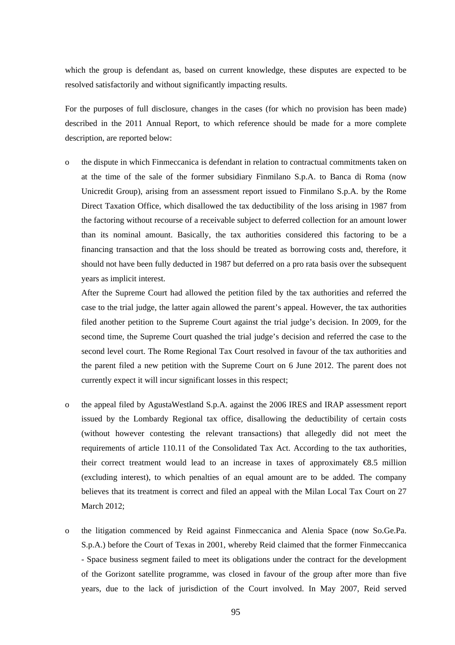which the group is defendant as, based on current knowledge, these disputes are expected to be resolved satisfactorily and without significantly impacting results.

For the purposes of full disclosure, changes in the cases (for which no provision has been made) described in the 2011 Annual Report, to which reference should be made for a more complete description, are reported below:

o the dispute in which Finmeccanica is defendant in relation to contractual commitments taken on at the time of the sale of the former subsidiary Finmilano S.p.A. to Banca di Roma (now Unicredit Group), arising from an assessment report issued to Finmilano S.p.A. by the Rome Direct Taxation Office, which disallowed the tax deductibility of the loss arising in 1987 from the factoring without recourse of a receivable subject to deferred collection for an amount lower than its nominal amount. Basically, the tax authorities considered this factoring to be a financing transaction and that the loss should be treated as borrowing costs and, therefore, it should not have been fully deducted in 1987 but deferred on a pro rata basis over the subsequent years as implicit interest.

After the Supreme Court had allowed the petition filed by the tax authorities and referred the case to the trial judge, the latter again allowed the parent's appeal. However, the tax authorities filed another petition to the Supreme Court against the trial judge's decision. In 2009, for the second time, the Supreme Court quashed the trial judge's decision and referred the case to the second level court. The Rome Regional Tax Court resolved in favour of the tax authorities and the parent filed a new petition with the Supreme Court on 6 June 2012. The parent does not currently expect it will incur significant losses in this respect;

- o the appeal filed by AgustaWestland S.p.A. against the 2006 IRES and IRAP assessment report issued by the Lombardy Regional tax office, disallowing the deductibility of certain costs (without however contesting the relevant transactions) that allegedly did not meet the requirements of article 110.11 of the Consolidated Tax Act. According to the tax authorities, their correct treatment would lead to an increase in taxes of approximately  $\Theta$ .5 million (excluding interest), to which penalties of an equal amount are to be added. The company believes that its treatment is correct and filed an appeal with the Milan Local Tax Court on 27 March 2012;
- o the litigation commenced by Reid against Finmeccanica and Alenia Space (now So.Ge.Pa. S.p.A.) before the Court of Texas in 2001, whereby Reid claimed that the former Finmeccanica - Space business segment failed to meet its obligations under the contract for the development of the Gorizont satellite programme, was closed in favour of the group after more than five years, due to the lack of jurisdiction of the Court involved. In May 2007, Reid served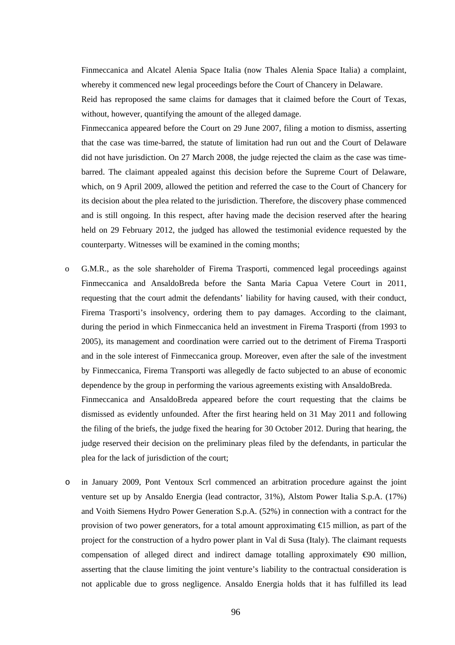Finmeccanica and Alcatel Alenia Space Italia (now Thales Alenia Space Italia) a complaint, whereby it commenced new legal proceedings before the Court of Chancery in Delaware.

Reid has reproposed the same claims for damages that it claimed before the Court of Texas, without, however, quantifying the amount of the alleged damage.

Finmeccanica appeared before the Court on 29 June 2007, filing a motion to dismiss, asserting that the case was time-barred, the statute of limitation had run out and the Court of Delaware did not have jurisdiction. On 27 March 2008, the judge rejected the claim as the case was timebarred. The claimant appealed against this decision before the Supreme Court of Delaware, which, on 9 April 2009, allowed the petition and referred the case to the Court of Chancery for its decision about the plea related to the jurisdiction. Therefore, the discovery phase commenced and is still ongoing. In this respect, after having made the decision reserved after the hearing held on 29 February 2012, the judged has allowed the testimonial evidence requested by the counterparty. Witnesses will be examined in the coming months;

o G.M.R., as the sole shareholder of Firema Trasporti, commenced legal proceedings against Finmeccanica and AnsaldoBreda before the Santa Maria Capua Vetere Court in 2011, requesting that the court admit the defendants' liability for having caused, with their conduct, Firema Trasporti's insolvency, ordering them to pay damages. According to the claimant, during the period in which Finmeccanica held an investment in Firema Trasporti (from 1993 to 2005), its management and coordination were carried out to the detriment of Firema Trasporti and in the sole interest of Finmeccanica group. Moreover, even after the sale of the investment by Finmeccanica, Firema Transporti was allegedly de facto subjected to an abuse of economic dependence by the group in performing the various agreements existing with AnsaldoBreda.

Finmeccanica and AnsaldoBreda appeared before the court requesting that the claims be dismissed as evidently unfounded. After the first hearing held on 31 May 2011 and following the filing of the briefs, the judge fixed the hearing for 30 October 2012. During that hearing, the judge reserved their decision on the preliminary pleas filed by the defendants, in particular the plea for the lack of jurisdiction of the court;

o in January 2009, Pont Ventoux Scrl commenced an arbitration procedure against the joint venture set up by Ansaldo Energia (lead contractor, 31%), Alstom Power Italia S.p.A. (17%) and Voith Siemens Hydro Power Generation S.p.A. (52%) in connection with a contract for the provision of two power generators, for a total amount approximating €15 million, as part of the project for the construction of a hydro power plant in Val di Susa (Italy). The claimant requests compensation of alleged direct and indirect damage totalling approximately  $\Theta$ 0 million, asserting that the clause limiting the joint venture's liability to the contractual consideration is not applicable due to gross negligence. Ansaldo Energia holds that it has fulfilled its lead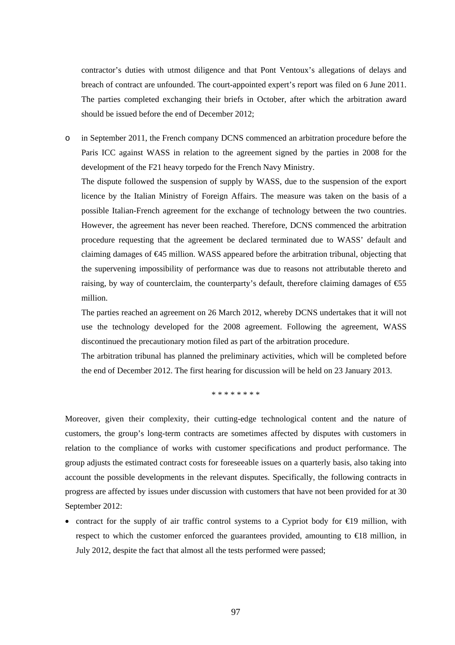contractor's duties with utmost diligence and that Pont Ventoux's allegations of delays and breach of contract are unfounded. The court-appointed expert's report was filed on 6 June 2011. The parties completed exchanging their briefs in October, after which the arbitration award should be issued before the end of December 2012;

o in September 2011, the French company DCNS commenced an arbitration procedure before the Paris ICC against WASS in relation to the agreement signed by the parties in 2008 for the development of the F21 heavy torpedo for the French Navy Ministry.

The dispute followed the suspension of supply by WASS, due to the suspension of the export licence by the Italian Ministry of Foreign Affairs. The measure was taken on the basis of a possible Italian-French agreement for the exchange of technology between the two countries. However, the agreement has never been reached. Therefore, DCNS commenced the arbitration procedure requesting that the agreement be declared terminated due to WASS' default and claiming damages of €45 million. WASS appeared before the arbitration tribunal, objecting that the supervening impossibility of performance was due to reasons not attributable thereto and raising, by way of counterclaim, the counterparty's default, therefore claiming damages of  $\text{\textsterling}5$ million.

The parties reached an agreement on 26 March 2012, whereby DCNS undertakes that it will not use the technology developed for the 2008 agreement. Following the agreement, WASS discontinued the precautionary motion filed as part of the arbitration procedure.

The arbitration tribunal has planned the preliminary activities, which will be completed before the end of December 2012. The first hearing for discussion will be held on 23 January 2013.

\* \* \* \* \* \* \* \*

Moreover, given their complexity, their cutting-edge technological content and the nature of customers, the group's long-term contracts are sometimes affected by disputes with customers in relation to the compliance of works with customer specifications and product performance. The group adjusts the estimated contract costs for foreseeable issues on a quarterly basis, also taking into account the possible developments in the relevant disputes. Specifically, the following contracts in progress are affected by issues under discussion with customers that have not been provided for at 30 September 2012:

• contract for the supply of air traffic control systems to a Cypriot body for  $\epsilon$ 19 million, with respect to which the customer enforced the guarantees provided, amounting to €18 million, in July 2012, despite the fact that almost all the tests performed were passed;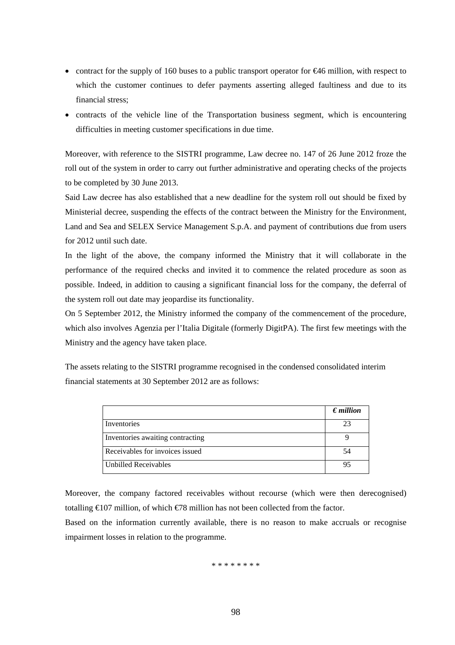- contract for the supply of 160 buses to a public transport operator for €46 million, with respect to which the customer continues to defer payments asserting alleged faultiness and due to its financial stress;
- contracts of the vehicle line of the Transportation business segment, which is encountering difficulties in meeting customer specifications in due time.

Moreover, with reference to the SISTRI programme, Law decree no. 147 of 26 June 2012 froze the roll out of the system in order to carry out further administrative and operating checks of the projects to be completed by 30 June 2013.

Said Law decree has also established that a new deadline for the system roll out should be fixed by Ministerial decree, suspending the effects of the contract between the Ministry for the Environment, Land and Sea and SELEX Service Management S.p.A. and payment of contributions due from users for 2012 until such date.

In the light of the above, the company informed the Ministry that it will collaborate in the performance of the required checks and invited it to commence the related procedure as soon as possible. Indeed, in addition to causing a significant financial loss for the company, the deferral of the system roll out date may jeopardise its functionality.

On 5 September 2012, the Ministry informed the company of the commencement of the procedure, which also involves Agenzia per l'Italia Digitale (formerly DigitPA). The first few meetings with the Ministry and the agency have taken place.

The assets relating to the SISTRI programme recognised in the condensed consolidated interim financial statements at 30 September 2012 are as follows:

|                                  | $\epsilon$ <i>million</i> |
|----------------------------------|---------------------------|
| Inventories                      |                           |
| Inventories awaiting contracting |                           |
| Receivables for invoices issued  |                           |
| <b>Unbilled Receivables</b>      |                           |

Moreover, the company factored receivables without recourse (which were then derecognised) totalling  $\bigoplus$  07 million, of which  $\bigoplus$ 8 million has not been collected from the factor.

Based on the information currently available, there is no reason to make accruals or recognise impairment losses in relation to the programme.

\* \* \* \* \* \* \* \*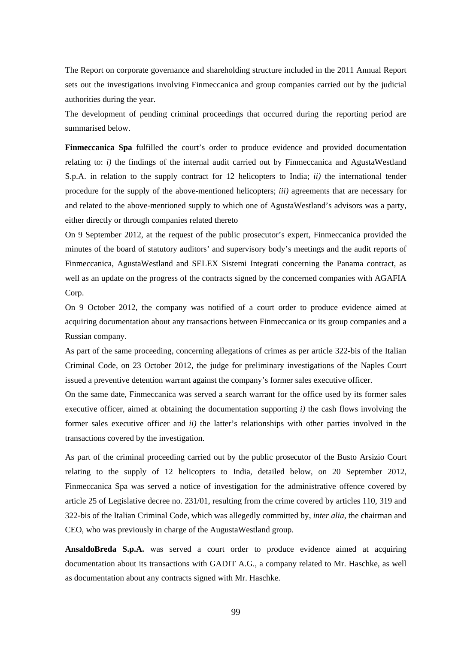The Report on corporate governance and shareholding structure included in the 2011 Annual Report sets out the investigations involving Finmeccanica and group companies carried out by the judicial authorities during the year.

The development of pending criminal proceedings that occurred during the reporting period are summarised below.

**Finmeccanica Spa** fulfilled the court's order to produce evidence and provided documentation relating to: *i)* the findings of the internal audit carried out by Finmeccanica and AgustaWestland S.p.A. in relation to the supply contract for 12 helicopters to India; *ii)* the international tender procedure for the supply of the above-mentioned helicopters; *iii)* agreements that are necessary for and related to the above-mentioned supply to which one of AgustaWestland's advisors was a party, either directly or through companies related thereto

On 9 September 2012, at the request of the public prosecutor's expert, Finmeccanica provided the minutes of the board of statutory auditors' and supervisory body's meetings and the audit reports of Finmeccanica, AgustaWestland and SELEX Sistemi Integrati concerning the Panama contract, as well as an update on the progress of the contracts signed by the concerned companies with AGAFIA Corp.

On 9 October 2012, the company was notified of a court order to produce evidence aimed at acquiring documentation about any transactions between Finmeccanica or its group companies and a Russian company.

As part of the same proceeding, concerning allegations of crimes as per article 322-bis of the Italian Criminal Code, on 23 October 2012, the judge for preliminary investigations of the Naples Court issued a preventive detention warrant against the company's former sales executive officer.

On the same date, Finmeccanica was served a search warrant for the office used by its former sales executive officer, aimed at obtaining the documentation supporting *i)* the cash flows involving the former sales executive officer and *ii)* the latter's relationships with other parties involved in the transactions covered by the investigation.

As part of the criminal proceeding carried out by the public prosecutor of the Busto Arsizio Court relating to the supply of 12 helicopters to India, detailed below, on 20 September 2012, Finmeccanica Spa was served a notice of investigation for the administrative offence covered by article 25 of Legislative decree no. 231/01, resulting from the crime covered by articles 110, 319 and 322-bis of the Italian Criminal Code, which was allegedly committed by, *inter alia*, the chairman and CEO, who was previously in charge of the AugustaWestland group.

**AnsaldoBreda S.p.A.** was served a court order to produce evidence aimed at acquiring documentation about its transactions with GADIT A.G., a company related to Mr. Haschke, as well as documentation about any contracts signed with Mr. Haschke.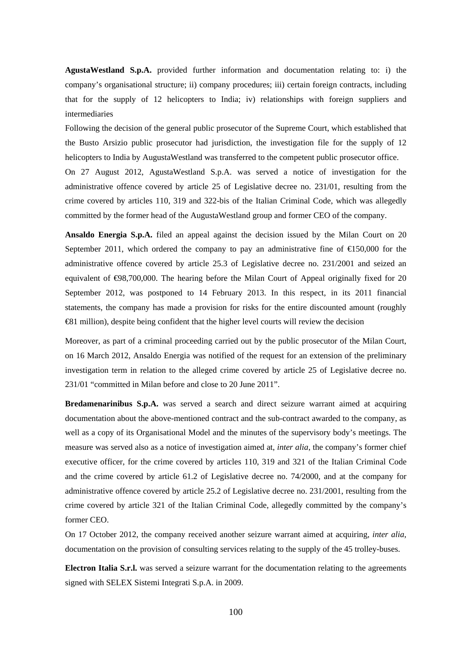**AgustaWestland S.p.A.** provided further information and documentation relating to: i) the company's organisational structure; ii) company procedures; iii) certain foreign contracts, including that for the supply of 12 helicopters to India; iv) relationships with foreign suppliers and intermediaries

Following the decision of the general public prosecutor of the Supreme Court, which established that the Busto Arsizio public prosecutor had jurisdiction, the investigation file for the supply of 12 helicopters to India by AugustaWestland was transferred to the competent public prosecutor office.

On 27 August 2012, AgustaWestland S.p.A. was served a notice of investigation for the administrative offence covered by article 25 of Legislative decree no. 231/01, resulting from the crime covered by articles 110, 319 and 322-bis of the Italian Criminal Code, which was allegedly committed by the former head of the AugustaWestland group and former CEO of the company.

**Ansaldo Energia S.p.A.** filed an appeal against the decision issued by the Milan Court on 20 September 2011, which ordered the company to pay an administrative fine of  $\epsilon$ 150,000 for the administrative offence covered by article 25.3 of Legislative decree no. 231/2001 and seized an equivalent of  $\bigoplus$ 8,700,000. The hearing before the Milan Court of Appeal originally fixed for 20 September 2012, was postponed to 14 February 2013. In this respect, in its 2011 financial statements, the company has made a provision for risks for the entire discounted amount (roughly €81 million), despite being confident that the higher level courts will review the decision

Moreover, as part of a criminal proceeding carried out by the public prosecutor of the Milan Court, on 16 March 2012, Ansaldo Energia was notified of the request for an extension of the preliminary investigation term in relation to the alleged crime covered by article 25 of Legislative decree no. 231/01 "committed in Milan before and close to 20 June 2011".

**Bredamenarinibus S.p.A.** was served a search and direct seizure warrant aimed at acquiring documentation about the above-mentioned contract and the sub-contract awarded to the company, as well as a copy of its Organisational Model and the minutes of the supervisory body's meetings. The measure was served also as a notice of investigation aimed at, *inter alia*, the company's former chief executive officer, for the crime covered by articles 110, 319 and 321 of the Italian Criminal Code and the crime covered by article 61.2 of Legislative decree no. 74/2000, and at the company for administrative offence covered by article 25.2 of Legislative decree no. 231/2001, resulting from the crime covered by article 321 of the Italian Criminal Code, allegedly committed by the company's former CEO.

On 17 October 2012, the company received another seizure warrant aimed at acquiring, *inter alia*, documentation on the provision of consulting services relating to the supply of the 45 trolley-buses.

**Electron Italia S.r.l.** was served a seizure warrant for the documentation relating to the agreements signed with SELEX Sistemi Integrati S.p.A. in 2009.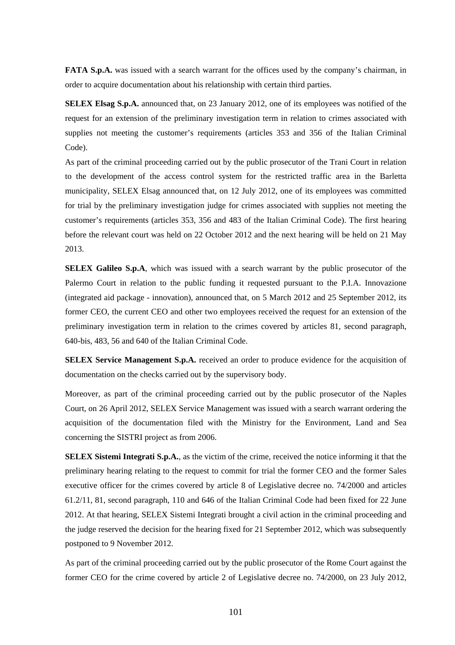**FATA S.p.A.** was issued with a search warrant for the offices used by the company's chairman, in order to acquire documentation about his relationship with certain third parties.

**SELEX Elsag S.p.A.** announced that, on 23 January 2012, one of its employees was notified of the request for an extension of the preliminary investigation term in relation to crimes associated with supplies not meeting the customer's requirements (articles 353 and 356 of the Italian Criminal Code).

As part of the criminal proceeding carried out by the public prosecutor of the Trani Court in relation to the development of the access control system for the restricted traffic area in the Barletta municipality, SELEX Elsag announced that, on 12 July 2012, one of its employees was committed for trial by the preliminary investigation judge for crimes associated with supplies not meeting the customer's requirements (articles 353, 356 and 483 of the Italian Criminal Code). The first hearing before the relevant court was held on 22 October 2012 and the next hearing will be held on 21 May 2013.

**SELEX Galileo S.p.A**, which was issued with a search warrant by the public prosecutor of the Palermo Court in relation to the public funding it requested pursuant to the P.I.A. Innovazione (integrated aid package - innovation), announced that, on 5 March 2012 and 25 September 2012, its former CEO, the current CEO and other two employees received the request for an extension of the preliminary investigation term in relation to the crimes covered by articles 81, second paragraph, 640-bis, 483, 56 and 640 of the Italian Criminal Code.

**SELEX Service Management S.p.A.** received an order to produce evidence for the acquisition of documentation on the checks carried out by the supervisory body.

Moreover, as part of the criminal proceeding carried out by the public prosecutor of the Naples Court, on 26 April 2012, SELEX Service Management was issued with a search warrant ordering the acquisition of the documentation filed with the Ministry for the Environment, Land and Sea concerning the SISTRI project as from 2006.

**SELEX Sistemi Integrati S.p.A.**, as the victim of the crime, received the notice informing it that the preliminary hearing relating to the request to commit for trial the former CEO and the former Sales executive officer for the crimes covered by article 8 of Legislative decree no. 74/2000 and articles 61.2/11, 81, second paragraph, 110 and 646 of the Italian Criminal Code had been fixed for 22 June 2012. At that hearing, SELEX Sistemi Integrati brought a civil action in the criminal proceeding and the judge reserved the decision for the hearing fixed for 21 September 2012, which was subsequently postponed to 9 November 2012.

As part of the criminal proceeding carried out by the public prosecutor of the Rome Court against the former CEO for the crime covered by article 2 of Legislative decree no. 74/2000, on 23 July 2012,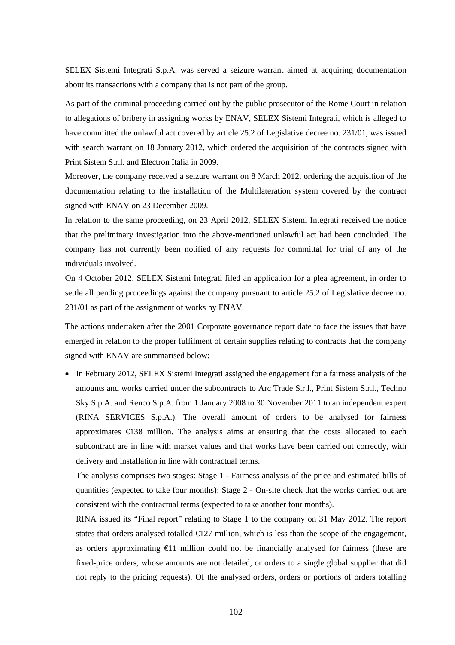SELEX Sistemi Integrati S.p.A. was served a seizure warrant aimed at acquiring documentation about its transactions with a company that is not part of the group.

As part of the criminal proceeding carried out by the public prosecutor of the Rome Court in relation to allegations of bribery in assigning works by ENAV, SELEX Sistemi Integrati, which is alleged to have committed the unlawful act covered by article 25.2 of Legislative decree no. 231/01, was issued with search warrant on 18 January 2012, which ordered the acquisition of the contracts signed with Print Sistem S.r.l. and Electron Italia in 2009.

Moreover, the company received a seizure warrant on 8 March 2012, ordering the acquisition of the documentation relating to the installation of the Multilateration system covered by the contract signed with ENAV on 23 December 2009.

In relation to the same proceeding, on 23 April 2012, SELEX Sistemi Integrati received the notice that the preliminary investigation into the above-mentioned unlawful act had been concluded. The company has not currently been notified of any requests for committal for trial of any of the individuals involved.

On 4 October 2012, SELEX Sistemi Integrati filed an application for a plea agreement, in order to settle all pending proceedings against the company pursuant to article 25.2 of Legislative decree no. 231/01 as part of the assignment of works by ENAV.

The actions undertaken after the 2001 Corporate governance report date to face the issues that have emerged in relation to the proper fulfilment of certain supplies relating to contracts that the company signed with ENAV are summarised below:

 In February 2012, SELEX Sistemi Integrati assigned the engagement for a fairness analysis of the amounts and works carried under the subcontracts to Arc Trade S.r.l., Print Sistem S.r.l., Techno Sky S.p.A. and Renco S.p.A. from 1 January 2008 to 30 November 2011 to an independent expert (RINA SERVICES S.p.A.). The overall amount of orders to be analysed for fairness approximates  $\bigoplus$  38 million. The analysis aims at ensuring that the costs allocated to each subcontract are in line with market values and that works have been carried out correctly, with delivery and installation in line with contractual terms.

The analysis comprises two stages: Stage 1 - Fairness analysis of the price and estimated bills of quantities (expected to take four months); Stage 2 - On-site check that the works carried out are consistent with the contractual terms (expected to take another four months).

RINA issued its "Final report" relating to Stage 1 to the company on 31 May 2012. The report states that orders analysed totalled  $\bigoplus$  27 million, which is less than the scope of the engagement, as orders approximating  $\epsilon 1$  million could not be financially analysed for fairness (these are fixed-price orders, whose amounts are not detailed, or orders to a single global supplier that did not reply to the pricing requests). Of the analysed orders, orders or portions of orders totalling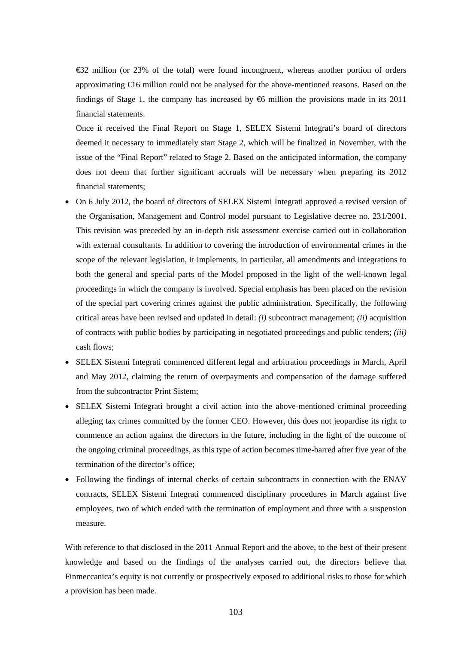€32 million (or 23% of the total) were found incongruent, whereas another portion of orders approximating  $\bigoplus$  6 million could not be analysed for the above-mentioned reasons. Based on the findings of Stage 1, the company has increased by  $66$  million the provisions made in its 2011 financial statements.

Once it received the Final Report on Stage 1, SELEX Sistemi Integrati's board of directors deemed it necessary to immediately start Stage 2, which will be finalized in November, with the issue of the "Final Report" related to Stage 2. Based on the anticipated information, the company does not deem that further significant accruals will be necessary when preparing its 2012 financial statements;

- On 6 July 2012, the board of directors of SELEX Sistemi Integrati approved a revised version of the Organisation, Management and Control model pursuant to Legislative decree no. 231/2001. This revision was preceded by an in-depth risk assessment exercise carried out in collaboration with external consultants. In addition to covering the introduction of environmental crimes in the scope of the relevant legislation, it implements, in particular, all amendments and integrations to both the general and special parts of the Model proposed in the light of the well-known legal proceedings in which the company is involved. Special emphasis has been placed on the revision of the special part covering crimes against the public administration. Specifically, the following critical areas have been revised and updated in detail: *(i)* subcontract management; *(ii)* acquisition of contracts with public bodies by participating in negotiated proceedings and public tenders; *(iii)* cash flows;
- SELEX Sistemi Integrati commenced different legal and arbitration proceedings in March, April and May 2012, claiming the return of overpayments and compensation of the damage suffered from the subcontractor Print Sistem;
- SELEX Sistemi Integrati brought a civil action into the above-mentioned criminal proceeding alleging tax crimes committed by the former CEO. However, this does not jeopardise its right to commence an action against the directors in the future, including in the light of the outcome of the ongoing criminal proceedings, as this type of action becomes time-barred after five year of the termination of the director's office;
- Following the findings of internal checks of certain subcontracts in connection with the ENAV contracts, SELEX Sistemi Integrati commenced disciplinary procedures in March against five employees, two of which ended with the termination of employment and three with a suspension measure.

With reference to that disclosed in the 2011 Annual Report and the above, to the best of their present knowledge and based on the findings of the analyses carried out, the directors believe that Finmeccanica's equity is not currently or prospectively exposed to additional risks to those for which a provision has been made.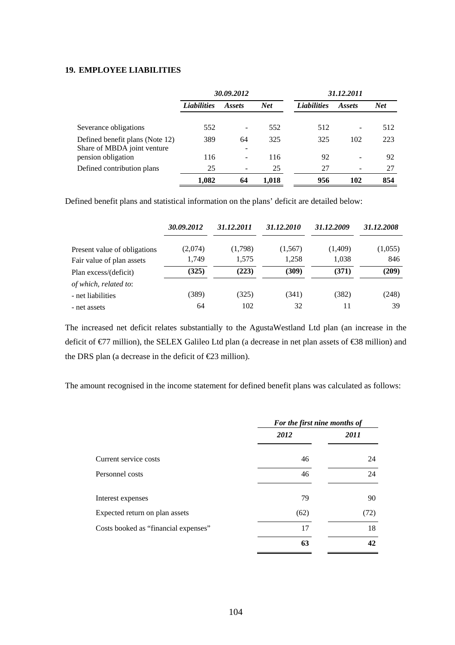## **19. EMPLOYEE LIABILITIES**

|                                                                | 30.09.2012         |               |            | 31.12.2011         |                              |            |  |
|----------------------------------------------------------------|--------------------|---------------|------------|--------------------|------------------------------|------------|--|
|                                                                | <b>Liabilities</b> | <i>Assets</i> | <b>Net</b> | <b>Liabilities</b> | <i>Assets</i>                | <b>Net</b> |  |
| Severance obligations                                          | 552                |               | 552        | 512                |                              | 512        |  |
| Defined benefit plans (Note 12)<br>Share of MBDA joint venture | 389                | 64<br>-       | 325        | 325                | 102                          | 223        |  |
| pension obligation                                             | 116                | ۰             | 116        | 92                 | $\qquad \qquad \blacksquare$ | 92         |  |
| Defined contribution plans                                     | 25                 |               | 25         | 27                 |                              | 27         |  |
|                                                                | 1.082              | 64            | 1.018      | 956                | 102                          | 854        |  |

Defined benefit plans and statistical information on the plans' deficit are detailed below:

|                              | 30.09.2012 | 31.12.2011 | 31.12.2010 | 31.12.2009 | 31.12.2008 |
|------------------------------|------------|------------|------------|------------|------------|
| Present value of obligations | (2,074)    | (1,798)    | (1,567)    | (1,409)    | (1,055)    |
| Fair value of plan assets    | 1,749      | 1,575      | 1,258      | 1,038      | 846        |
| Plan excess/(deficit)        | (325)      | (223)      | (309)      | (371)      | (209)      |
| of which, related to:        |            |            |            |            |            |
| - net liabilities            | (389)      | (325)      | (341)      | (382)      | (248)      |
| - net assets                 | 64         | 102        | 32         | 11         | 39         |

The increased net deficit relates substantially to the AgustaWestland Ltd plan (an increase in the deficit of €77 million), the SELEX Galileo Ltd plan (a decrease in net plan assets of €38 million) and the DRS plan (a decrease in the deficit of €23 million).

The amount recognised in the income statement for defined benefit plans was calculated as follows:

|                                      | For the first nine months of |      |  |
|--------------------------------------|------------------------------|------|--|
|                                      | 2012                         | 2011 |  |
| Current service costs                | 46                           | 24   |  |
| Personnel costs                      | 46                           | 24   |  |
| Interest expenses                    | 79                           | 90   |  |
| Expected return on plan assets       | (62)                         | (72) |  |
| Costs booked as "financial expenses" | 17                           | 18   |  |
|                                      | 63                           | 42   |  |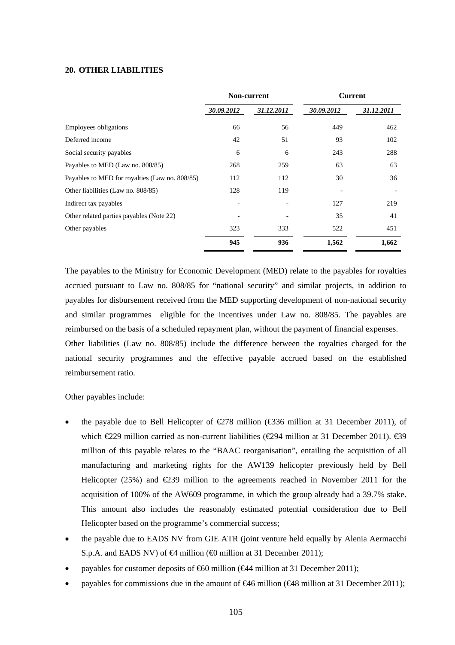#### **20. OTHER LIABILITIES**

|                                                | Non-current |            | <b>Current</b> |            |
|------------------------------------------------|-------------|------------|----------------|------------|
|                                                | 30.09.2012  | 31.12.2011 | 30.09.2012     | 31.12.2011 |
| <b>Employees obligations</b>                   | 66          | 56         | 449<br>462     |            |
| Deferred income                                | 42          | 51         | 93             | 102        |
| Social security payables                       | 6           | 6          | 243            | 288        |
| Payables to MED (Law no. 808/85)               | 268         | 259        | 63             | 63         |
| Payables to MED for royalties (Law no. 808/85) | 112         | 112        | 30             | 36         |
| Other liabilities (Law no. 808/85)             | 128         | 119        |                |            |
| Indirect tax payables                          |             |            | 127            | 219        |
| Other related parties payables (Note 22)       |             |            | 35             | 41         |
| Other payables                                 | 323<br>333  |            | 522            | 451        |
|                                                | 945         | 936        | 1,562          | 1,662      |

The payables to the Ministry for Economic Development (MED) relate to the payables for royalties accrued pursuant to Law no. 808/85 for "national security" and similar projects, in addition to payables for disbursement received from the MED supporting development of non-national security and similar programmes eligible for the incentives under Law no. 808/85. The payables are reimbursed on the basis of a scheduled repayment plan, without the payment of financial expenses.

Other liabilities (Law no. 808/85) include the difference between the royalties charged for the national security programmes and the effective payable accrued based on the established reimbursement ratio.

#### Other payables include:

- the payable due to Bell Helicopter of  $\epsilon$ 278 million ( $\epsilon$ 336 million at 31 December 2011), of which  $\text{\textsterling}29$  million carried as non-current liabilities ( $\text{\textsterling}294$  million at 31 December 2011).  $\text{\textsterling}39$ million of this payable relates to the "BAAC reorganisation", entailing the acquisition of all manufacturing and marketing rights for the AW139 helicopter previously held by Bell Helicopter (25%) and  $\epsilon$ 239 million to the agreements reached in November 2011 for the acquisition of 100% of the AW609 programme, in which the group already had a 39.7% stake. This amount also includes the reasonably estimated potential consideration due to Bell Helicopter based on the programme's commercial success;
- the payable due to EADS NV from GIE ATR (joint venture held equally by Alenia Aermacchi S.p.A. and EADS NV) of  $\bigoplus$  million ( $\bigoplus$  million at 31 December 2011);
- payables for customer deposits of  $660$  million ( $644$  million at 31 December 2011);
- payables for commissions due in the amount of  $\epsilon$ 46 million ( $\epsilon$ 48 million at 31 December 2011);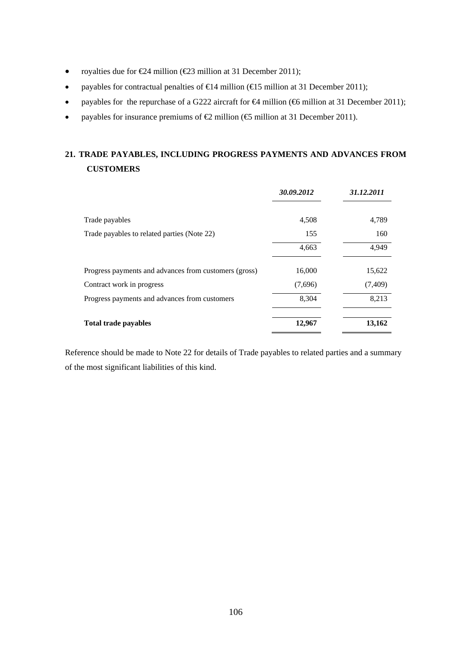- royalties due for  $\text{\textsterling}24$  million ( $\text{\textsterling}23$  million at 31 December 2011);
- payables for contractual penalties of  $\in$  4 million ( $\in$  5 million at 31 December 2011);
- payables for the repurchase of a G222 aircraft for  $\bigoplus$  million ( $\bigoplus$  million at 31 December 2011);
- payables for insurance premiums of  $\bigoplus$  million ( $\bigoplus$  million at 31 December 2011).

# **21. TRADE PAYABLES, INCLUDING PROGRESS PAYMENTS AND ADVANCES FROM CUSTOMERS**

|                                                       | 30.09.2012 | 31.12.2011 |
|-------------------------------------------------------|------------|------------|
| Trade payables                                        | 4,508      | 4,789      |
| Trade payables to related parties (Note 22)           | 155        | 160        |
|                                                       | 4,663      | 4,949      |
| Progress payments and advances from customers (gross) | 16,000     | 15,622     |
| Contract work in progress                             | (7,696)    | (7, 409)   |
| Progress payments and advances from customers         | 8,304      | 8,213      |
| <b>Total trade payables</b>                           | 12,967     | 13,162     |

Reference should be made to Note 22 for details of Trade payables to related parties and a summary of the most significant liabilities of this kind.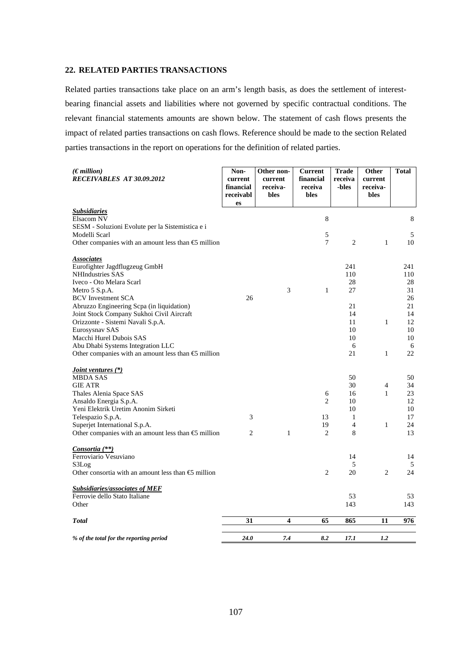## **22. RELATED PARTIES TRANSACTIONS**

Related parties transactions take place on an arm's length basis, as does the settlement of interestbearing financial assets and liabilities where not governed by specific contractual conditions. The relevant financial statements amounts are shown below. The statement of cash flows presents the impact of related parties transactions on cash flows. Reference should be made to the section Related parties transactions in the report on operations for the definition of related parties.

| (Emillion)<br>RECEIVABLES AT 30.09.2012                        | Non-<br>current<br>financial<br>receivabl<br>es | Other non-<br>current<br>receiva-<br>bles | <b>Current</b><br>financial<br>receiva<br>bles | <b>Trade</b><br>receiva<br>-bles | <b>Other</b><br>current<br>receiva-<br>bles | <b>Total</b> |
|----------------------------------------------------------------|-------------------------------------------------|-------------------------------------------|------------------------------------------------|----------------------------------|---------------------------------------------|--------------|
| <b>Subsidiaries</b>                                            |                                                 |                                           |                                                |                                  |                                             |              |
| Elsacom NV<br>SESM - Soluzioni Evolute per la Sistemistica e i |                                                 |                                           | 8                                              |                                  |                                             | 8            |
| Modelli Scarl                                                  |                                                 |                                           | 5                                              |                                  |                                             | $\sqrt{5}$   |
| Other companies with an amount less than $\bigoplus$ million   |                                                 |                                           | 7                                              | $\overline{2}$                   | $\mathbf{1}$                                | 10           |
| <u>Associates</u>                                              |                                                 |                                           |                                                |                                  |                                             |              |
| Eurofighter Jagdflugzeug GmbH                                  |                                                 |                                           |                                                | 241                              |                                             | 241          |
| <b>NHIndustries SAS</b><br>Iveco - Oto Melara Scarl            |                                                 |                                           |                                                | 110<br>28                        |                                             | 110<br>28    |
| Metro 5 S.p.A.                                                 |                                                 | 3                                         | $\mathbf{1}$                                   | 27                               |                                             | 31           |
| <b>BCV</b> Investment SCA                                      | 26                                              |                                           |                                                |                                  |                                             | 26           |
| Abruzzo Engineering Scpa (in liquidation)                      |                                                 |                                           |                                                | 21                               |                                             | 21           |
| Joint Stock Company Sukhoi Civil Aircraft                      |                                                 |                                           |                                                | 14                               |                                             | 14           |
| Orizzonte - Sistemi Navali S.p.A.                              |                                                 |                                           |                                                | 11                               | $\mathbf{1}$                                | 12           |
| Eurosysnav SAS                                                 |                                                 |                                           |                                                | 10                               |                                             | 10           |
| Macchi Hurel Dubois SAS                                        |                                                 |                                           |                                                | 10                               |                                             | 10           |
| Abu Dhabi Systems Integration LLC                              |                                                 |                                           |                                                | 6                                |                                             | 6            |
| Other companies with an amount less than $\bigoplus$ million   |                                                 |                                           |                                                | 21                               | $\mathbf{1}$                                | 22           |
| <i>Joint ventures</i> (*)<br><b>MBDA SAS</b>                   |                                                 |                                           |                                                | 50                               |                                             | 50           |
| <b>GIE ATR</b>                                                 |                                                 |                                           |                                                | 30                               | $\overline{4}$                              | 34           |
| Thales Alenia Space SAS                                        |                                                 |                                           | 6                                              | 16                               | $\mathbf{1}$                                | 23           |
| Ansaldo Energia S.p.A.                                         |                                                 |                                           | $\overline{c}$                                 | 10                               |                                             | 12           |
| Yeni Elektrik Uretim Anonim Sirketi                            |                                                 |                                           |                                                | 10                               |                                             | 10           |
| Telespazio S.p.A.                                              | 3                                               |                                           | 13                                             | $\mathbf{1}$                     |                                             | 17           |
| Superjet International S.p.A.                                  |                                                 |                                           | 19                                             | $\overline{4}$                   | $\mathbf{1}$                                | 24           |
| Other companies with an amount less than $\bigoplus$ million   | 2                                               | $\mathbf{1}$                              | $\overline{c}$                                 | 8                                |                                             | 13           |
| Consortia (**)                                                 |                                                 |                                           |                                                |                                  |                                             |              |
| Ferroviario Vesuviano<br>S3Log                                 |                                                 |                                           |                                                | 14<br>5                          |                                             | 14           |
| Other consortia with an amount less than $\bigoplus$ million   |                                                 |                                           | $\overline{2}$                                 | 20                               | $\overline{c}$                              | 5<br>24      |
|                                                                |                                                 |                                           |                                                |                                  |                                             |              |
| <b>Subsidiaries/associates of MEF</b>                          |                                                 |                                           |                                                |                                  |                                             |              |
| Ferrovie dello Stato Italiane<br>Other                         |                                                 |                                           |                                                | 53<br>143                        |                                             | 53<br>143    |
|                                                                |                                                 |                                           |                                                |                                  |                                             |              |
| <b>Total</b>                                                   | 31                                              | 4                                         | 65                                             | 865                              | 11                                          | 976          |
| % of the total for the reporting period                        | 24.0                                            | 7.4                                       | 8.2                                            | 17.1                             | 1.2                                         |              |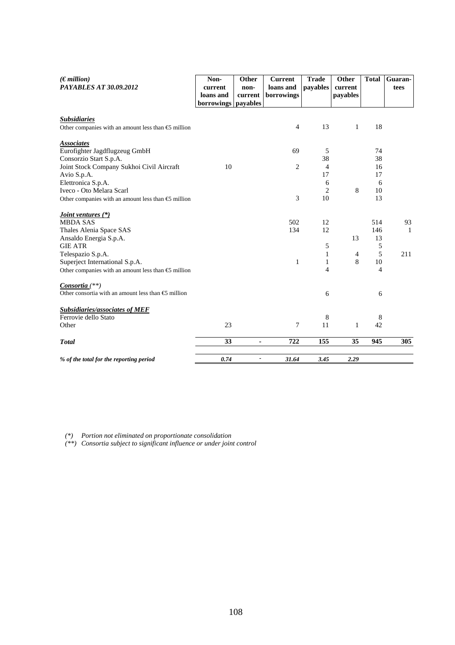| $(\epsilon$ <i>million</i> )<br>PAYABLES AT 30.09.2012                                         | Non-                 | Other<br>non-  | <b>Current</b><br>loans and | <b>Trade</b><br>payables | Other<br>current | <b>Total</b> | Guaran-<br>tees |
|------------------------------------------------------------------------------------------------|----------------------|----------------|-----------------------------|--------------------------|------------------|--------------|-----------------|
|                                                                                                | current<br>loans and | current        | borrowings                  |                          | payables         |              |                 |
|                                                                                                | <b>borrowings</b>    | payables       |                             |                          |                  |              |                 |
|                                                                                                |                      |                |                             |                          |                  |              |                 |
| <b>Subsidiaries</b>                                                                            |                      |                | $\overline{4}$              | 13                       | 1                | 18           |                 |
| Other companies with an amount less than $\bigoplus$ million                                   |                      |                |                             |                          |                  |              |                 |
| <b>Associates</b>                                                                              |                      |                |                             |                          |                  |              |                 |
| Eurofighter Jagdflugzeug GmbH                                                                  |                      |                | 69                          | 5                        |                  | 74           |                 |
| Consorzio Start S.p.A.                                                                         |                      |                |                             | 38                       |                  | 38           |                 |
| Joint Stock Company Sukhoi Civil Aircraft                                                      | 10                   |                | $\overline{c}$              | 4                        |                  | 16           |                 |
| Avio S.p.A.                                                                                    |                      |                |                             | 17                       |                  | 17           |                 |
| Elettronica S.p.A.<br>Iveco - Oto Melara Scarl                                                 |                      |                |                             | 6<br>$\overline{2}$      | 8                | 6<br>10      |                 |
| Other companies with an amount less than $\bigoplus$ million                                   |                      |                | 3                           | 10                       |                  | 13           |                 |
|                                                                                                |                      |                |                             |                          |                  |              |                 |
| <i>Joint ventures</i> (*)                                                                      |                      |                |                             |                          |                  |              |                 |
| <b>MBDA SAS</b>                                                                                |                      |                | 502                         | 12                       |                  | 514          | 93              |
| Thales Alenia Space SAS                                                                        |                      |                | 134                         | 12                       |                  | 146          | $\mathbf{1}$    |
| Ansaldo Energia S.p.A.                                                                         |                      |                |                             |                          | 13               | 13           |                 |
| <b>GIE ATR</b>                                                                                 |                      |                |                             | 5                        |                  | 5            |                 |
| Telespazio S.p.A.                                                                              |                      |                | 1                           | 1<br>1                   | 4<br>8           | 5<br>10      | 211             |
| Superject International S.p.A.<br>Other companies with an amount less than $\bigoplus$ million |                      |                |                             | 4                        |                  | 4            |                 |
|                                                                                                |                      |                |                             |                          |                  |              |                 |
| <i>Consortia</i> $(**)$                                                                        |                      |                |                             |                          |                  |              |                 |
| Other consortia with an amount less than $\bigoplus$ million                                   |                      |                |                             | 6                        |                  | 6            |                 |
|                                                                                                |                      |                |                             |                          |                  |              |                 |
| <b>Subsidiaries/associates of MEF</b><br>Ferrovie dello Stato                                  |                      |                |                             |                          |                  |              |                 |
| Other                                                                                          | 23                   |                | 7                           | 8<br>11                  | 1                | 8<br>42      |                 |
|                                                                                                |                      |                |                             |                          |                  |              |                 |
| <b>Total</b>                                                                                   | 33                   | $\blacksquare$ | 722                         | 155                      | 35               | 945          | 305             |
| % of the total for the reporting period                                                        | 0.74                 | $\blacksquare$ | 31.64                       | 3.45                     | 2.29             |              |                 |

*(\*) Portion not eliminated on proportionate consolidation* 

*(\*\*) Consortia subject to significant influence or under joint control*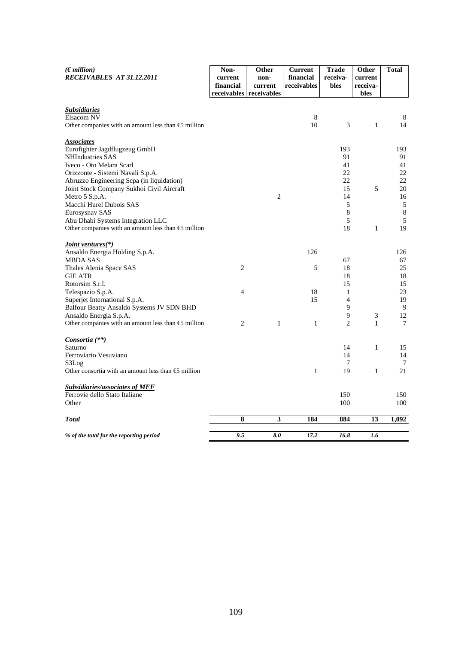| $(E$ <i>million</i> )<br>RECEIVABLES AT 31.12.2011           | Non-<br>current | Other<br>non-                      | <b>Current</b><br>financial | <b>Trade</b><br>receiva- | Other<br>current            | Total      |
|--------------------------------------------------------------|-----------------|------------------------------------|-----------------------------|--------------------------|-----------------------------|------------|
|                                                              | financial       | current<br>receivables receivables | receivables                 | bles                     | receiva-<br>bles            |            |
| <b>Subsidiaries</b>                                          |                 |                                    |                             |                          |                             |            |
| Elsacom NV                                                   |                 |                                    | $\,8\,$                     |                          |                             | 8          |
| Other companies with an amount less than $\bigoplus$ million |                 |                                    | 10                          | 3                        | $\mathbf{1}$                | 14         |
| <b>Associates</b>                                            |                 |                                    |                             | 193                      |                             |            |
| Eurofighter Jagdflugzeug GmbH<br>NHIndustries SAS            |                 |                                    |                             | 91                       |                             | 193<br>91  |
| Iveco - Oto Melara Scarl                                     |                 |                                    |                             | 41                       |                             | 41         |
| Orizzonte - Sistemi Navali S.p.A.                            |                 |                                    |                             | 22                       |                             | 22         |
| Abruzzo Engineering Scpa (in liquidation)                    |                 |                                    |                             | 22                       |                             | 22         |
| Joint Stock Company Sukhoi Civil Aircraft                    |                 |                                    |                             | 15                       | 5                           | 20         |
| Metro 5 S.p.A.                                               |                 | 2                                  |                             | 14                       |                             | 16         |
| Macchi Hurel Dubois SAS                                      |                 |                                    |                             | 5                        |                             | $\sqrt{5}$ |
| Eurosysnav SAS                                               |                 |                                    |                             | 8                        |                             | $\,8\,$    |
| Abu Dhabi Systems Integration LLC                            |                 |                                    |                             | 5                        |                             | 5          |
| Other companies with an amount less than $\epsilon$ million  |                 |                                    |                             | 18                       | $\mathbf{1}$                | 19         |
| <u>Joint ventures(*)</u>                                     |                 |                                    |                             |                          |                             |            |
| Ansaldo Energia Holding S.p.A.                               |                 |                                    | 126                         |                          |                             | 126        |
| <b>MBDA SAS</b>                                              |                 |                                    |                             | 67                       |                             | 67         |
| Thales Alenia Space SAS                                      | $\overline{2}$  |                                    | 5                           | 18                       |                             | 25         |
| <b>GIE ATR</b>                                               |                 |                                    |                             | 18                       |                             | 18         |
| Rotorsim S.r.l.                                              |                 |                                    |                             | 15                       |                             | 15         |
| Telespazio S.p.A.<br>Superjet International S.p.A.           | $\overline{4}$  |                                    | 18<br>15                    | 1<br>$\overline{4}$      |                             | 23<br>19   |
| Balfour Beatty Ansaldo Systems JV SDN BHD                    |                 |                                    |                             | 9                        |                             | 9          |
| Ansaldo Energia S.p.A.                                       |                 |                                    |                             | 9                        | $\ensuremath{\mathfrak{Z}}$ | 12         |
| Other companies with an amount less than $\bigoplus$ million | 2               | $\mathbf{1}$                       | 1                           | $\overline{2}$           | 1                           | 7          |
| Consortia (**)                                               |                 |                                    |                             |                          |                             |            |
| Saturno                                                      |                 |                                    |                             | 14                       | $\mathbf{1}$                | 15         |
| Ferroviario Vesuviano                                        |                 |                                    |                             | 14                       |                             | 14         |
| S3Log                                                        |                 |                                    |                             | 7                        |                             | 7          |
| Other consortia with an amount less than $\epsilon$ million  |                 |                                    | $\mathbf{1}$                | 19                       | $\mathbf{1}$                | 21         |
| <b>Subsidiaries/associates of MEF</b>                        |                 |                                    |                             |                          |                             |            |
| Ferrovie dello Stato Italiane                                |                 |                                    |                             | 150                      |                             | 150        |
| Other                                                        |                 |                                    |                             | 100                      |                             | 100        |
| <b>Total</b>                                                 | 8               | $\mathbf{3}$                       | 184                         | 884                      | 13                          | 1,092      |
| % of the total for the reporting period                      | 9.5             | 8.0                                | 17.2                        | 16.8                     | 1.6                         |            |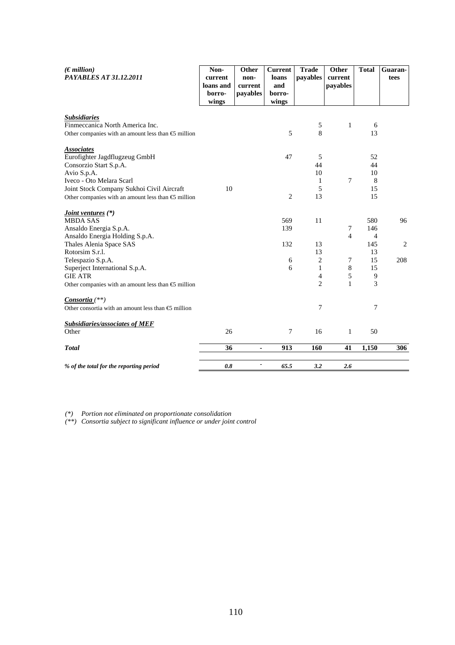| $(\epsilon$ million)<br>PAYABLES AT 31.12.2011               | Non-<br>current              | Other<br>non-       | <b>Current</b><br>loans | <b>Trade</b><br>payables | Other<br>current | <b>Total</b>   | Guaran-<br>tees |
|--------------------------------------------------------------|------------------------------|---------------------|-------------------------|--------------------------|------------------|----------------|-----------------|
|                                                              | loans and<br>borro-<br>wings | current<br>payables | and<br>borro-<br>wings  |                          | payables         |                |                 |
| <b>Subsidiaries</b>                                          |                              |                     |                         |                          |                  |                |                 |
| Finmeccanica North America Inc.                              |                              |                     |                         | $\sqrt{5}$               | $\mathbf{1}$     | 6              |                 |
| Other companies with an amount less than $\bigoplus$ million |                              |                     | 5                       | 8                        |                  | 13             |                 |
| <b>Associates</b>                                            |                              |                     |                         |                          |                  |                |                 |
| Eurofighter Jagdflugzeug GmbH                                |                              |                     | 47                      | 5                        |                  | 52             |                 |
| Consorzio Start S.p.A.                                       |                              |                     |                         | 44                       |                  | 44             |                 |
| Avio S.p.A.                                                  |                              |                     |                         | 10                       |                  | 10             |                 |
| Iveco - Oto Melara Scarl                                     |                              |                     |                         | 1                        | 7                | 8              |                 |
| Joint Stock Company Sukhoi Civil Aircraft                    | 10                           |                     |                         | 5                        |                  | 15             |                 |
| Other companies with an amount less than $\bigoplus$ million |                              |                     | $\overline{2}$          | 13                       |                  | 15             |                 |
| <i>Joint ventures</i> (*)                                    |                              |                     |                         |                          |                  |                |                 |
| <b>MBDA SAS</b>                                              |                              |                     | 569                     | 11                       |                  | 580            | 96              |
| Ansaldo Energia S.p.A.                                       |                              |                     | 139                     |                          | 7                | 146            |                 |
| Ansaldo Energia Holding S.p.A.                               |                              |                     |                         |                          | $\overline{4}$   | $\overline{4}$ |                 |
| Thales Alenia Space SAS                                      |                              |                     | 132                     | 13                       |                  | 145            | 2               |
| Rotorsim S.r.l.                                              |                              |                     |                         | 13                       |                  | 13             |                 |
| Telespazio S.p.A.                                            |                              |                     | 6                       | $\mathbf{2}$             | 7                | 15             | 208             |
| Superject International S.p.A.                               |                              |                     | 6                       | $\mathbf{1}$             | 8                | 15             |                 |
| <b>GIE ATR</b>                                               |                              |                     |                         | 4                        | 5                | $\overline{9}$ |                 |
| Other companies with an amount less than $\bigoplus$ million |                              |                     |                         | $\overline{2}$           | $\mathbf{1}$     | 3              |                 |
| <i>Consortia</i> $(**)$                                      |                              |                     |                         |                          |                  |                |                 |
| Other consortia with an amount less than $\epsilon$ million  |                              |                     |                         | 7                        |                  | 7              |                 |
| <b>Subsidiaries/associates of MEF</b>                        |                              |                     |                         |                          |                  |                |                 |
| Other                                                        | 26                           |                     | 7                       | 16                       | 1                | 50             |                 |
| <b>Total</b>                                                 | 36                           | $\blacksquare$      | 913                     | 160                      | 41               | 1,150          | 306             |
| % of the total for the reporting period                      | 0.8                          | -                   | 65.5                    | 3.2                      | 2.6              |                |                 |

*(\*) Portion not eliminated on proportionate consolidation* 

*(\*\*) Consortia subject to significant influence or under joint control*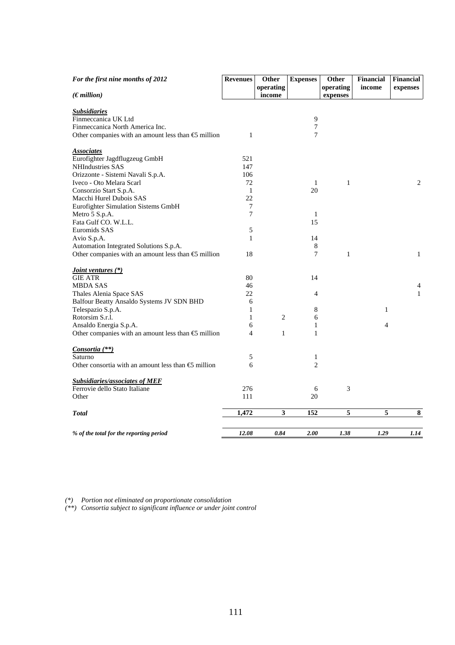| For the first nine months of 2012                            | <b>Revenues</b> | Other               | <b>Expenses</b> | Other                 | <b>Financial</b> | Financial    |
|--------------------------------------------------------------|-----------------|---------------------|-----------------|-----------------------|------------------|--------------|
| $(\epsilon$ million)                                         |                 | operating<br>income |                 | operating<br>expenses | income           | expenses     |
|                                                              |                 |                     |                 |                       |                  |              |
| <b>Subsidiaries</b>                                          |                 |                     |                 |                       |                  |              |
| Finmeccanica UK Ltd                                          |                 |                     | 9               |                       |                  |              |
| Finmeccanica North America Inc.                              |                 |                     | $\overline{7}$  |                       |                  |              |
| Other companies with an amount less than $\bigoplus$ million | $\mathbf{1}$    |                     | 7               |                       |                  |              |
| <b>Associates</b>                                            |                 |                     |                 |                       |                  |              |
| Eurofighter Jagdflugzeug GmbH                                | 521             |                     |                 |                       |                  |              |
| NHIndustries SAS                                             | 147             |                     |                 |                       |                  |              |
| Orizzonte - Sistemi Navali S.p.A.                            | 106             |                     |                 |                       |                  |              |
| Iveco - Oto Melara Scarl                                     | 72              |                     | 1               | $\mathbf{1}$          |                  | $\mathbf{2}$ |
| Consorzio Start S.p.A.                                       | $\mathbf{1}$    |                     | 20              |                       |                  |              |
| Macchi Hurel Dubois SAS                                      | 22              |                     |                 |                       |                  |              |
| Eurofighter Simulation Sistems GmbH                          | 7               |                     |                 |                       |                  |              |
| Metro 5 S.p.A.                                               | 7               |                     | 1               |                       |                  |              |
| Fata Gulf CO. W.L.L.                                         |                 |                     | 15              |                       |                  |              |
| Euromids SAS                                                 | $\sqrt{5}$      |                     |                 |                       |                  |              |
| Avio S.p.A.                                                  | $\mathbf{1}$    |                     | 14              |                       |                  |              |
| Automation Integrated Solutions S.p.A.                       |                 |                     | 8               |                       |                  |              |
| Other companies with an amount less than $\bigoplus$ million | 18              |                     | 7               | $\mathbf{1}$          |                  | 1            |
| <i><u><b>Joint ventures (*)</b></u></i>                      |                 |                     |                 |                       |                  |              |
| <b>GIE ATR</b>                                               | 80              |                     | 14              |                       |                  |              |
| <b>MBDA SAS</b>                                              | 46              |                     |                 |                       |                  | 4            |
| Thales Alenia Space SAS                                      | 22              |                     | $\overline{4}$  |                       |                  | $\mathbf{1}$ |
| Balfour Beatty Ansaldo Systems JV SDN BHD                    | 6               |                     |                 |                       |                  |              |
| Telespazio S.p.A.                                            | 1               |                     | 8               |                       | $\mathbf{1}$     |              |
| Rotorsim S.r.l.                                              | 1               | $\overline{2}$      | 6               |                       |                  |              |
| Ansaldo Energia S.p.A.                                       | 6               |                     | 1               |                       | $\overline{4}$   |              |
| Other companies with an amount less than $\bigoplus$ million | $\overline{4}$  | $\mathbf{1}$        | $\mathbf{1}$    |                       |                  |              |
| Consortia (**)                                               |                 |                     |                 |                       |                  |              |
| Saturno                                                      | 5               |                     | $\mathbf{1}$    |                       |                  |              |
| Other consortia with an amount less than $\epsilon$ million  | 6               |                     | $\overline{c}$  |                       |                  |              |
| <b>Subsidiaries/associates of MEF</b>                        |                 |                     |                 |                       |                  |              |
| Ferrovie dello Stato Italiane                                | 276             |                     | 6               | 3                     |                  |              |
| Other                                                        | 111             |                     | 20              |                       |                  |              |
| <b>Total</b>                                                 | 1,472           | 3                   | 152             | 5                     | 5                | ${\bf 8}$    |
|                                                              |                 |                     |                 |                       |                  |              |
| % of the total for the reporting period                      | 12.08           | 0.84                | 2.00            | 1.38                  | 1.29             | 1.14         |

*(\*) Portion not eliminated on proportionate consolidation* 

*(\*\*) Consortia subject to significant influence or under joint control*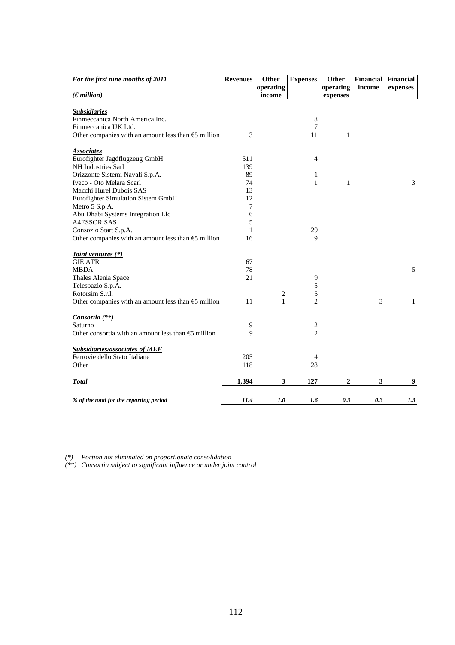| For the first nine months of 2011                            | <b>Revenues</b> | <b>Other</b> | <b>Expenses</b> | Other          | <b>Financial</b> | Financial        |
|--------------------------------------------------------------|-----------------|--------------|-----------------|----------------|------------------|------------------|
|                                                              |                 | operating    |                 | operating      | income           | expenses         |
| $(\epsilon$ <i>million</i> )                                 |                 | income       |                 | expenses       |                  |                  |
| <b>Subsidiaries</b>                                          |                 |              |                 |                |                  |                  |
| Finmeccanica North America Inc.                              |                 |              | $8\phantom{1}$  |                |                  |                  |
| Finmeccanica UK Ltd.                                         |                 |              | $\overline{7}$  |                |                  |                  |
| Other companies with an amount less than $\bigoplus$ million | 3               |              | 11              | $\mathbf{1}$   |                  |                  |
|                                                              |                 |              |                 |                |                  |                  |
| <b>Associates</b>                                            |                 |              |                 |                |                  |                  |
| Eurofighter Jagdflugzeug GmbH                                | 511             |              | $\overline{4}$  |                |                  |                  |
| NH Industries Sarl                                           | 139             |              |                 |                |                  |                  |
| Orizzonte Sistemi Navali S.p.A.                              | 89              |              | 1               |                |                  |                  |
| Iveco - Oto Melara Scarl                                     | 74              |              | $\mathbf{1}$    | 1              |                  | 3                |
| Macchi Hurel Dubois SAS                                      | 13              |              |                 |                |                  |                  |
| Eurofighter Simulation Sistem GmbH                           | 12              |              |                 |                |                  |                  |
| Metro 5 S.p.A.                                               | 7               |              |                 |                |                  |                  |
| Abu Dhabi Systems Integration Llc                            | 6               |              |                 |                |                  |                  |
| <b>A4ESSOR SAS</b>                                           | 5               |              |                 |                |                  |                  |
| Consozio Start S.p.A.                                        | 1               |              | 29              |                |                  |                  |
| Other companies with an amount less than $\bigoplus$ million | 16              |              | 9               |                |                  |                  |
|                                                              |                 |              |                 |                |                  |                  |
| <i><u><b>Joint ventures (*)</b></u></i>                      |                 |              |                 |                |                  |                  |
| <b>GIE ATR</b>                                               | 67              |              |                 |                |                  |                  |
| <b>MBDA</b>                                                  | 78              |              |                 |                |                  | 5                |
| Thales Alenia Space                                          | 21              |              | 9               |                |                  |                  |
| Telespazio S.p.A.                                            |                 |              | 5               |                |                  |                  |
| Rotorsim S.r.l.                                              |                 | 2            | 5               |                |                  |                  |
| Other companies with an amount less than $\bigoplus$ million | 11              | $\mathbf{1}$ | $\overline{c}$  |                | 3                | $\mathbf{1}$     |
| Consortia <sup>(**)</sup>                                    |                 |              |                 |                |                  |                  |
| Saturno                                                      | 9               |              | 2               |                |                  |                  |
| Other consortia with an amount less than $\bigoplus$ million | 9               |              | $\overline{c}$  |                |                  |                  |
| <b>Subsidiaries/associates of MEF</b>                        |                 |              |                 |                |                  |                  |
| Ferrovie dello Stato Italiane                                | 205             |              | $\overline{4}$  |                |                  |                  |
| Other                                                        | 118             |              | 28              |                |                  |                  |
|                                                              |                 |              |                 |                |                  |                  |
| <b>Total</b>                                                 | 1,394           | 3            | 127             | $\overline{2}$ | 3                | $\boldsymbol{9}$ |
|                                                              |                 |              |                 |                |                  |                  |
| % of the total for the reporting period                      | 11.4            | 1.0          | 1.6             | 0.3            | 0.3              | 1.3              |

*(\*) Portion not eliminated on proportionate consolidation* 

*(\*\*) Consortia subject to significant influence or under joint control*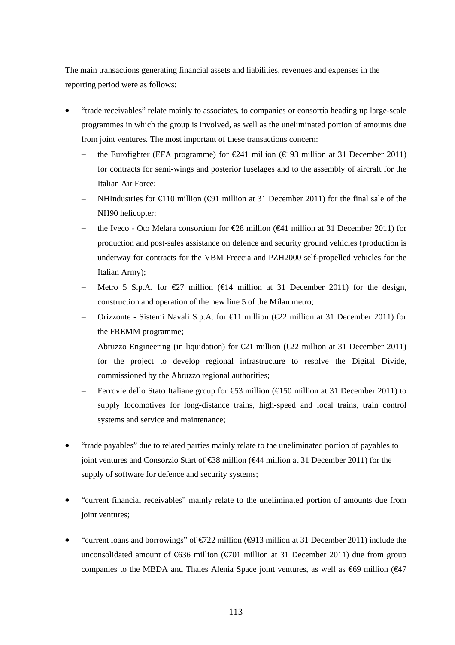The main transactions generating financial assets and liabilities, revenues and expenses in the reporting period were as follows:

- "trade receivables" relate mainly to associates, to companies or consortia heading up large-scale programmes in which the group is involved, as well as the uneliminated portion of amounts due from joint ventures. The most important of these transactions concern:
	- the Eurofighter (EFA programme) for  $\in \{241 \text{ million } (\in \{193 \text{ million at } 31 \text{ December } 2011})$ for contracts for semi-wings and posterior fuselages and to the assembly of aircraft for the Italian Air Force;
	- NHIndustries for  $\in$  10 million ( $\oplus$ 1 million at 31 December 2011) for the final sale of the NH90 helicopter;
	- the Iveco Oto Melara consortium for  $\text{\textsterling}8$  million ( $\text{\textsterling}41$  million at 31 December 2011) for production and post-sales assistance on defence and security ground vehicles (production is underway for contracts for the VBM Freccia and PZH2000 self-propelled vehicles for the Italian Army);
	- Metro 5 S.p.A. for  $\bigoplus$  million ( $\bigoplus$  4 million at 31 December 2011) for the design, construction and operation of the new line 5 of the Milan metro;
	- Orizzonte Sistemi Navali S.p.A. for €11 million (€22 million at 31 December 2011) for the FREMM programme;
	- Abruzzo Engineering (in liquidation) for  $\bigoplus$  1 million ( $\bigoplus$  2 million at 31 December 2011) for the project to develop regional infrastructure to resolve the Digital Divide, commissioned by the Abruzzo regional authorities;
	- Ferrovie dello Stato Italiane group for €53 million (€150 million at 31 December 2011) to supply locomotives for long-distance trains, high-speed and local trains, train control systems and service and maintenance;
- "trade payables" due to related parties mainly relate to the uneliminated portion of payables to joint ventures and Consorzio Start of €38 million (€44 million at 31 December 2011) for the supply of software for defence and security systems;
- "current financial receivables" mainly relate to the uneliminated portion of amounts due from joint ventures;
- "current loans and borrowings" of  $\epsilon$ 722 million ( $\epsilon$ 913 million at 31 December 2011) include the unconsolidated amount of  $\epsilon$ 636 million ( $\epsilon$ 701 million at 31 December 2011) due from group companies to the MBDA and Thales Alenia Space joint ventures, as well as  $\epsilon$ 69 million ( $\epsilon$ 47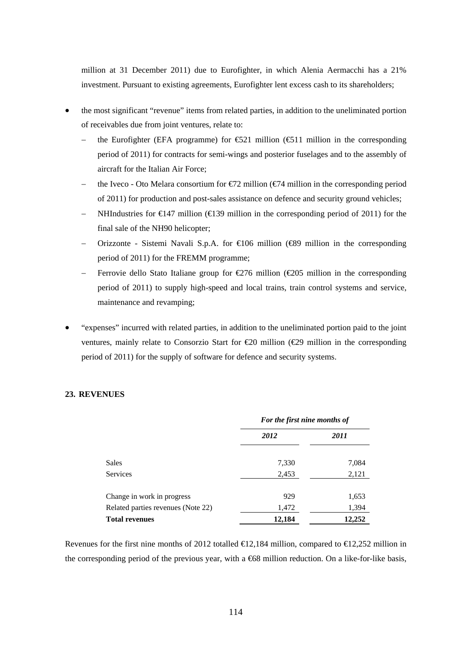million at 31 December 2011) due to Eurofighter, in which Alenia Aermacchi has a 21% investment. Pursuant to existing agreements, Eurofighter lent excess cash to its shareholders;

- the most significant "revenue" items from related parties, in addition to the uneliminated portion of receivables due from joint ventures, relate to:
	- the Eurofighter (EFA programme) for  $\epsilon$ 521 million ( $\epsilon$ 511 million in the corresponding period of 2011) for contracts for semi-wings and posterior fuselages and to the assembly of aircraft for the Italian Air Force;
	- the Iveco Oto Melara consortium for  $\epsilon/2$  million  $\epsilon/4$  million in the corresponding period of 2011) for production and post-sales assistance on defence and security ground vehicles;
	- NHIndustries for  $\in$  47 million ( $\in$  39 million in the corresponding period of 2011) for the final sale of the NH90 helicopter;
	- Orizzonte Sistemi Navali S.p.A. for  $\in$  106 million ( $\in$ 99 million in the corresponding period of 2011) for the FREMM programme;
	- Ferrovie dello Stato Italiane group for  $\epsilon$  76 million ( $\epsilon$  205 million in the corresponding period of 2011) to supply high-speed and local trains, train control systems and service, maintenance and revamping;
- "expenses" incurred with related parties, in addition to the uneliminated portion paid to the joint ventures, mainly relate to Consorzio Start for €20 million (€29 million in the corresponding period of 2011) for the supply of software for defence and security systems.

# **23. REVENUES**

|                                    | For the first nine months of |        |  |  |
|------------------------------------|------------------------------|--------|--|--|
|                                    | 2012                         | 2011   |  |  |
| Sales                              | 7,330                        | 7,084  |  |  |
| Services                           | 2,453                        | 2,121  |  |  |
| Change in work in progress         | 929                          | 1,653  |  |  |
| Related parties revenues (Note 22) | 1,472                        | 1,394  |  |  |
| <b>Total revenues</b>              | 12,184                       | 12.252 |  |  |

Revenues for the first nine months of 2012 totalled  $\bigoplus$  2.184 million, compared to  $\bigoplus$  2.252 million in the corresponding period of the previous year, with a  $668$  million reduction. On a like-for-like basis,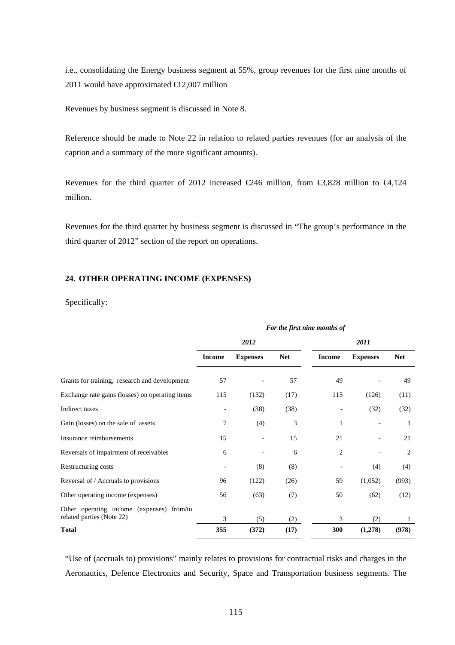i.e., consolidating the Energy business segment at 55%, group revenues for the first nine months of 2011 would have approximated  $\text{€}12,007$  million

Revenues by business segment is discussed in Note 8.

Reference should be made to Note 22 in relation to related parties revenues (for an analysis of the caption and a summary of the more significant amounts).

Revenues for the third quarter of 2012 increased  $\epsilon$ 246 million, from  $\epsilon$ 3,828 million to  $\epsilon$ 4,124 million.

Revenues for the third quarter by business segment is discussed in "The group's performance in the third quarter of 2012" section of the report on operations.

# **24. OTHER OPERATING INCOME (EXPENSES)**

Specifically:

|                                                                        | For the first nine months of |                 |            |               |                 |            |
|------------------------------------------------------------------------|------------------------------|-----------------|------------|---------------|-----------------|------------|
|                                                                        |                              | 2012            |            |               |                 |            |
|                                                                        | <b>Income</b>                | <b>Expenses</b> | <b>Net</b> | <b>Income</b> | <b>Expenses</b> | <b>Net</b> |
| Grants for training, research and development                          | 57                           |                 | 57         | 49            |                 | 49         |
| Exchange rate gains (losses) on operating items                        | 115                          | (132)           | (17)       | 115           | (126)           | (11)       |
| Indirect taxes                                                         |                              | (38)            | (38)       |               | (32)            | (32)       |
| Gain (losses) on the sale of assets                                    | 7                            | (4)             | 3          | 1             |                 | 1          |
| Insurance reimbursements                                               | 15                           |                 | 15         | 21            |                 | 21         |
| Reversals of impairment of receivables                                 | 6                            |                 | 6          | 2             |                 | 2          |
| Restructuring costs                                                    |                              | (8)             | (8)        |               | (4)             | (4)        |
| Reversal of / Accruals to provisions                                   | 96                           | (122)           | (26)       | 59            | (1,052)         | (993)      |
| Other operating income (expenses)                                      | 56                           | (63)            | (7)        | 50            | (62)            | (12)       |
| Other operating income (expenses) from/to<br>related parties (Note 22) | 3                            | (5)             | (2)        | 3             | (2)             | 1          |
| <b>Total</b>                                                           | 355                          | (372)           | (17)       | 300           | (1,278)         | (978)      |

"Use of (accruals to) provisions" mainly relates to provisions for contractual risks and charges in the Aeronautics, Defence Electronics and Security, Space and Transportation business segments. The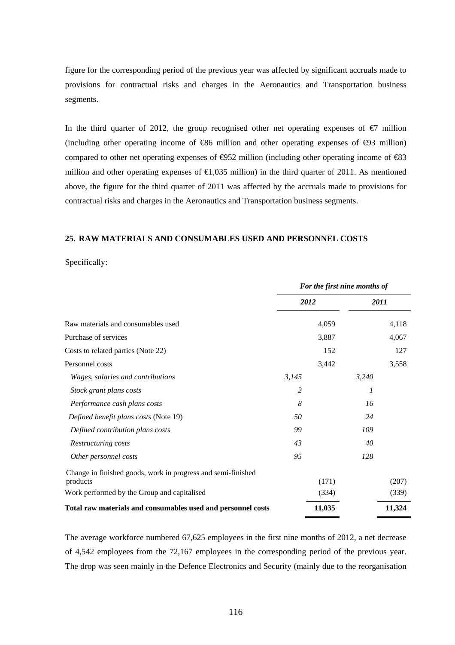figure for the corresponding period of the previous year was affected by significant accruals made to provisions for contractual risks and charges in the Aeronautics and Transportation business segments.

In the third quarter of 2012, the group recognised other net operating expenses of  $\epsilon$ 7 million (including other operating income of  $\text{\textcircled{486}}$  million and other operating expenses of  $\text{\textcircled{43}}$  million) compared to other net operating expenses of  $\Theta$ 52 million (including other operating income of  $\Theta$ 3 million and other operating expenses of  $\epsilon 1,035$  million) in the third quarter of 2011. As mentioned above, the figure for the third quarter of 2011 was affected by the accruals made to provisions for contractual risks and charges in the Aeronautics and Transportation business segments.

#### **25. RAW MATERIALS AND CONSUMABLES USED AND PERSONNEL COSTS**

Specifically:

|                                                              | For the first nine months of |        |       |        |
|--------------------------------------------------------------|------------------------------|--------|-------|--------|
|                                                              |                              | 2012   |       | 2011   |
| Raw materials and consumables used                           |                              | 4,059  |       | 4,118  |
| Purchase of services                                         |                              | 3,887  |       | 4,067  |
| Costs to related parties (Note 22)                           |                              | 152    |       | 127    |
| Personnel costs                                              |                              | 3,442  |       | 3,558  |
| Wages, salaries and contributions                            | 3,145                        |        | 3,240 |        |
| Stock grant plans costs                                      | 2                            |        | 1     |        |
| Performance cash plans costs                                 | 8                            |        | 16    |        |
| Defined benefit plans costs (Note 19)                        | 50                           |        | 24    |        |
| Defined contribution plans costs                             | 99                           |        | 109   |        |
| Restructuring costs                                          | 43                           |        | 40    |        |
| Other personnel costs                                        | 95                           |        | 128   |        |
| Change in finished goods, work in progress and semi-finished |                              |        |       |        |
| products                                                     |                              | (171)  |       | (207)  |
| Work performed by the Group and capitalised                  |                              | (334)  |       | (339)  |
| Total raw materials and consumables used and personnel costs |                              | 11,035 |       | 11,324 |

The average workforce numbered 67,625 employees in the first nine months of 2012, a net decrease of 4,542 employees from the 72,167 employees in the corresponding period of the previous year. The drop was seen mainly in the Defence Electronics and Security (mainly due to the reorganisation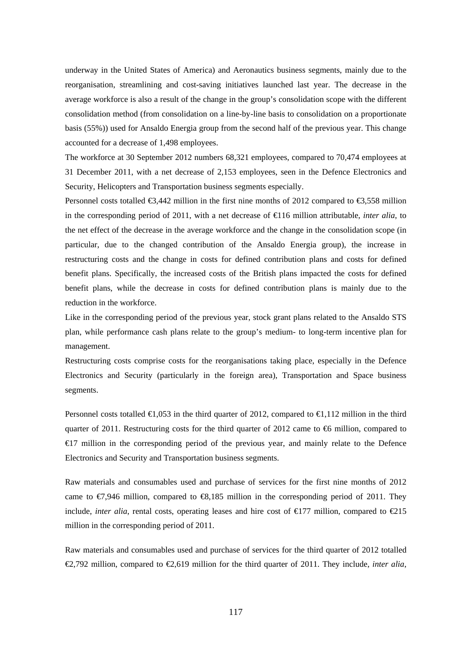underway in the United States of America) and Aeronautics business segments, mainly due to the reorganisation, streamlining and cost-saving initiatives launched last year. The decrease in the average workforce is also a result of the change in the group's consolidation scope with the different consolidation method (from consolidation on a line-by-line basis to consolidation on a proportionate basis (55%)) used for Ansaldo Energia group from the second half of the previous year. This change accounted for a decrease of 1,498 employees.

The workforce at 30 September 2012 numbers 68,321 employees, compared to 70,474 employees at 31 December 2011, with a net decrease of 2,153 employees, seen in the Defence Electronics and Security, Helicopters and Transportation business segments especially.

Personnel costs totalled  $\epsilon$ 3,442 million in the first nine months of 2012 compared to  $\epsilon$ 3,558 million in the corresponding period of 2011, with a net decrease of  $\bigoplus$ 16 million attributable, *inter alia*, to the net effect of the decrease in the average workforce and the change in the consolidation scope (in particular, due to the changed contribution of the Ansaldo Energia group), the increase in restructuring costs and the change in costs for defined contribution plans and costs for defined benefit plans. Specifically, the increased costs of the British plans impacted the costs for defined benefit plans, while the decrease in costs for defined contribution plans is mainly due to the reduction in the workforce.

Like in the corresponding period of the previous year, stock grant plans related to the Ansaldo STS plan, while performance cash plans relate to the group's medium- to long-term incentive plan for management.

Restructuring costs comprise costs for the reorganisations taking place, especially in the Defence Electronics and Security (particularly in the foreign area), Transportation and Space business segments.

Personnel costs totalled  $\bigoplus$ , 053 in the third quarter of 2012, compared to  $\bigoplus$ , 112 million in the third quarter of 2011. Restructuring costs for the third quarter of 2012 came to  $\epsilon$ 6 million, compared to €17 million in the corresponding period of the previous year, and mainly relate to the Defence Electronics and Security and Transportation business segments.

Raw materials and consumables used and purchase of services for the first nine months of 2012 came to  $\epsilon$ 7,946 million, compared to  $\epsilon$ 8,185 million in the corresponding period of 2011. They include, *inter alia*, rental costs, operating leases and hire cost of  $\epsilon$ 177 million, compared to  $\epsilon$ 215 million in the corresponding period of 2011.

Raw materials and consumables used and purchase of services for the third quarter of 2012 totalled €2,792 million, compared to €2,619 million for the third quarter of 2011. They include, *inter alia*,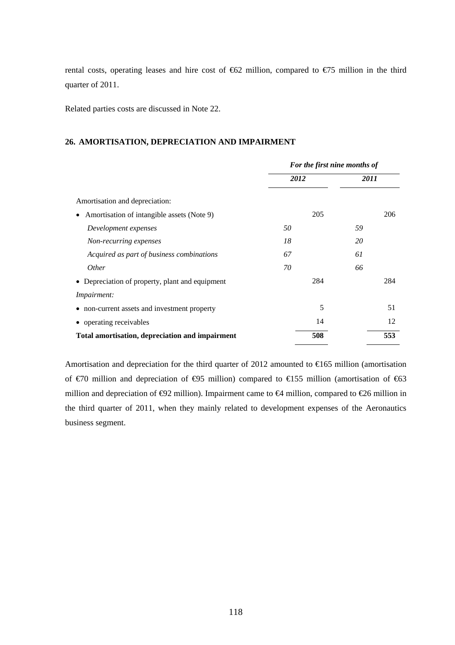rental costs, operating leases and hire cost of €62 million, compared to €75 million in the third quarter of 2011.

Related parties costs are discussed in Note 22.

### **26. AMORTISATION, DEPRECIATION AND IMPAIRMENT**

|                                                 | For the first nine months of |      |  |  |
|-------------------------------------------------|------------------------------|------|--|--|
|                                                 | 2012                         | 2011 |  |  |
| Amortisation and depreciation:                  |                              |      |  |  |
| Amortisation of intangible assets (Note 9)      | 205                          | 206  |  |  |
| Development expenses                            | 50                           | 59   |  |  |
| Non-recurring expenses                          | 18                           | 20   |  |  |
| Acquired as part of business combinations       | 67                           | 61   |  |  |
| <i>Other</i>                                    | 70                           | 66   |  |  |
| • Depreciation of property, plant and equipment | 284                          | 284  |  |  |
| <i>Impairment:</i>                              |                              |      |  |  |
| • non-current assets and investment property    | 5                            | 51   |  |  |
| • operating receivables                         | 14                           | 12   |  |  |
| Total amortisation, depreciation and impairment | 508                          | 553  |  |  |

Amortisation and depreciation for the third quarter of 2012 amounted to  $\epsilon$ 65 million (amortisation of €70 million and depreciation of €95 million) compared to €155 million (amortisation of €63 million and depreciation of  $\Theta$ 2 million). Impairment came to  $\Theta$  million, compared to  $\Theta$ 6 million in the third quarter of 2011, when they mainly related to development expenses of the Aeronautics business segment.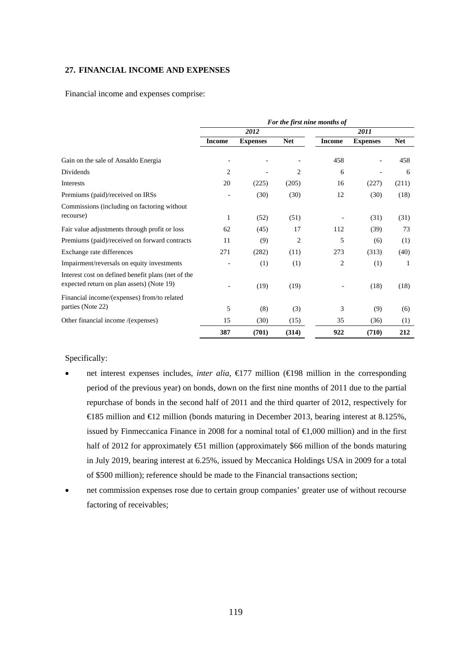# **27. FINANCIAL INCOME AND EXPENSES**

Financial income and expenses comprise:

|                                                                                                 | For the first nine months of |                 |                |               |                 |            |  |
|-------------------------------------------------------------------------------------------------|------------------------------|-----------------|----------------|---------------|-----------------|------------|--|
|                                                                                                 |                              | 2012            |                | 2011          |                 |            |  |
|                                                                                                 | <b>Income</b>                | <b>Expenses</b> | <b>Net</b>     | <b>Income</b> | <b>Expenses</b> | <b>Net</b> |  |
| Gain on the sale of Ansaldo Energia                                                             |                              |                 |                | 458           |                 | 458        |  |
| Dividends                                                                                       | $\overline{c}$               |                 | 2              | 6             |                 | 6          |  |
| Interests                                                                                       | 20                           | (225)           | (205)          | 16            | (227)           | (211)      |  |
| Premiums (paid)/received on IRSs                                                                |                              | (30)            | (30)           | 12            | (30)            | (18)       |  |
| Commissions (including on factoring without                                                     |                              |                 |                |               |                 |            |  |
| recourse)                                                                                       | 1                            | (52)            | (51)           |               | (31)            | (31)       |  |
| Fair value adjustments through profit or loss                                                   | 62                           | (45)            | 17             | 112           | (39)            | 73         |  |
| Premiums (paid)/received on forward contracts                                                   | 11                           | (9)             | $\overline{2}$ | 5             | (6)             | (1)        |  |
| Exchange rate differences                                                                       | 271                          | (282)           | (11)           | 273           | (313)           | (40)       |  |
| Impairment/reversals on equity investments                                                      |                              | (1)             | (1)            | 2             | (1)             | 1          |  |
| Interest cost on defined benefit plans (net of the<br>expected return on plan assets) (Note 19) |                              | (19)            | (19)           |               | (18)            | (18)       |  |
| Financial income/(expenses) from/to related                                                     |                              |                 |                |               |                 |            |  |
| parties (Note 22)                                                                               | 5                            | (8)             | (3)            | 3             | (9)             | (6)        |  |
| Other financial income /(expenses)                                                              | 15                           | (30)            | (15)           | 35            | (36)            | (1)        |  |
|                                                                                                 | 387                          | (701)           | (314)          | 922           | (710)           | 212        |  |

# Specifically:

- net interest expenses includes, *inter alia*, €177 million (€198 million in the corresponding period of the previous year) on bonds, down on the first nine months of 2011 due to the partial repurchase of bonds in the second half of 2011 and the third quarter of 2012, respectively for €185 million and €12 million (bonds maturing in December 2013, bearing interest at 8.125%, issued by Finmeccanica Finance in 2008 for a nominal total of €1,000 million) and in the first half of 2012 for approximately €51 million (approximately \$66 million of the bonds maturing in July 2019, bearing interest at 6.25%, issued by Meccanica Holdings USA in 2009 for a total of \$500 million); reference should be made to the Financial transactions section;
- net commission expenses rose due to certain group companies' greater use of without recourse factoring of receivables;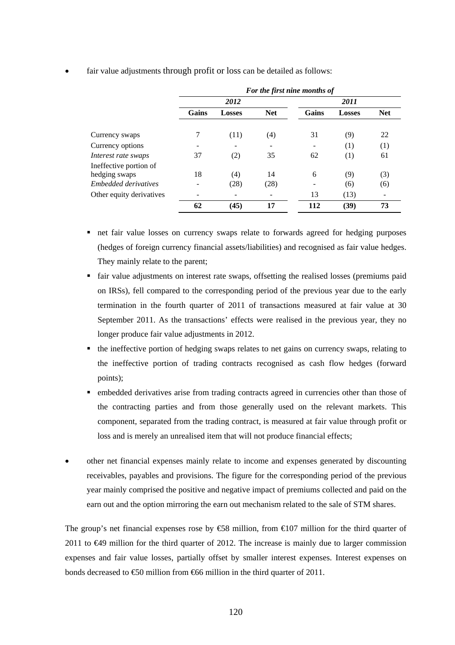|                          | For the first nine months of |               |            |       |               |            |  |
|--------------------------|------------------------------|---------------|------------|-------|---------------|------------|--|
|                          |                              | 2012          |            | 2011  |               |            |  |
|                          | Gains                        | <b>Losses</b> | <b>Net</b> | Gains | <b>Losses</b> | <b>Net</b> |  |
| Currency swaps           | 7                            | (11)          | (4)        | 31    | (9)           | 22         |  |
| Currency options         |                              |               |            |       | (1)           | (1)        |  |
| Interest rate swaps      | 37                           | (2)           | 35         | 62    | (1)           | 61         |  |
| Ineffective portion of   |                              |               |            |       |               |            |  |
| hedging swaps            | 18                           | (4)           | 14         | 6     | (9)           | (3)        |  |
| Embedded derivatives     | $\overline{\phantom{0}}$     | (28)          | (28)       |       | (6)           | (6)        |  |
| Other equity derivatives |                              |               |            | 13    | (13)          |            |  |
|                          | 62                           | (45)          | 17         | 112   | (39)          | 73         |  |

fair value adjustments through profit or loss can be detailed as follows:

- net fair value losses on currency swaps relate to forwards agreed for hedging purposes (hedges of foreign currency financial assets/liabilities) and recognised as fair value hedges. They mainly relate to the parent;
- fair value adjustments on interest rate swaps, offsetting the realised losses (premiums paid on IRSs), fell compared to the corresponding period of the previous year due to the early termination in the fourth quarter of 2011 of transactions measured at fair value at 30 September 2011. As the transactions' effects were realised in the previous year, they no longer produce fair value adjustments in 2012.
- the ineffective portion of hedging swaps relates to net gains on currency swaps, relating to the ineffective portion of trading contracts recognised as cash flow hedges (forward points);
- embedded derivatives arise from trading contracts agreed in currencies other than those of the contracting parties and from those generally used on the relevant markets. This component, separated from the trading contract, is measured at fair value through profit or loss and is merely an unrealised item that will not produce financial effects;
- other net financial expenses mainly relate to income and expenses generated by discounting receivables, payables and provisions. The figure for the corresponding period of the previous year mainly comprised the positive and negative impact of premiums collected and paid on the earn out and the option mirroring the earn out mechanism related to the sale of STM shares.

The group's net financial expenses rose by €58 million, from €107 million for the third quarter of 2011 to €49 million for the third quarter of 2012. The increase is mainly due to larger commission expenses and fair value losses, partially offset by smaller interest expenses. Interest expenses on bonds decreased to  $\text{\textsterling}0$  million from  $\text{\textsterling}66$  million in the third quarter of 2011.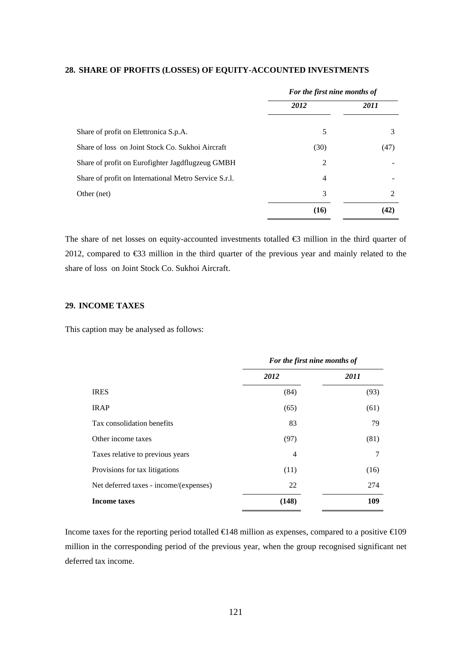|                                                       | For the first nine months of |                |  |  |
|-------------------------------------------------------|------------------------------|----------------|--|--|
|                                                       | 2012                         | 2011           |  |  |
| Share of profit on Elettronica S.p.A.                 | 5                            | 3              |  |  |
| Share of loss on Joint Stock Co. Sukhoi Aircraft      | (30)                         | (47)           |  |  |
| Share of profit on Eurofighter Jagdflugzeug GMBH      | 2                            |                |  |  |
| Share of profit on International Metro Service S.r.l. | $\overline{4}$               |                |  |  |
| Other (net)                                           | 3                            | $\mathfrak{D}$ |  |  |
|                                                       | (16)                         | 42             |  |  |

#### **28. SHARE OF PROFITS (LOSSES) OF EQUITY-ACCOUNTED INVESTMENTS**

The share of net losses on equity-accounted investments totalled €3 million in the third quarter of 2012, compared to €33 million in the third quarter of the previous year and mainly related to the share of loss on Joint Stock Co. Sukhoi Aircraft.

### **29. INCOME TAXES**

This caption may be analysed as follows:

|                                        | For the first nine months of |      |  |
|----------------------------------------|------------------------------|------|--|
|                                        | 2012                         | 2011 |  |
| <b>IRES</b>                            | (84)                         | (93) |  |
| <b>IRAP</b>                            | (65)                         | (61) |  |
| Tax consolidation benefits             | 83                           | 79   |  |
| Other income taxes                     | (97)                         | (81) |  |
| Taxes relative to previous years       | $\overline{4}$               | 7    |  |
| Provisions for tax litigations         | (11)                         | (16) |  |
| Net deferred taxes - income/(expenses) | 22                           | 274  |  |
| <b>Income taxes</b>                    | (148)                        | 109  |  |

Income taxes for the reporting period totalled  $\bigoplus$  48 million as expenses, compared to a positive  $\bigoplus$ 09 million in the corresponding period of the previous year, when the group recognised significant net deferred tax income.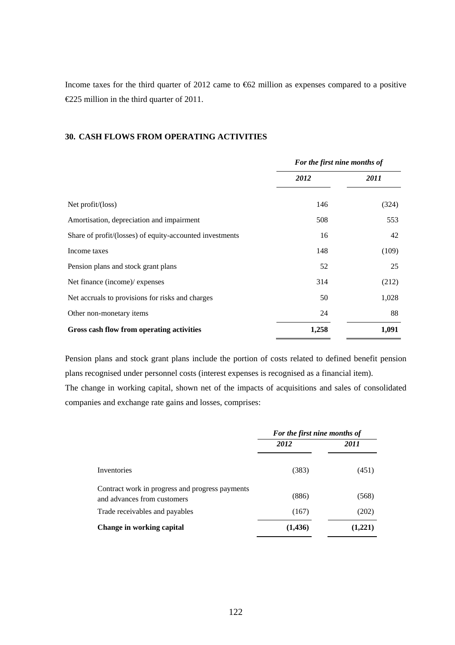Income taxes for the third quarter of 2012 came to €62 million as expenses compared to a positive €225 million in the third quarter of 2011.

# **30. CASH FLOWS FROM OPERATING ACTIVITIES**

|                                                          | For the first nine months of |       |
|----------------------------------------------------------|------------------------------|-------|
|                                                          | 2012                         | 2011  |
| Net $profit/loss)$                                       | 146                          | (324) |
| Amortisation, depreciation and impairment                | 508                          | 553   |
| Share of profit/(losses) of equity-accounted investments | 16                           | 42    |
| Income taxes                                             | 148                          | (109) |
| Pension plans and stock grant plans                      | 52                           | 25    |
| Net finance (income)/ expenses                           | 314                          | (212) |
| Net accruals to provisions for risks and charges         | 50                           | 1,028 |
| Other non-monetary items                                 | 24                           | 88    |
| Gross cash flow from operating activities                | 1,258                        | 1,091 |

Pension plans and stock grant plans include the portion of costs related to defined benefit pension plans recognised under personnel costs (interest expenses is recognised as a financial item).

The change in working capital, shown net of the impacts of acquisitions and sales of consolidated companies and exchange rate gains and losses, comprises:

|                                                                                | For the first nine months of |         |
|--------------------------------------------------------------------------------|------------------------------|---------|
|                                                                                | 2012                         | 2011    |
| Inventories                                                                    | (383)                        | (451)   |
| Contract work in progress and progress payments<br>and advances from customers | (886)                        | (568)   |
| Trade receivables and payables                                                 | (167)                        | (202)   |
| Change in working capital                                                      | (1, 436)                     | (1,221) |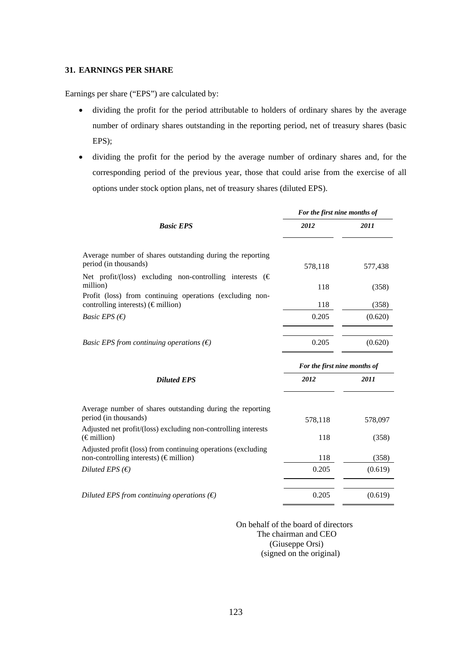### **31. EARNINGS PER SHARE**

Earnings per share ("EPS") are calculated by:

- dividing the profit for the period attributable to holders of ordinary shares by the average number of ordinary shares outstanding in the reporting period, net of treasury shares (basic EPS);
- dividing the profit for the period by the average number of ordinary shares and, for the corresponding period of the previous year, those that could arise from the exercise of all options under stock option plans, net of treasury shares (diluted EPS).

|                                                                                                                                                            | For the first nine months of |         |  |
|------------------------------------------------------------------------------------------------------------------------------------------------------------|------------------------------|---------|--|
| <b>Basic EPS</b>                                                                                                                                           | 2012                         | 2011    |  |
| Average number of shares outstanding during the reporting<br>period (in thousands)<br>Net profit/(loss) excluding non-controlling interests ( $\epsilon$ ) | 578,118                      | 577,438 |  |
| million)                                                                                                                                                   | 118                          | (358)   |  |
| Profit (loss) from continuing operations (excluding non-<br>controlling interests) (€million)                                                              | 118                          | (358)   |  |
| <i>Basic EPS</i> (€)                                                                                                                                       | 0.205                        | (0.620) |  |
| <i>Basic EPS from continuing operations</i> $(\epsilon)$                                                                                                   | 0.205                        | (0.620) |  |
|                                                                                                                                                            | For the first nine months of |         |  |
| <b>Diluted EPS</b>                                                                                                                                         | 2012                         | 2011    |  |
| Average number of shares outstanding during the reporting<br>period (in thousands)                                                                         | 578,118                      | 578,097 |  |
| Adjusted net profit/(loss) excluding non-controlling interests<br>$(\epsilon$ million)                                                                     | 118                          | (358)   |  |
| Adjusted profit (loss) from continuing operations (excluding<br>non-controlling interests) (€million)                                                      | 118                          | (358)   |  |
| Diluted EPS $(\epsilon)$                                                                                                                                   | 0.205                        | (0.619) |  |
| Diluted EPS from continuing operations $(\epsilon)$                                                                                                        | 0.205                        | (0.619) |  |

 On behalf of the board of directors The chairman and CEO (Giuseppe Orsi) (signed on the original)